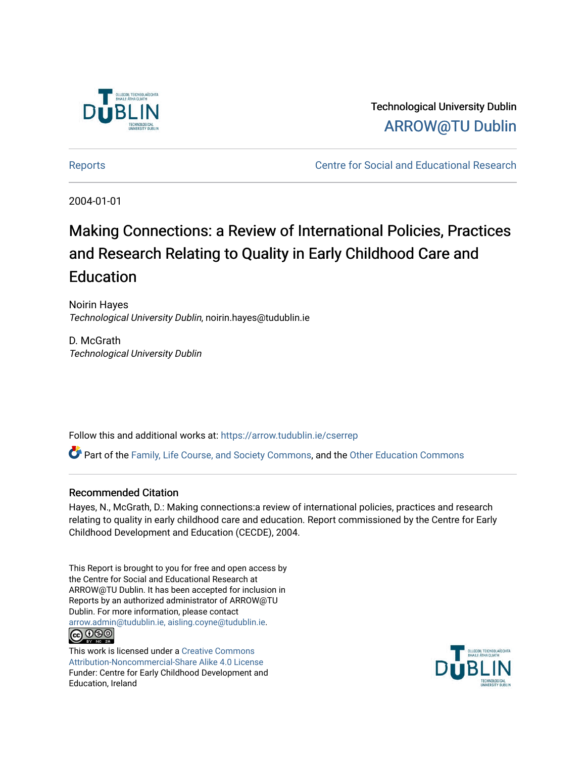

Technological University Dublin [ARROW@TU Dublin](https://arrow.tudublin.ie/) 

[Reports](https://arrow.tudublin.ie/cserrep) **Centre for Social and Educational Research** 

2004-01-01

## Making Connections: a Review of International Policies, Practices and Research Relating to Quality in Early Childhood Care and **Education**

Noirin Hayes Technological University Dublin, noirin.hayes@tudublin.ie

D. McGrath Technological University Dublin

Follow this and additional works at: [https://arrow.tudublin.ie/cserrep](https://arrow.tudublin.ie/cserrep?utm_source=arrow.tudublin.ie%2Fcserrep%2F8&utm_medium=PDF&utm_campaign=PDFCoverPages)

Part of the [Family, Life Course, and Society Commons,](http://network.bepress.com/hgg/discipline/419?utm_source=arrow.tudublin.ie%2Fcserrep%2F8&utm_medium=PDF&utm_campaign=PDFCoverPages) and the [Other Education Commons](http://network.bepress.com/hgg/discipline/811?utm_source=arrow.tudublin.ie%2Fcserrep%2F8&utm_medium=PDF&utm_campaign=PDFCoverPages)

## Recommended Citation

Hayes, N., McGrath, D.: Making connections:a review of international policies, practices and research relating to quality in early childhood care and education. Report commissioned by the Centre for Early Childhood Development and Education (CECDE), 2004.

This Report is brought to you for free and open access by the Centre for Social and Educational Research at ARROW@TU Dublin. It has been accepted for inclusion in Reports by an authorized administrator of ARROW@TU Dublin. For more information, please contact [arrow.admin@tudublin.ie, aisling.coyne@tudublin.ie](mailto:arrow.admin@tudublin.ie,%20aisling.coyne@tudublin.ie). <u>@000</u>

This work is licensed under a [Creative Commons](http://creativecommons.org/licenses/by-nc-sa/4.0/) [Attribution-Noncommercial-Share Alike 4.0 License](http://creativecommons.org/licenses/by-nc-sa/4.0/) Funder: Centre for Early Childhood Development and Education, Ireland

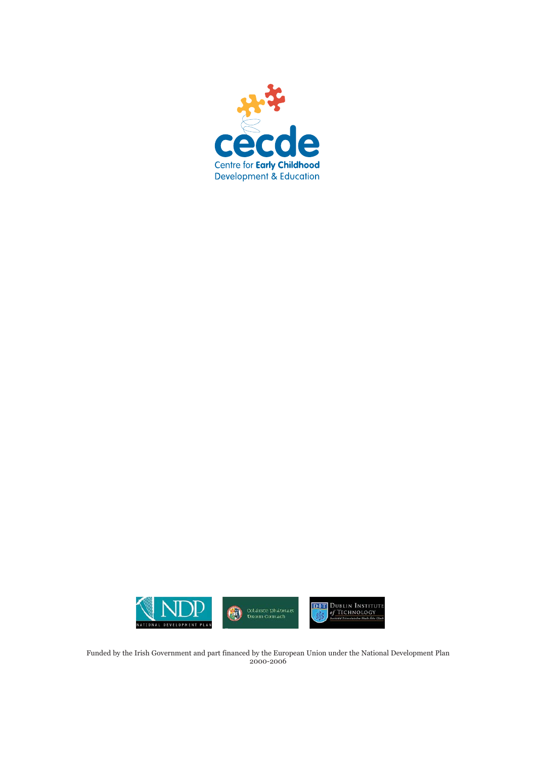



Funded by the Irish Government and part financed by the European Union under the National Development Plan 2000-2006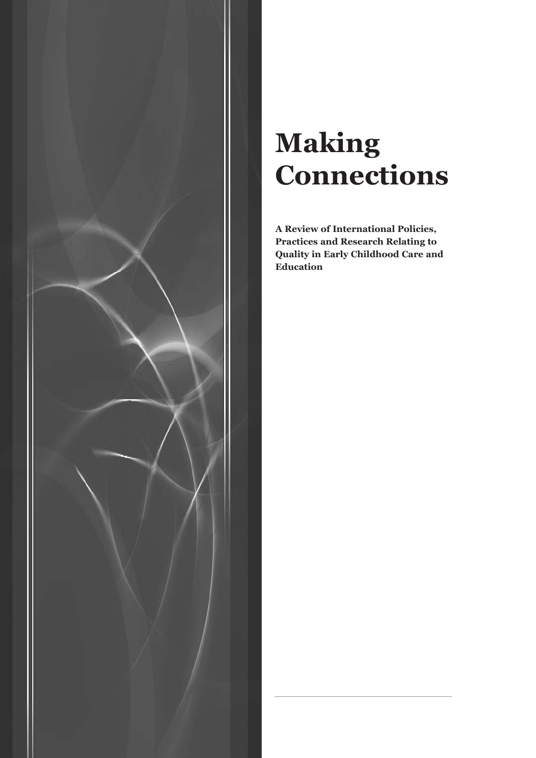

# **Making Connections**

**A Review of International Policies, Practices and Research Relating to Quality in Early Childhood Care and Education**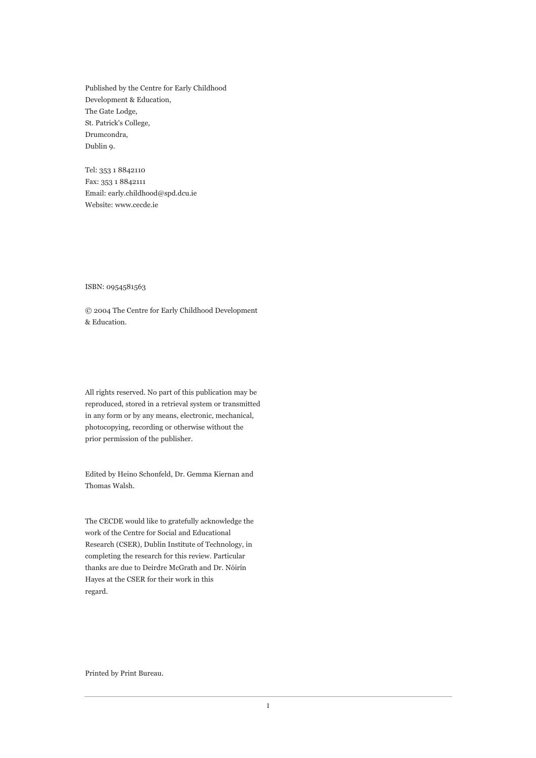Published by the Centre for Early Childhood Development & Education, The Gate Lodge, St. Patrick's College, Drumcondra, Dublin 9.

Tel: 353 1 8842110 Fax: 353 1 8842111 Email: early.childhood@spd.dcu.ie Website: www.cecde.ie

ISBN: 0954581563

© 2004 The Centre for Early Childhood Development & Education.

All rights reserved. No part of this publication may be reproduced, stored in a retrieval system or transmitted in any form or by any means, electronic, mechanical, photocopying, recording or otherwise without the prior permission of the publisher.

Edited by Heino Schonfeld, Dr. Gemma Kiernan and Thomas Walsh.

The CECDE would like to gratefully acknowledge the work of the Centre for Social and Educational Research (CSER), Dublin Institute of Technology, in completing the research for this review. Particular thanks are due to Deirdre McGrath and Dr. Nóirín Hayes at the CSER for their work in this regard.

Printed by Print Bureau.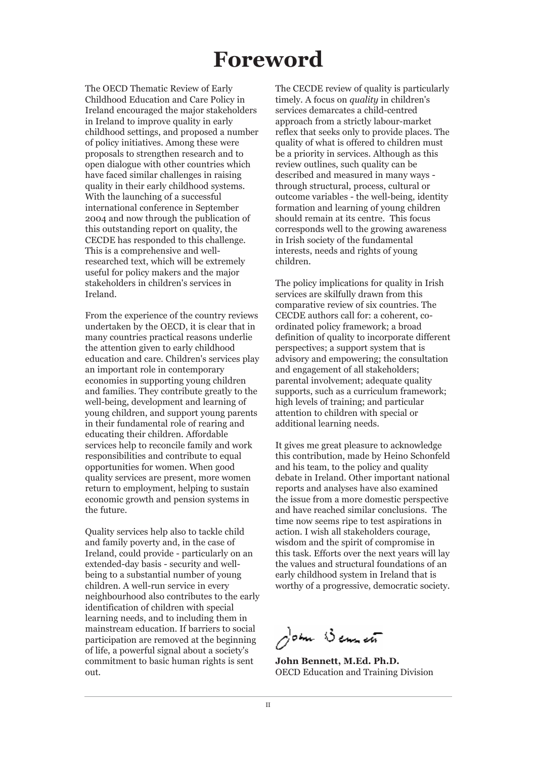## **Foreword**

The OECD Thematic Review of Early Childhood Education and Care Policy in Ireland encouraged the major stakeholders in Ireland to improve quality in early childhood settings, and proposed a number of policy initiatives. Among these were proposals to strengthen research and to open dialogue with other countries which have faced similar challenges in raising quality in their early childhood systems. With the launching of a successful international conference in September 2004 and now through the publication of this outstanding report on quality, the CECDE has responded to this challenge. This is a comprehensive and wellresearched text, which will be extremely useful for policy makers and the major stakeholders in children's services in Ireland.

From the experience of the country reviews undertaken by the OECD, it is clear that in many countries practical reasons underlie the attention given to early childhood education and care. Children's services play an important role in contemporary economies in supporting young children and families. They contribute greatly to the well-being, development and learning of young children, and support young parents in their fundamental role of rearing and educating their children. Affordable services help to reconcile family and work responsibilities and contribute to equal opportunities for women. When good quality services are present, more women return to employment, helping to sustain economic growth and pension systems in the future.

Quality services help also to tackle child and family poverty and, in the case of Ireland, could provide - particularly on an extended-day basis - security and wellbeing to a substantial number of young children. A well-run service in every neighbourhood also contributes to the early identification of children with special learning needs, and to including them in mainstream education. If barriers to social participation are removed at the beginning of life, a powerful signal about a society's commitment to basic human rights is sent out.

The CECDE review of quality is particularly timely. A focus on *quality* in children's services demarcates a child-centred approach from a strictly labour-market reflex that seeks only to provide places. The quality of what is offered to children must be a priority in services. Although as this review outlines, such quality can be described and measured in many ways through structural, process, cultural or outcome variables - the well-being, identity formation and learning of young children should remain at its centre. This focus corresponds well to the growing awareness in Irish society of the fundamental interests, needs and rights of young children.

The policy implications for quality in Irish services are skilfully drawn from this comparative review of six countries. The CECDE authors call for: a coherent, coordinated policy framework; a broad definition of quality to incorporate different perspectives; a support system that is advisory and empowering; the consultation and engagement of all stakeholders; parental involvement; adequate quality supports, such as a curriculum framework; high levels of training; and particular attention to children with special or additional learning needs.

It gives me great pleasure to acknowledge this contribution, made by Heino Schonfeld and his team, to the policy and quality debate in Ireland. Other important national reports and analyses have also examined the issue from a more domestic perspective and have reached similar conclusions. The time now seems ripe to test aspirations in action. I wish all stakeholders courage, wisdom and the spirit of compromise in this task. Efforts over the next years will lay the values and structural foundations of an early childhood system in Ireland that is worthy of a progressive, democratic society.

John Bennet

**John Bennett, M.Ed. Ph.D.** OECD Education and Training Division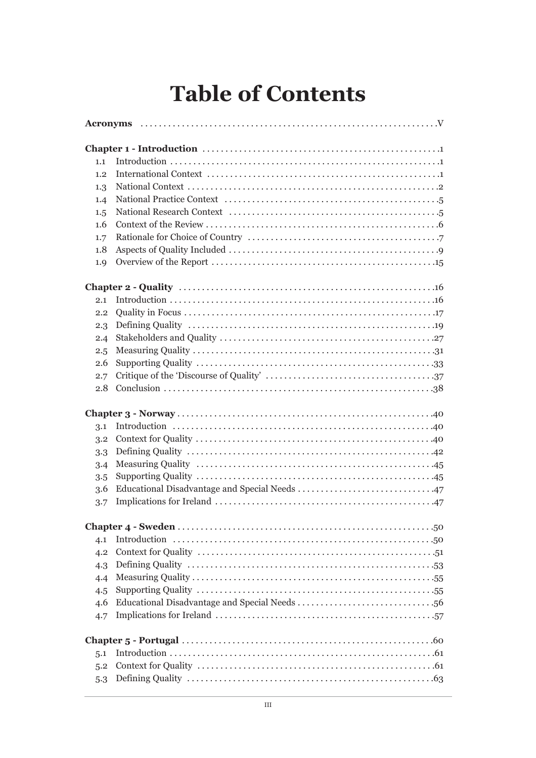## **Table of Contents**

| 1.1 |  |  |  |  |  |
|-----|--|--|--|--|--|
| 1.2 |  |  |  |  |  |
| 1.3 |  |  |  |  |  |
| 1.4 |  |  |  |  |  |
| 1.5 |  |  |  |  |  |
| 1.6 |  |  |  |  |  |
| 1.7 |  |  |  |  |  |
| 1.8 |  |  |  |  |  |
| 1.9 |  |  |  |  |  |
|     |  |  |  |  |  |
|     |  |  |  |  |  |
| 2.1 |  |  |  |  |  |
| 2.2 |  |  |  |  |  |
| 2.3 |  |  |  |  |  |
| 2.4 |  |  |  |  |  |
| 2.5 |  |  |  |  |  |
| 2.6 |  |  |  |  |  |
| 2.7 |  |  |  |  |  |
| 2.8 |  |  |  |  |  |
|     |  |  |  |  |  |
| 3.1 |  |  |  |  |  |
| 3.2 |  |  |  |  |  |
| 3.3 |  |  |  |  |  |
| 3.4 |  |  |  |  |  |
| 3.5 |  |  |  |  |  |
| 3.6 |  |  |  |  |  |
| 3.7 |  |  |  |  |  |
|     |  |  |  |  |  |
|     |  |  |  |  |  |
| 4.1 |  |  |  |  |  |
| 4.2 |  |  |  |  |  |
| 4.3 |  |  |  |  |  |
| 4.4 |  |  |  |  |  |
| 4.5 |  |  |  |  |  |
| 4.6 |  |  |  |  |  |
| 4.7 |  |  |  |  |  |
|     |  |  |  |  |  |
| 5.1 |  |  |  |  |  |
| 5.2 |  |  |  |  |  |
| 5.3 |  |  |  |  |  |
|     |  |  |  |  |  |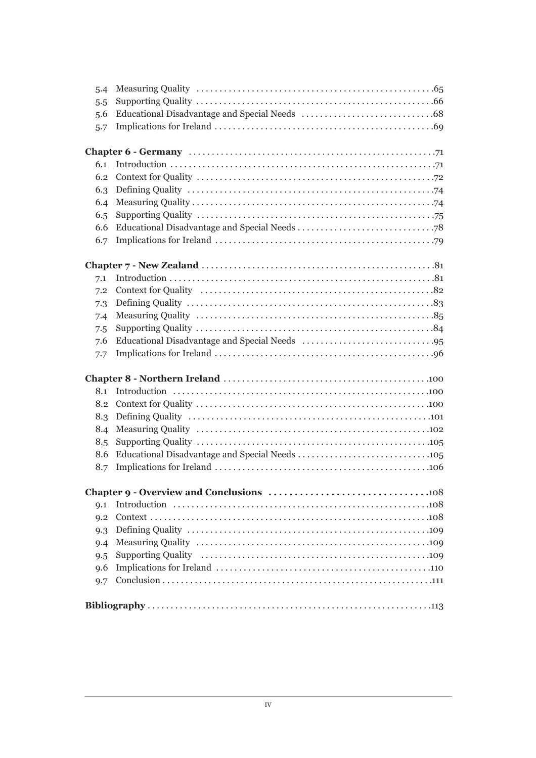| 5.4            |  |  |  |  |
|----------------|--|--|--|--|
| 5.5            |  |  |  |  |
| 5.6            |  |  |  |  |
| 5.7            |  |  |  |  |
|                |  |  |  |  |
|                |  |  |  |  |
| 6.1            |  |  |  |  |
| 6.2            |  |  |  |  |
| 6.3            |  |  |  |  |
| 6.4            |  |  |  |  |
| 6.5            |  |  |  |  |
| 6.6            |  |  |  |  |
| 6.7            |  |  |  |  |
|                |  |  |  |  |
|                |  |  |  |  |
| 7.1            |  |  |  |  |
| 7.2            |  |  |  |  |
| 7.3            |  |  |  |  |
| 7.4            |  |  |  |  |
| 7.5            |  |  |  |  |
| 7.6            |  |  |  |  |
| 7.7            |  |  |  |  |
|                |  |  |  |  |
|                |  |  |  |  |
| 8.1            |  |  |  |  |
| 8.2            |  |  |  |  |
| 8.3            |  |  |  |  |
| 8.4            |  |  |  |  |
| 8.5            |  |  |  |  |
| 8.6            |  |  |  |  |
| 8.7            |  |  |  |  |
|                |  |  |  |  |
|                |  |  |  |  |
| Q <sub>1</sub> |  |  |  |  |
| $Q_{1,2}$      |  |  |  |  |
| 9.3            |  |  |  |  |
| 9.4            |  |  |  |  |
| 9.5            |  |  |  |  |
| 9.6            |  |  |  |  |
| 9.7            |  |  |  |  |
|                |  |  |  |  |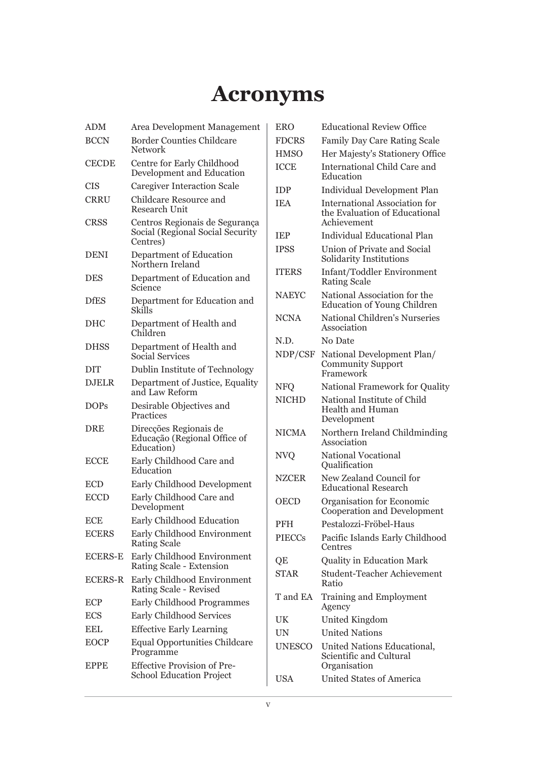## **Acronyms**

| <b>ADM</b>     | Area Development Management                                                    |
|----------------|--------------------------------------------------------------------------------|
| <b>BCCN</b>    | <b>Border Counties Childcare</b><br><b>Network</b>                             |
| <b>CECDE</b>   | Centre for Early Childhood<br>Development and Education                        |
| CIS            | <b>Caregiver Interaction Scale</b>                                             |
| <b>CRRU</b>    | Childcare Resource and<br><b>Research Unit</b>                                 |
| <b>CRSS</b>    | Centros Regionais de Segurança<br>Social (Regional Social Security<br>Centres) |
| <b>DENI</b>    | Department of Education<br>Northern Ireland                                    |
| DES            | Department of Education and<br>Science                                         |
| <b>DfES</b>    | Department for Education and<br>Skills                                         |
| DHC            | Department of Health and<br>Children                                           |
| <b>DHSS</b>    | Department of Health and<br><b>Social Services</b>                             |
| DIT            | Dublin Institute of Technology                                                 |
| <b>DJELR</b>   | Department of Justice, Equality<br>and Law Reform                              |
| <b>DOPs</b>    | Desirable Objectives and<br>Practices                                          |
| <b>DRE</b>     | Direcções Regionais de<br>Educação (Regional Office of<br>Education)           |
| <b>ECCE</b>    | Early Childhood Care and<br>Education                                          |
| <b>ECD</b>     | Early Childhood Development                                                    |
| <b>ECCD</b>    | Early Childhood Care and<br>Development                                        |
| <b>ECE</b>     | Early Childhood Education                                                      |
| <b>ECERS</b>   | Early Childhood Environment<br><b>Rating Scale</b>                             |
| <b>ECERS-E</b> | Early Childhood Environment<br>Rating Scale - Extension                        |
| <b>ECERS-R</b> | Early Childhood Environment<br>Rating Scale - Revised                          |
| <b>ECP</b>     | <b>Early Childhood Programmes</b>                                              |
| <b>ECS</b>     | <b>Early Childhood Services</b>                                                |
| EEL            | <b>Effective Early Learning</b>                                                |
| <b>EOCP</b>    | <b>Equal Opportunities Childcare</b><br>Programme                              |
| <b>EPPE</b>    | <b>Effective Provision of Pre-</b><br><b>School Education Project</b>          |

| <b>ERO</b>    | <b>Educational Review Office</b>                                                     |
|---------------|--------------------------------------------------------------------------------------|
| <b>FDCRS</b>  | <b>Family Day Care Rating Scale</b>                                                  |
| <b>HMSO</b>   | Her Majesty's Stationery Office                                                      |
| <b>ICCE</b>   | International Child Care and<br>Education                                            |
| <b>IDP</b>    | Individual Development Plan                                                          |
| <b>IEA</b>    | <b>International Association for</b><br>the Evaluation of Educational<br>Achievement |
| <b>IEP</b>    | Individual Educational Plan                                                          |
| <b>IPSS</b>   | Union of Private and Social<br>Solidarity Institutions                               |
| <b>ITERS</b>  | <b>Infant/Toddler Environment</b><br><b>Rating Scale</b>                             |
| NAEYC         | National Association for the<br><b>Education of Young Children</b>                   |
| <b>NCNA</b>   | <b>National Children's Nurseries</b><br>Association                                  |
| N.D.          | No Date                                                                              |
| NDP/CSF       | National Development Plan/<br><b>Community Support</b><br>Framework                  |
| <b>NFQ</b>    | <b>National Framework for Quality</b>                                                |
| <b>NICHD</b>  | National Institute of Child<br><b>Health and Human</b><br>Development                |
| <b>NICMA</b>  | Northern Ireland Childminding<br>Association                                         |
| <b>NVQ</b>    | <b>National Vocational</b><br>Qualification                                          |
| <b>NZCER</b>  | New Zealand Council for<br><b>Educational Research</b>                               |
| <b>OECD</b>   | Organisation for Economic<br>Cooperation and Development                             |
| <b>PFH</b>    | Pestalozzi-Fröbel-Haus                                                               |
| <b>PIECCs</b> | Pacific Islands Early Childhood<br>Centres                                           |
| QE            | <b>Quality in Education Mark</b>                                                     |
| <b>STAR</b>   | Student-Teacher Achievement<br>Ratio                                                 |
| T and EA      | Training and Employment<br>Agency                                                    |
| UK            | United Kingdom                                                                       |
| <b>UN</b>     | <b>United Nations</b>                                                                |
| <b>UNESCO</b> | United Nations Educational,<br>Scientific and Cultural<br>Organisation               |
| <b>USA</b>    | United States of America                                                             |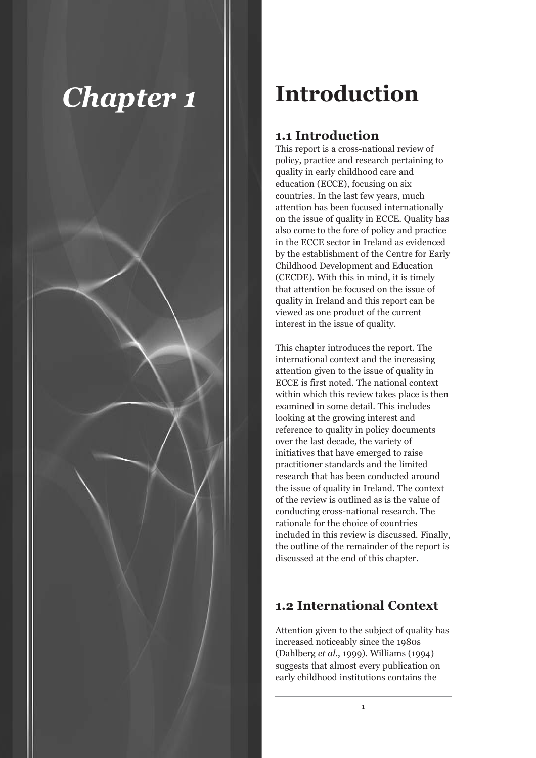

## **Introduction**

## **1.1 Introduction**

This report is a cross-national review of policy, practice and research pertaining to quality in early childhood care and education (ECCE), focusing on six countries. In the last few years, much attention has been focused internationally on the issue of quality in ECCE. Quality has also come to the fore of policy and practice in the ECCE sector in Ireland as evidenced by the establishment of the Centre for Early Childhood Development and Education (CECDE). With this in mind, it is timely that attention be focused on the issue of quality in Ireland and this report can be viewed as one product of the current interest in the issue of quality.

This chapter introduces the report. The international context and the increasing attention given to the issue of quality in ECCE is first noted. The national context within which this review takes place is then examined in some detail. This includes looking at the growing interest and reference to quality in policy documents over the last decade, the variety of initiatives that have emerged to raise practitioner standards and the limited research that has been conducted around the issue of quality in Ireland. The context of the review is outlined as is the value of conducting cross-national research. The rationale for the choice of countries included in this review is discussed. Finally, the outline of the remainder of the report is discussed at the end of this chapter.

## **1.2 International Context**

Attention given to the subject of quality has increased noticeably since the 1980s (Dahlberg *et al*., 1999). Williams (1994) suggests that almost every publication on early childhood institutions contains the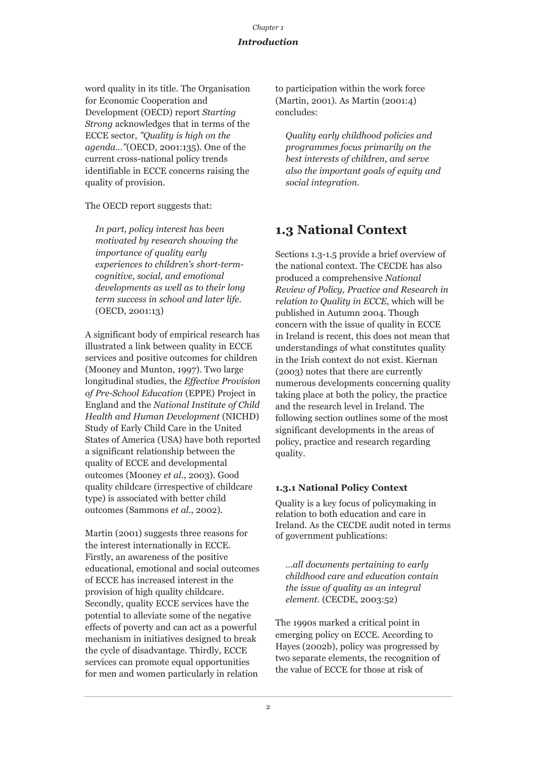## *Introduction*

word quality in its title. The Organisation for Economic Cooperation and Development (OECD) report *Starting Strong* acknowledges that in terms of the ECCE sector, *"Quality is high on the agenda…"*(OECD, 2001:135). One of the current cross-national policy trends identifiable in ECCE concerns raising the quality of provision.

The OECD report suggests that:

*In part, policy interest has been motivated by research showing the importance of quality early experiences to children's short-termcognitive, social, and emotional developments as well as to their long term success in school and later life.* (OECD, 2001:13)

A significant body of empirical research has illustrated a link between quality in ECCE services and positive outcomes for children (Mooney and Munton, 1997). Two large longitudinal studies, the *Effective Provision of Pre-School Education* (EPPE) Project in England and the *National Institute of Child Health and Human Development* (NICHD) Study of Early Child Care in the United States of America (USA) have both reported a significant relationship between the quality of ECCE and developmental outcomes (Mooney *et al*., 2003). Good quality childcare (irrespective of childcare type) is associated with better child outcomes (Sammons *et al.*, 2002).

Martin (2001) suggests three reasons for the interest internationally in ECCE. Firstly, an awareness of the positive educational, emotional and social outcomes of ECCE has increased interest in the provision of high quality childcare. Secondly, quality ECCE services have the potential to alleviate some of the negative effects of poverty and can act as a powerful mechanism in initiatives designed to break the cycle of disadvantage. Thirdly, ECCE services can promote equal opportunities for men and women particularly in relation

to participation within the work force (Martin, 2001). As Martin (2001:4) concludes:

*Quality early childhood policies and programmes focus primarily on the best interests of children, and serve also the important goals of equity and social integration.*

## **1.3 National Context**

Sections 1.3-1.5 provide a brief overview of the national context. The CECDE has also produced a comprehensive *National Review of Policy, Practice and Research in relation to Quality in ECCE*, which will be published in Autumn 2004. Though concern with the issue of quality in ECCE in Ireland is recent, this does not mean that understandings of what constitutes quality in the Irish context do not exist. Kiernan (2003) notes that there are currently numerous developments concerning quality taking place at both the policy, the practice and the research level in Ireland. The following section outlines some of the most significant developments in the areas of policy, practice and research regarding quality.

## **1.3.1 National Policy Context**

Quality is a key focus of policymaking in relation to both education and care in Ireland. As the CECDE audit noted in terms of government publications:

*…all documents pertaining to early childhood care and education contain the issue of quality as an integral element.* (CECDE, 2003:52)

The 1990s marked a critical point in emerging policy on ECCE. According to Hayes (2002b), policy was progressed by two separate elements, the recognition of the value of ECCE for those at risk of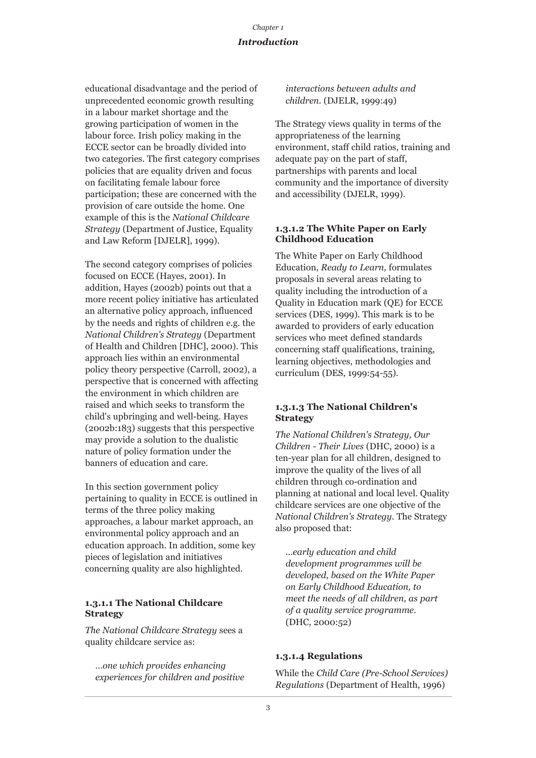educational disadvantage and the period of unprecedented economic growth resulting in a labour market shortage and the growing participation of women in the labour force. Irish policy making in the ECCE sector can be broadly divided into two categories. The first category comprises policies that are equality driven and focus on facilitating female labour force participation; these are concerned with the provision of care outside the home. One example of this is the *National Childcare Strategy* (Department of Justice, Equality and Law Reform [DJELR], 1999).

The second category comprises of policies focused on ECCE (Hayes, 2001). In addition, Hayes (2002b) points out that a more recent policy initiative has articulated an alternative policy approach, influenced by the needs and rights of children e.g. the *National Children's Strategy* (Department of Health and Children [DHC], 2000). This approach lies within an environmental policy theory perspective (Carroll, 2002), a perspective that is concerned with affecting the environment in which children are raised and which seeks to transform the child's upbringing and well-being. Hayes (2002b:183) suggests that this perspective may provide a solution to the dualistic nature of policy formation under the banners of education and care.

In this section government policy pertaining to quality in ECCE is outlined in terms of the three policy making approaches, a labour market approach, an environmental policy approach and an education approach. In addition, some key pieces of legislation and initiatives concerning quality are also highlighted.

#### **1.3.1.1 The National Childcare Strategy**

*The National Childcare Strategy* sees a quality childcare service as:

*…one which provides enhancing experiences for children and positive* *interactions between adults and children.* (DJELR, 1999:49)

The Strategy views quality in terms of the appropriateness of the learning environment, staff child ratios, training and adequate pay on the part of staff, partnerships with parents and local community and the importance of diversity and accessibility (DJELR, 1999).

### **1.3.1.2 The White Paper on Early Childhood Education**

The White Paper on Early Childhood Education, *Ready to Learn,* formulates proposals in several areas relating to quality including the introduction of a Quality in Education mark (QE) for ECCE services (DES, 1999). This mark is to be awarded to providers of early education services who meet defined standards concerning staff qualifications, training, learning objectives, methodologies and curriculum (DES, 1999:54-55).

### **1.3.1.3 The National Children's Strategy**

*The National Children's Strategy, Our Children - Their Lives* (DHC, 2000) is a ten-year plan for all children, designed to improve the quality of the lives of all children through co-ordination and planning at national and local level. Quality childcare services are one objective of the *National Children's Strategy*. The Strategy also proposed that:

*…early education and child development programmes will be developed, based on the White Paper on Early Childhood Education, to meet the needs of all children, as part of a quality service programme.* (DHC, 2000:52)

#### **1.3.1.4 Regulations**

While the *Child Care (Pre-School Services) Regulations* (Department of Health, 1996)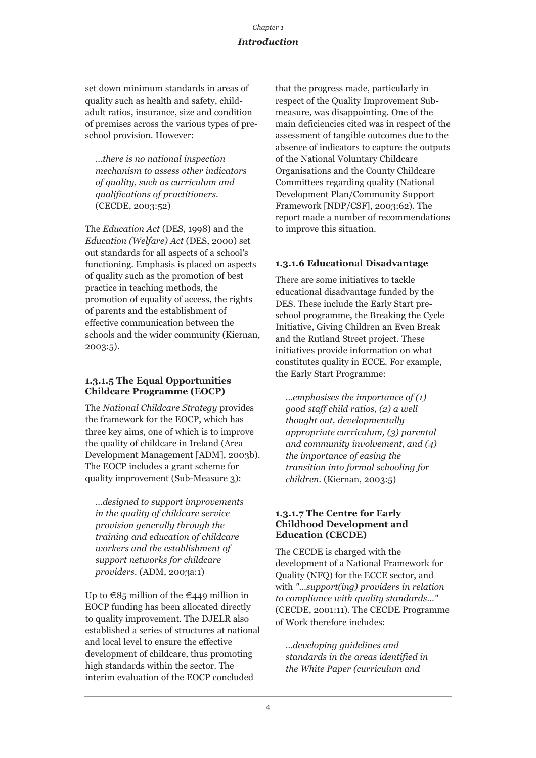## *Introduction*

set down minimum standards in areas of quality such as health and safety, childadult ratios, insurance, size and condition of premises across the various types of preschool provision. However:

*…there is no national inspection mechanism to assess other indicators of quality, such as curriculum and qualifications of practitioners.* (CECDE, 2003:52)

The *Education Act* (DES, 1998) and the *Education (Welfare) Act* (DES, 2000) set out standards for all aspects of a school's functioning. Emphasis is placed on aspects of quality such as the promotion of best practice in teaching methods, the promotion of equality of access, the rights of parents and the establishment of effective communication between the schools and the wider community (Kiernan, 2003:5).

#### **1.3.1.5 The Equal Opportunities Childcare Programme (EOCP)**

The *National Childcare Strategy* provides the framework for the EOCP, which has three key aims, one of which is to improve the quality of childcare in Ireland (Area Development Management [ADM], 2003b). The EOCP includes a grant scheme for quality improvement (Sub-Measure 3):

*…designed to support improvements in the quality of childcare service provision generally through the training and education of childcare workers and the establishment of support networks for childcare providers.* (ADM, 2003a:1)

Up to  $\in$ 85 million of the  $\in$ 449 million in EOCP funding has been allocated directly to quality improvement. The DJELR also established a series of structures at national and local level to ensure the effective development of childcare, thus promoting high standards within the sector. The interim evaluation of the EOCP concluded

that the progress made, particularly in respect of the Quality Improvement Submeasure, was disappointing. One of the main deficiencies cited was in respect of the assessment of tangible outcomes due to the absence of indicators to capture the outputs of the National Voluntary Childcare Organisations and the County Childcare Committees regarding quality (National Development Plan/Community Support Framework [NDP/CSF], 2003:62). The report made a number of recommendations to improve this situation.

## **1.3.1.6 Educational Disadvantage**

There are some initiatives to tackle educational disadvantage funded by the DES. These include the Early Start preschool programme, the Breaking the Cycle Initiative, Giving Children an Even Break and the Rutland Street project. These initiatives provide information on what constitutes quality in ECCE. For example, the Early Start Programme:

*…emphasises the importance of (1) good staff child ratios, (2) a well thought out, developmentally appropriate curriculum, (3) parental and community involvement, and (4) the importance of easing the transition into formal schooling for children.* (Kiernan, 2003:5)

#### **1.3.1.7 The Centre for Early Childhood Development and Education (CECDE)**

The CECDE is charged with the development of a National Framework for Quality (NFQ) for the ECCE sector, and with *"…support(ing) providers in relation to compliance with quality standards…"* (CECDE, 2001:11). The CECDE Programme of Work therefore includes:

*…developing guidelines and standards in the areas identified in the White Paper (curriculum and*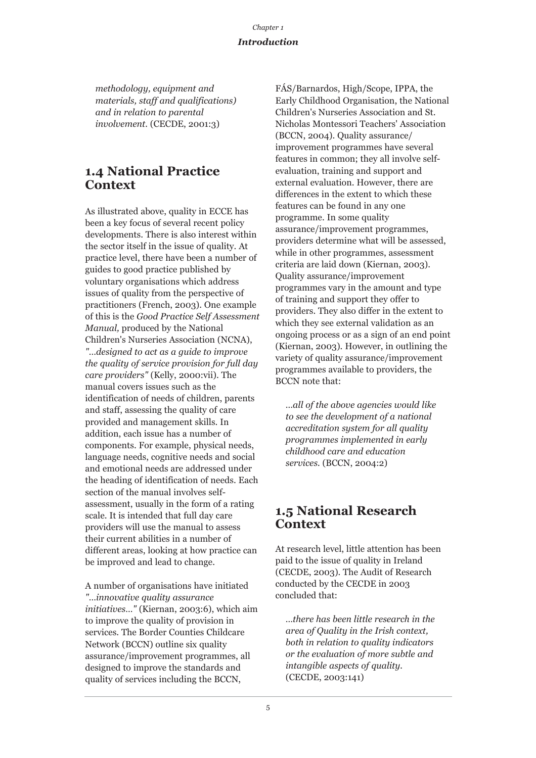*methodology, equipment and materials, staff and qualifications) and in relation to parental involvement.* (CECDE, 2001:3)

## **1.4 National Practice Context**

As illustrated above, quality in ECCE has been a key focus of several recent policy developments. There is also interest within the sector itself in the issue of quality. At practice level, there have been a number of guides to good practice published by voluntary organisations which address issues of quality from the perspective of practitioners (French, 2003). One example of this is the *Good Practice Self Assessment Manual,* produced by the National Children's Nurseries Association (NCNA), *"…designed to act as a guide to improve the quality of service provision for full day care providers"* (Kelly, 2000:vii). The manual covers issues such as the identification of needs of children, parents and staff, assessing the quality of care provided and management skills. In addition, each issue has a number of components. For example, physical needs, language needs, cognitive needs and social and emotional needs are addressed under the heading of identification of needs. Each section of the manual involves selfassessment, usually in the form of a rating scale. It is intended that full day care providers will use the manual to assess their current abilities in a number of different areas, looking at how practice can be improved and lead to change.

A number of organisations have initiated *"…innovative quality assurance initiatives…"* (Kiernan, 2003:6), which aim to improve the quality of provision in services. The Border Counties Childcare Network (BCCN) outline six quality assurance/improvement programmes, all designed to improve the standards and quality of services including the BCCN,

FÁS/Barnardos, High/Scope, IPPA, the Early Childhood Organisation, the National Children's Nurseries Association and St. Nicholas Montessori Teachers' Association (BCCN, 2004). Quality assurance/ improvement programmes have several features in common; they all involve selfevaluation, training and support and external evaluation. However, there are differences in the extent to which these features can be found in any one programme. In some quality assurance/improvement programmes, providers determine what will be assessed, while in other programmes, assessment criteria are laid down (Kiernan, 2003). Quality assurance/improvement programmes vary in the amount and type of training and support they offer to providers. They also differ in the extent to which they see external validation as an ongoing process or as a sign of an end point (Kiernan, 2003). However, in outlining the variety of quality assurance/improvement programmes available to providers, the BCCN note that:

*…all of the above agencies would like to see the development of a national accreditation system for all quality programmes implemented in early childhood care and education services.* (BCCN, 2004:2)

## **1.5 National Research Context**

At research level, little attention has been paid to the issue of quality in Ireland (CECDE, 2003). The Audit of Research conducted by the CECDE in 2003 concluded that:

*…there has been little research in the area of Quality in the Irish context, both in relation to quality indicators or the evaluation of more subtle and intangible aspects of quality.* (CECDE, 2003:141)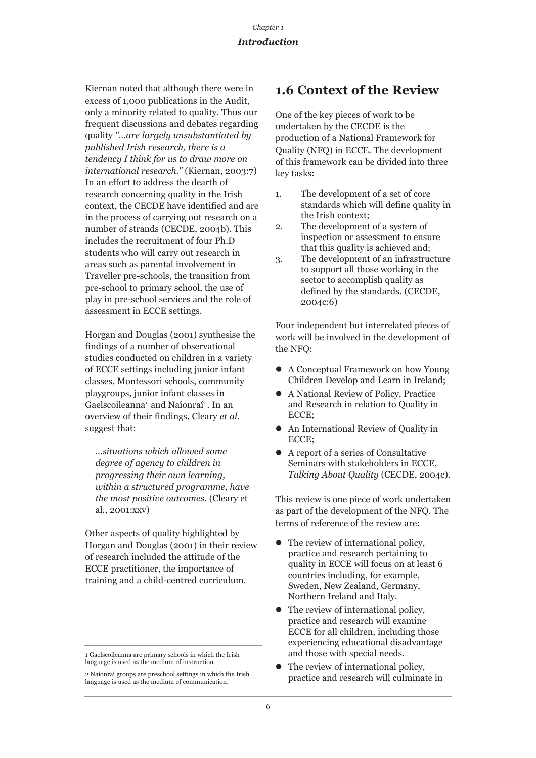Kiernan noted that although there were in excess of 1,000 publications in the Audit, only a minority related to quality. Thus our frequent discussions and debates regarding quality *"…are largely unsubstantiated by published Irish research, there is a tendency I think for us to draw more on international research."* (Kiernan, 2003:7) In an effort to address the dearth of research concerning quality in the Irish context, the CECDE have identified and are in the process of carrying out research on a number of strands (CECDE, 2004b). This includes the recruitment of four Ph.D students who will carry out research in areas such as parental involvement in Traveller pre-schools, the transition from pre-school to primary school, the use of play in pre-school services and the role of assessment in ECCE settings.

Horgan and Douglas (2001) synthesise the findings of a number of observational studies conducted on children in a variety of ECCE settings including junior infant classes, Montessori schools, community playgroups, junior infant classes in Gaelscoileanna<sup>1</sup> and Naíonraí<sup>2</sup>. In an overview of their findings, Cleary *et al*. suggest that:

*…situations which allowed some degree of agency to children in progressing their own learning, within a structured programme, have the most positive outcomes.* (Cleary et al., 2001:xxv)

Other aspects of quality highlighted by Horgan and Douglas (2001) in their review of research included the attitude of the ECCE practitioner, the importance of training and a child-centred curriculum.

## **1.6 Context of the Review**

One of the key pieces of work to be undertaken by the CECDE is the production of a National Framework for Quality (NFQ) in ECCE. The development of this framework can be divided into three key tasks:

- 1. The development of a set of core standards which will define quality in the Irish context;
- 2. The development of a system of inspection or assessment to ensure that this quality is achieved and;
- 3. The development of an infrastructure to support all those working in the sector to accomplish quality as defined by the standards. (CECDE, 2004c:6)

Four independent but interrelated pieces of work will be involved in the development of the NFQ:

- A Conceptual Framework on how Young Children Develop and Learn in Ireland;
- A National Review of Policy, Practice and Research in relation to Quality in ECCE;
- An International Review of Quality in ECCE;
- $\bullet$  A report of a series of Consultative Seminars with stakeholders in ECCE, *Talking About Quality* (CECDE, 2004c).

This review is one piece of work undertaken as part of the development of the NFQ. The terms of reference of the review are:

- $\bullet$  The review of international policy, practice and research pertaining to quality in ECCE will focus on at least 6 countries including, for example, Sweden, New Zealand, Germany, Northern Ireland and Italy.
- $\bullet$  The review of international policy, practice and research will examine ECCE for all children, including those experiencing educational disadvantage and those with special needs.
- The review of international policy. practice and research will culminate in

<sup>1</sup> Gaelscoileanna are primary schools in which the Irish language is used as the medium of instruction.

<sup>2</sup> Naíonraí groups are preschool settings in which the Irish language is used as the medium of communication.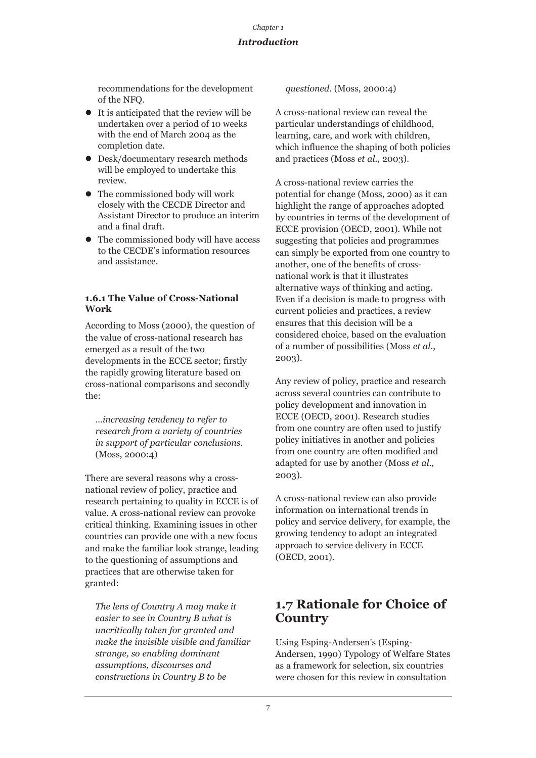## *Introduction*

recommendations for the development of the NFQ.

- $\bullet$  It is anticipated that the review will be undertaken over a period of 10 weeks with the end of March 2004 as the completion date.
- Desk/documentary research methods will be employed to undertake this review.
- $\bullet$  The commissioned body will work closely with the CECDE Director and Assistant Director to produce an interim and a final draft.
- The commissioned body will have access to the CECDE's information resources and assistance.

### **1.6.1 The Value of Cross-National Work**

According to Moss (2000), the question of the value of cross-national research has emerged as a result of the two developments in the ECCE sector; firstly the rapidly growing literature based on cross-national comparisons and secondly the:

*…increasing tendency to refer to research from a variety of countries in support of particular conclusions.* (Moss, 2000:4)

There are several reasons why a crossnational review of policy, practice and research pertaining to quality in ECCE is of value. A cross-national review can provoke critical thinking. Examining issues in other countries can provide one with a new focus and make the familiar look strange, leading to the questioning of assumptions and practices that are otherwise taken for granted:

*The lens of Country A may make it easier to see in Country B what is uncritically taken for granted and make the invisible visible and familiar strange, so enabling dominant assumptions, discourses and constructions in Country B to be*

*questioned.* (Moss, 2000:4)

A cross-national review can reveal the particular understandings of childhood, learning, care, and work with children, which influence the shaping of both policies and practices (Moss *et al*., 2003).

A cross-national review carries the potential for change (Moss, 2000) as it can highlight the range of approaches adopted by countries in terms of the development of ECCE provision (OECD, 2001). While not suggesting that policies and programmes can simply be exported from one country to another, one of the benefits of crossnational work is that it illustrates alternative ways of thinking and acting. Even if a decision is made to progress with current policies and practices, a review ensures that this decision will be a considered choice, based on the evaluation of a number of possibilities (Moss *et al*., 2003).

Any review of policy, practice and research across several countries can contribute to policy development and innovation in ECCE (OECD, 2001). Research studies from one country are often used to justify policy initiatives in another and policies from one country are often modified and adapted for use by another (Moss *et al*., 2003).

A cross-national review can also provide information on international trends in policy and service delivery, for example, the growing tendency to adopt an integrated approach to service delivery in ECCE (OECD, 2001).

## **1.7 Rationale for Choice of Country**

Using Esping-Andersen's (Esping-Andersen, 1990) Typology of Welfare States as a framework for selection, six countries were chosen for this review in consultation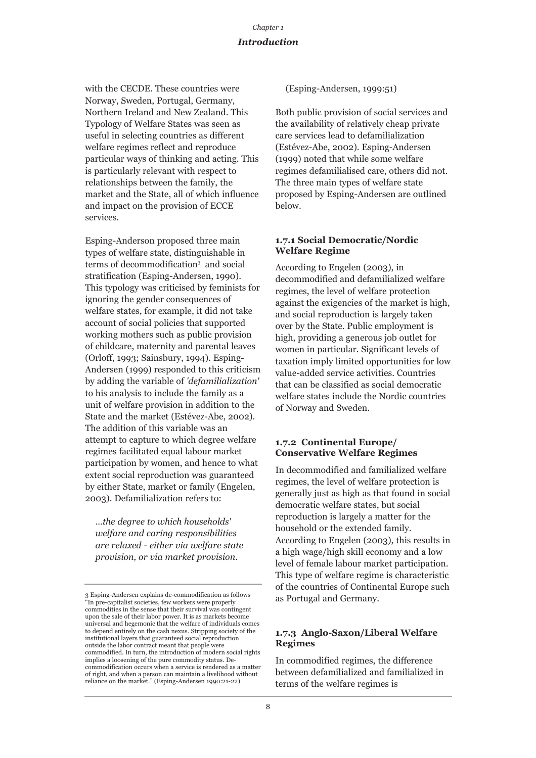with the CECDE. These countries were Norway, Sweden, Portugal, Germany, Northern Ireland and New Zealand. This Typology of Welfare States was seen as useful in selecting countries as different welfare regimes reflect and reproduce particular ways of thinking and acting. This is particularly relevant with respect to relationships between the family, the market and the State, all of which influence and impact on the provision of ECCE services.

Esping-Anderson proposed three main types of welfare state, distinguishable in terms of decommodification3 and social stratification (Esping-Andersen, 1990). This typology was criticised by feminists for ignoring the gender consequences of welfare states, for example, it did not take account of social policies that supported working mothers such as public provision of childcare, maternity and parental leaves (Orloff, 1993; Sainsbury, 1994). Esping-Andersen (1999) responded to this criticism by adding the variable of *'defamilialization'* to his analysis to include the family as a unit of welfare provision in addition to the State and the market (Estévez-Abe, 2002). The addition of this variable was an attempt to capture to which degree welfare regimes facilitated equal labour market participation by women, and hence to what extent social reproduction was guaranteed by either State, market or family (Engelen, 2003). Defamilialization refers to:

*…the degree to which households' welfare and caring responsibilities are relaxed - either via welfare state provision, or via market provision.*

(Esping-Andersen, 1999:51)

Both public provision of social services and the availability of relatively cheap private care services lead to defamilialization (Estévez-Abe, 2002). Esping-Andersen (1999) noted that while some welfare regimes defamilialised care, others did not. The three main types of welfare state proposed by Esping-Andersen are outlined below.

#### **1.7.1 Social Democratic/Nordic Welfare Regime**

According to Engelen (2003), in decommodified and defamilialized welfare regimes, the level of welfare protection against the exigencies of the market is high, and social reproduction is largely taken over by the State. Public employment is high, providing a generous job outlet for women in particular. Significant levels of taxation imply limited opportunities for low value-added service activities. Countries that can be classified as social democratic welfare states include the Nordic countries of Norway and Sweden.

### **1.7.2 Continental Europe/ Conservative Welfare Regimes**

In decommodified and familialized welfare regimes, the level of welfare protection is generally just as high as that found in social democratic welfare states, but social reproduction is largely a matter for the household or the extended family. According to Engelen (2003), this results in a high wage/high skill economy and a low level of female labour market participation. This type of welfare regime is characteristic of the countries of Continental Europe such as Portugal and Germany.

#### **1.7.3 Anglo-Saxon/Liberal Welfare Regimes**

In commodified regimes, the difference between defamilialized and familialized in terms of the welfare regimes is

<sup>3</sup> Esping-Andersen explains de-commodification as follows "In pre-capitalist societies, few workers were properly commodities in the sense that their survival was contingent upon the sale of their labor power. It is as markets become universal and hegemonic that the welfare of individuals comes to depend entirely on the cash nexus. Stripping society of the institutional layers that guaranteed social reproduction outside the labor contract meant that people were commodified. In turn, the introduction of modern social rights implies a loosening of the pure commodity status. Decommodification occurs when a service is rendered as a matter of right, and when a person can maintain a livelihood without reliance on the market." (Esping-Andersen 1990:21-22)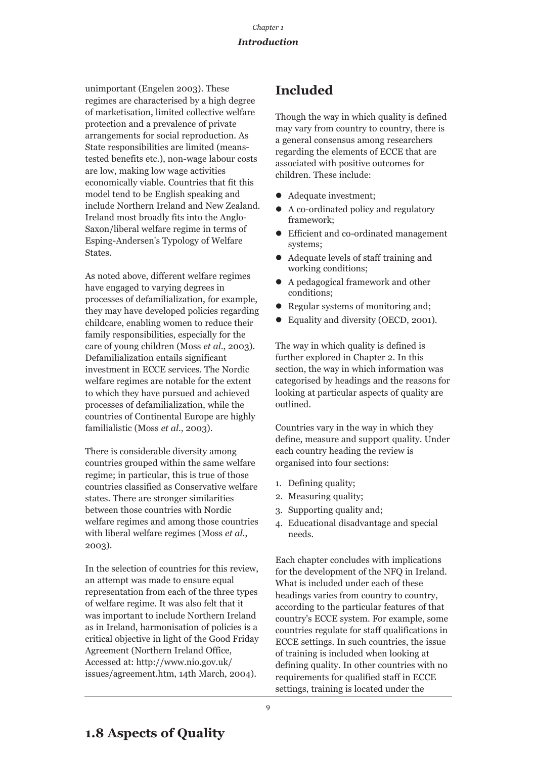unimportant (Engelen 2003). These regimes are characterised by a high degree of marketisation, limited collective welfare protection and a prevalence of private arrangements for social reproduction. As State responsibilities are limited (meanstested benefits etc.), non-wage labour costs are low, making low wage activities economically viable. Countries that fit this model tend to be English speaking and include Northern Ireland and New Zealand. Ireland most broadly fits into the Anglo-Saxon/liberal welfare regime in terms of Esping-Andersen's Typology of Welfare States.

As noted above, different welfare regimes have engaged to varying degrees in processes of defamilialization, for example, they may have developed policies regarding childcare, enabling women to reduce their family responsibilities, especially for the care of young children (Moss *et al*., 2003). Defamilialization entails significant investment in ECCE services. The Nordic welfare regimes are notable for the extent to which they have pursued and achieved processes of defamilialization, while the countries of Continental Europe are highly familialistic (Moss *et al*., 2003).

There is considerable diversity among countries grouped within the same welfare regime; in particular, this is true of those countries classified as Conservative welfare states. There are stronger similarities between those countries with Nordic welfare regimes and among those countries with liberal welfare regimes (Moss *et al*., 2003).

In the selection of countries for this review, an attempt was made to ensure equal representation from each of the three types of welfare regime. It was also felt that it was important to include Northern Ireland as in Ireland, harmonisation of policies is a critical objective in light of the Good Friday Agreement (Northern Ireland Office, Accessed at: http://www.nio.gov.uk/ issues/agreement.htm, 14th March, 2004).

## **Included**

Though the way in which quality is defined may vary from country to country, there is a general consensus among researchers regarding the elements of ECCE that are associated with positive outcomes for children. These include:

- Adequate investment;
- A co-ordinated policy and regulatory framework;
- Efficient and co-ordinated management systems;
- Adequate levels of staff training and working conditions;
- $\bullet$  A pedagogical framework and other conditions;
- Regular systems of monitoring and;
- Equality and diversity (OECD, 2001).

The way in which quality is defined is further explored in Chapter 2. In this section, the way in which information was categorised by headings and the reasons for looking at particular aspects of quality are outlined.

Countries vary in the way in which they define, measure and support quality. Under each country heading the review is organised into four sections:

- 1. Defining quality;
- 2. Measuring quality;
- 3. Supporting quality and;
- 4. Educational disadvantage and special needs.

Each chapter concludes with implications for the development of the NFQ in Ireland. What is included under each of these headings varies from country to country, according to the particular features of that country's ECCE system. For example, some countries regulate for staff qualifications in ECCE settings. In such countries, the issue of training is included when looking at defining quality. In other countries with no requirements for qualified staff in ECCE settings, training is located under the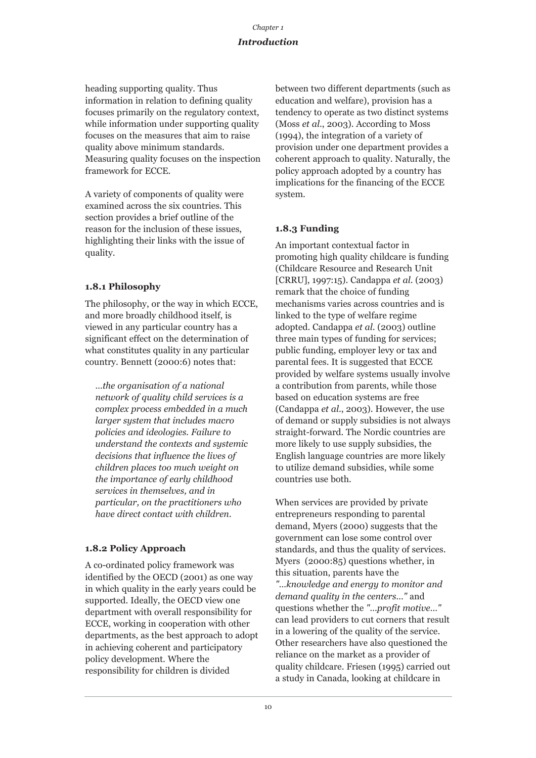## *Introduction*

heading supporting quality. Thus information in relation to defining quality focuses primarily on the regulatory context, while information under supporting quality focuses on the measures that aim to raise quality above minimum standards. Measuring quality focuses on the inspection framework for ECCE.

A variety of components of quality were examined across the six countries. This section provides a brief outline of the reason for the inclusion of these issues, highlighting their links with the issue of quality.

## **1.8.1 Philosophy**

The philosophy, or the way in which ECCE, and more broadly childhood itself, is viewed in any particular country has a significant effect on the determination of what constitutes quality in any particular country. Bennett (2000:6) notes that:

*…the organisation of a national network of quality child services is a complex process embedded in a much larger system that includes macro policies and ideologies. Failure to understand the contexts and systemic decisions that influence the lives of children places too much weight on the importance of early childhood services in themselves, and in particular, on the practitioners who have direct contact with children.* 

## **1.8.2 Policy Approach**

A co-ordinated policy framework was identified by the OECD (2001) as one way in which quality in the early years could be supported. Ideally, the OECD view one department with overall responsibility for ECCE, working in cooperation with other departments, as the best approach to adopt in achieving coherent and participatory policy development. Where the responsibility for children is divided

between two different departments (such as education and welfare), provision has a tendency to operate as two distinct systems (Moss *et al*., 2003). According to Moss (1994), the integration of a variety of provision under one department provides a coherent approach to quality. Naturally, the policy approach adopted by a country has implications for the financing of the ECCE system.

## **1.8.3 Funding**

An important contextual factor in promoting high quality childcare is funding (Childcare Resource and Research Unit [CRRU], 1997:15). Candappa *et al*. (2003) remark that the choice of funding mechanisms varies across countries and is linked to the type of welfare regime adopted. Candappa *et al*. (2003) outline three main types of funding for services; public funding, employer levy or tax and parental fees. It is suggested that ECCE provided by welfare systems usually involve a contribution from parents, while those based on education systems are free (Candappa *et al*., 2003). However, the use of demand or supply subsidies is not always straight-forward. The Nordic countries are more likely to use supply subsidies, the English language countries are more likely to utilize demand subsidies, while some countries use both.

When services are provided by private entrepreneurs responding to parental demand, Myers (2000) suggests that the government can lose some control over standards, and thus the quality of services. Myers (2000:85) questions whether, in this situation, parents have the *"…knowledge and energy to monitor and demand quality in the centers…"* and questions whether the *"…profit motive…"* can lead providers to cut corners that result in a lowering of the quality of the service. Other researchers have also questioned the reliance on the market as a provider of quality childcare. Friesen (1995) carried out a study in Canada, looking at childcare in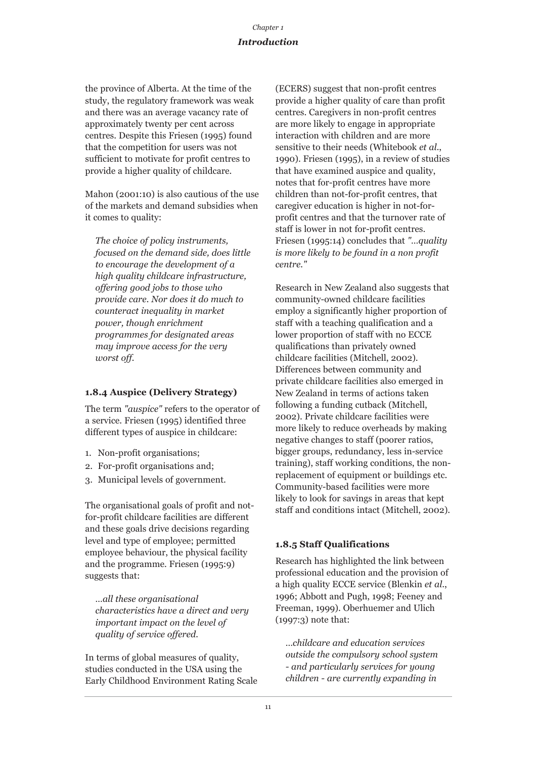## *Introduction*

the province of Alberta. At the time of the study, the regulatory framework was weak and there was an average vacancy rate of approximately twenty per cent across centres. Despite this Friesen (1995) found that the competition for users was not sufficient to motivate for profit centres to provide a higher quality of childcare.

Mahon (2001:10) is also cautious of the use of the markets and demand subsidies when it comes to quality:

*The choice of policy instruments, focused on the demand side, does little to encourage the development of a high quality childcare infrastructure, offering good jobs to those who provide care. Nor does it do much to counteract inequality in market power, though enrichment programmes for designated areas may improve access for the very worst off.* 

## **1.8.4 Auspice (Delivery Strategy)**

The term *"auspice"* refers to the operator of a service. Friesen (1995) identified three different types of auspice in childcare:

- 1. Non-profit organisations;
- 2. For-profit organisations and;
- 3. Municipal levels of government.

The organisational goals of profit and notfor-profit childcare facilities are different and these goals drive decisions regarding level and type of employee; permitted employee behaviour, the physical facility and the programme. Friesen (1995:9) suggests that:

*…all these organisational characteristics have a direct and very important impact on the level of quality of service offered.* 

In terms of global measures of quality, studies conducted in the USA using the Early Childhood Environment Rating Scale (ECERS) suggest that non-profit centres provide a higher quality of care than profit centres. Caregivers in non-profit centres are more likely to engage in appropriate interaction with children and are more sensitive to their needs (Whitebook *et al*., 1990). Friesen (1995), in a review of studies that have examined auspice and quality, notes that for-profit centres have more children than not-for-profit centres, that caregiver education is higher in not-forprofit centres and that the turnover rate of staff is lower in not for-profit centres. Friesen (1995:14) concludes that *"…quality is more likely to be found in a non profit centre."*

Research in New Zealand also suggests that community-owned childcare facilities employ a significantly higher proportion of staff with a teaching qualification and a lower proportion of staff with no ECCE qualifications than privately owned childcare facilities (Mitchell, 2002). Differences between community and private childcare facilities also emerged in New Zealand in terms of actions taken following a funding cutback (Mitchell, 2002). Private childcare facilities were more likely to reduce overheads by making negative changes to staff (poorer ratios, bigger groups, redundancy, less in-service training), staff working conditions, the nonreplacement of equipment or buildings etc. Community-based facilities were more likely to look for savings in areas that kept staff and conditions intact (Mitchell, 2002).

## **1.8.5 Staff Qualifications**

Research has highlighted the link between professional education and the provision of a high quality ECCE service (Blenkin *et al*., 1996; Abbott and Pugh, 1998; Feeney and Freeman, 1999). Oberhuemer and Ulich (1997:3) note that:

*…childcare and education services outside the compulsory school system - and particularly services for young children - are currently expanding in*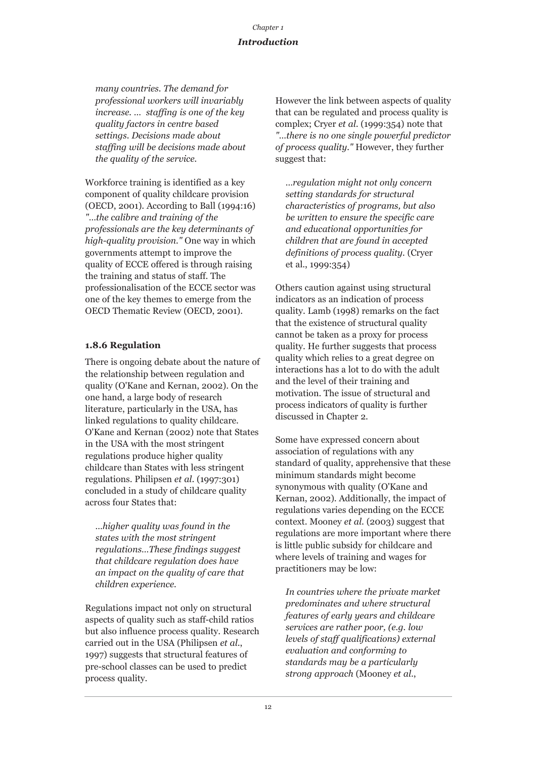## *Introduction*

*many countries. The demand for professional workers will invariably increase. … staffing is one of the key quality factors in centre based settings. Decisions made about staffing will be decisions made about the quality of the service.* 

Workforce training is identified as a key component of quality childcare provision (OECD, 2001). According to Ball (1994:16) *"…the calibre and training of the professionals are the key determinants of high-quality provision."* One way in which governments attempt to improve the quality of ECCE offered is through raising the training and status of staff. The professionalisation of the ECCE sector was one of the key themes to emerge from the OECD Thematic Review (OECD, 2001).

## **1.8.6 Regulation**

There is ongoing debate about the nature of the relationship between regulation and quality (O'Kane and Kernan, 2002). On the one hand, a large body of research literature, particularly in the USA, has linked regulations to quality childcare. O'Kane and Kernan (2002) note that States in the USA with the most stringent regulations produce higher quality childcare than States with less stringent regulations. Philipsen *et al*. (1997:301) concluded in a study of childcare quality across four States that:

*…higher quality was found in the states with the most stringent regulations…These findings suggest that childcare regulation does have an impact on the quality of care that children experience.* 

Regulations impact not only on structural aspects of quality such as staff-child ratios but also influence process quality. Research carried out in the USA (Philipsen *et al*., 1997) suggests that structural features of pre-school classes can be used to predict process quality.

However the link between aspects of quality that can be regulated and process quality is complex; Cryer *et al*. (1999:354) note that *"…there is no one single powerful predictor of process quality."* However, they further suggest that:

*…regulation might not only concern setting standards for structural characteristics of programs, but also be written to ensure the specific care and educational opportunities for children that are found in accepted definitions of process quality.* (Cryer et al., 1999:354)

Others caution against using structural indicators as an indication of process quality. Lamb (1998) remarks on the fact that the existence of structural quality cannot be taken as a proxy for process quality. He further suggests that process quality which relies to a great degree on interactions has a lot to do with the adult and the level of their training and motivation. The issue of structural and process indicators of quality is further discussed in Chapter 2.

Some have expressed concern about association of regulations with any standard of quality, apprehensive that these minimum standards might become synonymous with quality (O'Kane and Kernan, 2002). Additionally, the impact of regulations varies depending on the ECCE context. Mooney *et al*. (2003) suggest that regulations are more important where there is little public subsidy for childcare and where levels of training and wages for practitioners may be low:

*In countries where the private market predominates and where structural features of early years and childcare services are rather poor, (e.g. low levels of staff qualifications) external evaluation and conforming to standards may be a particularly strong approach* (Mooney *et al*.,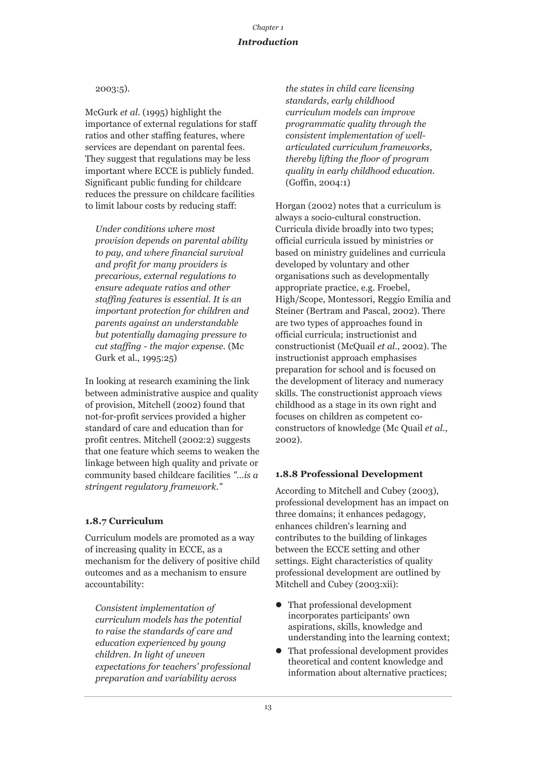## 2003:5).

McGurk *et al*. (1995) highlight the importance of external regulations for staff ratios and other staffing features, where services are dependant on parental fees. They suggest that regulations may be less important where ECCE is publicly funded. Significant public funding for childcare reduces the pressure on childcare facilities to limit labour costs by reducing staff:

*Under conditions where most provision depends on parental ability to pay, and where financial survival and profit for many providers is precarious, external regulations to ensure adequate ratios and other staffing features is essential. It is an important protection for children and parents against an understandable but potentially damaging pressure to cut staffing - the major expense.* (Mc Gurk et al., 1995:25)

In looking at research examining the link between administrative auspice and quality of provision, Mitchell (2002) found that not-for-profit services provided a higher standard of care and education than for profit centres. Mitchell (2002:2) suggests that one feature which seems to weaken the linkage between high quality and private or community based childcare facilities *"…is a stringent regulatory framework."* 

## **1.8.7 Curriculum**

Curriculum models are promoted as a way of increasing quality in ECCE, as a mechanism for the delivery of positive child outcomes and as a mechanism to ensure accountability:

*Consistent implementation of curriculum models has the potential to raise the standards of care and education experienced by young children. In light of uneven expectations for teachers' professional preparation and variability across*

*the states in child care licensing standards, early childhood curriculum models can improve programmatic quality through the consistent implementation of wellarticulated curriculum frameworks, thereby lifting the floor of program quality in early childhood education.* (Goffin, 2004:1)

Horgan (2002) notes that a curriculum is always a socio-cultural construction. Curricula divide broadly into two types; official curricula issued by ministries or based on ministry guidelines and curricula developed by voluntary and other organisations such as developmentally appropriate practice, e.g. Froebel, High/Scope, Montessori, Reggio Emilia and Steiner (Bertram and Pascal, 2002). There are two types of approaches found in official curricula; instructionist and constructionist (McQuail *et al*., 2002). The instructionist approach emphasises preparation for school and is focused on the development of literacy and numeracy skills. The constructionist approach views childhood as a stage in its own right and focuses on children as competent coconstructors of knowledge (Mc Quail *et al*., 2002).

## **1.8.8 Professional Development**

According to Mitchell and Cubey (2003), professional development has an impact on three domains; it enhances pedagogy, enhances children's learning and contributes to the building of linkages between the ECCE setting and other settings. Eight characteristics of quality professional development are outlined by Mitchell and Cubey (2003:xii):

- $\bullet$  That professional development incorporates participants' own aspirations, skills, knowledge and understanding into the learning context;
- $\bullet$  That professional development provides theoretical and content knowledge and information about alternative practices;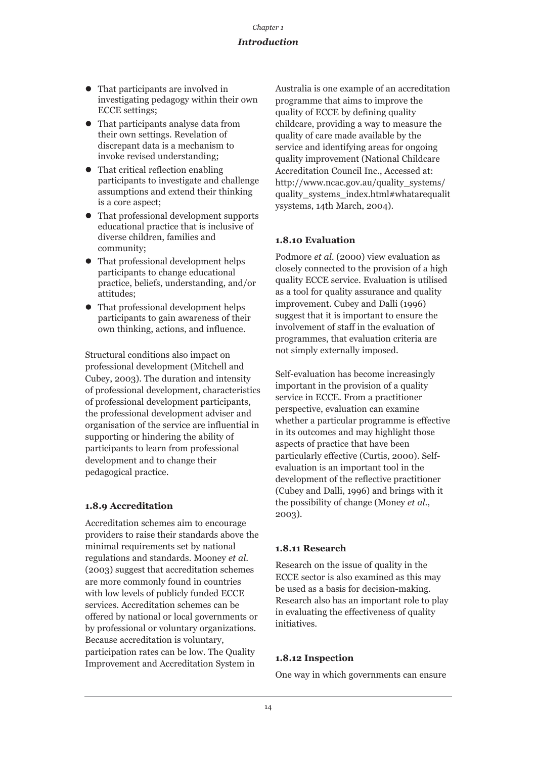- That participants are involved in investigating pedagogy within their own ECCE settings;
- That participants analyse data from their own settings. Revelation of discrepant data is a mechanism to invoke revised understanding;
- $\bullet$  That critical reflection enabling participants to investigate and challenge assumptions and extend their thinking is a core aspect;
- That professional development supports educational practice that is inclusive of diverse children, families and community;
- $\bullet$  That professional development helps participants to change educational practice, beliefs, understanding, and/or attitudes;
- That professional development helps participants to gain awareness of their own thinking, actions, and influence.

Structural conditions also impact on professional development (Mitchell and Cubey, 2003). The duration and intensity of professional development, characteristics of professional development participants, the professional development adviser and organisation of the service are influential in supporting or hindering the ability of participants to learn from professional development and to change their pedagogical practice.

## **1.8.9 Accreditation**

Accreditation schemes aim to encourage providers to raise their standards above the minimal requirements set by national regulations and standards. Mooney *et al*. (2003) suggest that accreditation schemes are more commonly found in countries with low levels of publicly funded ECCE services. Accreditation schemes can be offered by national or local governments or by professional or voluntary organizations. Because accreditation is voluntary, participation rates can be low. The Quality Improvement and Accreditation System in

Australia is one example of an accreditation programme that aims to improve the quality of ECCE by defining quality childcare, providing a way to measure the quality of care made available by the service and identifying areas for ongoing quality improvement (National Childcare Accreditation Council Inc., Accessed at: http://www.ncac.gov.au/quality\_systems/ quality\_systems\_index.html#whatarequalit ysystems, 14th March, 2004).

## **1.8.10 Evaluation**

Podmore *et al*. (2000) view evaluation as closely connected to the provision of a high quality ECCE service. Evaluation is utilised as a tool for quality assurance and quality improvement. Cubey and Dalli (1996) suggest that it is important to ensure the involvement of staff in the evaluation of programmes, that evaluation criteria are not simply externally imposed.

Self-evaluation has become increasingly important in the provision of a quality service in ECCE. From a practitioner perspective, evaluation can examine whether a particular programme is effective in its outcomes and may highlight those aspects of practice that have been particularly effective (Curtis, 2000). Selfevaluation is an important tool in the development of the reflective practitioner (Cubey and Dalli, 1996) and brings with it the possibility of change (Money *et al*., 2003).

## **1.8.11 Research**

Research on the issue of quality in the ECCE sector is also examined as this may be used as a basis for decision-making. Research also has an important role to play in evaluating the effectiveness of quality initiatives.

## **1.8.12 Inspection**

One way in which governments can ensure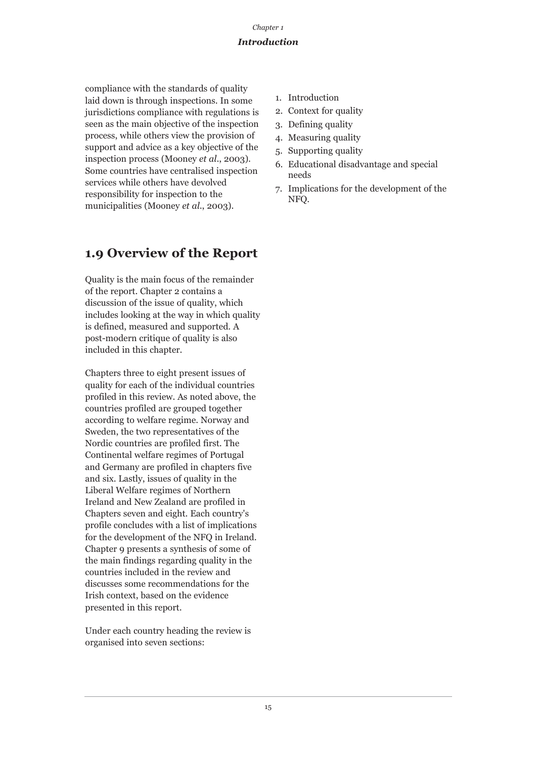compliance with the standards of quality laid down is through inspections. In some jurisdictions compliance with regulations is seen as the main objective of the inspection process, while others view the provision of support and advice as a key objective of the inspection process (Mooney *et al*., 2003). Some countries have centralised inspection services while others have devolved responsibility for inspection to the municipalities (Mooney *et al*., 2003).

## **1.9 Overview of the Report**

Quality is the main focus of the remainder of the report. Chapter 2 contains a discussion of the issue of quality, which includes looking at the way in which quality is defined, measured and supported. A post-modern critique of quality is also included in this chapter.

Chapters three to eight present issues of quality for each of the individual countries profiled in this review. As noted above, the countries profiled are grouped together according to welfare regime. Norway and Sweden, the two representatives of the Nordic countries are profiled first. The Continental welfare regimes of Portugal and Germany are profiled in chapters five and six. Lastly, issues of quality in the Liberal Welfare regimes of Northern Ireland and New Zealand are profiled in Chapters seven and eight. Each country's profile concludes with a list of implications for the development of the NFQ in Ireland. Chapter 9 presents a synthesis of some of the main findings regarding quality in the countries included in the review and discusses some recommendations for the Irish context, based on the evidence presented in this report.

Under each country heading the review is organised into seven sections:

- 1. Introduction
- 2. Context for quality
- 3. Defining quality
- 4. Measuring quality
- 5. Supporting quality
- 6. Educational disadvantage and special needs
- 7. Implications for the development of the NFQ.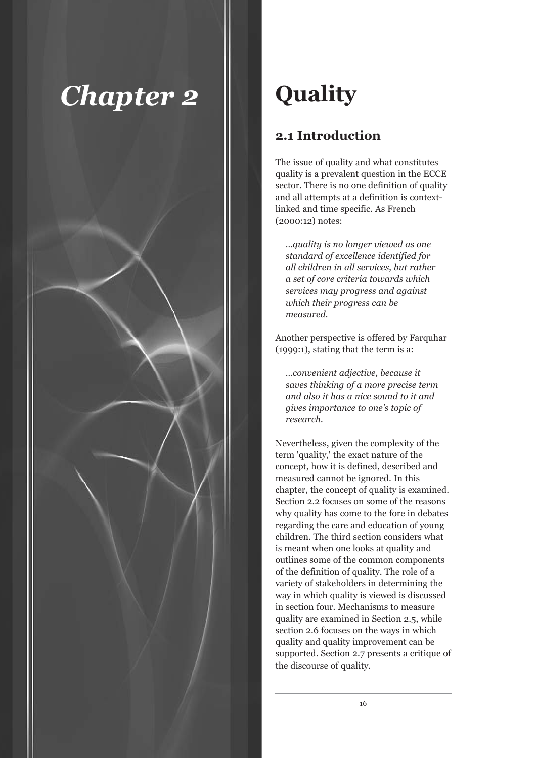

## **Quality**

## **2.1 Introduction**

The issue of quality and what constitutes quality is a prevalent question in the ECCE sector. There is no one definition of quality and all attempts at a definition is contextlinked and time specific. As French (2000:12) notes:

*…quality is no longer viewed as one standard of excellence identified for all children in all services, but rather a set of core criteria towards which services may progress and against which their progress can be measured.*

Another perspective is offered by Farquhar (1999:1), stating that the term is a:

*…convenient adjective, because it saves thinking of a more precise term and also it has a nice sound to it and gives importance to one's topic of research.* 

Nevertheless, given the complexity of the term 'quality,' the exact nature of the concept, how it is defined, described and measured cannot be ignored. In this chapter, the concept of quality is examined. Section 2.2 focuses on some of the reasons why quality has come to the fore in debates regarding the care and education of young children. The third section considers what is meant when one looks at quality and outlines some of the common components of the definition of quality. The role of a variety of stakeholders in determining the way in which quality is viewed is discussed in section four. Mechanisms to measure quality are examined in Section 2.5, while section 2.6 focuses on the ways in which quality and quality improvement can be supported. Section 2.7 presents a critique of the discourse of quality.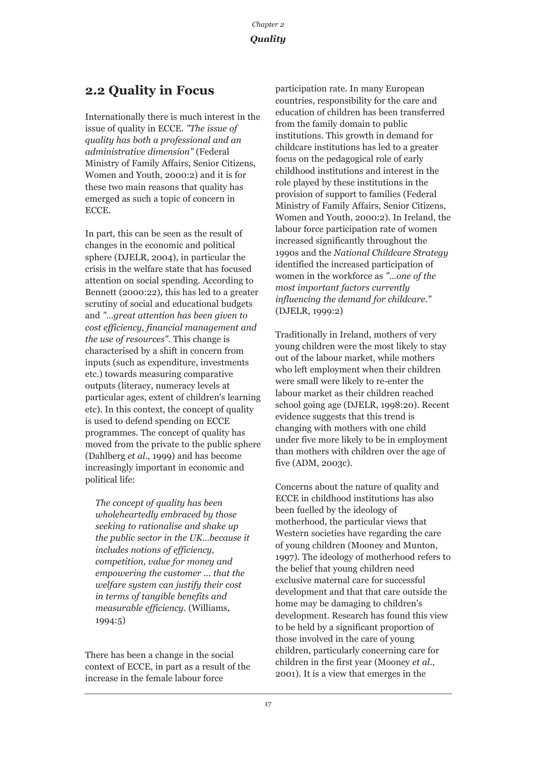## **2.2 Quality in Focus**

Internationally there is much interest in the issue of quality in ECCE. *"The issue of quality has both a professional and an administrative dimension"* (Federal Ministry of Family Affairs, Senior Citizens, Women and Youth, 2000:2) and it is for these two main reasons that quality has emerged as such a topic of concern in ECCE.

In part, this can be seen as the result of changes in the economic and political sphere (DJELR, 2004), in particular the crisis in the welfare state that has focused attention on social spending. According to Bennett (2000:22), this has led to a greater scrutiny of social and educational budgets and *"…great attention has been given to cost efficiency, financial management and the use of resources"*. This change is characterised by a shift in concern from inputs (such as expenditure, investments etc.) towards measuring comparative outputs (literacy, numeracy levels at particular ages, extent of children's learning etc). In this context, the concept of quality is used to defend spending on ECCE programmes. The concept of quality has moved from the private to the public sphere (Dahlberg *et al*., 1999) and has become increasingly important in economic and political life:

*The concept of quality has been wholeheartedly embraced by those seeking to rationalise and shake up the public sector in the UK…because it includes notions of efficiency, competition, value for money and empowering the customer ... that the welfare system can justify their cost in terms of tangible benefits and measurable efficiency.* (Williams, 1994:5)

There has been a change in the social context of ECCE, in part as a result of the increase in the female labour force

participation rate. In many European countries, responsibility for the care and education of children has been transferred from the family domain to public institutions. This growth in demand for childcare institutions has led to a greater focus on the pedagogical role of early childhood institutions and interest in the role played by these institutions in the provision of support to families (Federal Ministry of Family Affairs, Senior Citizens, Women and Youth, 2000:2). In Ireland, the labour force participation rate of women increased significantly throughout the 1990s and the *National Childcare Strategy* identified the increased participation of women in the workforce as *"…one of the most important factors currently influencing the demand for childcare."* (DJELR, 1999:2)

Traditionally in Ireland, mothers of very young children were the most likely to stay out of the labour market, while mothers who left employment when their children were small were likely to re-enter the labour market as their children reached school going age (DJELR, 1998:20). Recent evidence suggests that this trend is changing with mothers with one child under five more likely to be in employment than mothers with children over the age of five (ADM, 2003c).

Concerns about the nature of quality and ECCE in childhood institutions has also been fuelled by the ideology of motherhood, the particular views that Western societies have regarding the care of young children (Mooney and Munton, 1997). The ideology of motherhood refers to the belief that young children need exclusive maternal care for successful development and that that care outside the home may be damaging to children's development. Research has found this view to be held by a significant proportion of those involved in the care of young children, particularly concerning care for children in the first year (Mooney *et al*., 2001). It is a view that emerges in the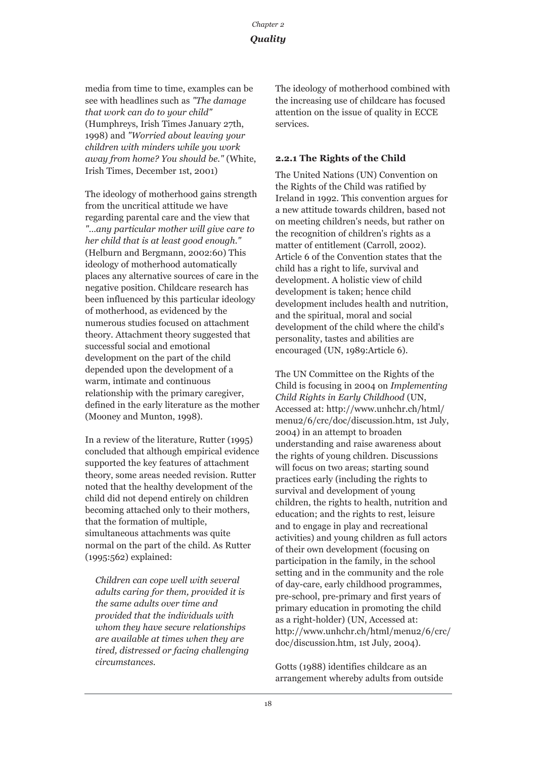media from time to time, examples can be see with headlines such as *"The damage that work can do to your child"* (Humphreys, Irish Times January 27th, 1998) and *"Worried about leaving your children with minders while you work away from home? You should be."* (White, Irish Times, December 1st, 2001)

The ideology of motherhood gains strength from the uncritical attitude we have regarding parental care and the view that *"…any particular mother will give care to her child that is at least good enough."* (Helburn and Bergmann, 2002:60) This ideology of motherhood automatically places any alternative sources of care in the negative position. Childcare research has been influenced by this particular ideology of motherhood, as evidenced by the numerous studies focused on attachment theory. Attachment theory suggested that successful social and emotional development on the part of the child depended upon the development of a warm, intimate and continuous relationship with the primary caregiver, defined in the early literature as the mother (Mooney and Munton, 1998).

In a review of the literature, Rutter (1995) concluded that although empirical evidence supported the key features of attachment theory, some areas needed revision. Rutter noted that the healthy development of the child did not depend entirely on children becoming attached only to their mothers, that the formation of multiple, simultaneous attachments was quite normal on the part of the child. As Rutter (1995:562) explained:

*Children can cope well with several adults caring for them, provided it is the same adults over time and provided that the individuals with whom they have secure relationships are available at times when they are tired, distressed or facing challenging circumstances.* 

The ideology of motherhood combined with the increasing use of childcare has focused attention on the issue of quality in ECCE services.

## **2.2.1 The Rights of the Child**

The United Nations (UN) Convention on the Rights of the Child was ratified by Ireland in 1992. This convention argues for a new attitude towards children, based not on meeting children's needs, but rather on the recognition of children's rights as a matter of entitlement (Carroll, 2002). Article 6 of the Convention states that the child has a right to life, survival and development. A holistic view of child development is taken; hence child development includes health and nutrition, and the spiritual, moral and social development of the child where the child's personality, tastes and abilities are encouraged (UN, 1989:Article 6).

The UN Committee on the Rights of the Child is focusing in 2004 on *Implementing Child Rights in Early Childhood* (UN, Accessed at: http://www.unhchr.ch/html/ menu2/6/crc/doc/discussion.htm, 1st July, 2004) in an attempt to broaden understanding and raise awareness about the rights of young children. Discussions will focus on two areas; starting sound practices early (including the rights to survival and development of young children, the rights to health, nutrition and education; and the rights to rest, leisure and to engage in play and recreational activities) and young children as full actors of their own development (focusing on participation in the family, in the school setting and in the community and the role of day-care, early childhood programmes, pre-school, pre-primary and first years of primary education in promoting the child as a right-holder) (UN, Accessed at: http://www.unhchr.ch/html/menu2/6/crc/ doc/discussion.htm, 1st July, 2004).

Gotts (1988) identifies childcare as an arrangement whereby adults from outside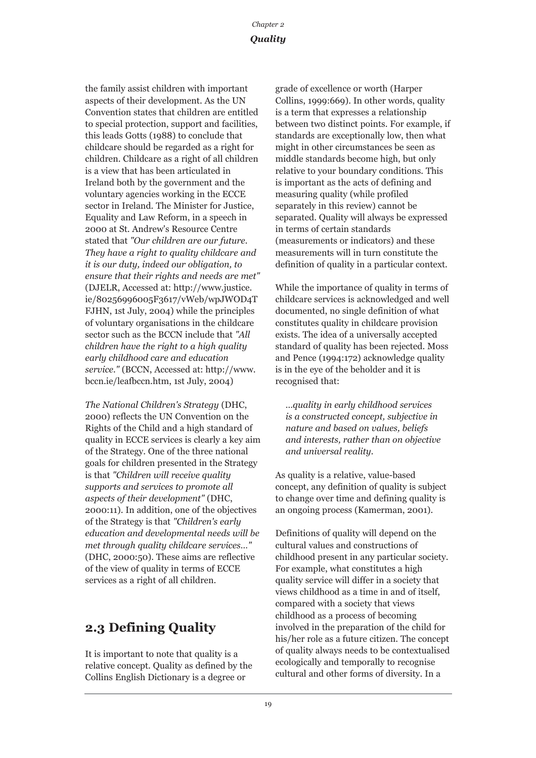the family assist children with important aspects of their development. As the UN Convention states that children are entitled to special protection, support and facilities, this leads Gotts (1988) to conclude that childcare should be regarded as a right for children. Childcare as a right of all children is a view that has been articulated in Ireland both by the government and the voluntary agencies working in the ECCE sector in Ireland. The Minister for Justice, Equality and Law Reform, in a speech in 2000 at St. Andrew's Resource Centre stated that *"Our children are our future. They have a right to quality childcare and it is our duty, indeed our obligation, to ensure that their rights and needs are met"* (DJELR, Accessed at: http://www.justice. ie/80256996005F3617/vWeb/wpJWOD4T FJHN, 1st July, 2004) while the principles of voluntary organisations in the childcare sector such as the BCCN include that *"All children have the right to a high quality early childhood care and education service."* (BCCN, Accessed at: http://www. bccn.ie/leafbccn.htm, 1st July, 2004)

*The National Children's Strategy* (DHC, 2000) reflects the UN Convention on the Rights of the Child and a high standard of quality in ECCE services is clearly a key aim of the Strategy. One of the three national goals for children presented in the Strategy is that *"Children will receive quality supports and services to promote all aspects of their development"* (DHC, 2000:11). In addition, one of the objectives of the Strategy is that *"Children's early education and developmental needs will be met through quality childcare services…"* (DHC, 2000:50). These aims are reflective of the view of quality in terms of ECCE services as a right of all children.

## **2.3 Defining Quality**

It is important to note that quality is a relative concept. Quality as defined by the Collins English Dictionary is a degree or

grade of excellence or worth (Harper Collins, 1999:669). In other words, quality is a term that expresses a relationship between two distinct points. For example, if standards are exceptionally low, then what might in other circumstances be seen as middle standards become high, but only relative to your boundary conditions. This is important as the acts of defining and measuring quality (while profiled separately in this review) cannot be separated. Quality will always be expressed in terms of certain standards (measurements or indicators) and these measurements will in turn constitute the definition of quality in a particular context.

While the importance of quality in terms of childcare services is acknowledged and well documented, no single definition of what constitutes quality in childcare provision exists. The idea of a universally accepted standard of quality has been rejected. Moss and Pence (1994:172) acknowledge quality is in the eye of the beholder and it is recognised that:

*…quality in early childhood services is a constructed concept, subjective in nature and based on values, beliefs and interests, rather than on objective and universal reality.* 

As quality is a relative, value-based concept, any definition of quality is subject to change over time and defining quality is an ongoing process (Kamerman, 2001).

Definitions of quality will depend on the cultural values and constructions of childhood present in any particular society. For example, what constitutes a high quality service will differ in a society that views childhood as a time in and of itself, compared with a society that views childhood as a process of becoming involved in the preparation of the child for his/her role as a future citizen. The concept of quality always needs to be contextualised ecologically and temporally to recognise cultural and other forms of diversity. In a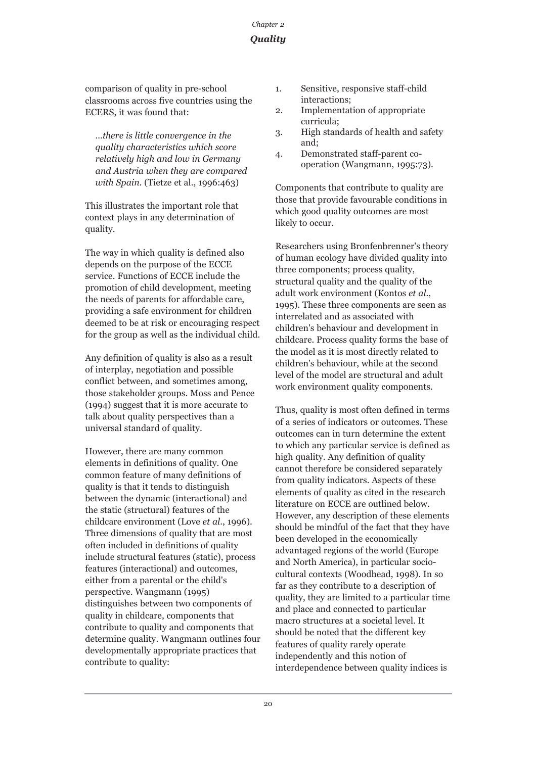comparison of quality in pre-school classrooms across five countries using the ECERS, it was found that:

*…there is little convergence in the quality characteristics which score relatively high and low in Germany and Austria when they are compared with Spain.* (Tietze et al., 1996:463)

This illustrates the important role that context plays in any determination of quality.

The way in which quality is defined also depends on the purpose of the ECCE service. Functions of ECCE include the promotion of child development, meeting the needs of parents for affordable care, providing a safe environment for children deemed to be at risk or encouraging respect for the group as well as the individual child.

Any definition of quality is also as a result of interplay, negotiation and possible conflict between, and sometimes among, those stakeholder groups. Moss and Pence (1994) suggest that it is more accurate to talk about quality perspectives than a universal standard of quality.

However, there are many common elements in definitions of quality. One common feature of many definitions of quality is that it tends to distinguish between the dynamic (interactional) and the static (structural) features of the childcare environment (Love *et al*., 1996). Three dimensions of quality that are most often included in definitions of quality include structural features (static), process features (interactional) and outcomes, either from a parental or the child's perspective. Wangmann (1995) distinguishes between two components of quality in childcare, components that contribute to quality and components that determine quality. Wangmann outlines four developmentally appropriate practices that contribute to quality:

- 1. Sensitive, responsive staff-child interactions;
- 2. Implementation of appropriate curricula;
- 3. High standards of health and safety and;
- 4. Demonstrated staff-parent cooperation (Wangmann, 1995:73).

Components that contribute to quality are those that provide favourable conditions in which good quality outcomes are most likely to occur.

Researchers using Bronfenbrenner's theory of human ecology have divided quality into three components; process quality, structural quality and the quality of the adult work environment (Kontos *et al*., 1995). These three components are seen as interrelated and as associated with children's behaviour and development in childcare. Process quality forms the base of the model as it is most directly related to children's behaviour, while at the second level of the model are structural and adult work environment quality components.

Thus, quality is most often defined in terms of a series of indicators or outcomes. These outcomes can in turn determine the extent to which any particular service is defined as high quality. Any definition of quality cannot therefore be considered separately from quality indicators. Aspects of these elements of quality as cited in the research literature on ECCE are outlined below. However, any description of these elements should be mindful of the fact that they have been developed in the economically advantaged regions of the world (Europe and North America), in particular sociocultural contexts (Woodhead, 1998). In so far as they contribute to a description of quality, they are limited to a particular time and place and connected to particular macro structures at a societal level. It should be noted that the different key features of quality rarely operate independently and this notion of interdependence between quality indices is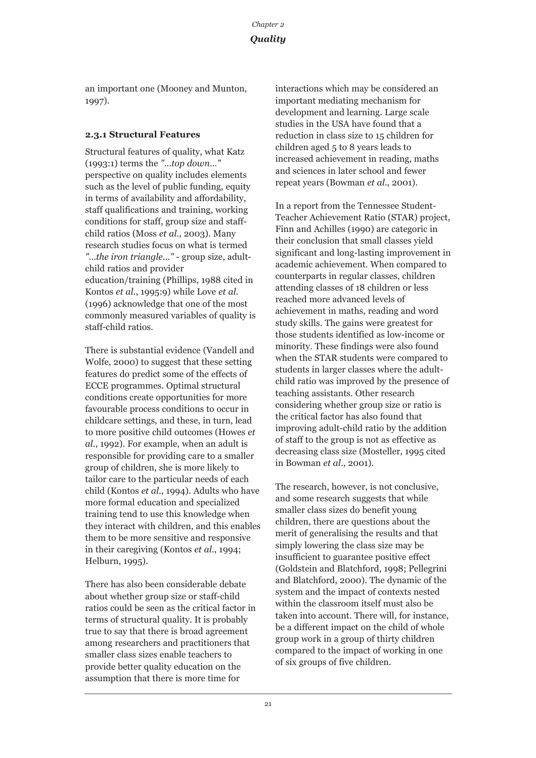an important one (Mooney and Munton, 1997).

## **2.3.1 Structural Features**

Structural features of quality, what Katz (1993:1) terms the *"…top down…"* perspective on quality includes elements such as the level of public funding, equity in terms of availability and affordability, staff qualifications and training, working conditions for staff, group size and staffchild ratios (Moss *et al*., 2003). Many research studies focus on what is termed *"…the iron triangle…"* - group size, adultchild ratios and provider education/training (Phillips, 1988 cited in Kontos *et al*., 1995:9) while Love *et al*. (1996) acknowledge that one of the most commonly measured variables of quality is staff-child ratios.

There is substantial evidence (Vandell and Wolfe, 2000) to suggest that these setting features do predict some of the effects of ECCE programmes. Optimal structural conditions create opportunities for more favourable process conditions to occur in childcare settings, and these, in turn, lead to more positive child outcomes (Howes *et al*., 1992). For example, when an adult is responsible for providing care to a smaller group of children, she is more likely to tailor care to the particular needs of each child (Kontos *et al*., 1994). Adults who have more formal education and specialized training tend to use this knowledge when they interact with children, and this enables them to be more sensitive and responsive in their caregiving (Kontos *et al*., 1994; Helburn, 1995).

There has also been considerable debate about whether group size or staff-child ratios could be seen as the critical factor in terms of structural quality. It is probably true to say that there is broad agreement among researchers and practitioners that smaller class sizes enable teachers to provide better quality education on the assumption that there is more time for

interactions which may be considered an important mediating mechanism for development and learning. Large scale studies in the USA have found that a reduction in class size to 15 children for children aged 5 to 8 years leads to increased achievement in reading, maths and sciences in later school and fewer repeat years (Bowman *et al*., 2001).

In a report from the Tennessee Student-Teacher Achievement Ratio (STAR) project, Finn and Achilles (1990) are categoric in their conclusion that small classes yield significant and long-lasting improvement in academic achievement. When compared to counterparts in regular classes, children attending classes of 18 children or less reached more advanced levels of achievement in maths, reading and word study skills. The gains were greatest for those students identified as low-income or minority. These findings were also found when the STAR students were compared to students in larger classes where the adultchild ratio was improved by the presence of teaching assistants. Other research considering whether group size or ratio is the critical factor has also found that improving adult-child ratio by the addition of staff to the group is not as effective as decreasing class size (Mosteller, 1995 cited in Bowman *et al*., 2001).

The research, however, is not conclusive, and some research suggests that while smaller class sizes do benefit young children, there are questions about the merit of generalising the results and that simply lowering the class size may be insufficient to guarantee positive effect (Goldstein and Blatchford, 1998; Pellegrini and Blatchford, 2000). The dynamic of the system and the impact of contexts nested within the classroom itself must also be taken into account. There will, for instance, be a different impact on the child of whole group work in a group of thirty children compared to the impact of working in one of six groups of five children.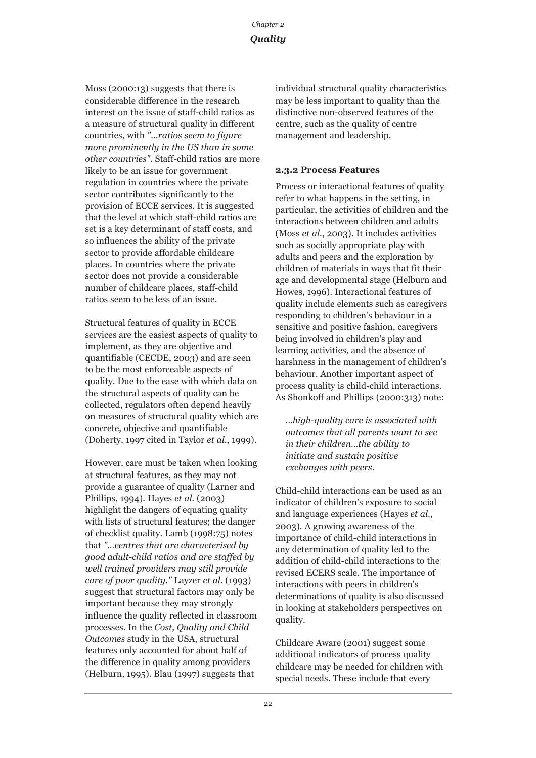Moss (2000:13) suggests that there is considerable difference in the research interest on the issue of staff-child ratios as a measure of structural quality in different countries, with *"…ratios seem to figure more prominently in the US than in some other countries"*. Staff-child ratios are more likely to be an issue for government regulation in countries where the private sector contributes significantly to the provision of ECCE services. It is suggested that the level at which staff-child ratios are set is a key determinant of staff costs, and so influences the ability of the private sector to provide affordable childcare places. In countries where the private sector does not provide a considerable number of childcare places, staff-child ratios seem to be less of an issue.

Structural features of quality in ECCE services are the easiest aspects of quality to implement, as they are objective and quantifiable (CECDE, 2003) and are seen to be the most enforceable aspects of quality. Due to the ease with which data on the structural aspects of quality can be collected, regulators often depend heavily on measures of structural quality which are concrete, objective and quantifiable (Doherty, 1997 cited in Taylor *et al*., 1999).

However, care must be taken when looking at structural features, as they may not provide a guarantee of quality (Larner and Phillips, 1994). Hayes *et al*. (2003) highlight the dangers of equating quality with lists of structural features; the danger of checklist quality. Lamb (1998:75) notes that *"…centres that are characterised by good adult-child ratios and are staffed by well trained providers may still provide care of poor quality."* Layzer *et al*. (1993) suggest that structural factors may only be important because they may strongly influence the quality reflected in classroom processes. In the *Cost, Quality and Child Outcomes* study in the USA, structural features only accounted for about half of the difference in quality among providers (Helburn, 1995). Blau (1997) suggests that

individual structural quality characteristics may be less important to quality than the distinctive non-observed features of the centre, such as the quality of centre management and leadership.

#### **2.3.2 Process Features**

Process or interactional features of quality refer to what happens in the setting, in particular, the activities of children and the interactions between children and adults (Moss *et al*., 2003). It includes activities such as socially appropriate play with adults and peers and the exploration by children of materials in ways that fit their age and developmental stage (Helburn and Howes, 1996). Interactional features of quality include elements such as caregivers responding to children's behaviour in a sensitive and positive fashion, caregivers being involved in children's play and learning activities, and the absence of harshness in the management of children's behaviour. Another important aspect of process quality is child-child interactions. As Shonkoff and Phillips (2000:313) note:

*…high-quality care is associated with outcomes that all parents want to see in their children…the ability to initiate and sustain positive exchanges with peers.*

Child-child interactions can be used as an indicator of children's exposure to social and language experiences (Hayes *et al*., 2003). A growing awareness of the importance of child-child interactions in any determination of quality led to the addition of child-child interactions to the revised ECERS scale. The importance of interactions with peers in children's determinations of quality is also discussed in looking at stakeholders perspectives on quality.

Childcare Aware (2001) suggest some additional indicators of process quality childcare may be needed for children with special needs. These include that every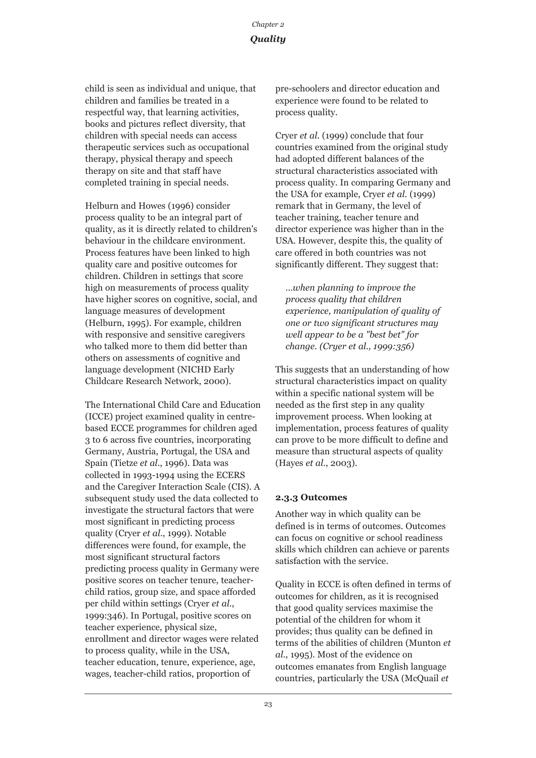child is seen as individual and unique, that children and families be treated in a respectful way, that learning activities, books and pictures reflect diversity, that children with special needs can access therapeutic services such as occupational therapy, physical therapy and speech therapy on site and that staff have completed training in special needs.

Helburn and Howes (1996) consider process quality to be an integral part of quality, as it is directly related to children's behaviour in the childcare environment. Process features have been linked to high quality care and positive outcomes for children. Children in settings that score high on measurements of process quality have higher scores on cognitive, social, and language measures of development (Helburn, 1995). For example, children with responsive and sensitive caregivers who talked more to them did better than others on assessments of cognitive and language development (NICHD Early Childcare Research Network, 2000).

The International Child Care and Education (ICCE) project examined quality in centrebased ECCE programmes for children aged 3 to 6 across five countries, incorporating Germany, Austria, Portugal, the USA and Spain (Tietze *et al*., 1996). Data was collected in 1993-1994 using the ECERS and the Caregiver Interaction Scale (CIS). A subsequent study used the data collected to investigate the structural factors that were most significant in predicting process quality (Cryer *et al*., 1999). Notable differences were found, for example, the most significant structural factors predicting process quality in Germany were positive scores on teacher tenure, teacherchild ratios, group size, and space afforded per child within settings (Cryer *et al*., 1999:346). In Portugal, positive scores on teacher experience, physical size, enrollment and director wages were related to process quality, while in the USA, teacher education, tenure, experience, age, wages, teacher-child ratios, proportion of

pre-schoolers and director education and experience were found to be related to process quality.

Cryer *et al*. (1999) conclude that four countries examined from the original study had adopted different balances of the structural characteristics associated with process quality. In comparing Germany and the USA for example, Cryer *et al*. (1999) remark that in Germany, the level of teacher training, teacher tenure and director experience was higher than in the USA. However, despite this, the quality of care offered in both countries was not significantly different. They suggest that:

*…when planning to improve the process quality that children experience, manipulation of quality of one or two significant structures may well appear to be a "best bet" for change. (Cryer et al., 1999:356)*

This suggests that an understanding of how structural characteristics impact on quality within a specific national system will be needed as the first step in any quality improvement process. When looking at implementation, process features of quality can prove to be more difficult to define and measure than structural aspects of quality (Hayes *et al*., 2003).

#### **2.3.3 Outcomes**

Another way in which quality can be defined is in terms of outcomes. Outcomes can focus on cognitive or school readiness skills which children can achieve or parents satisfaction with the service.

Quality in ECCE is often defined in terms of outcomes for children, as it is recognised that good quality services maximise the potential of the children for whom it provides; thus quality can be defined in terms of the abilities of children (Munton *et al*., 1995). Most of the evidence on outcomes emanates from English language countries, particularly the USA (McQuail *et*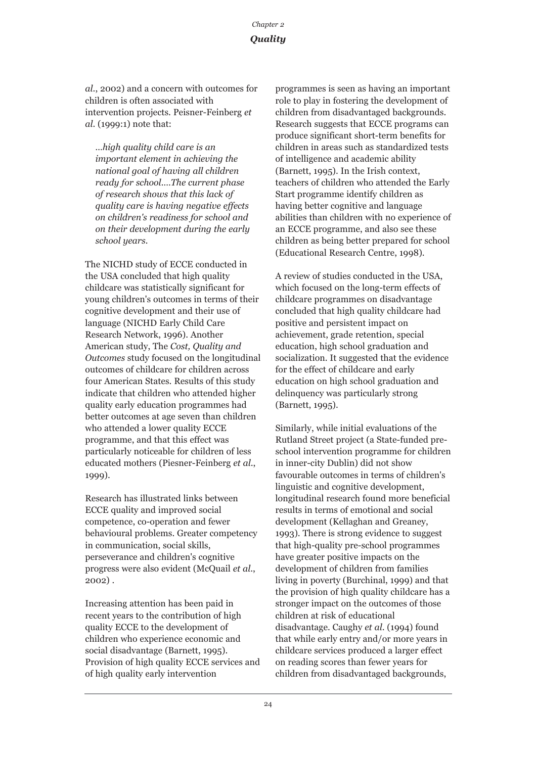*al*., 2002) and a concern with outcomes for children is often associated with intervention projects. Peisner-Feinberg *et al*. (1999:1) note that:

*…high quality child care is an important element in achieving the national goal of having all children ready for school.…The current phase of research shows that this lack of quality care is having negative effects on children's readiness for school and on their development during the early school years.*

The NICHD study of ECCE conducted in the USA concluded that high quality childcare was statistically significant for young children's outcomes in terms of their cognitive development and their use of language (NICHD Early Child Care Research Network, 1996). Another American study, The *Cost, Quality and Outcomes* study focused on the longitudinal outcomes of childcare for children across four American States. Results of this study indicate that children who attended higher quality early education programmes had better outcomes at age seven than children who attended a lower quality ECCE programme, and that this effect was particularly noticeable for children of less educated mothers (Piesner-Feinberg *et al*., 1999).

Research has illustrated links between ECCE quality and improved social competence, co-operation and fewer behavioural problems. Greater competency in communication, social skills, perseverance and children's cognitive progress were also evident (McQuail *et al*., 2002) .

Increasing attention has been paid in recent years to the contribution of high quality ECCE to the development of children who experience economic and social disadvantage (Barnett, 1995). Provision of high quality ECCE services and of high quality early intervention

programmes is seen as having an important role to play in fostering the development of children from disadvantaged backgrounds. Research suggests that ECCE programs can produce significant short-term benefits for children in areas such as standardized tests of intelligence and academic ability (Barnett, 1995). In the Irish context, teachers of children who attended the Early Start programme identify children as having better cognitive and language abilities than children with no experience of an ECCE programme, and also see these children as being better prepared for school (Educational Research Centre, 1998).

A review of studies conducted in the USA, which focused on the long-term effects of childcare programmes on disadvantage concluded that high quality childcare had positive and persistent impact on achievement, grade retention, special education, high school graduation and socialization. It suggested that the evidence for the effect of childcare and early education on high school graduation and delinquency was particularly strong (Barnett, 1995).

Similarly, while initial evaluations of the Rutland Street project (a State-funded preschool intervention programme for children in inner-city Dublin) did not show favourable outcomes in terms of children's linguistic and cognitive development, longitudinal research found more beneficial results in terms of emotional and social development (Kellaghan and Greaney, 1993). There is strong evidence to suggest that high-quality pre-school programmes have greater positive impacts on the development of children from families living in poverty (Burchinal, 1999) and that the provision of high quality childcare has a stronger impact on the outcomes of those children at risk of educational disadvantage. Caughy *et al*. (1994) found that while early entry and/or more years in childcare services produced a larger effect on reading scores than fewer years for children from disadvantaged backgrounds,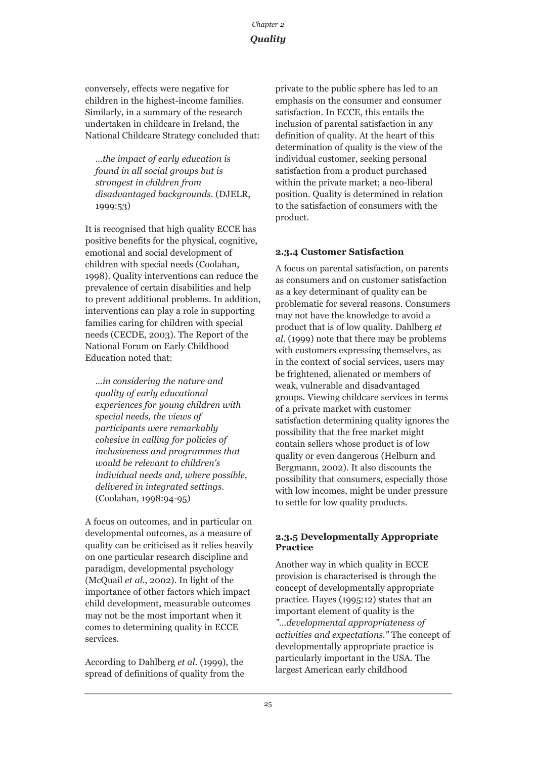conversely, effects were negative for children in the highest-income families. Similarly, in a summary of the research undertaken in childcare in Ireland, the National Childcare Strategy concluded that:

*…the impact of early education is found in all social groups but is strongest in children from disadvantaged backgrounds.* (DJELR, 1999:53)

It is recognised that high quality ECCE has positive benefits for the physical, cognitive, emotional and social development of children with special needs (Coolahan, 1998). Quality interventions can reduce the prevalence of certain disabilities and help to prevent additional problems. In addition, interventions can play a role in supporting families caring for children with special needs (CECDE, 2003). The Report of the National Forum on Early Childhood Education noted that:

*…in considering the nature and quality of early educational experiences for young children with special needs, the views of participants were remarkably cohesive in calling for policies of inclusiveness and programmes that would be relevant to children's individual needs and, where possible, delivered in integrated settings.* (Coolahan, 1998:94-95)

A focus on outcomes, and in particular on developmental outcomes, as a measure of quality can be criticised as it relies heavily on one particular research discipline and paradigm, developmental psychology (McQuail *et al*., 2002). In light of the importance of other factors which impact child development, measurable outcomes may not be the most important when it comes to determining quality in ECCE services.

According to Dahlberg *et al*. (1999), the spread of definitions of quality from the private to the public sphere has led to an emphasis on the consumer and consumer satisfaction. In ECCE, this entails the inclusion of parental satisfaction in any definition of quality. At the heart of this determination of quality is the view of the individual customer, seeking personal satisfaction from a product purchased within the private market; a neo-liberal position. Quality is determined in relation to the satisfaction of consumers with the product.

## **2.3.4 Customer Satisfaction**

A focus on parental satisfaction, on parents as consumers and on customer satisfaction as a key determinant of quality can be problematic for several reasons. Consumers may not have the knowledge to avoid a product that is of low quality. Dahlberg *et al*. (1999) note that there may be problems with customers expressing themselves, as in the context of social services, users may be frightened, alienated or members of weak, vulnerable and disadvantaged groups. Viewing childcare services in terms of a private market with customer satisfaction determining quality ignores the possibility that the free market might contain sellers whose product is of low quality or even dangerous (Helburn and Bergmann, 2002). It also discounts the possibility that consumers, especially those with low incomes, might be under pressure to settle for low quality products.

#### **2.3.5 Developmentally Appropriate Practice**

Another way in which quality in ECCE provision is characterised is through the concept of developmentally appropriate practice. Hayes (1995:12) states that an important element of quality is the *"…developmental appropriateness of activities and expectations."* The concept of developmentally appropriate practice is particularly important in the USA. The largest American early childhood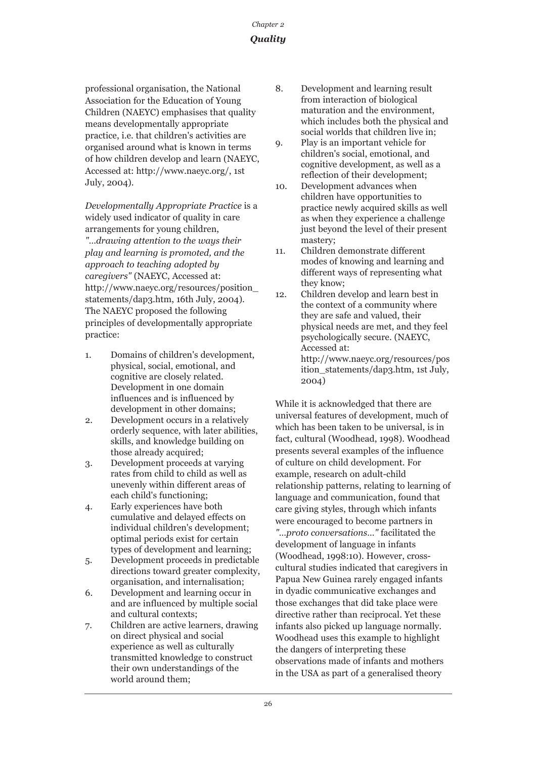professional organisation, the National Association for the Education of Young Children (NAEYC) emphasises that quality means developmentally appropriate practice, i.e. that children's activities are organised around what is known in terms of how children develop and learn (NAEYC, Accessed at: http://www.naeyc.org/, 1st July, 2004).

*Developmentally Appropriate Practice* is a widely used indicator of quality in care arrangements for young children, *"…drawing attention to the ways their play and learning is promoted, and the approach to teaching adopted by caregivers"* (NAEYC, Accessed at: http://www.naeyc.org/resources/position\_ statements/dap3.htm, 16th July, 2004). The NAEYC proposed the following principles of developmentally appropriate practice:

- 1. Domains of children's development, physical, social, emotional, and cognitive are closely related. Development in one domain influences and is influenced by development in other domains;
- 2. Development occurs in a relatively orderly sequence, with later abilities, skills, and knowledge building on those already acquired;
- 3. Development proceeds at varying rates from child to child as well as unevenly within different areas of each child's functioning;
- 4. Early experiences have both cumulative and delayed effects on individual children's development; optimal periods exist for certain types of development and learning;
- 5. Development proceeds in predictable directions toward greater complexity, organisation, and internalisation;
- 6. Development and learning occur in and are influenced by multiple social and cultural contexts;
- 7. Children are active learners, drawing on direct physical and social experience as well as culturally transmitted knowledge to construct their own understandings of the world around them;
- 8. Development and learning result from interaction of biological maturation and the environment, which includes both the physical and social worlds that children live in;
- 9. Play is an important vehicle for children's social, emotional, and cognitive development, as well as a reflection of their development;
- 10. Development advances when children have opportunities to practice newly acquired skills as well as when they experience a challenge just beyond the level of their present mastery;
- 11. Children demonstrate different modes of knowing and learning and different ways of representing what they know;
- 12. Children develop and learn best in the context of a community where they are safe and valued, their physical needs are met, and they feel psychologically secure. (NAEYC, Accessed at: http://www.naeyc.org/resources/pos ition\_statements/dap3.htm, 1st July, 2004)

While it is acknowledged that there are universal features of development, much of which has been taken to be universal, is in fact, cultural (Woodhead, 1998). Woodhead presents several examples of the influence of culture on child development. For example, research on adult-child relationship patterns, relating to learning of language and communication, found that care giving styles, through which infants were encouraged to become partners in *"…proto conversations…"* facilitated the development of language in infants (Woodhead, 1998:10). However, crosscultural studies indicated that caregivers in Papua New Guinea rarely engaged infants in dyadic communicative exchanges and those exchanges that did take place were directive rather than reciprocal. Yet these infants also picked up language normally. Woodhead uses this example to highlight the dangers of interpreting these observations made of infants and mothers in the USA as part of a generalised theory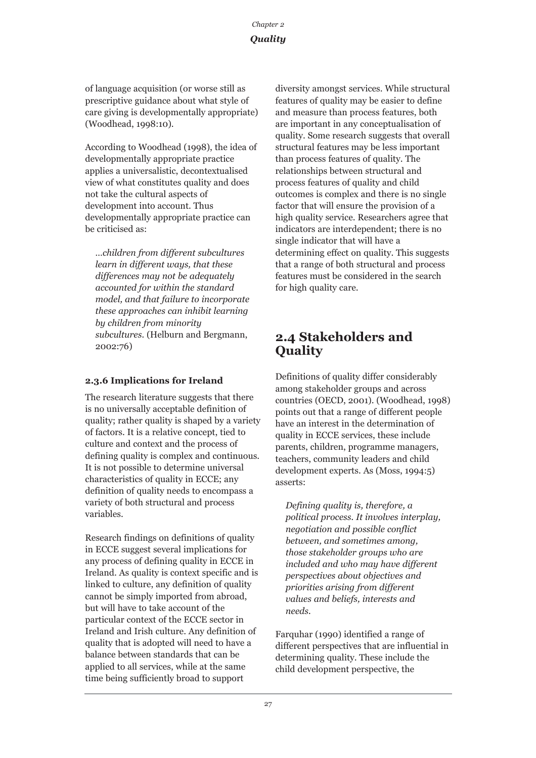of language acquisition (or worse still as prescriptive guidance about what style of care giving is developmentally appropriate) (Woodhead, 1998:10).

According to Woodhead (1998), the idea of developmentally appropriate practice applies a universalistic, decontextualised view of what constitutes quality and does not take the cultural aspects of development into account. Thus developmentally appropriate practice can be criticised as:

*…children from different subcultures learn in different ways, that these differences may not be adequately accounted for within the standard model, and that failure to incorporate these approaches can inhibit learning by children from minority subcultures.* (Helburn and Bergmann, 2002:76)

## **2.3.6 Implications for Ireland**

The research literature suggests that there is no universally acceptable definition of quality; rather quality is shaped by a variety of factors. It is a relative concept, tied to culture and context and the process of defining quality is complex and continuous. It is not possible to determine universal characteristics of quality in ECCE; any definition of quality needs to encompass a variety of both structural and process variables.

Research findings on definitions of quality in ECCE suggest several implications for any process of defining quality in ECCE in Ireland. As quality is context specific and is linked to culture, any definition of quality cannot be simply imported from abroad, but will have to take account of the particular context of the ECCE sector in Ireland and Irish culture. Any definition of quality that is adopted will need to have a balance between standards that can be applied to all services, while at the same time being sufficiently broad to support

diversity amongst services. While structural features of quality may be easier to define and measure than process features, both are important in any conceptualisation of quality. Some research suggests that overall structural features may be less important than process features of quality. The relationships between structural and process features of quality and child outcomes is complex and there is no single factor that will ensure the provision of a high quality service. Researchers agree that indicators are interdependent; there is no single indicator that will have a determining effect on quality. This suggests that a range of both structural and process features must be considered in the search for high quality care.

## **2.4 Stakeholders and Quality**

Definitions of quality differ considerably among stakeholder groups and across countries (OECD, 2001). (Woodhead, 1998) points out that a range of different people have an interest in the determination of quality in ECCE services, these include parents, children, programme managers, teachers, community leaders and child development experts. As (Moss, 1994:5) asserts:

*Defining quality is, therefore, a political process. It involves interplay, negotiation and possible conflict between, and sometimes among, those stakeholder groups who are included and who may have different perspectives about objectives and priorities arising from different values and beliefs, interests and needs.* 

Farquhar (1990) identified a range of different perspectives that are influential in determining quality. These include the child development perspective, the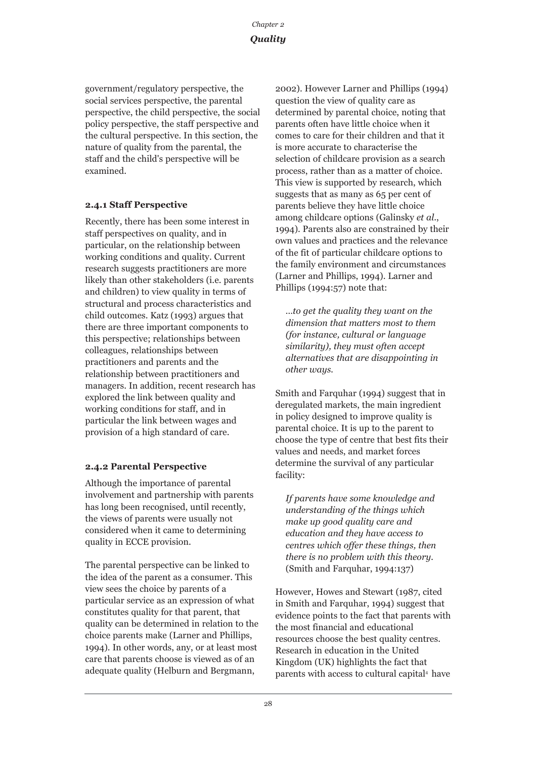government/regulatory perspective, the social services perspective, the parental perspective, the child perspective, the social policy perspective, the staff perspective and the cultural perspective. In this section, the nature of quality from the parental, the staff and the child's perspective will be examined.

### **2.4.1 Staff Perspective**

Recently, there has been some interest in staff perspectives on quality, and in particular, on the relationship between working conditions and quality. Current research suggests practitioners are more likely than other stakeholders (i.e. parents and children) to view quality in terms of structural and process characteristics and child outcomes. Katz (1993) argues that there are three important components to this perspective; relationships between colleagues, relationships between practitioners and parents and the relationship between practitioners and managers. In addition, recent research has explored the link between quality and working conditions for staff, and in particular the link between wages and provision of a high standard of care.

## **2.4.2 Parental Perspective**

Although the importance of parental involvement and partnership with parents has long been recognised, until recently, the views of parents were usually not considered when it came to determining quality in ECCE provision.

The parental perspective can be linked to the idea of the parent as a consumer. This view sees the choice by parents of a particular service as an expression of what constitutes quality for that parent, that quality can be determined in relation to the choice parents make (Larner and Phillips, 1994). In other words, any, or at least most care that parents choose is viewed as of an adequate quality (Helburn and Bergmann,

2002). However Larner and Phillips (1994) question the view of quality care as determined by parental choice, noting that parents often have little choice when it comes to care for their children and that it is more accurate to characterise the selection of childcare provision as a search process, rather than as a matter of choice. This view is supported by research, which suggests that as many as 65 per cent of parents believe they have little choice among childcare options (Galinsky *et al*., 1994). Parents also are constrained by their own values and practices and the relevance of the fit of particular childcare options to the family environment and circumstances (Larner and Phillips, 1994). Larner and Phillips (1994:57) note that:

*…to get the quality they want on the dimension that matters most to them (for instance, cultural or language similarity), they must often accept alternatives that are disappointing in other ways.*

Smith and Farquhar (1994) suggest that in deregulated markets, the main ingredient in policy designed to improve quality is parental choice. It is up to the parent to choose the type of centre that best fits their values and needs, and market forces determine the survival of any particular facility:

*If parents have some knowledge and understanding of the things which make up good quality care and education and they have access to centres which offer these things, then there is no problem with this theory.* (Smith and Farquhar, 1994:137)

However, Howes and Stewart (1987, cited in Smith and Farquhar, 1994) suggest that evidence points to the fact that parents with the most financial and educational resources choose the best quality centres. Research in education in the United Kingdom (UK) highlights the fact that parents with access to cultural capital<sup>4</sup> have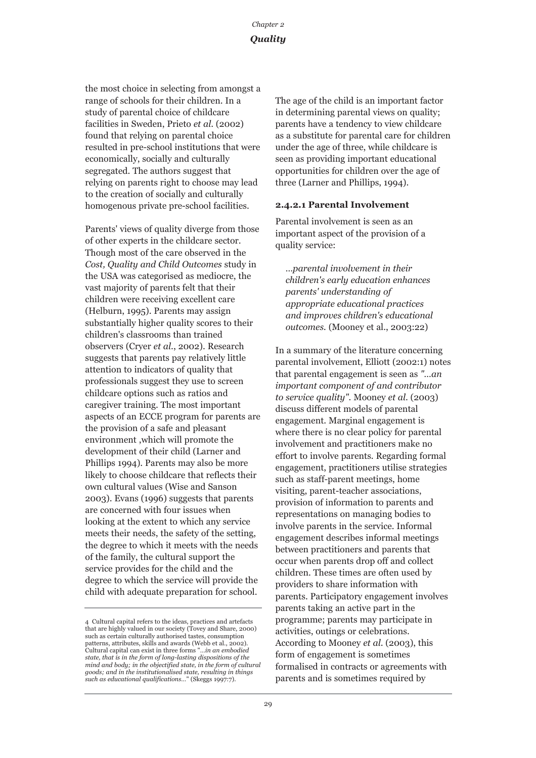the most choice in selecting from amongst a range of schools for their children. In a study of parental choice of childcare facilities in Sweden, Prieto *et al*. (2002) found that relying on parental choice resulted in pre-school institutions that were economically, socially and culturally segregated. The authors suggest that relying on parents right to choose may lead to the creation of socially and culturally homogenous private pre-school facilities.

Parents' views of quality diverge from those of other experts in the childcare sector. Though most of the care observed in the *Cost, Quality and Child Outcomes* study in the USA was categorised as mediocre, the vast majority of parents felt that their children were receiving excellent care (Helburn, 1995). Parents may assign substantially higher quality scores to their children's classrooms than trained observers (Cryer *et al*., 2002). Research suggests that parents pay relatively little attention to indicators of quality that professionals suggest they use to screen childcare options such as ratios and caregiver training. The most important aspects of an ECCE program for parents are the provision of a safe and pleasant environment ,which will promote the development of their child (Larner and Phillips 1994). Parents may also be more likely to choose childcare that reflects their own cultural values (Wise and Sanson 2003). Evans (1996) suggests that parents are concerned with four issues when looking at the extent to which any service meets their needs, the safety of the setting, the degree to which it meets with the needs of the family, the cultural support the service provides for the child and the degree to which the service will provide the child with adequate preparation for school.

The age of the child is an important factor in determining parental views on quality; parents have a tendency to view childcare as a substitute for parental care for children under the age of three, while childcare is seen as providing important educational opportunities for children over the age of three (Larner and Phillips, 1994).

#### **2.4.2.1 Parental Involvement**

Parental involvement is seen as an important aspect of the provision of a quality service:

*…parental involvement in their children's early education enhances parents' understanding of appropriate educational practices and improves children's educational outcomes.* (Mooney et al., 2003:22)

In a summary of the literature concerning parental involvement, Elliott (2002:1) notes that parental engagement is seen as *"…an important component of and contributor to service quality"*. Mooney *et al*. (2003) discuss different models of parental engagement. Marginal engagement is where there is no clear policy for parental involvement and practitioners make no effort to involve parents. Regarding formal engagement, practitioners utilise strategies such as staff-parent meetings, home visiting, parent-teacher associations, provision of information to parents and representations on managing bodies to involve parents in the service. Informal engagement describes informal meetings between practitioners and parents that occur when parents drop off and collect children. These times are often used by providers to share information with parents. Participatory engagement involves parents taking an active part in the programme; parents may participate in activities, outings or celebrations. According to Mooney *et al*. (2003), this form of engagement is sometimes formalised in contracts or agreements with parents and is sometimes required by

<sup>4</sup> Cultural capital refers to the ideas, practices and artefacts that are highly valued in our society (Tovey and Share, 2000) such as certain culturally authorised tastes, consumption patterns, attributes, skills and awards (Webb et al., 2002). Cultural capital can exist in three forms "*…in an embodied state, that is in the form of long-lasting dispositions of the mind and body; in the objectified state, in the form of cultural goods; and in the institutionalised state, resulting in things such as educational qualifications…*" (Skeggs 1997:7).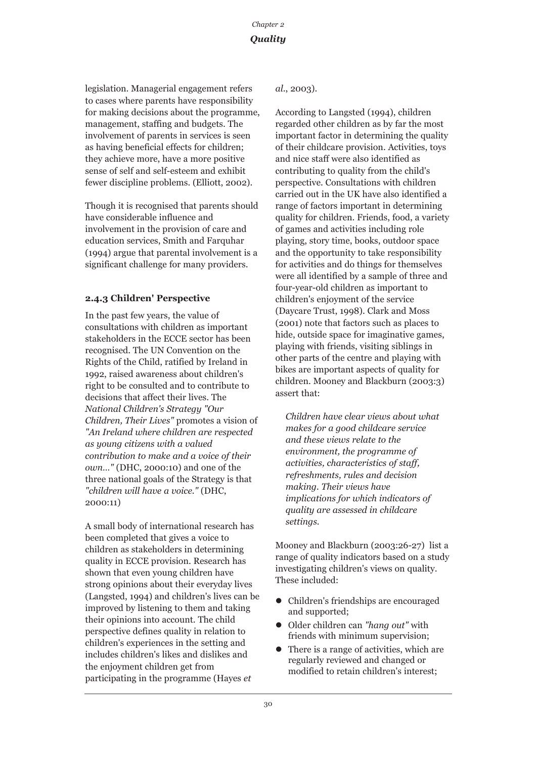legislation. Managerial engagement refers to cases where parents have responsibility for making decisions about the programme, management, staffing and budgets. The involvement of parents in services is seen as having beneficial effects for children; they achieve more, have a more positive sense of self and self-esteem and exhibit fewer discipline problems. (Elliott, 2002).

Though it is recognised that parents should have considerable influence and involvement in the provision of care and education services, Smith and Farquhar (1994) argue that parental involvement is a significant challenge for many providers.

## **2.4.3 Children' Perspective**

In the past few years, the value of consultations with children as important stakeholders in the ECCE sector has been recognised. The UN Convention on the Rights of the Child, ratified by Ireland in 1992, raised awareness about children's right to be consulted and to contribute to decisions that affect their lives. The *National Children's Strategy "Our Children, Their Lives"* promotes a vision of *"An Ireland where children are respected as young citizens with a valued contribution to make and a voice of their own…"* (DHC, 2000:10) and one of the three national goals of the Strategy is that *"children will have a voice."* (DHC, 2000:11)

A small body of international research has been completed that gives a voice to children as stakeholders in determining quality in ECCE provision. Research has shown that even young children have strong opinions about their everyday lives (Langsted, 1994) and children's lives can be improved by listening to them and taking their opinions into account. The child perspective defines quality in relation to children's experiences in the setting and includes children's likes and dislikes and the enjoyment children get from participating in the programme (Hayes *et*

#### *al*., 2003).

According to Langsted (1994), children regarded other children as by far the most important factor in determining the quality of their childcare provision. Activities, toys and nice staff were also identified as contributing to quality from the child's perspective. Consultations with children carried out in the UK have also identified a range of factors important in determining quality for children. Friends, food, a variety of games and activities including role playing, story time, books, outdoor space and the opportunity to take responsibility for activities and do things for themselves were all identified by a sample of three and four-year-old children as important to children's enjoyment of the service (Daycare Trust, 1998). Clark and Moss (2001) note that factors such as places to hide, outside space for imaginative games, playing with friends, visiting siblings in other parts of the centre and playing with bikes are important aspects of quality for children. Mooney and Blackburn (2003:3) assert that:

*Children have clear views about what makes for a good childcare service and these views relate to the environment, the programme of activities, characteristics of staff, refreshments, rules and decision making. Their views have implications for which indicators of quality are assessed in childcare settings.*

Mooney and Blackburn (2003:26-27) list a range of quality indicators based on a study investigating children's views on quality. These included:

- Children's friendships are encouraged and supported;
- z Older children can *"hang out"* with friends with minimum supervision;
- z There is a range of activities, which are regularly reviewed and changed or modified to retain children's interest;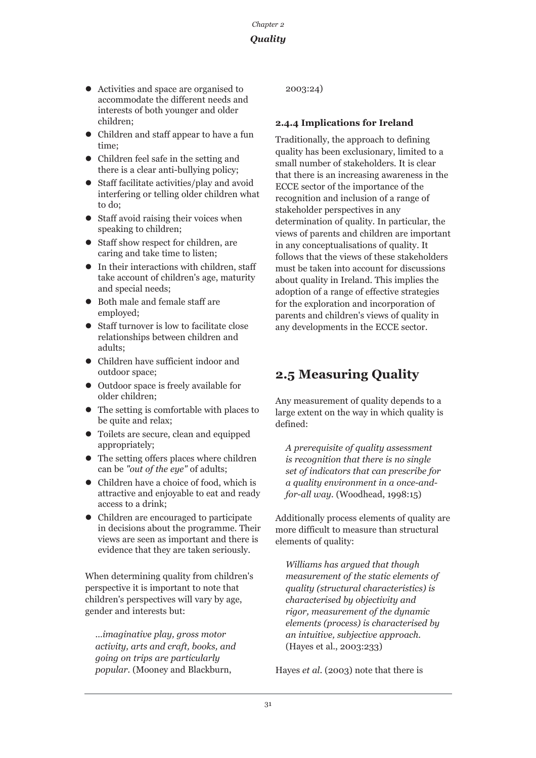## *Quality*

- Activities and space are organised to accommodate the different needs and interests of both younger and older children;
- Children and staff appear to have a fun time;
- $\bullet$  Children feel safe in the setting and there is a clear anti-bullying policy;
- $\bullet$  Staff facilitate activities/play and avoid interfering or telling older children what to do;
- Staff avoid raising their voices when speaking to children;
- Staff show respect for children, are caring and take time to listen;
- $\bullet$  In their interactions with children, staff take account of children's age, maturity and special needs;
- Both male and female staff are employed;
- Staff turnover is low to facilitate close relationships between children and adults;
- Children have sufficient indoor and outdoor space;
- $\bullet$  Outdoor space is freely available for older children;
- $\bullet$  The setting is comfortable with places to be quite and relax;
- $\bullet$  Toilets are secure, clean and equipped appropriately;
- $\bullet$  The setting offers places where children can be *"out of the eye"* of adults;
- Children have a choice of food, which is attractive and enjoyable to eat and ready access to a drink;
- Children are encouraged to participate in decisions about the programme. Their views are seen as important and there is evidence that they are taken seriously.

When determining quality from children's perspective it is important to note that children's perspectives will vary by age, gender and interests but:

*…imaginative play, gross motor activity, arts and craft, books, and going on trips are particularly popular.* (Mooney and Blackburn,

2003:24)

## **2.4.4 Implications for Ireland**

Traditionally, the approach to defining quality has been exclusionary, limited to a small number of stakeholders. It is clear that there is an increasing awareness in the ECCE sector of the importance of the recognition and inclusion of a range of stakeholder perspectives in any determination of quality. In particular, the views of parents and children are important in any conceptualisations of quality. It follows that the views of these stakeholders must be taken into account for discussions about quality in Ireland. This implies the adoption of a range of effective strategies for the exploration and incorporation of parents and children's views of quality in any developments in the ECCE sector.

## **2.5 Measuring Quality**

Any measurement of quality depends to a large extent on the way in which quality is defined:

*A prerequisite of quality assessment is recognition that there is no single set of indicators that can prescribe for a quality environment in a once-andfor-all way.* (Woodhead, 1998:15)

Additionally process elements of quality are more difficult to measure than structural elements of quality:

*Williams has argued that though measurement of the static elements of quality (structural characteristics) is characterised by objectivity and rigor, measurement of the dynamic elements (process) is characterised by an intuitive, subjective approach.* (Hayes et al., 2003:233)

Hayes *et al*. (2003) note that there is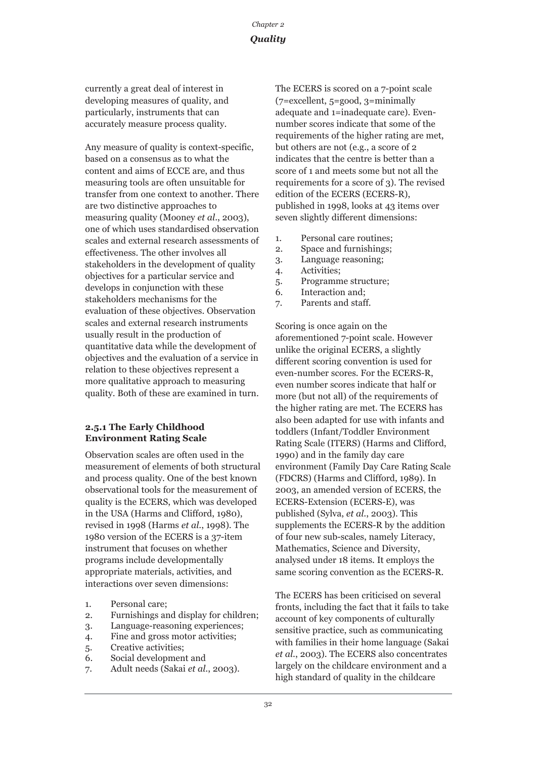currently a great deal of interest in developing measures of quality, and particularly, instruments that can accurately measure process quality.

Any measure of quality is context-specific, based on a consensus as to what the content and aims of ECCE are, and thus measuring tools are often unsuitable for transfer from one context to another. There are two distinctive approaches to measuring quality (Mooney *et al*., 2003), one of which uses standardised observation scales and external research assessments of effectiveness. The other involves all stakeholders in the development of quality objectives for a particular service and develops in conjunction with these stakeholders mechanisms for the evaluation of these objectives. Observation scales and external research instruments usually result in the production of quantitative data while the development of objectives and the evaluation of a service in relation to these objectives represent a more qualitative approach to measuring quality. Both of these are examined in turn.

#### **2.5.1 The Early Childhood Environment Rating Scale**

Observation scales are often used in the measurement of elements of both structural and process quality. One of the best known observational tools for the measurement of quality is the ECERS, which was developed in the USA (Harms and Clifford, 1980), revised in 1998 (Harms *et al*., 1998). The 1980 version of the ECERS is a 37-item instrument that focuses on whether programs include developmentally appropriate materials, activities, and interactions over seven dimensions:

- 1. Personal care;
- 2. Furnishings and display for children;
- 3. Language-reasoning experiences;
- 4. Fine and gross motor activities;
- 5. Creative activities;
- 6. Social development and
- 7. Adult needs (Sakai *et al*., 2003).

The ECERS is scored on a 7-point scale (7=excellent, 5=good, 3=minimally adequate and 1=inadequate care). Evennumber scores indicate that some of the requirements of the higher rating are met, but others are not (e.g., a score of 2 indicates that the centre is better than a score of 1 and meets some but not all the requirements for a score of 3). The revised edition of the ECERS (ECERS-R), published in 1998, looks at 43 items over seven slightly different dimensions:

- 1. Personal care routines;
- 2. Space and furnishings;
- 3. Language reasoning;
- 4. Activities;
- 5. Programme structure;
- 6. Interaction and;
- 7. Parents and staff.

Scoring is once again on the aforementioned 7-point scale. However unlike the original ECERS, a slightly different scoring convention is used for even-number scores. For the ECERS-R, even number scores indicate that half or more (but not all) of the requirements of the higher rating are met. The ECERS has also been adapted for use with infants and toddlers (Infant/Toddler Environment Rating Scale (ITERS) (Harms and Clifford, 1990) and in the family day care environment (Family Day Care Rating Scale (FDCRS) (Harms and Clifford, 1989). In 2003, an amended version of ECERS, the ECERS-Extension (ECERS-E), was published (Sylva, *et al*., 2003). This supplements the ECERS-R by the addition of four new sub-scales, namely Literacy, Mathematics, Science and Diversity, analysed under 18 items. It employs the same scoring convention as the ECERS-R.

The ECERS has been criticised on several fronts, including the fact that it fails to take account of key components of culturally sensitive practice, such as communicating with families in their home language (Sakai *et al*., 2003). The ECERS also concentrates largely on the childcare environment and a high standard of quality in the childcare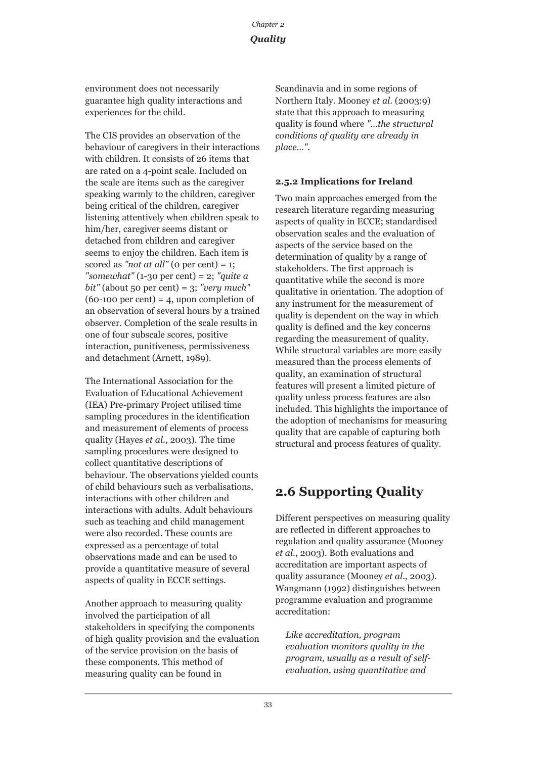environment does not necessarily guarantee high quality interactions and experiences for the child.

The CIS provides an observation of the behaviour of caregivers in their interactions with children. It consists of 26 items that are rated on a 4-point scale. Included on the scale are items such as the caregiver speaking warmly to the children, caregiver being critical of the children, caregiver listening attentively when children speak to him/her, caregiver seems distant or detached from children and caregiver seems to enjoy the children. Each item is scored as "*not at all*" ( $o$  per cent) = 1; *"somewhat"* (1-30 per cent) = 2; *"quite a bit"* (about 50 per cent) = 3; *"very much"*  $(60-100 \text{ per cent}) = 4$ , upon completion of an observation of several hours by a trained observer. Completion of the scale results in one of four subscale scores, positive interaction, punitiveness, permissiveness and detachment (Arnett, 1989).

The International Association for the Evaluation of Educational Achievement (IEA) Pre-primary Project utilised time sampling procedures in the identification and measurement of elements of process quality (Hayes *et al*., 2003). The time sampling procedures were designed to collect quantitative descriptions of behaviour. The observations yielded counts of child behaviours such as verbalisations, interactions with other children and interactions with adults. Adult behaviours such as teaching and child management were also recorded. These counts are expressed as a percentage of total observations made and can be used to provide a quantitative measure of several aspects of quality in ECCE settings.

Another approach to measuring quality involved the participation of all stakeholders in specifying the components of high quality provision and the evaluation of the service provision on the basis of these components. This method of measuring quality can be found in

Scandinavia and in some regions of Northern Italy. Mooney *et al*. (2003:9) state that this approach to measuring quality is found where *"…the structural conditions of quality are already in place…".*

## **2.5.2 Implications for Ireland**

Two main approaches emerged from the research literature regarding measuring aspects of quality in ECCE; standardised observation scales and the evaluation of aspects of the service based on the determination of quality by a range of stakeholders. The first approach is quantitative while the second is more qualitative in orientation. The adoption of any instrument for the measurement of quality is dependent on the way in which quality is defined and the key concerns regarding the measurement of quality. While structural variables are more easily measured than the process elements of quality, an examination of structural features will present a limited picture of quality unless process features are also included. This highlights the importance of the adoption of mechanisms for measuring quality that are capable of capturing both structural and process features of quality.

## **2.6 Supporting Quality**

Different perspectives on measuring quality are reflected in different approaches to regulation and quality assurance (Mooney *et al*., 2003). Both evaluations and accreditation are important aspects of quality assurance (Mooney *et al*., 2003). Wangmann (1992) distinguishes between programme evaluation and programme accreditation:

*Like accreditation, program evaluation monitors quality in the program, usually as a result of selfevaluation, using quantitative and*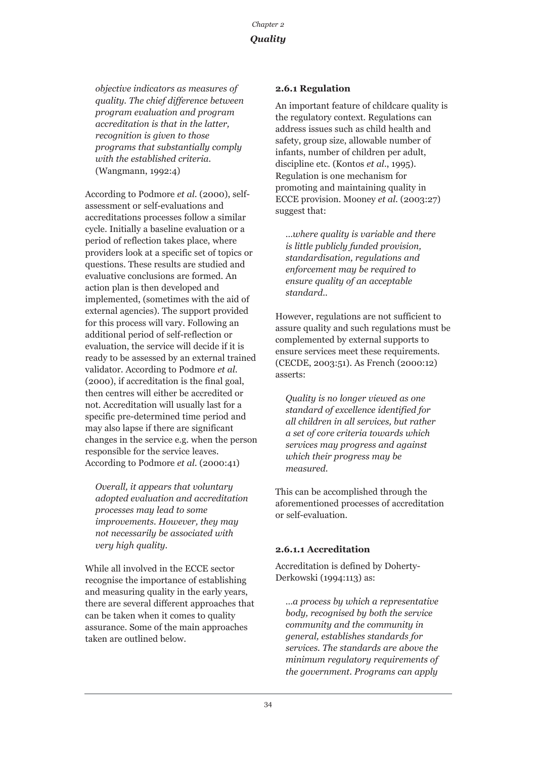*objective indicators as measures of quality. The chief difference between program evaluation and program accreditation is that in the latter, recognition is given to those programs that substantially comply with the established criteria.* (Wangmann, 1992:4)

According to Podmore *et al*. (2000), selfassessment or self-evaluations and accreditations processes follow a similar cycle. Initially a baseline evaluation or a period of reflection takes place, where providers look at a specific set of topics or questions. These results are studied and evaluative conclusions are formed. An action plan is then developed and implemented, (sometimes with the aid of external agencies). The support provided for this process will vary. Following an additional period of self-reflection or evaluation, the service will decide if it is ready to be assessed by an external trained validator. According to Podmore *et al*. (2000), if accreditation is the final goal, then centres will either be accredited or not. Accreditation will usually last for a specific pre-determined time period and may also lapse if there are significant changes in the service e.g. when the person responsible for the service leaves. According to Podmore *et al*. (2000:41)

*Overall, it appears that voluntary adopted evaluation and accreditation processes may lead to some improvements. However, they may not necessarily be associated with very high quality.* 

While all involved in the ECCE sector recognise the importance of establishing and measuring quality in the early years, there are several different approaches that can be taken when it comes to quality assurance. Some of the main approaches taken are outlined below.

#### **2.6.1 Regulation**

An important feature of childcare quality is the regulatory context. Regulations can address issues such as child health and safety, group size, allowable number of infants, number of children per adult, discipline etc. (Kontos *et al*., 1995). Regulation is one mechanism for promoting and maintaining quality in ECCE provision. Mooney *et al*. (2003:27) suggest that:

*…where quality is variable and there is little publicly funded provision, standardisation, regulations and enforcement may be required to ensure quality of an acceptable standard..* 

However, regulations are not sufficient to assure quality and such regulations must be complemented by external supports to ensure services meet these requirements. (CECDE, 2003:51). As French (2000:12) asserts:

*Quality is no longer viewed as one standard of excellence identified for all children in all services, but rather a set of core criteria towards which services may progress and against which their progress may be measured.* 

This can be accomplished through the aforementioned processes of accreditation or self-evaluation.

#### **2.6.1.1 Accreditation**

Accreditation is defined by Doherty-Derkowski (1994:113) as:

*…a process by which a representative body, recognised by both the service community and the community in general, establishes standards for services. The standards are above the minimum regulatory requirements of the government. Programs can apply*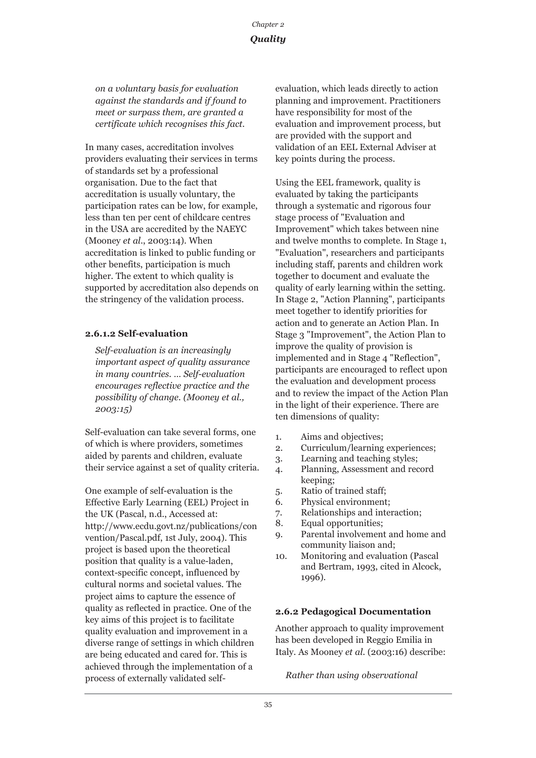*on a voluntary basis for evaluation against the standards and if found to meet or surpass them, are granted a certificate which recognises this fact.* 

In many cases, accreditation involves providers evaluating their services in terms of standards set by a professional organisation. Due to the fact that accreditation is usually voluntary, the participation rates can be low, for example, less than ten per cent of childcare centres in the USA are accredited by the NAEYC (Mooney *et al*., 2003:14). When accreditation is linked to public funding or other benefits, participation is much higher. The extent to which quality is supported by accreditation also depends on the stringency of the validation process.

#### **2.6.1.2 Self-evaluation**

*Self-evaluation is an increasingly important aspect of quality assurance in many countries. … Self-evaluation encourages reflective practice and the possibility of change. (Mooney et al., 2003:15)*

Self-evaluation can take several forms, one of which is where providers, sometimes aided by parents and children, evaluate their service against a set of quality criteria.

One example of self-evaluation is the Effective Early Learning (EEL) Project in the UK (Pascal, n.d., Accessed at: http://www.ecdu.govt.nz/publications/con vention/Pascal.pdf, 1st July, 2004). This project is based upon the theoretical position that quality is a value-laden, context-specific concept, influenced by cultural norms and societal values. The project aims to capture the essence of quality as reflected in practice. One of the key aims of this project is to facilitate quality evaluation and improvement in a diverse range of settings in which children are being educated and cared for. This is achieved through the implementation of a process of externally validated selfevaluation, which leads directly to action planning and improvement. Practitioners have responsibility for most of the evaluation and improvement process, but are provided with the support and validation of an EEL External Adviser at key points during the process.

Using the EEL framework, quality is evaluated by taking the participants through a systematic and rigorous four stage process of "Evaluation and Improvement" which takes between nine and twelve months to complete. In Stage 1, "Evaluation", researchers and participants including staff, parents and children work together to document and evaluate the quality of early learning within the setting. In Stage 2, "Action Planning", participants meet together to identify priorities for action and to generate an Action Plan. In Stage 3 "Improvement", the Action Plan to improve the quality of provision is implemented and in Stage 4 "Reflection", participants are encouraged to reflect upon the evaluation and development process and to review the impact of the Action Plan in the light of their experience. There are ten dimensions of quality:

- 1. Aims and objectives;
- 2. Curriculum/learning experiences;
- 3. Learning and teaching styles;
- 4. Planning, Assessment and record keeping;
- 5. Ratio of trained staff;
- 6. Physical environment;
- 7. Relationships and interaction;
- 8. Equal opportunities;
- 9. Parental involvement and home and community liaison and;
- 10. Monitoring and evaluation (Pascal and Bertram, 1993, cited in Alcock, 1996).

#### **2.6.2 Pedagogical Documentation**

Another approach to quality improvement has been developed in Reggio Emilia in Italy. As Mooney *et al*. (2003:16) describe:

*Rather than using observational*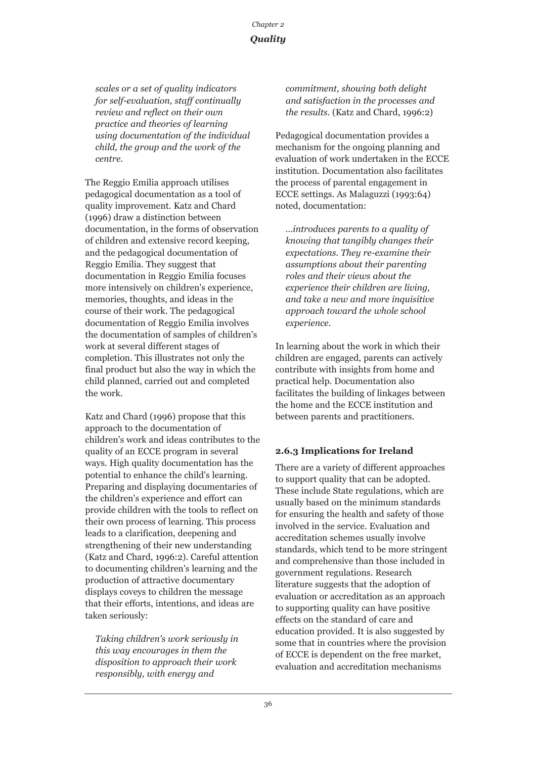*scales or a set of quality indicators for self-evaluation, staff continually review and reflect on their own practice and theories of learning using documentation of the individual child, the group and the work of the centre.* 

The Reggio Emilia approach utilises pedagogical documentation as a tool of quality improvement. Katz and Chard (1996) draw a distinction between documentation, in the forms of observation of children and extensive record keeping, and the pedagogical documentation of Reggio Emilia. They suggest that documentation in Reggio Emilia focuses more intensively on children's experience, memories, thoughts, and ideas in the course of their work. The pedagogical documentation of Reggio Emilia involves the documentation of samples of children's work at several different stages of completion. This illustrates not only the final product but also the way in which the child planned, carried out and completed the work.

Katz and Chard (1996) propose that this approach to the documentation of children's work and ideas contributes to the quality of an ECCE program in several ways. High quality documentation has the potential to enhance the child's learning. Preparing and displaying documentaries of the children's experience and effort can provide children with the tools to reflect on their own process of learning. This process leads to a clarification, deepening and strengthening of their new understanding (Katz and Chard, 1996:2). Careful attention to documenting children's learning and the production of attractive documentary displays coveys to children the message that their efforts, intentions, and ideas are taken seriously:

*Taking children's work seriously in this way encourages in them the disposition to approach their work responsibly, with energy and*

*commitment, showing both delight and satisfaction in the processes and the results.* (Katz and Chard, 1996:2)

Pedagogical documentation provides a mechanism for the ongoing planning and evaluation of work undertaken in the ECCE institution. Documentation also facilitates the process of parental engagement in ECCE settings. As Malaguzzi (1993:64) noted, documentation:

*…introduces parents to a quality of knowing that tangibly changes their expectations. They re-examine their assumptions about their parenting roles and their views about the experience their children are living, and take a new and more inquisitive approach toward the whole school experience.* 

In learning about the work in which their children are engaged, parents can actively contribute with insights from home and practical help. Documentation also facilitates the building of linkages between the home and the ECCE institution and between parents and practitioners.

## **2.6.3 Implications for Ireland**

There are a variety of different approaches to support quality that can be adopted. These include State regulations, which are usually based on the minimum standards for ensuring the health and safety of those involved in the service. Evaluation and accreditation schemes usually involve standards, which tend to be more stringent and comprehensive than those included in government regulations. Research literature suggests that the adoption of evaluation or accreditation as an approach to supporting quality can have positive effects on the standard of care and education provided. It is also suggested by some that in countries where the provision of ECCE is dependent on the free market, evaluation and accreditation mechanisms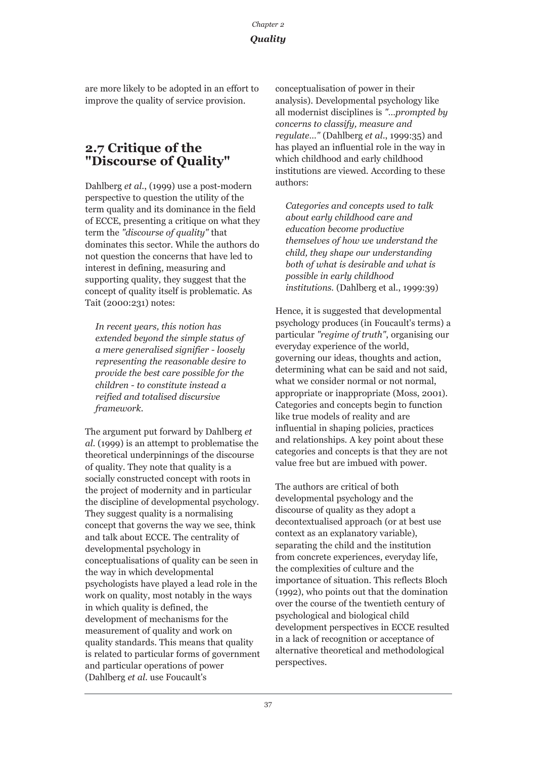are more likely to be adopted in an effort to improve the quality of service provision.

## **2.7 Critique of the "Discourse of Quality"**

Dahlberg *et al*., (1999) use a post-modern perspective to question the utility of the term quality and its dominance in the field of ECCE, presenting a critique on what they term the *"discourse of quality"* that dominates this sector. While the authors do not question the concerns that have led to interest in defining, measuring and supporting quality, they suggest that the concept of quality itself is problematic. As Tait (2000:231) notes:

*In recent years, this notion has extended beyond the simple status of a mere generalised signifier - loosely representing the reasonable desire to provide the best care possible for the children - to constitute instead a reified and totalised discursive framework.* 

The argument put forward by Dahlberg *et al*. (1999) is an attempt to problematise the theoretical underpinnings of the discourse of quality. They note that quality is a socially constructed concept with roots in the project of modernity and in particular the discipline of developmental psychology. They suggest quality is a normalising concept that governs the way we see, think and talk about ECCE. The centrality of developmental psychology in conceptualisations of quality can be seen in the way in which developmental psychologists have played a lead role in the work on quality, most notably in the ways in which quality is defined, the development of mechanisms for the measurement of quality and work on quality standards. This means that quality is related to particular forms of government and particular operations of power (Dahlberg *et al*. use Foucault's

conceptualisation of power in their analysis). Developmental psychology like all modernist disciplines is *"…prompted by concerns to classify, measure and regulate…"* (Dahlberg *et al*., 1999:35) and has played an influential role in the way in which childhood and early childhood institutions are viewed. According to these authors:

*Categories and concepts used to talk about early childhood care and education become productive themselves of how we understand the child, they shape our understanding both of what is desirable and what is possible in early childhood institutions.* (Dahlberg et al., 1999:39)

Hence, it is suggested that developmental psychology produces (in Foucault's terms) a particular *"regime of truth"*, organising our everyday experience of the world, governing our ideas, thoughts and action, determining what can be said and not said, what we consider normal or not normal, appropriate or inappropriate (Moss, 2001). Categories and concepts begin to function like true models of reality and are influential in shaping policies, practices and relationships. A key point about these categories and concepts is that they are not value free but are imbued with power.

The authors are critical of both developmental psychology and the discourse of quality as they adopt a decontextualised approach (or at best use context as an explanatory variable), separating the child and the institution from concrete experiences, everyday life, the complexities of culture and the importance of situation. This reflects Bloch (1992), who points out that the domination over the course of the twentieth century of psychological and biological child development perspectives in ECCE resulted in a lack of recognition or acceptance of alternative theoretical and methodological perspectives.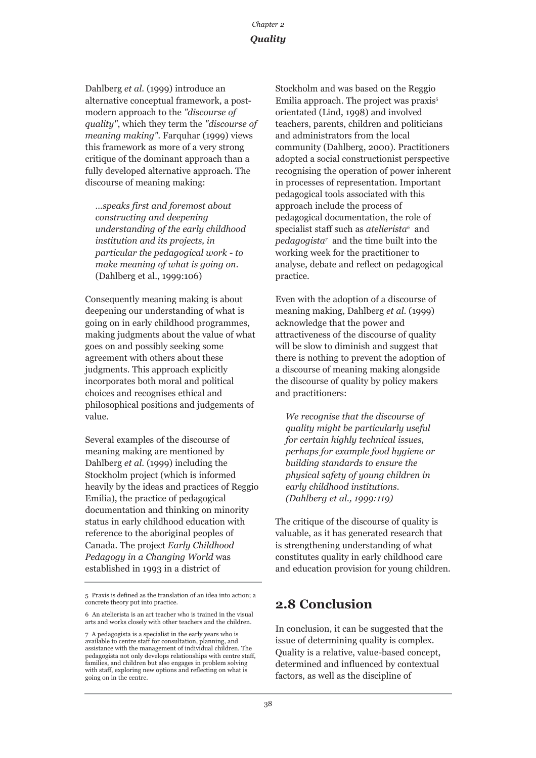Dahlberg *et al*. (1999) introduce an alternative conceptual framework, a postmodern approach to the *"discourse of quality"*, which they term the *"discourse of meaning making".* Farquhar (1999) views this framework as more of a very strong critique of the dominant approach than a fully developed alternative approach. The discourse of meaning making:

*…speaks first and foremost about constructing and deepening understanding of the early childhood institution and its projects, in particular the pedagogical work - to make meaning of what is going on.* (Dahlberg et al., 1999:106)

Consequently meaning making is about deepening our understanding of what is going on in early childhood programmes, making judgments about the value of what goes on and possibly seeking some agreement with others about these judgments. This approach explicitly incorporates both moral and political choices and recognises ethical and philosophical positions and judgements of value.

Several examples of the discourse of meaning making are mentioned by Dahlberg *et al*. (1999) including the Stockholm project (which is informed heavily by the ideas and practices of Reggio Emilia), the practice of pedagogical documentation and thinking on minority status in early childhood education with reference to the aboriginal peoples of Canada. The project *Early Childhood Pedagogy in a Changing World* was established in 1993 in a district of

Stockholm and was based on the Reggio Emilia approach. The project was praxis<sup>5</sup> orientated (Lind, 1998) and involved teachers, parents, children and politicians and administrators from the local community (Dahlberg, 2000). Practitioners adopted a social constructionist perspective recognising the operation of power inherent in processes of representation. Important pedagogical tools associated with this approach include the process of pedagogical documentation, the role of specialist staff such as *atelierista*<sup>6</sup> and *pedagogista7* and the time built into the working week for the practitioner to analyse, debate and reflect on pedagogical practice.

Even with the adoption of a discourse of meaning making, Dahlberg *et al*. (1999) acknowledge that the power and attractiveness of the discourse of quality will be slow to diminish and suggest that there is nothing to prevent the adoption of a discourse of meaning making alongside the discourse of quality by policy makers and practitioners:

*We recognise that the discourse of quality might be particularly useful for certain highly technical issues, perhaps for example food hygiene or building standards to ensure the physical safety of young children in early childhood institutions. (Dahlberg et al., 1999:119)*

The critique of the discourse of quality is valuable, as it has generated research that is strengthening understanding of what constitutes quality in early childhood care and education provision for young children.

## **2.8 Conclusion**

In conclusion, it can be suggested that the issue of determining quality is complex. Quality is a relative, value-based concept, determined and influenced by contextual factors, as well as the discipline of

<sup>5</sup> Praxis is defined as the translation of an idea into action; a concrete theory put into practice.

<sup>6</sup> An atelierista is an art teacher who is trained in the visual arts and works closely with other teachers and the children.

<sup>7</sup> A pedagogista is a specialist in the early years who is available to centre staff for consultation, planning, and assistance with the management of individual children. The pedagogista not only develops relationships with centre staff, families, and children but also engages in problem solving with staff, exploring new options and reflecting on what is going on in the centre.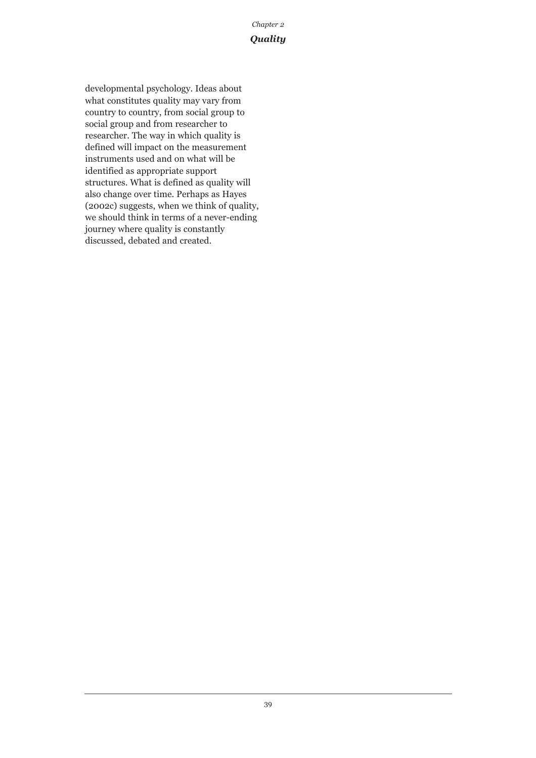developmental psychology. Ideas about what constitutes quality may vary from country to country, from social group to social group and from researcher to researcher. The way in which quality is defined will impact on the measurement instruments used and on what will be identified as appropriate support structures. What is defined as quality will also change over time. Perhaps as Hayes (2002c) suggests, when we think of quality, we should think in terms of a never-ending journey where quality is constantly discussed, debated and created.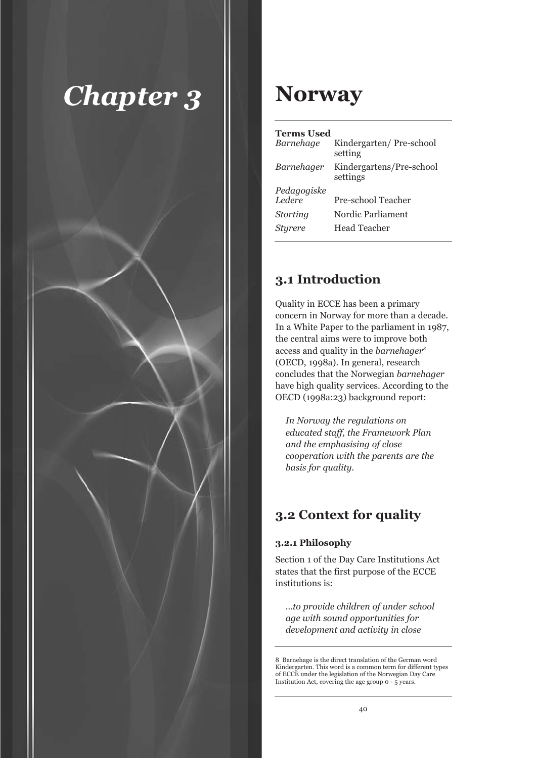

## **Norway**

#### **Terms Used**

| Barnehage       | Kindergarten/Pre-school<br>setting   |
|-----------------|--------------------------------------|
| Barnehager      | Kindergartens/Pre-school<br>settings |
| Pedagogiske     |                                      |
| Ledere          | Pre-school Teacher                   |
| <b>Storting</b> | Nordic Parliament                    |
| Sturere         | <b>Head Teacher</b>                  |
|                 |                                      |

## **3.1 Introduction**

Quality in ECCE has been a primary concern in Norway for more than a decade. In a White Paper to the parliament in 1987, the central aims were to improve both access and quality in the *barnehager8* (OECD, 1998a). In general, research concludes that the Norwegian *barnehager* have high quality services. According to the OECD (1998a:23) background report:

*In Norway the regulations on educated staff, the Framework Plan and the emphasising of close cooperation with the parents are the basis for quality.* 

## **3.2 Context for quality**

## **3.2.1 Philosophy**

Section 1 of the Day Care Institutions Act states that the first purpose of the ECCE institutions is:

*…to provide children of under school age with sound opportunities for development and activity in close*

<sup>8</sup> Barnehage is the direct translation of the German word Kindergarten. This word is a common term for different types of ECCE under the legislation of the Norwegian Day Care Institution Act, covering the age group 0 - 5 years.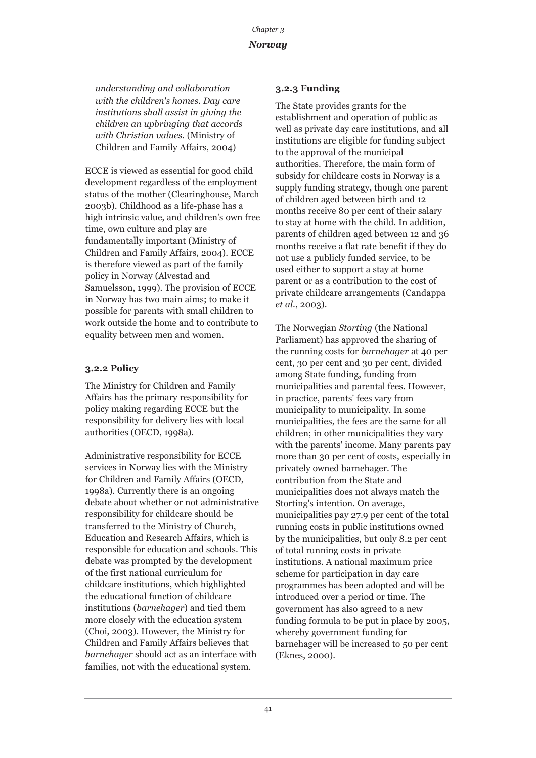*understanding and collaboration with the children's homes. Day care institutions shall assist in giving the children an upbringing that accords with Christian values.* (Ministry of Children and Family Affairs, 2004)

ECCE is viewed as essential for good child development regardless of the employment status of the mother (Clearinghouse, March 2003b). Childhood as a life-phase has a high intrinsic value, and children's own free time, own culture and play are fundamentally important (Ministry of Children and Family Affairs, 2004). ECCE is therefore viewed as part of the family policy in Norway (Alvestad and Samuelsson, 1999). The provision of ECCE in Norway has two main aims; to make it possible for parents with small children to work outside the home and to contribute to equality between men and women.

#### **3.2.2 Policy**

The Ministry for Children and Family Affairs has the primary responsibility for policy making regarding ECCE but the responsibility for delivery lies with local authorities (OECD, 1998a).

Administrative responsibility for ECCE services in Norway lies with the Ministry for Children and Family Affairs (OECD, 1998a). Currently there is an ongoing debate about whether or not administrative responsibility for childcare should be transferred to the Ministry of Church, Education and Research Affairs, which is responsible for education and schools. This debate was prompted by the development of the first national curriculum for childcare institutions, which highlighted the educational function of childcare institutions (*barnehager*) and tied them more closely with the education system (Choi, 2003). However, the Ministry for Children and Family Affairs believes that *barnehager* should act as an interface with families, not with the educational system.

## **3.2.3 Funding**

The State provides grants for the establishment and operation of public as well as private day care institutions, and all institutions are eligible for funding subject to the approval of the municipal authorities. Therefore, the main form of subsidy for childcare costs in Norway is a supply funding strategy, though one parent of children aged between birth and 12 months receive 80 per cent of their salary to stay at home with the child. In addition, parents of children aged between 12 and 36 months receive a flat rate benefit if they do not use a publicly funded service, to be used either to support a stay at home parent or as a contribution to the cost of private childcare arrangements (Candappa *et al*., 2003).

The Norwegian *Storting* (the National Parliament) has approved the sharing of the running costs for *barnehager* at 40 per cent, 30 per cent and 30 per cent, divided among State funding, funding from municipalities and parental fees. However, in practice, parents' fees vary from municipality to municipality. In some municipalities, the fees are the same for all children; in other municipalities they vary with the parents' income. Many parents pay more than 30 per cent of costs, especially in privately owned barnehager. The contribution from the State and municipalities does not always match the Storting's intention. On average, municipalities pay 27.9 per cent of the total running costs in public institutions owned by the municipalities, but only 8.2 per cent of total running costs in private institutions. A national maximum price scheme for participation in day care programmes has been adopted and will be introduced over a period or time. The government has also agreed to a new funding formula to be put in place by 2005, whereby government funding for barnehager will be increased to 50 per cent (Eknes, 2000).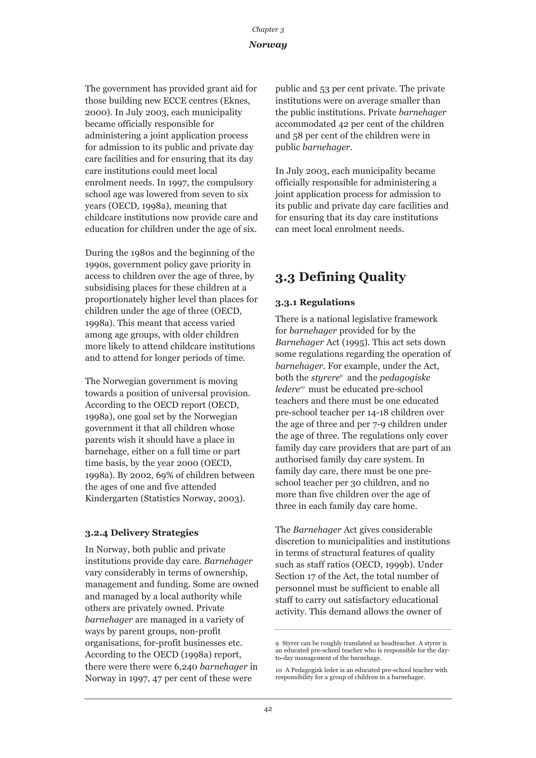The government has provided grant aid for those building new ECCE centres (Eknes, 2000). In July 2003, each municipality became officially responsible for administering a joint application process for admission to its public and private day care facilities and for ensuring that its day care institutions could meet local enrolment needs. In 1997, the compulsory school age was lowered from seven to six years (OECD, 1998a), meaning that childcare institutions now provide care and education for children under the age of six.

During the 1980s and the beginning of the 1990s, government policy gave priority in access to children over the age of three, by subsidising places for these children at a proportionately higher level than places for children under the age of three (OECD, 1998a). This meant that access varied among age groups, with older children more likely to attend childcare institutions and to attend for longer periods of time.

The Norwegian government is moving towards a position of universal provision. According to the OECD report (OECD, 1998a), one goal set by the Norwegian government it that all children whose parents wish it should have a place in barnehage, either on a full time or part time basis, by the year 2000 (OECD, 1998a). By 2002, 69% of children between the ages of one and five attended Kindergarten (Statistics Norway, 2003).

## **3.2.4 Delivery Strategies**

In Norway, both public and private institutions provide day care. *Barnehager* vary considerably in terms of ownership, management and funding. Some are owned and managed by a local authority while others are privately owned. Private *barnehager* are managed in a variety of ways by parent groups, non-profit organisations, for-profit businesses etc. According to the OECD (1998a) report, there were there were 6,240 *barnehager* in Norway in 1997, 47 per cent of these were

public and 53 per cent private. The private institutions were on average smaller than the public institutions. Private *barnehager* accommodated 42 per cent of the children and 58 per cent of the children were in public *barnehager*.

In July 2003, each municipality became officially responsible for administering a joint application process for admission to its public and private day care facilities and for ensuring that its day care institutions can meet local enrolment needs.

## **3.3 Defining Quality**

## **3.3.1 Regulations**

There is a national legislative framework for *barnehager* provided for by the *Barnehager* Act (1995). This act sets down some regulations regarding the operation of *barnehager*. For example, under the Act, both the *styrere9* and the *pedagogiske ledere10* must be educated pre-school teachers and there must be one educated pre-school teacher per 14-18 children over the age of three and per 7-9 children under the age of three. The regulations only cover family day care providers that are part of an authorised family day care system. In family day care, there must be one preschool teacher per 30 children, and no more than five children over the age of three in each family day care home.

The *Barnehager* Act gives considerable discretion to municipalities and institutions in terms of structural features of quality such as staff ratios (OECD, 1999b). Under Section 17 of the Act, the total number of personnel must be sufficient to enable all staff to carry out satisfactory educational activity. This demand allows the owner of

<sup>9</sup> Styrer can be roughly translated as headteacher. A styrer is an educated pre-school teacher who is responsible for the dayto-day management of the barnehage.

<sup>10</sup> A Pedagogisk leder is an educated pre-school teacher with responsibility for a group of children in a barnehager.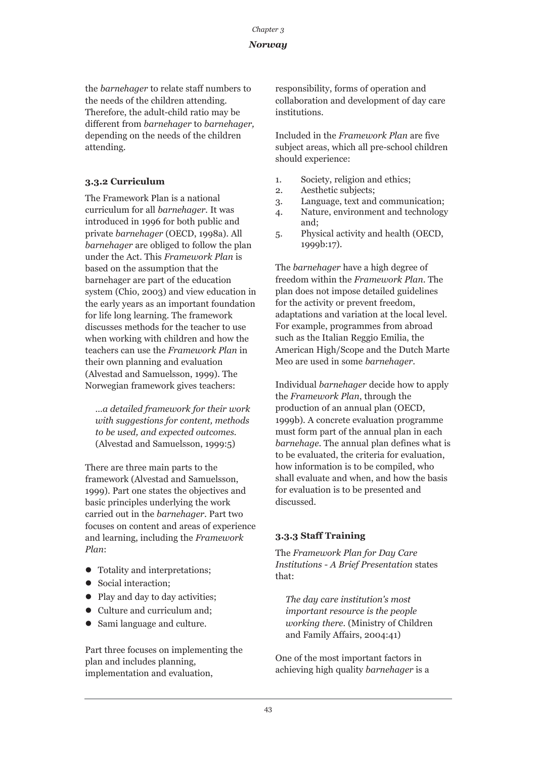## *Norway*

the *barnehager* to relate staff numbers to the needs of the children attending. Therefore, the adult-child ratio may be different from *barnehager* to *barnehager,* depending on the needs of the children attending.

## **3.3.2 Curriculum**

The Framework Plan is a national curriculum for all *barnehager*. It was introduced in 1996 for both public and private *barnehager* (OECD, 1998a). All *barnehager* are obliged to follow the plan under the Act. This *Framework Plan* is based on the assumption that the barnehager are part of the education system (Chio, 2003) and view education in the early years as an important foundation for life long learning. The framework discusses methods for the teacher to use when working with children and how the teachers can use the *Framework Plan* in their own planning and evaluation (Alvestad and Samuelsson, 1999). The Norwegian framework gives teachers:

*…a detailed framework for their work with suggestions for content, methods to be used, and expected outcomes.* (Alvestad and Samuelsson, 1999:5)

There are three main parts to the framework (Alvestad and Samuelsson, 1999). Part one states the objectives and basic principles underlying the work carried out in the *barnehager*. Part two focuses on content and areas of experience and learning, including the *Framework Plan*:

- Totality and interpretations;
- Social interaction;
- Play and day to day activities;
- Culture and curriculum and;
- Sami language and culture.

Part three focuses on implementing the plan and includes planning, implementation and evaluation,

responsibility, forms of operation and collaboration and development of day care institutions.

Included in the *Framework Plan* are five subject areas, which all pre-school children should experience:

- 1. Society, religion and ethics;
- 2. Aesthetic subjects;
- 3. Language, text and communication;
- 4. Nature, environment and technology and;
- 5. Physical activity and health (OECD, 1999b:17).

The *barnehager* have a high degree of freedom within the *Framework Plan*. The plan does not impose detailed guidelines for the activity or prevent freedom, adaptations and variation at the local level. For example, programmes from abroad such as the Italian Reggio Emilia, the American High/Scope and the Dutch Marte Meo are used in some *barnehager*.

Individual *barnehager* decide how to apply the *Framework Plan*, through the production of an annual plan (OECD, 1999b). A concrete evaluation programme must form part of the annual plan in each *barnehage*. The annual plan defines what is to be evaluated, the criteria for evaluation, how information is to be compiled, who shall evaluate and when, and how the basis for evaluation is to be presented and discussed.

## **3.3.3 Staff Training**

The *Framework Plan for Day Care Institutions - A Brief Presentation* states that:

*The day care institution's most important resource is the people working there.* (Ministry of Children and Family Affairs, 2004:41)

One of the most important factors in achieving high quality *barnehager* is a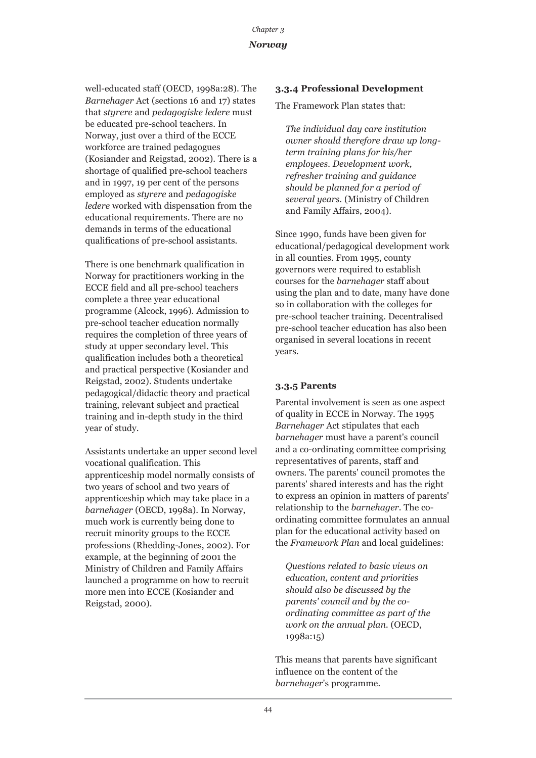well-educated staff (OECD, 1998a:28). The *Barnehager* Act (sections 16 and 17) states that *styrere* and *pedagogiske ledere* must be educated pre-school teachers. In Norway, just over a third of the ECCE workforce are trained pedagogues (Kosiander and Reigstad, 2002). There is a shortage of qualified pre-school teachers and in 1997, 19 per cent of the persons employed as *styrere* and *pedagogiske ledere* worked with dispensation from the educational requirements. There are no demands in terms of the educational qualifications of pre-school assistants.

There is one benchmark qualification in Norway for practitioners working in the ECCE field and all pre-school teachers complete a three year educational programme (Alcock, 1996). Admission to pre-school teacher education normally requires the completion of three years of study at upper secondary level. This qualification includes both a theoretical and practical perspective (Kosiander and Reigstad, 2002). Students undertake pedagogical/didactic theory and practical training, relevant subject and practical training and in-depth study in the third year of study.

Assistants undertake an upper second level vocational qualification. This apprenticeship model normally consists of two years of school and two years of apprenticeship which may take place in a *barnehager* (OECD, 1998a). In Norway, much work is currently being done to recruit minority groups to the ECCE professions (Rhedding-Jones, 2002). For example, at the beginning of 2001 the Ministry of Children and Family Affairs launched a programme on how to recruit more men into ECCE (Kosiander and Reigstad, 2000).

## **3.3.4 Professional Development**

The Framework Plan states that:

*The individual day care institution owner should therefore draw up longterm training plans for his/her employees. Development work, refresher training and guidance should be planned for a period of several years.* (Ministry of Children and Family Affairs, 2004).

Since 1990, funds have been given for educational/pedagogical development work in all counties. From 1995, county governors were required to establish courses for the *barnehager* staff about using the plan and to date, many have done so in collaboration with the colleges for pre-school teacher training. Decentralised pre-school teacher education has also been organised in several locations in recent years.

## **3.3.5 Parents**

Parental involvement is seen as one aspect of quality in ECCE in Norway. The 1995 *Barnehager* Act stipulates that each *barnehager* must have a parent's council and a co-ordinating committee comprising representatives of parents, staff and owners. The parents' council promotes the parents' shared interests and has the right to express an opinion in matters of parents' relationship to the *barnehager*. The coordinating committee formulates an annual plan for the educational activity based on the *Framework Plan* and local guidelines:

*Questions related to basic views on education, content and priorities should also be discussed by the parents' council and by the coordinating committee as part of the work on the annual plan.* (OECD, 1998a:15)

This means that parents have significant influence on the content of the *barnehager*'s programme.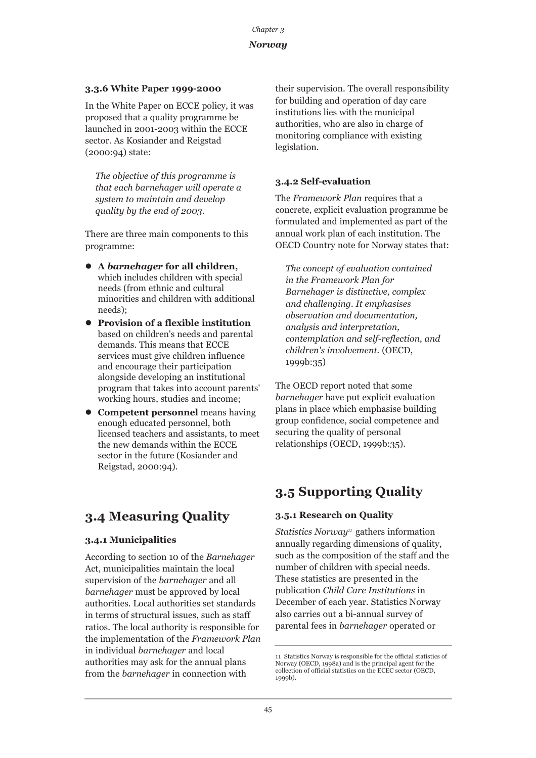## **3.3.6 White Paper 1999-2000**

In the White Paper on ECCE policy, it was proposed that a quality programme be launched in 2001-2003 within the ECCE sector. As Kosiander and Reigstad (2000:94) state:

*The objective of this programme is that each barnehager will operate a system to maintain and develop quality by the end of 2003.* 

There are three main components to this programme:

- z **A** *barnehager* **for all children,** which includes children with special needs (from ethnic and cultural minorities and children with additional needs);
- **Provision of a flexible institution** based on children's needs and parental demands. This means that ECCE services must give children influence and encourage their participation alongside developing an institutional program that takes into account parents' working hours, studies and income;
- **Competent personnel** means having enough educated personnel, both licensed teachers and assistants, to meet the new demands within the ECCE sector in the future (Kosiander and Reigstad, 2000:94).

## **3.4 Measuring Quality**

## **3.4.1 Municipalities**

According to section 10 of the *Barnehager* Act, municipalities maintain the local supervision of the *barnehager* and all *barnehager* must be approved by local authorities. Local authorities set standards in terms of structural issues, such as staff ratios. The local authority is responsible for the implementation of the *Framework Plan* in individual *barnehager* and local authorities may ask for the annual plans from the *barnehager* in connection with

their supervision. The overall responsibility for building and operation of day care institutions lies with the municipal authorities, who are also in charge of monitoring compliance with existing legislation.

#### **3.4.2 Self-evaluation**

The *Framework Plan* requires that a concrete, explicit evaluation programme be formulated and implemented as part of the annual work plan of each institution. The OECD Country note for Norway states that:

*The concept of evaluation contained in the Framework Plan for Barnehager is distinctive, complex and challenging. It emphasises observation and documentation, analysis and interpretation, contemplation and self-reflection, and children's involvement.* (OECD, 1999b:35)

The OECD report noted that some *barnehager* have put explicit evaluation plans in place which emphasise building group confidence, social competence and securing the quality of personal relationships (OECD, 1999b:35).

## **3.5 Supporting Quality**

#### **3.5.1 Research on Quality**

*Statistics Norway<sup>11</sup>* gathers information annually regarding dimensions of quality, such as the composition of the staff and the number of children with special needs. These statistics are presented in the publication *Child Care Institutions* in December of each year. Statistics Norway also carries out a bi-annual survey of parental fees in *barnehager* operated or

<sup>11</sup> Statistics Norway is responsible for the official statistics of Norway (OECD, 1998a) and is the principal agent for the collection of official statistics on the ECEC sector (OECD, 1999b).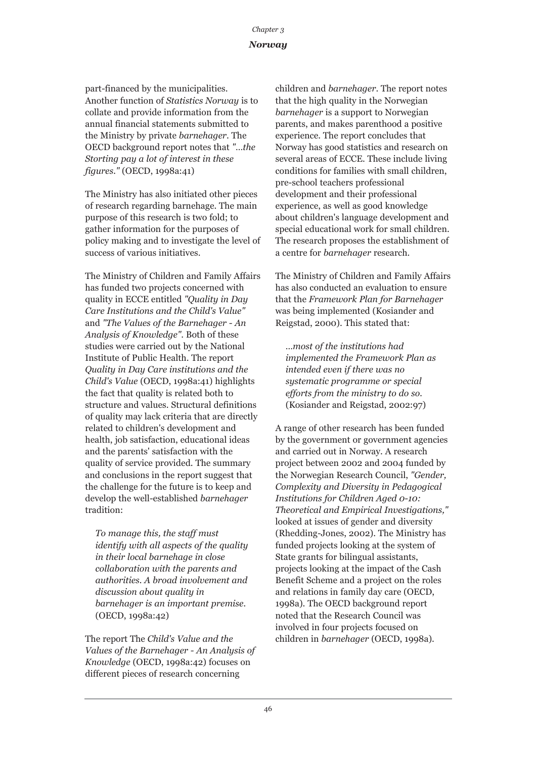part-financed by the municipalities. Another function of *Statistics Norway* is to collate and provide information from the annual financial statements submitted to the Ministry by private *barnehager*. The OECD background report notes that *"…the Storting pay a lot of interest in these figures."* (OECD, 1998a:41)

The Ministry has also initiated other pieces of research regarding barnehage. The main purpose of this research is two fold; to gather information for the purposes of policy making and to investigate the level of success of various initiatives.

The Ministry of Children and Family Affairs has funded two projects concerned with quality in ECCE entitled *"Quality in Day Care Institutions and the Child's Value"* and *"The Values of the Barnehager - An Analysis of Knowledge"*. Both of these studies were carried out by the National Institute of Public Health. The report *Quality in Day Care institutions and the Child's Value* (OECD, 1998a:41) highlights the fact that quality is related both to structure and values. Structural definitions of quality may lack criteria that are directly related to children's development and health, job satisfaction, educational ideas and the parents' satisfaction with the quality of service provided. The summary and conclusions in the report suggest that the challenge for the future is to keep and develop the well-established *barnehager* tradition:

*To manage this, the staff must identify with all aspects of the quality in their local barnehage in close collaboration with the parents and authorities. A broad involvement and discussion about quality in barnehager is an important premise.* (OECD, 1998a:42)

The report The *Child's Value and the Values of the Barnehager - An Analysis of Knowledge* (OECD, 1998a:42) focuses on different pieces of research concerning

children and *barnehager*. The report notes that the high quality in the Norwegian *barnehager* is a support to Norwegian parents, and makes parenthood a positive experience. The report concludes that Norway has good statistics and research on several areas of ECCE. These include living conditions for families with small children, pre-school teachers professional development and their professional experience, as well as good knowledge about children's language development and special educational work for small children. The research proposes the establishment of a centre for *barnehager* research.

The Ministry of Children and Family Affairs has also conducted an evaluation to ensure that the *Framework Plan for Barnehager* was being implemented (Kosiander and Reigstad, 2000). This stated that:

*…most of the institutions had implemented the Framework Plan as intended even if there was no systematic programme or special efforts from the ministry to do so.* (Kosiander and Reigstad, 2002:97)

A range of other research has been funded by the government or government agencies and carried out in Norway. A research project between 2002 and 2004 funded by the Norwegian Research Council, *"Gender, Complexity and Diversity in Pedagogical Institutions for Children Aged 0-10: Theoretical and Empirical Investigations,"* looked at issues of gender and diversity (Rhedding-Jones, 2002). The Ministry has funded projects looking at the system of State grants for bilingual assistants, projects looking at the impact of the Cash Benefit Scheme and a project on the roles and relations in family day care (OECD, 1998a). The OECD background report noted that the Research Council was involved in four projects focused on children in *barnehager* (OECD, 1998a).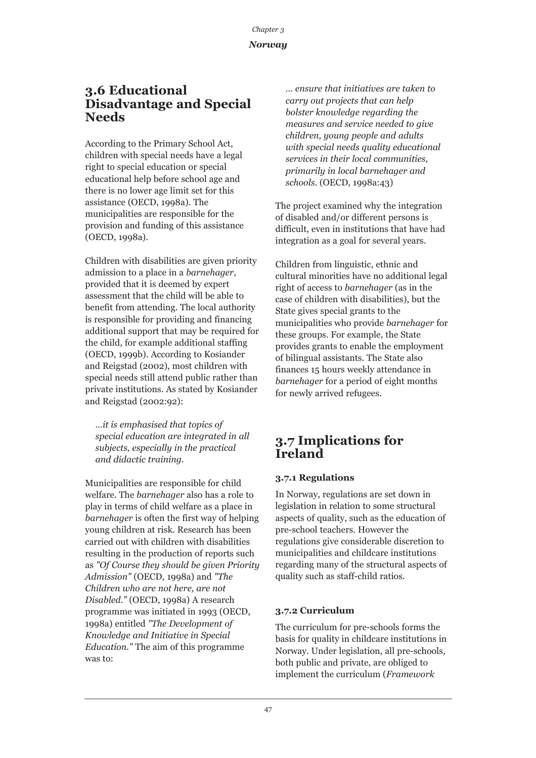## **3.6 Educational Disadvantage and Special Needs**

According to the Primary School Act, children with special needs have a legal right to special education or special educational help before school age and there is no lower age limit set for this assistance (OECD, 1998a). The municipalities are responsible for the provision and funding of this assistance (OECD, 1998a).

Children with disabilities are given priority admission to a place in a *barnehager*, provided that it is deemed by expert assessment that the child will be able to benefit from attending. The local authority is responsible for providing and financing additional support that may be required for the child, for example additional staffing (OECD, 1999b). According to Kosiander and Reigstad (2002), most children with special needs still attend public rather than private institutions. As stated by Kosiander and Reigstad (2002:92):

*…it is emphasised that topics of special education are integrated in all subjects, especially in the practical and didactic training.*

Municipalities are responsible for child welfare. The *barnehager* also has a role to play in terms of child welfare as a place in *barnehager* is often the first way of helping young children at risk. Research has been carried out with children with disabilities resulting in the production of reports such as *"Of Course they should be given Priority Admission"* (OECD, 1998a) and *"The Children who are not here, are not Disabled."* (OECD, 1998a) A research programme was initiated in 1993 (OECD, 1998a) entitled *"The Development of Knowledge and Initiative in Special Education."* The aim of this programme was to:

*… ensure that initiatives are taken to carry out projects that can help bolster knowledge regarding the measures and service needed to give children, young people and adults with special needs quality educational services in their local communities, primarily in local barnehager and schools.* (OECD, 1998a:43)

The project examined why the integration of disabled and/or different persons is difficult, even in institutions that have had integration as a goal for several years.

Children from linguistic, ethnic and cultural minorities have no additional legal right of access to *barnehager* (as in the case of children with disabilities), but the State gives special grants to the municipalities who provide *barnehager* for these groups. For example, the State provides grants to enable the employment of bilingual assistants. The State also finances 15 hours weekly attendance in *barnehager* for a period of eight months for newly arrived refugees.

## **3.7 Implications for Ireland**

## **3.7.1 Regulations**

In Norway, regulations are set down in legislation in relation to some structural aspects of quality, such as the education of pre-school teachers. However the regulations give considerable discretion to municipalities and childcare institutions regarding many of the structural aspects of quality such as staff-child ratios.

## **3.7.2 Curriculum**

The curriculum for pre-schools forms the basis for quality in childcare institutions in Norway. Under legislation, all pre-schools, both public and private, are obliged to implement the curriculum (*Framework*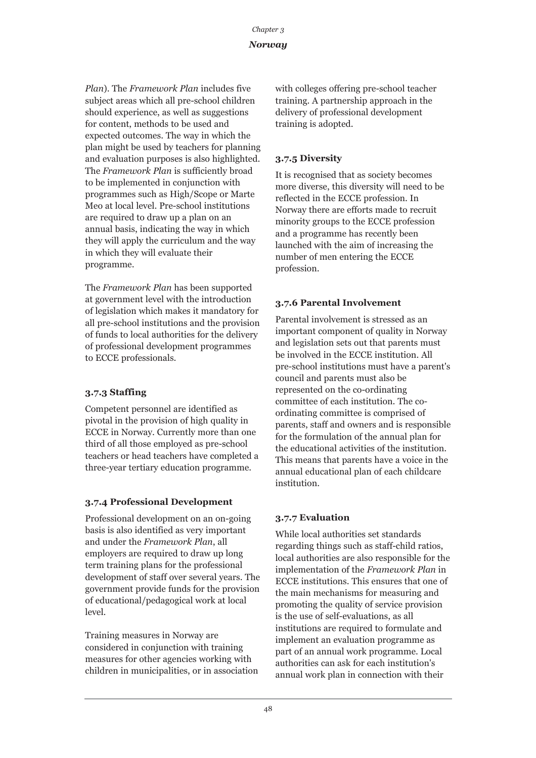*Plan*). The *Framework Plan* includes five subject areas which all pre-school children should experience, as well as suggestions for content, methods to be used and expected outcomes. The way in which the plan might be used by teachers for planning and evaluation purposes is also highlighted. The *Framework Plan* is sufficiently broad to be implemented in conjunction with programmes such as High/Scope or Marte Meo at local level. Pre-school institutions are required to draw up a plan on an annual basis, indicating the way in which they will apply the curriculum and the way in which they will evaluate their programme.

The *Framework Plan* has been supported at government level with the introduction of legislation which makes it mandatory for all pre-school institutions and the provision of funds to local authorities for the delivery of professional development programmes to ECCE professionals.

## **3.7.3 Staffing**

Competent personnel are identified as pivotal in the provision of high quality in ECCE in Norway. Currently more than one third of all those employed as pre-school teachers or head teachers have completed a three-year tertiary education programme.

## **3.7.4 Professional Development**

Professional development on an on-going basis is also identified as very important and under the *Framework Plan*, all employers are required to draw up long term training plans for the professional development of staff over several years. The government provide funds for the provision of educational/pedagogical work at local level.

Training measures in Norway are considered in conjunction with training measures for other agencies working with children in municipalities, or in association with colleges offering pre-school teacher training. A partnership approach in the delivery of professional development training is adopted.

## **3.7.5 Diversity**

It is recognised that as society becomes more diverse, this diversity will need to be reflected in the ECCE profession. In Norway there are efforts made to recruit minority groups to the ECCE profession and a programme has recently been launched with the aim of increasing the number of men entering the ECCE profession.

## **3.7.6 Parental Involvement**

Parental involvement is stressed as an important component of quality in Norway and legislation sets out that parents must be involved in the ECCE institution. All pre-school institutions must have a parent's council and parents must also be represented on the co-ordinating committee of each institution. The coordinating committee is comprised of parents, staff and owners and is responsible for the formulation of the annual plan for the educational activities of the institution. This means that parents have a voice in the annual educational plan of each childcare institution.

## **3.7.7 Evaluation**

While local authorities set standards regarding things such as staff-child ratios, local authorities are also responsible for the implementation of the *Framework Plan* in ECCE institutions. This ensures that one of the main mechanisms for measuring and promoting the quality of service provision is the use of self-evaluations, as all institutions are required to formulate and implement an evaluation programme as part of an annual work programme. Local authorities can ask for each institution's annual work plan in connection with their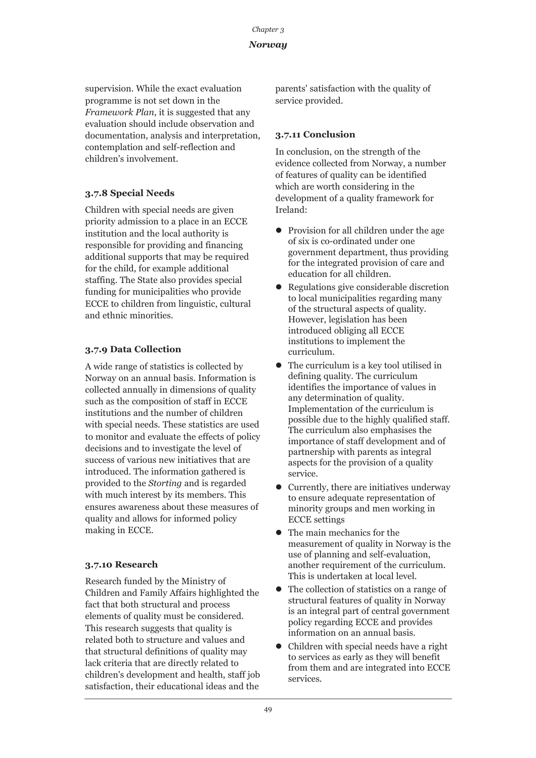## *Norway*

supervision. While the exact evaluation programme is not set down in the *Framework Plan*, it is suggested that any evaluation should include observation and documentation, analysis and interpretation, contemplation and self-reflection and children's involvement.

## **3.7.8 Special Needs**

Children with special needs are given priority admission to a place in an ECCE institution and the local authority is responsible for providing and financing additional supports that may be required for the child, for example additional staffing. The State also provides special funding for municipalities who provide ECCE to children from linguistic, cultural and ethnic minorities.

## **3.7.9 Data Collection**

A wide range of statistics is collected by Norway on an annual basis. Information is collected annually in dimensions of quality such as the composition of staff in ECCE institutions and the number of children with special needs. These statistics are used to monitor and evaluate the effects of policy decisions and to investigate the level of success of various new initiatives that are introduced. The information gathered is provided to the *Storting* and is regarded with much interest by its members. This ensures awareness about these measures of quality and allows for informed policy making in ECCE.

## **3.7.10 Research**

Research funded by the Ministry of Children and Family Affairs highlighted the fact that both structural and process elements of quality must be considered. This research suggests that quality is related both to structure and values and that structural definitions of quality may lack criteria that are directly related to children's development and health, staff job satisfaction, their educational ideas and the

parents' satisfaction with the quality of service provided.

## **3.7.11 Conclusion**

In conclusion, on the strength of the evidence collected from Norway, a number of features of quality can be identified which are worth considering in the development of a quality framework for Ireland:

- $\bullet$  Provision for all children under the age of six is co-ordinated under one government department, thus providing for the integrated provision of care and education for all children.
- $\bullet$  Regulations give considerable discretion to local municipalities regarding many of the structural aspects of quality. However, legislation has been introduced obliging all ECCE institutions to implement the curriculum.
- $\bullet$  The curriculum is a key tool utilised in defining quality. The curriculum identifies the importance of values in any determination of quality. Implementation of the curriculum is possible due to the highly qualified staff. The curriculum also emphasises the importance of staff development and of partnership with parents as integral aspects for the provision of a quality service.
- $\bullet$  Currently, there are initiatives underway to ensure adequate representation of minority groups and men working in ECCE settings
- The main mechanics for the measurement of quality in Norway is the use of planning and self-evaluation, another requirement of the curriculum. This is undertaken at local level.
- $\bullet$  The collection of statistics on a range of structural features of quality in Norway is an integral part of central government policy regarding ECCE and provides information on an annual basis.
- $\bullet$  Children with special needs have a right to services as early as they will benefit from them and are integrated into ECCE services.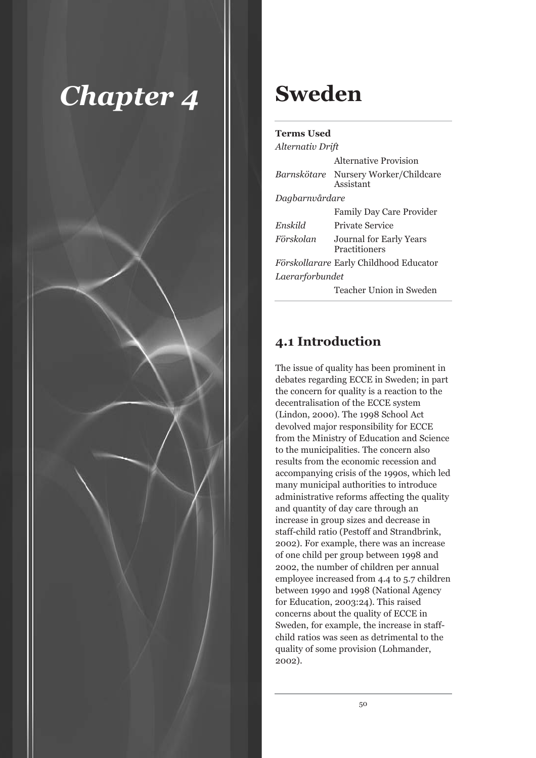

## **Sweden**

| <b>Terms Used</b> |  |
|-------------------|--|
|                   |  |

| Alternativ Drift |                                                   |  |
|------------------|---------------------------------------------------|--|
|                  | Alternative Provision                             |  |
|                  | Barnskötare Nursery Worker/Childcare<br>Assistant |  |
| Dagbarnvårdare   |                                                   |  |
|                  | <b>Family Day Care Provider</b>                   |  |
| Enskild          | Private Service                                   |  |
| Förskolan        | Journal for Early Years<br>Practitioners          |  |
|                  | <i>Förskollarare</i> Early Childhood Educator     |  |
| Laerarforbundet  |                                                   |  |
|                  | Teacher Union in Sweden                           |  |

## **4.1 Introduction**

The issue of quality has been prominent in debates regarding ECCE in Sweden; in part the concern for quality is a reaction to the decentralisation of the ECCE system (Lindon, 2000). The 1998 School Act devolved major responsibility for ECCE from the Ministry of Education and Science to the municipalities. The concern also results from the economic recession and accompanying crisis of the 1990s, which led many municipal authorities to introduce administrative reforms affecting the quality and quantity of day care through an increase in group sizes and decrease in staff-child ratio (Pestoff and Strandbrink, 2002). For example, there was an increase of one child per group between 1998 and 2002, the number of children per annual employee increased from 4.4 to 5.7 children between 1990 and 1998 (National Agency for Education, 2003:24). This raised concerns about the quality of ECCE in Sweden, for example, the increase in staffchild ratios was seen as detrimental to the quality of some provision (Lohmander, 2002).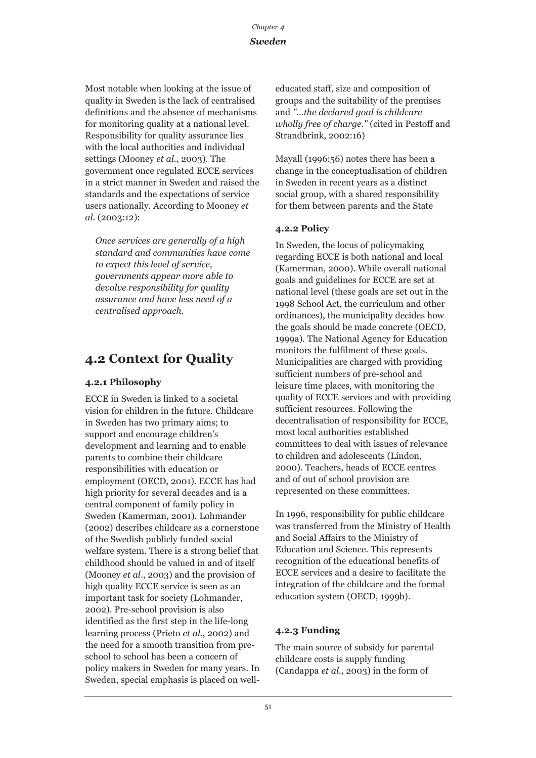## *Sweden*

Most notable when looking at the issue of quality in Sweden is the lack of centralised definitions and the absence of mechanisms for monitoring quality at a national level. Responsibility for quality assurance lies with the local authorities and individual settings (Mooney *et al*., 2003). The government once regulated ECCE services in a strict manner in Sweden and raised the standards and the expectations of service users nationally. According to Mooney *et al*. (2003:12):

*Once services are generally of a high standard and communities have come to expect this level of service, governments appear more able to devolve responsibility for quality assurance and have less need of a centralised approach.*

## **4.2 Context for Quality**

## **4.2.1 Philosophy**

ECCE in Sweden is linked to a societal vision for children in the future. Childcare in Sweden has two primary aims; to support and encourage children's development and learning and to enable parents to combine their childcare responsibilities with education or employment (OECD, 2001). ECCE has had high priority for several decades and is a central component of family policy in Sweden (Kamerman, 2001). Lohmander (2002) describes childcare as a cornerstone of the Swedish publicly funded social welfare system. There is a strong belief that childhood should be valued in and of itself (Mooney *et al*., 2003) and the provision of high quality ECCE service is seen as an important task for society (Lohmander, 2002). Pre-school provision is also identified as the first step in the life-long learning process (Prieto *et al*., 2002) and the need for a smooth transition from preschool to school has been a concern of policy makers in Sweden for many years. In Sweden, special emphasis is placed on welleducated staff, size and composition of groups and the suitability of the premises and *"…the declared goal is childcare wholly free of charge."* (cited in Pestoff and Strandbrink, 2002:16)

Mayall (1996:56) notes there has been a change in the conceptualisation of children in Sweden in recent years as a distinct social group, with a shared responsibility for them between parents and the State

## **4.2.2 Policy**

In Sweden, the locus of policymaking regarding ECCE is both national and local (Kamerman, 2000). While overall national goals and guidelines for ECCE are set at national level (these goals are set out in the 1998 School Act, the curriculum and other ordinances), the municipality decides how the goals should be made concrete (OECD, 1999a). The National Agency for Education monitors the fulfilment of these goals. Municipalities are charged with providing sufficient numbers of pre-school and leisure time places, with monitoring the quality of ECCE services and with providing sufficient resources. Following the decentralisation of responsibility for ECCE, most local authorities established committees to deal with issues of relevance to children and adolescents (Lindon, 2000). Teachers, heads of ECCE centres and of out of school provision are represented on these committees.

In 1996, responsibility for public childcare was transferred from the Ministry of Health and Social Affairs to the Ministry of Education and Science. This represents recognition of the educational benefits of ECCE services and a desire to facilitate the integration of the childcare and the formal education system (OECD, 1999b).

## **4.2.3 Funding**

The main source of subsidy for parental childcare costs is supply funding (Candappa *et al*., 2003) in the form of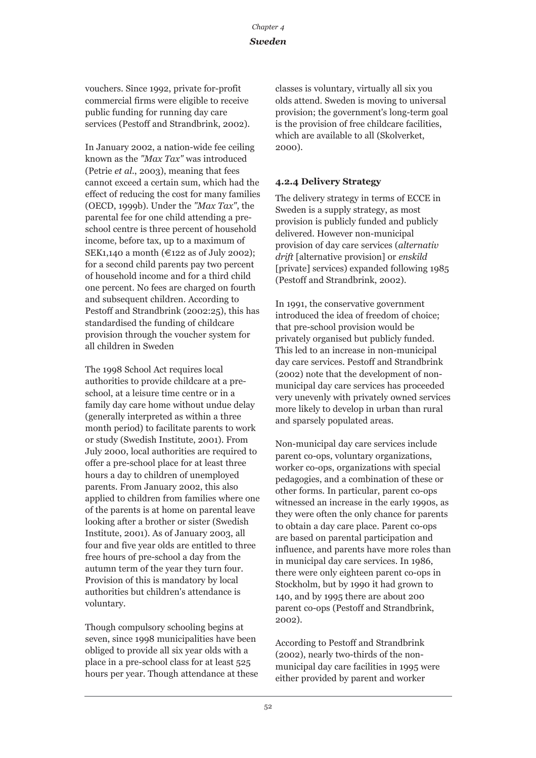## *Sweden*

vouchers. Since 1992, private for-profit commercial firms were eligible to receive public funding for running day care services (Pestoff and Strandbrink, 2002).

In January 2002, a nation-wide fee ceiling known as the *"Max Tax"* was introduced (Petrie *et al*., 2003), meaning that fees cannot exceed a certain sum, which had the effect of reducing the cost for many families (OECD, 1999b). Under the *"Max Tax"*, the parental fee for one child attending a preschool centre is three percent of household income, before tax, up to a maximum of SEK1,140 a month (€122 as of July 2002); for a second child parents pay two percent of household income and for a third child one percent. No fees are charged on fourth and subsequent children. According to Pestoff and Strandbrink (2002:25), this has standardised the funding of childcare provision through the voucher system for all children in Sweden

The 1998 School Act requires local authorities to provide childcare at a preschool, at a leisure time centre or in a family day care home without undue delay (generally interpreted as within a three month period) to facilitate parents to work or study (Swedish Institute, 2001). From July 2000, local authorities are required to offer a pre-school place for at least three hours a day to children of unemployed parents. From January 2002, this also applied to children from families where one of the parents is at home on parental leave looking after a brother or sister (Swedish Institute, 2001). As of January 2003, all four and five year olds are entitled to three free hours of pre-school a day from the autumn term of the year they turn four. Provision of this is mandatory by local authorities but children's attendance is voluntary.

Though compulsory schooling begins at seven, since 1998 municipalities have been obliged to provide all six year olds with a place in a pre-school class for at least 525 hours per year. Though attendance at these classes is voluntary, virtually all six you olds attend. Sweden is moving to universal provision; the government's long-term goal is the provision of free childcare facilities, which are available to all (Skolverket, 2000).

## **4.2.4 Delivery Strategy**

The delivery strategy in terms of ECCE in Sweden is a supply strategy, as most provision is publicly funded and publicly delivered. However non-municipal provision of day care services (*alternativ drift* [alternative provision] or *enskild* [private] services) expanded following 1985 (Pestoff and Strandbrink, 2002).

In 1991, the conservative government introduced the idea of freedom of choice; that pre-school provision would be privately organised but publicly funded. This led to an increase in non-municipal day care services. Pestoff and Strandbrink (2002) note that the development of nonmunicipal day care services has proceeded very unevenly with privately owned services more likely to develop in urban than rural and sparsely populated areas.

Non-municipal day care services include parent co-ops, voluntary organizations, worker co-ops, organizations with special pedagogies, and a combination of these or other forms. In particular, parent co-ops witnessed an increase in the early 1990s, as they were often the only chance for parents to obtain a day care place. Parent co-ops are based on parental participation and influence, and parents have more roles than in municipal day care services. In 1986, there were only eighteen parent co-ops in Stockholm, but by 1990 it had grown to 140, and by 1995 there are about 200 parent co-ops (Pestoff and Strandbrink, 2002).

According to Pestoff and Strandbrink (2002), nearly two-thirds of the nonmunicipal day care facilities in 1995 were either provided by parent and worker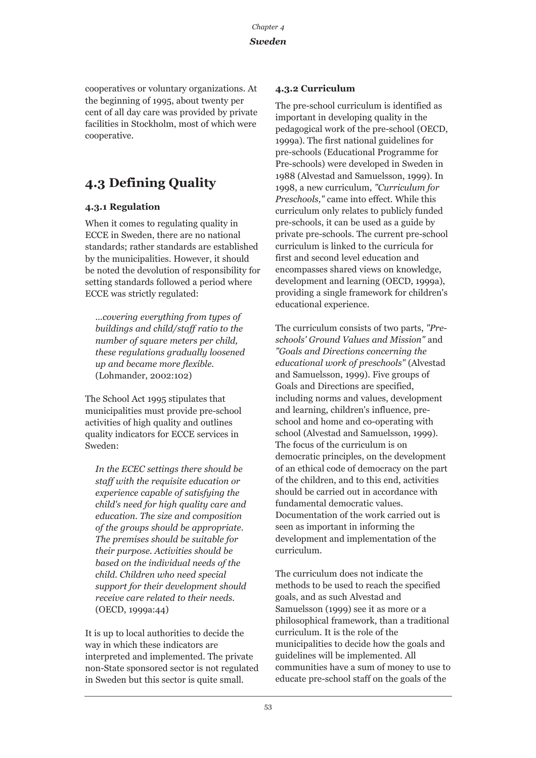cooperatives or voluntary organizations. At the beginning of 1995, about twenty per cent of all day care was provided by private facilities in Stockholm, most of which were cooperative.

## **4.3 Defining Quality**

## **4.3.1 Regulation**

When it comes to regulating quality in ECCE in Sweden, there are no national standards; rather standards are established by the municipalities. However, it should be noted the devolution of responsibility for setting standards followed a period where ECCE was strictly regulated:

*…covering everything from types of buildings and child/staff ratio to the number of square meters per child, these regulations gradually loosened up and became more flexible.* (Lohmander, 2002:102)

The School Act 1995 stipulates that municipalities must provide pre-school activities of high quality and outlines quality indicators for ECCE services in Sweden:

*In the ECEC settings there should be staff with the requisite education or experience capable of satisfying the child's need for high quality care and education. The size and composition of the groups should be appropriate. The premises should be suitable for their purpose. Activities should be based on the individual needs of the child. Children who need special support for their development should receive care related to their needs.* (OECD, 1999a:44)

It is up to local authorities to decide the way in which these indicators are interpreted and implemented. The private non-State sponsored sector is not regulated in Sweden but this sector is quite small.

## **4.3.2 Curriculum**

The pre-school curriculum is identified as important in developing quality in the pedagogical work of the pre-school (OECD, 1999a). The first national guidelines for pre-schools (Educational Programme for Pre-schools) were developed in Sweden in 1988 (Alvestad and Samuelsson, 1999). In 1998, a new curriculum, *"Curriculum for Preschools,"* came into effect. While this curriculum only relates to publicly funded pre-schools, it can be used as a guide by private pre-schools. The current pre-school curriculum is linked to the curricula for first and second level education and encompasses shared views on knowledge, development and learning (OECD, 1999a), providing a single framework for children's educational experience.

The curriculum consists of two parts, *"Preschools' Ground Values and Mission"* and *"Goals and Directions concerning the educational work of preschools"* (Alvestad and Samuelsson, 1999). Five groups of Goals and Directions are specified, including norms and values, development and learning, children's influence, preschool and home and co-operating with school (Alvestad and Samuelsson, 1999). The focus of the curriculum is on democratic principles, on the development of an ethical code of democracy on the part of the children, and to this end, activities should be carried out in accordance with fundamental democratic values. Documentation of the work carried out is seen as important in informing the development and implementation of the curriculum.

The curriculum does not indicate the methods to be used to reach the specified goals, and as such Alvestad and Samuelsson (1999) see it as more or a philosophical framework, than a traditional curriculum. It is the role of the municipalities to decide how the goals and guidelines will be implemented. All communities have a sum of money to use to educate pre-school staff on the goals of the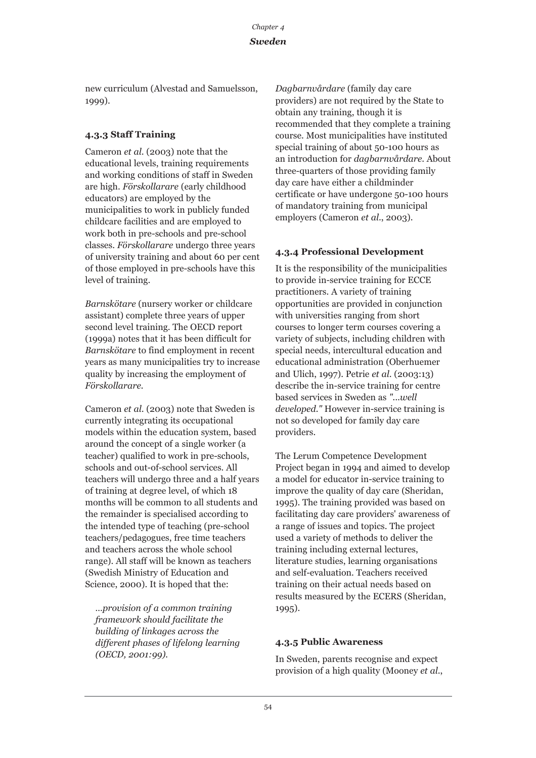## *Sweden*

new curriculum (Alvestad and Samuelsson, 1999).

## **4.3.3 Staff Training**

Cameron *et al*. (2003) note that the educational levels, training requirements and working conditions of staff in Sweden are high. *Förskollarare* (early childhood educators) are employed by the municipalities to work in publicly funded childcare facilities and are employed to work both in pre-schools and pre-school classes. *Förskollarare* undergo three years of university training and about 60 per cent of those employed in pre-schools have this level of training.

*Barnskötare* (nursery worker or childcare assistant) complete three years of upper second level training. The OECD report (1999a) notes that it has been difficult for *Barnskötare* to find employment in recent years as many municipalities try to increase quality by increasing the employment of *Förskollarare.*

Cameron *et al*. (2003) note that Sweden is currently integrating its occupational models within the education system, based around the concept of a single worker (a teacher) qualified to work in pre-schools, schools and out-of-school services. All teachers will undergo three and a half years of training at degree level, of which 18 months will be common to all students and the remainder is specialised according to the intended type of teaching (pre-school teachers/pedagogues, free time teachers and teachers across the whole school range). All staff will be known as teachers (Swedish Ministry of Education and Science, 2000). It is hoped that the:

*…provision of a common training framework should facilitate the building of linkages across the different phases of lifelong learning (OECD, 2001:99).*

*Dagbarnvårdare* (family day care providers) are not required by the State to obtain any training, though it is recommended that they complete a training course. Most municipalities have instituted special training of about 50-100 hours as an introduction for *dagbarnvårdare*. About three-quarters of those providing family day care have either a childminder certificate or have undergone 50-100 hours of mandatory training from municipal employers (Cameron *et al*., 2003).

## **4.3.4 Professional Development**

It is the responsibility of the municipalities to provide in-service training for ECCE practitioners. A variety of training opportunities are provided in conjunction with universities ranging from short courses to longer term courses covering a variety of subjects, including children with special needs, intercultural education and educational administration (Oberhuemer and Ulich, 1997). Petrie *et al*. (2003:13) describe the in-service training for centre based services in Sweden as *"...well developed."* However in-service training is not so developed for family day care providers.

The Lerum Competence Development Project began in 1994 and aimed to develop a model for educator in-service training to improve the quality of day care (Sheridan, 1995). The training provided was based on facilitating day care providers' awareness of a range of issues and topics. The project used a variety of methods to deliver the training including external lectures, literature studies, learning organisations and self-evaluation. Teachers received training on their actual needs based on results measured by the ECERS (Sheridan, 1995).

## **4.3.5 Public Awareness**

In Sweden, parents recognise and expect provision of a high quality (Mooney *et al*.,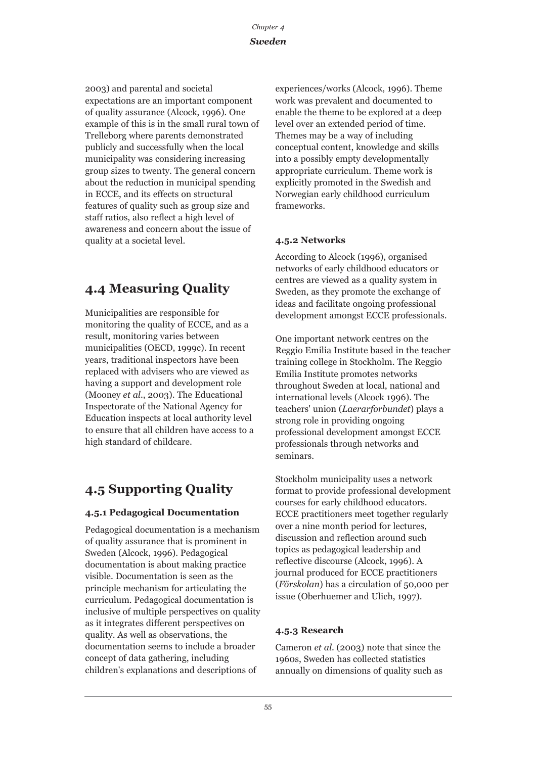*Chapter 4 Sweden*

2003) and parental and societal expectations are an important component of quality assurance (Alcock, 1996). One example of this is in the small rural town of Trelleborg where parents demonstrated publicly and successfully when the local municipality was considering increasing group sizes to twenty. The general concern about the reduction in municipal spending in ECCE, and its effects on structural features of quality such as group size and staff ratios, also reflect a high level of awareness and concern about the issue of quality at a societal level.

## **4.4 Measuring Quality**

Municipalities are responsible for monitoring the quality of ECCE, and as a result, monitoring varies between municipalities (OECD, 1999c). In recent years, traditional inspectors have been replaced with advisers who are viewed as having a support and development role (Mooney *et al*., 2003). The Educational Inspectorate of the National Agency for Education inspects at local authority level to ensure that all children have access to a high standard of childcare.

## **4.5 Supporting Quality**

## **4.5.1 Pedagogical Documentation**

Pedagogical documentation is a mechanism of quality assurance that is prominent in Sweden (Alcock, 1996). Pedagogical documentation is about making practice visible. Documentation is seen as the principle mechanism for articulating the curriculum. Pedagogical documentation is inclusive of multiple perspectives on quality as it integrates different perspectives on quality. As well as observations, the documentation seems to include a broader concept of data gathering, including children's explanations and descriptions of

experiences/works (Alcock, 1996). Theme work was prevalent and documented to enable the theme to be explored at a deep level over an extended period of time. Themes may be a way of including conceptual content, knowledge and skills into a possibly empty developmentally appropriate curriculum. Theme work is explicitly promoted in the Swedish and Norwegian early childhood curriculum frameworks.

## **4.5.2 Networks**

According to Alcock (1996), organised networks of early childhood educators or centres are viewed as a quality system in Sweden, as they promote the exchange of ideas and facilitate ongoing professional development amongst ECCE professionals.

One important network centres on the Reggio Emilia Institute based in the teacher training college in Stockholm. The Reggio Emilia Institute promotes networks throughout Sweden at local, national and international levels (Alcock 1996). The teachers' union (*Laerarforbundet*) plays a strong role in providing ongoing professional development amongst ECCE professionals through networks and seminars.

Stockholm municipality uses a network format to provide professional development courses for early childhood educators. ECCE practitioners meet together regularly over a nine month period for lectures, discussion and reflection around such topics as pedagogical leadership and reflective discourse (Alcock, 1996). A journal produced for ECCE practitioners (*Förskolan*) has a circulation of 50,000 per issue (Oberhuemer and Ulich, 1997).

## **4.5.3 Research**

Cameron *et al*. (2003) note that since the 1960s, Sweden has collected statistics annually on dimensions of quality such as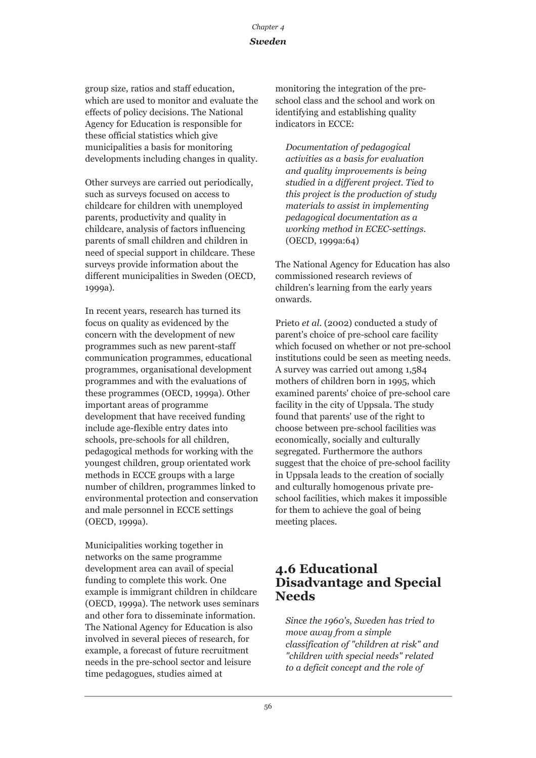## *Sweden*

group size, ratios and staff education, which are used to monitor and evaluate the effects of policy decisions. The National Agency for Education is responsible for these official statistics which give municipalities a basis for monitoring developments including changes in quality.

Other surveys are carried out periodically, such as surveys focused on access to childcare for children with unemployed parents, productivity and quality in childcare, analysis of factors influencing parents of small children and children in need of special support in childcare. These surveys provide information about the different municipalities in Sweden (OECD, 1999a).

In recent years, research has turned its focus on quality as evidenced by the concern with the development of new programmes such as new parent-staff communication programmes, educational programmes, organisational development programmes and with the evaluations of these programmes (OECD, 1999a). Other important areas of programme development that have received funding include age-flexible entry dates into schools, pre-schools for all children, pedagogical methods for working with the youngest children, group orientated work methods in ECCE groups with a large number of children, programmes linked to environmental protection and conservation and male personnel in ECCE settings (OECD, 1999a).

Municipalities working together in networks on the same programme development area can avail of special funding to complete this work. One example is immigrant children in childcare (OECD, 1999a). The network uses seminars and other fora to disseminate information. The National Agency for Education is also involved in several pieces of research, for example, a forecast of future recruitment needs in the pre-school sector and leisure time pedagogues, studies aimed at

monitoring the integration of the preschool class and the school and work on identifying and establishing quality indicators in ECCE:

*Documentation of pedagogical activities as a basis for evaluation and quality improvements is being studied in a different project. Tied to this project is the production of study materials to assist in implementing pedagogical documentation as a working method in ECEC-settings.* (OECD, 1999a:64)

The National Agency for Education has also commissioned research reviews of children's learning from the early years onwards.

Prieto *et al*. (2002) conducted a study of parent's choice of pre-school care facility which focused on whether or not pre-school institutions could be seen as meeting needs. A survey was carried out among 1,584 mothers of children born in 1995, which examined parents' choice of pre-school care facility in the city of Uppsala. The study found that parents' use of the right to choose between pre-school facilities was economically, socially and culturally segregated. Furthermore the authors suggest that the choice of pre-school facility in Uppsala leads to the creation of socially and culturally homogenous private preschool facilities, which makes it impossible for them to achieve the goal of being meeting places.

## **4.6 Educational Disadvantage and Special Needs**

*Since the 1960's, Sweden has tried to move away from a simple classification of "children at risk" and "children with special needs" related to a deficit concept and the role of*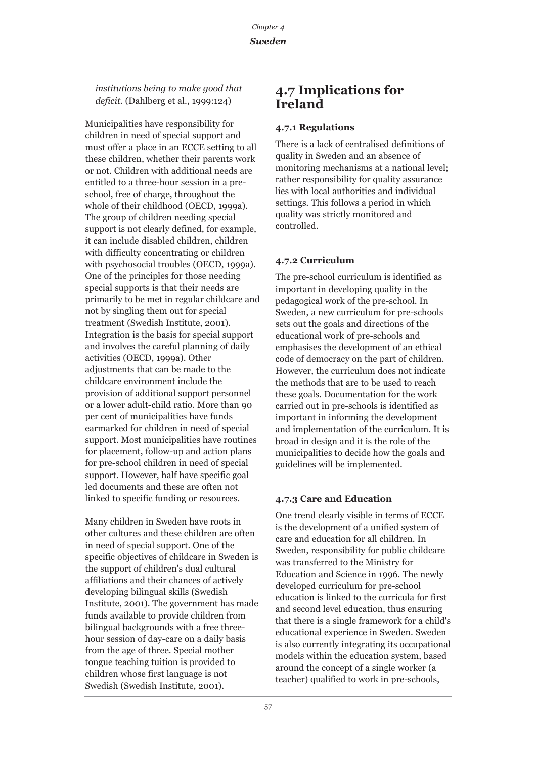*institutions being to make good that deficit.* (Dahlberg et al., 1999:124)

Municipalities have responsibility for children in need of special support and must offer a place in an ECCE setting to all these children, whether their parents work or not. Children with additional needs are entitled to a three-hour session in a preschool, free of charge, throughout the whole of their childhood (OECD, 1999a). The group of children needing special support is not clearly defined, for example, it can include disabled children, children with difficulty concentrating or children with psychosocial troubles (OECD, 1999a). One of the principles for those needing special supports is that their needs are primarily to be met in regular childcare and not by singling them out for special treatment (Swedish Institute, 2001). Integration is the basis for special support and involves the careful planning of daily activities (OECD, 1999a). Other adjustments that can be made to the childcare environment include the provision of additional support personnel or a lower adult-child ratio. More than 90 per cent of municipalities have funds earmarked for children in need of special support. Most municipalities have routines for placement, follow-up and action plans for pre-school children in need of special support. However, half have specific goal led documents and these are often not linked to specific funding or resources.

Many children in Sweden have roots in other cultures and these children are often in need of special support. One of the specific objectives of childcare in Sweden is the support of children's dual cultural affiliations and their chances of actively developing bilingual skills (Swedish Institute, 2001). The government has made funds available to provide children from bilingual backgrounds with a free threehour session of day-care on a daily basis from the age of three. Special mother tongue teaching tuition is provided to children whose first language is not Swedish (Swedish Institute, 2001).

## **4.7 Implications for Ireland**

#### **4.7.1 Regulations**

There is a lack of centralised definitions of quality in Sweden and an absence of monitoring mechanisms at a national level; rather responsibility for quality assurance lies with local authorities and individual settings. This follows a period in which quality was strictly monitored and controlled.

#### **4.7.2 Curriculum**

The pre-school curriculum is identified as important in developing quality in the pedagogical work of the pre-school. In Sweden, a new curriculum for pre-schools sets out the goals and directions of the educational work of pre-schools and emphasises the development of an ethical code of democracy on the part of children. However, the curriculum does not indicate the methods that are to be used to reach these goals. Documentation for the work carried out in pre-schools is identified as important in informing the development and implementation of the curriculum. It is broad in design and it is the role of the municipalities to decide how the goals and guidelines will be implemented.

## **4.7.3 Care and Education**

One trend clearly visible in terms of ECCE is the development of a unified system of care and education for all children. In Sweden, responsibility for public childcare was transferred to the Ministry for Education and Science in 1996. The newly developed curriculum for pre-school education is linked to the curricula for first and second level education, thus ensuring that there is a single framework for a child's educational experience in Sweden. Sweden is also currently integrating its occupational models within the education system, based around the concept of a single worker (a teacher) qualified to work in pre-schools,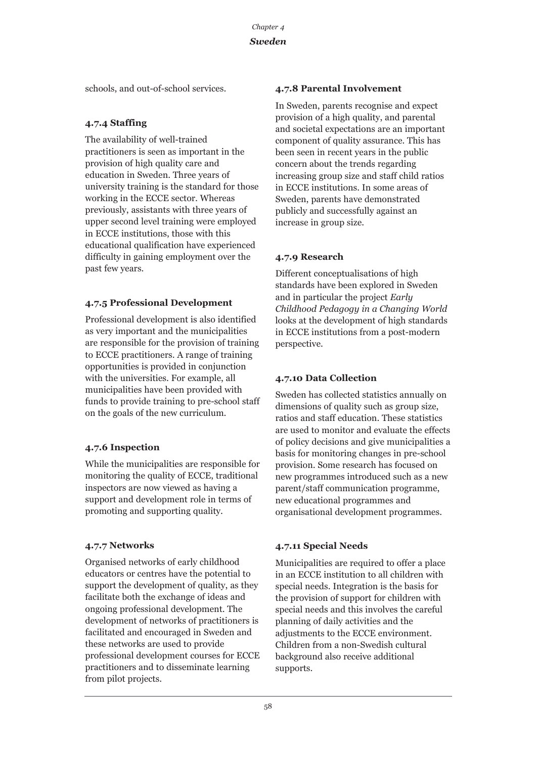schools, and out-of-school services.

## **4.7.4 Staffing**

The availability of well-trained practitioners is seen as important in the provision of high quality care and education in Sweden. Three years of university training is the standard for those working in the ECCE sector. Whereas previously, assistants with three years of upper second level training were employed in ECCE institutions, those with this educational qualification have experienced difficulty in gaining employment over the past few years.

## **4.7.5 Professional Development**

Professional development is also identified as very important and the municipalities are responsible for the provision of training to ECCE practitioners. A range of training opportunities is provided in conjunction with the universities. For example, all municipalities have been provided with funds to provide training to pre-school staff on the goals of the new curriculum.

## **4.7.6 Inspection**

While the municipalities are responsible for monitoring the quality of ECCE, traditional inspectors are now viewed as having a support and development role in terms of promoting and supporting quality.

## **4.7.7 Networks**

Organised networks of early childhood educators or centres have the potential to support the development of quality, as they facilitate both the exchange of ideas and ongoing professional development. The development of networks of practitioners is facilitated and encouraged in Sweden and these networks are used to provide professional development courses for ECCE practitioners and to disseminate learning from pilot projects.

## **4.7.8 Parental Involvement**

In Sweden, parents recognise and expect provision of a high quality, and parental and societal expectations are an important component of quality assurance. This has been seen in recent years in the public concern about the trends regarding increasing group size and staff child ratios in ECCE institutions. In some areas of Sweden, parents have demonstrated publicly and successfully against an increase in group size.

## **4.7.9 Research**

Different conceptualisations of high standards have been explored in Sweden and in particular the project *Early Childhood Pedagogy in a Changing World* looks at the development of high standards in ECCE institutions from a post-modern perspective.

## **4.7.10 Data Collection**

Sweden has collected statistics annually on dimensions of quality such as group size, ratios and staff education. These statistics are used to monitor and evaluate the effects of policy decisions and give municipalities a basis for monitoring changes in pre-school provision. Some research has focused on new programmes introduced such as a new parent/staff communication programme, new educational programmes and organisational development programmes.

## **4.7.11 Special Needs**

Municipalities are required to offer a place in an ECCE institution to all children with special needs. Integration is the basis for the provision of support for children with special needs and this involves the careful planning of daily activities and the adjustments to the ECCE environment. Children from a non-Swedish cultural background also receive additional supports.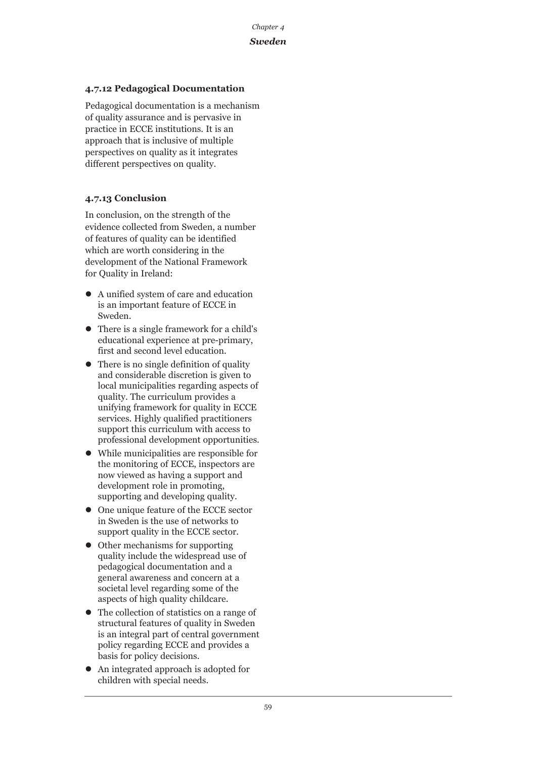## *Sweden*

## **4.7.12 Pedagogical Documentation**

Pedagogical documentation is a mechanism of quality assurance and is pervasive in practice in ECCE institutions. It is an approach that is inclusive of multiple perspectives on quality as it integrates different perspectives on quality.

## **4.7.13 Conclusion**

In conclusion, on the strength of the evidence collected from Sweden, a number of features of quality can be identified which are worth considering in the development of the National Framework for Quality in Ireland:

- $\bullet$  A unified system of care and education is an important feature of ECCE in Sweden.
- $\bullet$  There is a single framework for a child's educational experience at pre-primary, first and second level education.
- $\bullet$  There is no single definition of quality and considerable discretion is given to local municipalities regarding aspects of quality. The curriculum provides a unifying framework for quality in ECCE services. Highly qualified practitioners support this curriculum with access to professional development opportunities.
- $\bullet$  While municipalities are responsible for the monitoring of ECCE, inspectors are now viewed as having a support and development role in promoting, supporting and developing quality.
- One unique feature of the ECCE sector in Sweden is the use of networks to support quality in the ECCE sector.
- $\bullet$  Other mechanisms for supporting quality include the widespread use of pedagogical documentation and a general awareness and concern at a societal level regarding some of the aspects of high quality childcare.
- The collection of statistics on a range of structural features of quality in Sweden is an integral part of central government policy regarding ECCE and provides a basis for policy decisions.
- An integrated approach is adopted for children with special needs.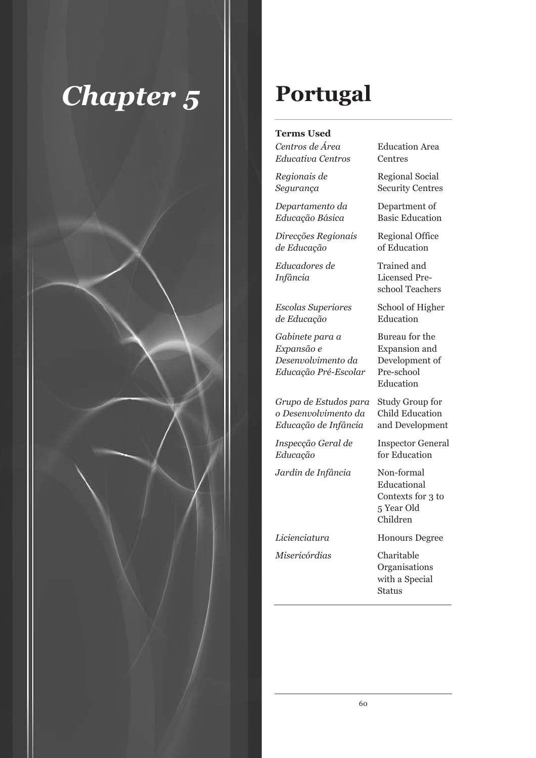

## **Portugal**

## **Terms Used**

*Centros de Área* **Education Area** *Educativa Centros* Centres

*Departamento da* Department of *Educação Básica* Basic Education

*Direcções Regionais* Regional Office *de Educação* of Education

*Escolas Superiores* School of Higher *de Educação* Education

*Gabinete para a* Bureau for the *Expansão e* Expansion and *Desenvolvimento da* Development of *Educação Pré-Escolar* Pre-school

*Grupo de Estudos para* Study Group for *o Desenvolvimento da* Child Education *Educação de Infância* and Development

*Inspecção Geral de* Inspector General *Educação* for Education

*Jardin de Infância* Non-formal

*Misericórdias* Charitable

*Regionais de* Regional Social *Segurança* Security Centres

*Educadores de* Trained and *Infância* Licensed Preschool Teachers

Education

Educational Contexts for 3 to 5 Year Old Children

*Licienciatura* Honours Degree

Organisations with a Special Status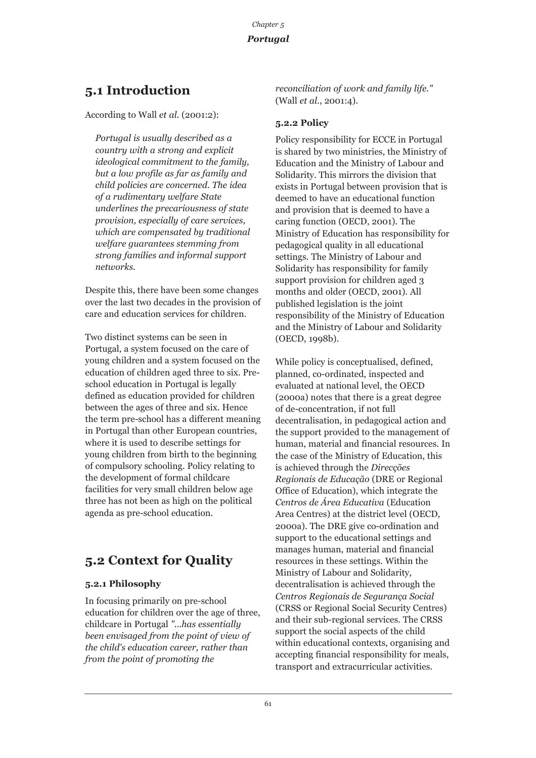## **5.1 Introduction**

According to Wall *et al*. (2001:2):

*Portugal is usually described as a country with a strong and explicit ideological commitment to the family, but a low profile as far as family and child policies are concerned. The idea of a rudimentary welfare State underlines the precariousness of state provision, especially of care services, which are compensated by traditional welfare guarantees stemming from strong families and informal support networks.* 

Despite this, there have been some changes over the last two decades in the provision of care and education services for children.

Two distinct systems can be seen in Portugal, a system focused on the care of young children and a system focused on the education of children aged three to six. Preschool education in Portugal is legally defined as education provided for children between the ages of three and six. Hence the term pre-school has a different meaning in Portugal than other European countries, where it is used to describe settings for young children from birth to the beginning of compulsory schooling. Policy relating to the development of formal childcare facilities for very small children below age three has not been as high on the political agenda as pre-school education.

## **5.2 Context for Quality**

## **5.2.1 Philosophy**

In focusing primarily on pre-school education for children over the age of three, childcare in Portugal *"...has essentially been envisaged from the point of view of the child's education career, rather than from the point of promoting the*

*reconciliation of work and family life."* (Wall *et al*., 2001:4).

## **5.2.2 Policy**

Policy responsibility for ECCE in Portugal is shared by two ministries, the Ministry of Education and the Ministry of Labour and Solidarity. This mirrors the division that exists in Portugal between provision that is deemed to have an educational function and provision that is deemed to have a caring function (OECD, 2001). The Ministry of Education has responsibility for pedagogical quality in all educational settings. The Ministry of Labour and Solidarity has responsibility for family support provision for children aged 3 months and older (OECD, 2001). All published legislation is the joint responsibility of the Ministry of Education and the Ministry of Labour and Solidarity (OECD, 1998b).

While policy is conceptualised, defined, planned, co-ordinated, inspected and evaluated at national level, the OECD (2000a) notes that there is a great degree of de-concentration, if not full decentralisation, in pedagogical action and the support provided to the management of human, material and financial resources. In the case of the Ministry of Education, this is achieved through the *Direcções Regionais de Educação* (DRE or Regional Office of Education), which integrate the *Centros de Área Educativa* (Education Area Centres) at the district level (OECD, 2000a). The DRE give co-ordination and support to the educational settings and manages human, material and financial resources in these settings. Within the Ministry of Labour and Solidarity, decentralisation is achieved through the *Centros Regionais de Segurança Social* (CRSS or Regional Social Security Centres) and their sub-regional services. The CRSS support the social aspects of the child within educational contexts, organising and accepting financial responsibility for meals, transport and extracurricular activities.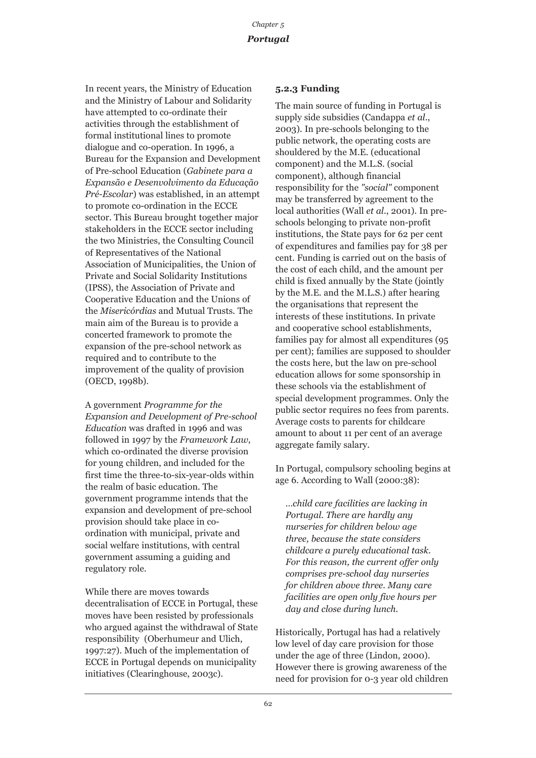In recent years, the Ministry of Education and the Ministry of Labour and Solidarity have attempted to co-ordinate their activities through the establishment of formal institutional lines to promote dialogue and co-operation. In 1996, a Bureau for the Expansion and Development of Pre-school Education (*Gabinete para a Expansão e Desenvolvimento da Educação Pré-Escolar*) was established, in an attempt to promote co-ordination in the ECCE sector. This Bureau brought together major stakeholders in the ECCE sector including the two Ministries, the Consulting Council of Representatives of the National Association of Municipalities, the Union of Private and Social Solidarity Institutions (IPSS), the Association of Private and Cooperative Education and the Unions of the *Misericórdias* and Mutual Trusts. The main aim of the Bureau is to provide a concerted framework to promote the expansion of the pre-school network as required and to contribute to the improvement of the quality of provision (OECD, 1998b).

A government *Programme for the Expansion and Development of Pre-school Education* was drafted in 1996 and was followed in 1997 by the *Framework Law*, which co-ordinated the diverse provision for young children, and included for the first time the three-to-six-year-olds within the realm of basic education. The government programme intends that the expansion and development of pre-school provision should take place in coordination with municipal, private and social welfare institutions, with central government assuming a guiding and regulatory role.

While there are moves towards decentralisation of ECCE in Portugal, these moves have been resisted by professionals who argued against the withdrawal of State responsibility (Oberhumeur and Ulich, 1997:27). Much of the implementation of ECCE in Portugal depends on municipality initiatives (Clearinghouse, 2003c).

#### **5.2.3 Funding**

The main source of funding in Portugal is supply side subsidies (Candappa *et al*., 2003). In pre-schools belonging to the public network, the operating costs are shouldered by the M.E. (educational component) and the M.L.S. (social component), although financial responsibility for the *"social"* component may be transferred by agreement to the local authorities (Wall *et al*., 2001). In preschools belonging to private non-profit institutions, the State pays for 62 per cent of expenditures and families pay for 38 per cent. Funding is carried out on the basis of the cost of each child, and the amount per child is fixed annually by the State (jointly by the M.E. and the M.L.S.) after hearing the organisations that represent the interests of these institutions. In private and cooperative school establishments, families pay for almost all expenditures (95 per cent); families are supposed to shoulder the costs here, but the law on pre-school education allows for some sponsorship in these schools via the establishment of special development programmes. Only the public sector requires no fees from parents. Average costs to parents for childcare amount to about 11 per cent of an average aggregate family salary.

In Portugal, compulsory schooling begins at age 6. According to Wall (2000:38):

*…child care facilities are lacking in Portugal. There are hardly any nurseries for children below age three, because the state considers childcare a purely educational task. For this reason, the current offer only comprises pre-school day nurseries for children above three. Many care facilities are open only five hours per day and close during lunch.* 

Historically, Portugal has had a relatively low level of day care provision for those under the age of three (Lindon, 2000). However there is growing awareness of the need for provision for 0-3 year old children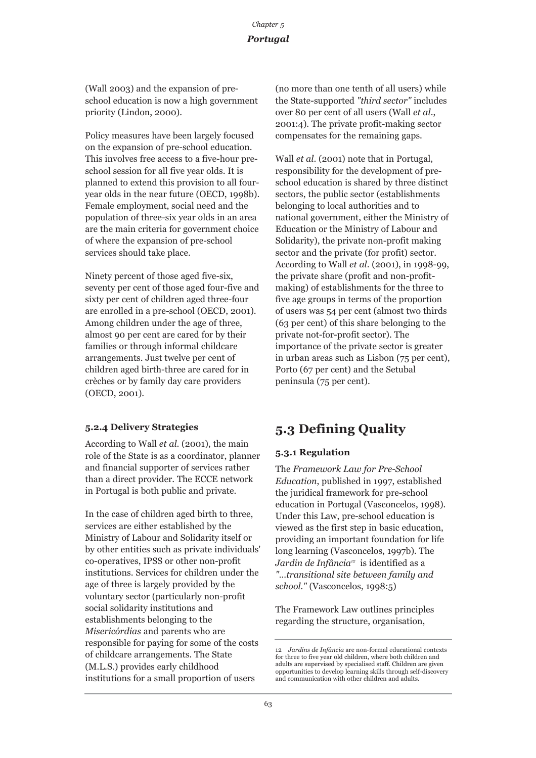## *Chapter 5 Portugal*

(Wall 2003) and the expansion of preschool education is now a high government priority (Lindon, 2000).

Policy measures have been largely focused on the expansion of pre-school education. This involves free access to a five-hour preschool session for all five year olds. It is planned to extend this provision to all fouryear olds in the near future (OECD, 1998b). Female employment, social need and the population of three-six year olds in an area are the main criteria for government choice of where the expansion of pre-school services should take place.

Ninety percent of those aged five-six, seventy per cent of those aged four-five and sixty per cent of children aged three-four are enrolled in a pre-school (OECD, 2001). Among children under the age of three, almost 90 per cent are cared for by their families or through informal childcare arrangements. Just twelve per cent of children aged birth-three are cared for in crèches or by family day care providers (OECD, 2001).

#### **5.2.4 Delivery Strategies**

According to Wall *et al*. (2001), the main role of the State is as a coordinator, planner and financial supporter of services rather than a direct provider. The ECCE network in Portugal is both public and private.

In the case of children aged birth to three, services are either established by the Ministry of Labour and Solidarity itself or by other entities such as private individuals' co-operatives, IPSS or other non-profit institutions. Services for children under the age of three is largely provided by the voluntary sector (particularly non-profit social solidarity institutions and establishments belonging to the *Misericórdias* and parents who are responsible for paying for some of the costs of childcare arrangements. The State (M.L.S.) provides early childhood institutions for a small proportion of users

(no more than one tenth of all users) while the State-supported *"third sector"* includes over 80 per cent of all users (Wall *et al*., 2001:4). The private profit-making sector compensates for the remaining gaps.

Wall *et al*. (2001) note that in Portugal, responsibility for the development of preschool education is shared by three distinct sectors, the public sector (establishments belonging to local authorities and to national government, either the Ministry of Education or the Ministry of Labour and Solidarity), the private non-profit making sector and the private (for profit) sector. According to Wall *et al*. (2001), in 1998-99, the private share (profit and non-profitmaking) of establishments for the three to five age groups in terms of the proportion of users was 54 per cent (almost two thirds (63 per cent) of this share belonging to the private not-for-profit sector). The importance of the private sector is greater in urban areas such as Lisbon (75 per cent), Porto (67 per cent) and the Setubal peninsula (75 per cent).

## **5.3 Defining Quality**

## **5.3.1 Regulation**

The *Framework Law for Pre-School Education*, published in 1997, established the juridical framework for pre-school education in Portugal (Vasconcelos, 1998). Under this Law, pre-school education is viewed as the first step in basic education, providing an important foundation for life long learning (Vasconcelos, 1997b). The *Jardin de Infância12* is identified as a *"…transitional site between family and school."* (Vasconcelos, 1998:5)

The Framework Law outlines principles regarding the structure, organisation,

<sup>12</sup> *Jardins de Infância* are non-formal educational contexts for three to five year old children, where both children and adults are supervised by specialised staff. Children are given opportunities to develop learning skills through self-discovery and communication with other children and adults.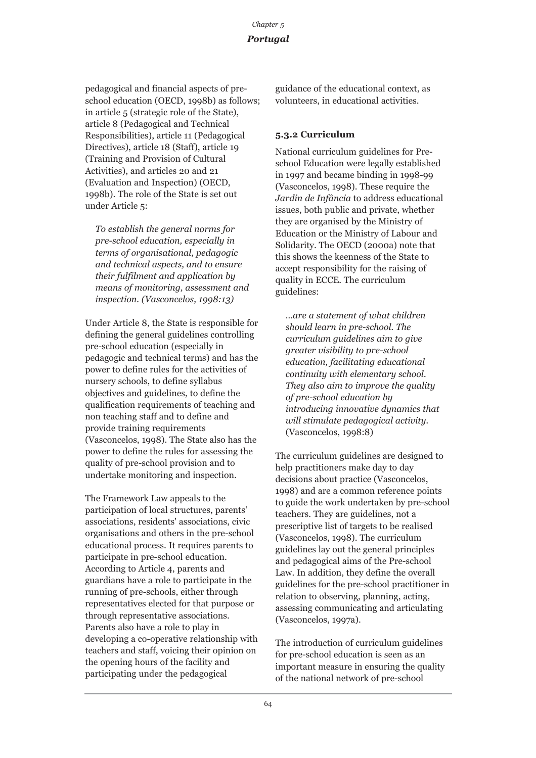## *Chapter 5 Portugal*

pedagogical and financial aspects of preschool education (OECD, 1998b) as follows; in article 5 (strategic role of the State), article 8 (Pedagogical and Technical Responsibilities), article 11 (Pedagogical Directives), article 18 (Staff), article 19 (Training and Provision of Cultural Activities), and articles 20 and 21 (Evaluation and Inspection) (OECD, 1998b). The role of the State is set out under Article 5:

*To establish the general norms for pre-school education, especially in terms of organisational, pedagogic and technical aspects, and to ensure their fulfilment and application by means of monitoring, assessment and inspection. (Vasconcelos, 1998:13)*

Under Article 8, the State is responsible for defining the general guidelines controlling pre-school education (especially in pedagogic and technical terms) and has the power to define rules for the activities of nursery schools, to define syllabus objectives and guidelines, to define the qualification requirements of teaching and non teaching staff and to define and provide training requirements (Vasconcelos, 1998). The State also has the power to define the rules for assessing the quality of pre-school provision and to undertake monitoring and inspection.

The Framework Law appeals to the participation of local structures, parents' associations, residents' associations, civic organisations and others in the pre-school educational process. It requires parents to participate in pre-school education. According to Article 4, parents and guardians have a role to participate in the running of pre-schools, either through representatives elected for that purpose or through representative associations. Parents also have a role to play in developing a co-operative relationship with teachers and staff, voicing their opinion on the opening hours of the facility and participating under the pedagogical

guidance of the educational context, as volunteers, in educational activities.

## **5.3.2 Curriculum**

National curriculum guidelines for Preschool Education were legally established in 1997 and became binding in 1998-99 (Vasconcelos, 1998). These require the *Jardin de Infância* to address educational issues, both public and private, whether they are organised by the Ministry of Education or the Ministry of Labour and Solidarity. The OECD (2000a) note that this shows the keenness of the State to accept responsibility for the raising of quality in ECCE. The curriculum guidelines:

*…are a statement of what children should learn in pre-school. The curriculum guidelines aim to give greater visibility to pre-school education, facilitating educational continuity with elementary school. They also aim to improve the quality of pre-school education by introducing innovative dynamics that will stimulate pedagogical activity.* (Vasconcelos, 1998:8)

The curriculum guidelines are designed to help practitioners make day to day decisions about practice (Vasconcelos, 1998) and are a common reference points to guide the work undertaken by pre-school teachers. They are guidelines, not a prescriptive list of targets to be realised (Vasconcelos, 1998). The curriculum guidelines lay out the general principles and pedagogical aims of the Pre-school Law. In addition, they define the overall guidelines for the pre-school practitioner in relation to observing, planning, acting, assessing communicating and articulating (Vasconcelos, 1997a).

The introduction of curriculum guidelines for pre-school education is seen as an important measure in ensuring the quality of the national network of pre-school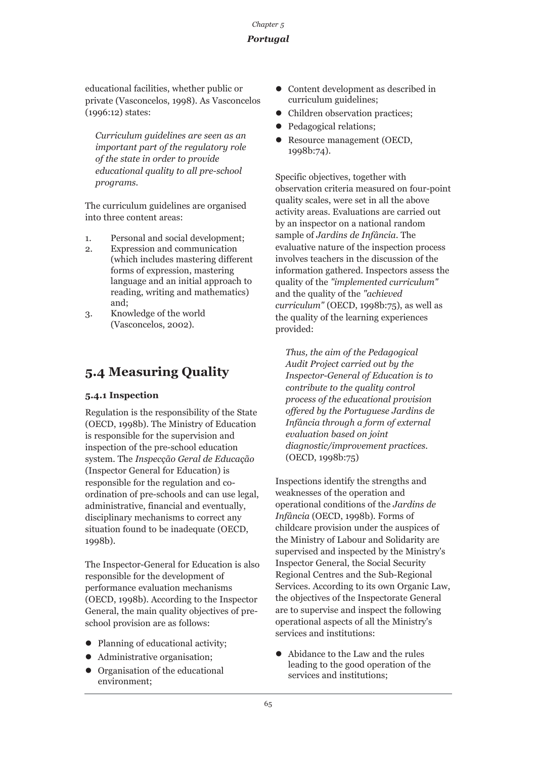educational facilities, whether public or private (Vasconcelos, 1998). As Vasconcelos (1996:12) states:

*Curriculum guidelines are seen as an important part of the regulatory role of the state in order to provide educational quality to all pre-school programs.*

The curriculum guidelines are organised into three content areas:

- 1. Personal and social development;
- 2. Expression and communication (which includes mastering different forms of expression, mastering language and an initial approach to reading, writing and mathematics) and;
- 3. Knowledge of the world (Vasconcelos, 2002).

### **5.4 Measuring Quality**

### **5.4.1 Inspection**

Regulation is the responsibility of the State (OECD, 1998b). The Ministry of Education is responsible for the supervision and inspection of the pre-school education system. The *Inspecção Geral de Educação* (Inspector General for Education) is responsible for the regulation and coordination of pre-schools and can use legal, administrative, financial and eventually, disciplinary mechanisms to correct any situation found to be inadequate (OECD, 1998b).

The Inspector-General for Education is also responsible for the development of performance evaluation mechanisms (OECD, 1998b). According to the Inspector General, the main quality objectives of preschool provision are as follows:

- Planning of educational activity;
- Administrative organisation;
- $\bullet$  Organisation of the educational environment;
- z Content development as described in curriculum guidelines;
- Children observation practices;
- Pedagogical relations;
- Resource management (OECD, 1998b:74).

Specific objectives, together with observation criteria measured on four-point quality scales, were set in all the above activity areas. Evaluations are carried out by an inspector on a national random sample of *Jardins de Infância*. The evaluative nature of the inspection process involves teachers in the discussion of the information gathered. Inspectors assess the quality of the *"implemented curriculum"* and the quality of the *"achieved curriculum"* (OECD, 1998b:75), as well as the quality of the learning experiences provided:

*Thus, the aim of the Pedagogical Audit Project carried out by the Inspector-General of Education is to contribute to the quality control process of the educational provision offered by the Portuguese Jardins de Infância through a form of external evaluation based on joint diagnostic/improvement practices.* (OECD, 1998b:75)

Inspections identify the strengths and weaknesses of the operation and operational conditions of the *Jardins de Infância* (OECD, 1998b). Forms of childcare provision under the auspices of the Ministry of Labour and Solidarity are supervised and inspected by the Ministry's Inspector General, the Social Security Regional Centres and the Sub-Regional Services. According to its own Organic Law, the objectives of the Inspectorate General are to supervise and inspect the following operational aspects of all the Ministry's services and institutions:

• Abidance to the Law and the rules leading to the good operation of the services and institutions;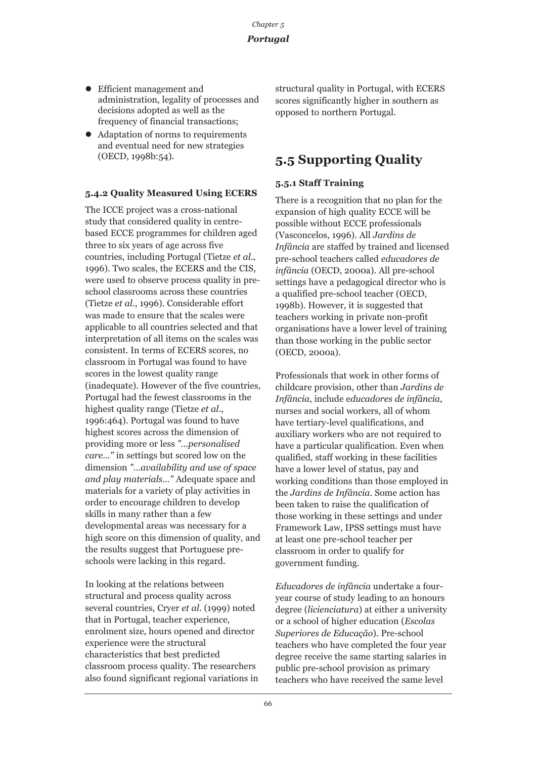- Efficient management and administration, legality of processes and decisions adopted as well as the frequency of financial transactions;
- Adaptation of norms to requirements and eventual need for new strategies (OECD, 1998b:54).

#### **5.4.2 Quality Measured Using ECERS**

The ICCE project was a cross-national study that considered quality in centrebased ECCE programmes for children aged three to six years of age across five countries, including Portugal (Tietze *et al*., 1996). Two scales, the ECERS and the CIS, were used to observe process quality in preschool classrooms across these countries (Tietze *et al*., 1996). Considerable effort was made to ensure that the scales were applicable to all countries selected and that interpretation of all items on the scales was consistent. In terms of ECERS scores, no classroom in Portugal was found to have scores in the lowest quality range (inadequate). However of the five countries, Portugal had the fewest classrooms in the highest quality range (Tietze *et al*., 1996:464). Portugal was found to have highest scores across the dimension of providing more or less *"…personalised care…"* in settings but scored low on the dimension *"…availability and use of space and play materials…"* Adequate space and materials for a variety of play activities in order to encourage children to develop skills in many rather than a few developmental areas was necessary for a high score on this dimension of quality, and the results suggest that Portuguese preschools were lacking in this regard.

In looking at the relations between structural and process quality across several countries, Cryer *et al*. (1999) noted that in Portugal, teacher experience, enrolment size, hours opened and director experience were the structural characteristics that best predicted classroom process quality. The researchers also found significant regional variations in structural quality in Portugal, with ECERS scores significantly higher in southern as opposed to northern Portugal.

### **5.5 Supporting Quality**

### **5.5.1 Staff Training**

There is a recognition that no plan for the expansion of high quality ECCE will be possible without ECCE professionals (Vasconcelos, 1996). All *Jardins de Infância* are staffed by trained and licensed pre-school teachers called *educadores de infância* (OECD, 2000a). All pre-school settings have a pedagogical director who is a qualified pre-school teacher (OECD, 1998b). However, it is suggested that teachers working in private non-profit organisations have a lower level of training than those working in the public sector (OECD, 2000a).

Professionals that work in other forms of childcare provision, other than *Jardins de Infância*, include e*ducadores de infância*, nurses and social workers, all of whom have tertiary-level qualifications, and auxiliary workers who are not required to have a particular qualification. Even when qualified, staff working in these facilities have a lower level of status, pay and working conditions than those employed in the *Jardins de Infância*. Some action has been taken to raise the qualification of those working in these settings and under Framework Law, IPSS settings must have at least one pre-school teacher per classroom in order to qualify for government funding.

*Educadores de infância* undertake a fouryear course of study leading to an honours degree (*licienciatura*) at either a university or a school of higher education (*Escolas Superiores de Educação*). Pre-school teachers who have completed the four year degree receive the same starting salaries in public pre-school provision as primary teachers who have received the same level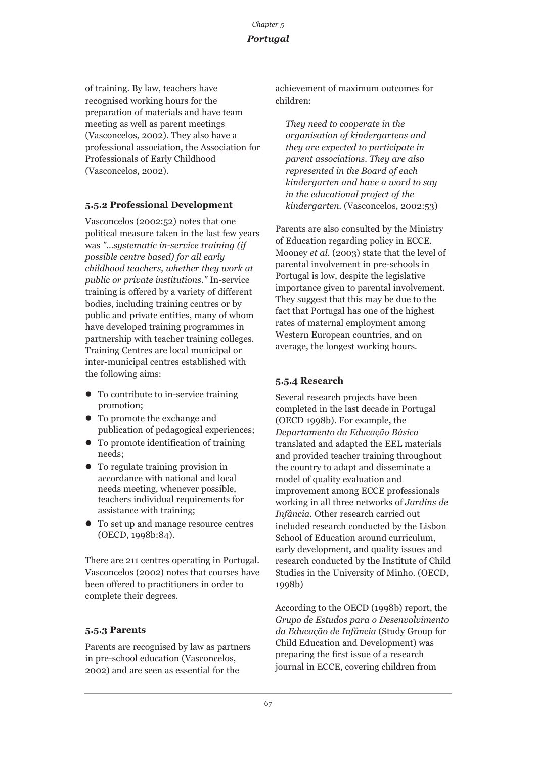of training. By law, teachers have recognised working hours for the preparation of materials and have team meeting as well as parent meetings (Vasconcelos, 2002). They also have a professional association, the Association for Professionals of Early Childhood (Vasconcelos, 2002).

### **5.5.2 Professional Development**

Vasconcelos (2002:52) notes that one political measure taken in the last few years was *"…systematic in-service training (if possible centre based) for all early childhood teachers, whether they work at public or private institutions."* In-service training is offered by a variety of different bodies, including training centres or by public and private entities, many of whom have developed training programmes in partnership with teacher training colleges. Training Centres are local municipal or inter-municipal centres established with the following aims:

- $\bullet$  To contribute to in-service training promotion;
- To promote the exchange and publication of pedagogical experiences;
- To promote identification of training needs;
- To regulate training provision in accordance with national and local needs meeting, whenever possible, teachers individual requirements for assistance with training;
- To set up and manage resource centres (OECD, 1998b:84).

There are 211 centres operating in Portugal. Vasconcelos (2002) notes that courses have been offered to practitioners in order to complete their degrees.

### **5.5.3 Parents**

Parents are recognised by law as partners in pre-school education (Vasconcelos, 2002) and are seen as essential for the

achievement of maximum outcomes for children:

*They need to cooperate in the organisation of kindergartens and they are expected to participate in parent associations. They are also represented in the Board of each kindergarten and have a word to say in the educational project of the kindergarten.* (Vasconcelos, 2002:53)

Parents are also consulted by the Ministry of Education regarding policy in ECCE. Mooney *et al*. (2003) state that the level of parental involvement in pre-schools in Portugal is low, despite the legislative importance given to parental involvement. They suggest that this may be due to the fact that Portugal has one of the highest rates of maternal employment among Western European countries, and on average, the longest working hours.

### **5.5.4 Research**

Several research projects have been completed in the last decade in Portugal (OECD 1998b). For example, the *Departamento da Educação Básica* translated and adapted the EEL materials and provided teacher training throughout the country to adapt and disseminate a model of quality evaluation and improvement among ECCE professionals working in all three networks of *Jardins de Infância.* Other research carried out included research conducted by the Lisbon School of Education around curriculum, early development, and quality issues and research conducted by the Institute of Child Studies in the University of Minho. (OECD, 1998b)

According to the OECD (1998b) report, the *Grupo de Estudos para o Desenvolvimento da Educação de Infância* (Study Group for Child Education and Development) was preparing the first issue of a research journal in ECCE, covering children from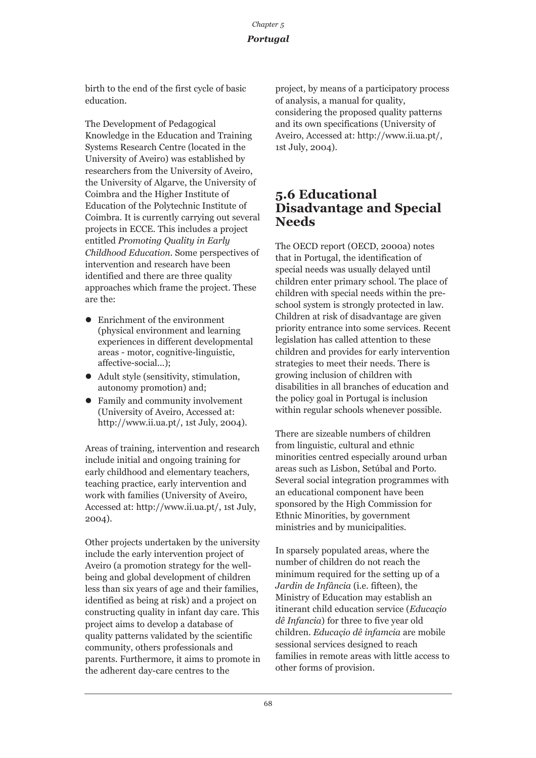birth to the end of the first cycle of basic education.

The Development of Pedagogical Knowledge in the Education and Training Systems Research Centre (located in the University of Aveiro) was established by researchers from the University of Aveiro, the University of Algarve, the University of Coimbra and the Higher Institute of Education of the Polytechnic Institute of Coimbra. It is currently carrying out several projects in ECCE. This includes a project entitled *Promoting Quality in Early Childhood Education*. Some perspectives of intervention and research have been identified and there are three quality approaches which frame the project. These are the:

- Enrichment of the environment (physical environment and learning experiences in different developmental areas - motor, cognitive-linguistic, affective-social...);
- $\bullet$  Adult style (sensitivity, stimulation, autonomy promotion) and;
- Family and community involvement (University of Aveiro, Accessed at: http://www.ii.ua.pt/, 1st July, 2004).

Areas of training, intervention and research include initial and ongoing training for early childhood and elementary teachers, teaching practice, early intervention and work with families (University of Aveiro, Accessed at: http://www.ii.ua.pt/, 1st July, 2004).

Other projects undertaken by the university include the early intervention project of Aveiro (a promotion strategy for the wellbeing and global development of children less than six years of age and their families, identified as being at risk) and a project on constructing quality in infant day care. This project aims to develop a database of quality patterns validated by the scientific community, others professionals and parents. Furthermore, it aims to promote in the adherent day-care centres to the

project, by means of a participatory process of analysis, a manual for quality, considering the proposed quality patterns and its own specifications (University of Aveiro, Accessed at: http://www.ii.ua.pt/, 1st July, 2004).

### **5.6 Educational Disadvantage and Special Needs**

The OECD report (OECD, 2000a) notes that in Portugal, the identification of special needs was usually delayed until children enter primary school. The place of children with special needs within the preschool system is strongly protected in law. Children at risk of disadvantage are given priority entrance into some services. Recent legislation has called attention to these children and provides for early intervention strategies to meet their needs. There is growing inclusion of children with disabilities in all branches of education and the policy goal in Portugal is inclusion within regular schools whenever possible.

There are sizeable numbers of children from linguistic, cultural and ethnic minorities centred especially around urban areas such as Lisbon, Setúbal and Porto. Several social integration programmes with an educational component have been sponsored by the High Commission for Ethnic Minorities, by government ministries and by municipalities.

In sparsely populated areas, where the number of children do not reach the minimum required for the setting up of a *Jardin de Infância* (i.e. fifteen), the Ministry of Education may establish an itinerant child education service (*Educaçio dê Infancia*) for three to five year old children. *Educaçio dê infamcia* are mobile sessional services designed to reach families in remote areas with little access to other forms of provision.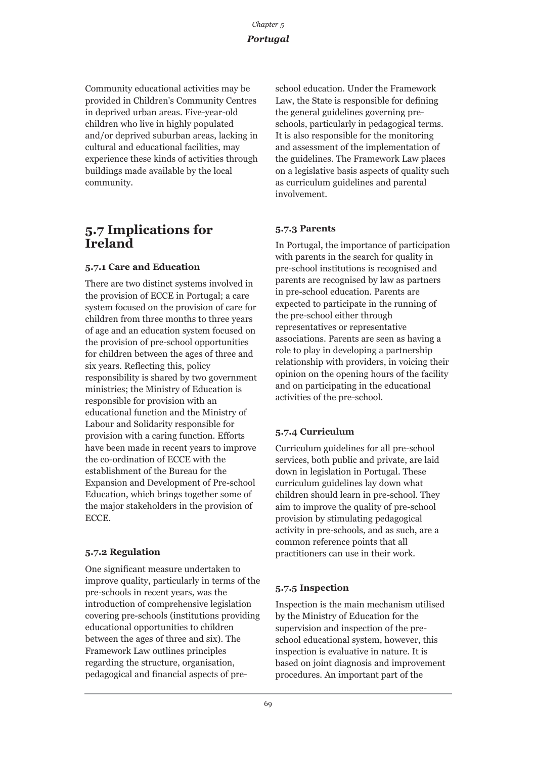Community educational activities may be provided in Children's Community Centres in deprived urban areas. Five-year-old children who live in highly populated and/or deprived suburban areas, lacking in cultural and educational facilities, may experience these kinds of activities through buildings made available by the local community.

### **5.7 Implications for Ireland**

### **5.7.1 Care and Education**

There are two distinct systems involved in the provision of ECCE in Portugal; a care system focused on the provision of care for children from three months to three years of age and an education system focused on the provision of pre-school opportunities for children between the ages of three and six years. Reflecting this, policy responsibility is shared by two government ministries; the Ministry of Education is responsible for provision with an educational function and the Ministry of Labour and Solidarity responsible for provision with a caring function. Efforts have been made in recent years to improve the co-ordination of ECCE with the establishment of the Bureau for the Expansion and Development of Pre-school Education, which brings together some of the major stakeholders in the provision of ECCE.

### **5.7.2 Regulation**

One significant measure undertaken to improve quality, particularly in terms of the pre-schools in recent years, was the introduction of comprehensive legislation covering pre-schools (institutions providing educational opportunities to children between the ages of three and six). The Framework Law outlines principles regarding the structure, organisation, pedagogical and financial aspects of preschool education. Under the Framework Law, the State is responsible for defining the general guidelines governing preschools, particularly in pedagogical terms. It is also responsible for the monitoring and assessment of the implementation of the guidelines. The Framework Law places on a legislative basis aspects of quality such as curriculum guidelines and parental involvement.

### **5.7.3 Parents**

In Portugal, the importance of participation with parents in the search for quality in pre-school institutions is recognised and parents are recognised by law as partners in pre-school education. Parents are expected to participate in the running of the pre-school either through representatives or representative associations. Parents are seen as having a role to play in developing a partnership relationship with providers, in voicing their opinion on the opening hours of the facility and on participating in the educational activities of the pre-school.

### **5.7.4 Curriculum**

Curriculum guidelines for all pre-school services, both public and private, are laid down in legislation in Portugal. These curriculum guidelines lay down what children should learn in pre-school. They aim to improve the quality of pre-school provision by stimulating pedagogical activity in pre-schools, and as such, are a common reference points that all practitioners can use in their work.

### **5.7.5 Inspection**

Inspection is the main mechanism utilised by the Ministry of Education for the supervision and inspection of the preschool educational system, however, this inspection is evaluative in nature. It is based on joint diagnosis and improvement procedures. An important part of the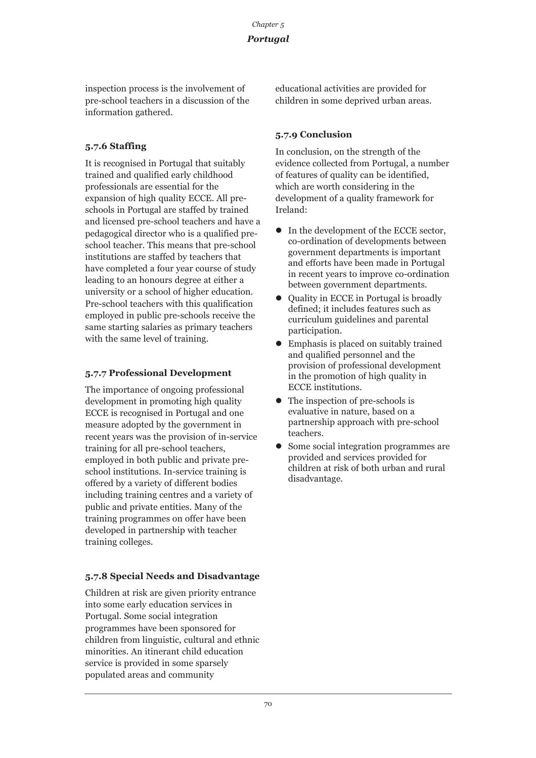inspection process is the involvement of pre-school teachers in a discussion of the information gathered.

### **5.7.6 Staffing**

It is recognised in Portugal that suitably trained and qualified early childhood professionals are essential for the expansion of high quality ECCE. All preschools in Portugal are staffed by trained and licensed pre-school teachers and have a pedagogical director who is a qualified preschool teacher. This means that pre-school institutions are staffed by teachers that have completed a four year course of study leading to an honours degree at either a university or a school of higher education. Pre-school teachers with this qualification employed in public pre-schools receive the same starting salaries as primary teachers with the same level of training.

### **5.7.7 Professional Development**

The importance of ongoing professional development in promoting high quality ECCE is recognised in Portugal and one measure adopted by the government in recent years was the provision of in-service training for all pre-school teachers, employed in both public and private preschool institutions. In-service training is offered by a variety of different bodies including training centres and a variety of public and private entities. Many of the training programmes on offer have been developed in partnership with teacher training colleges.

### **5.7.8 Special Needs and Disadvantage**

Children at risk are given priority entrance into some early education services in Portugal. Some social integration programmes have been sponsored for children from linguistic, cultural and ethnic minorities. An itinerant child education service is provided in some sparsely populated areas and community

educational activities are provided for children in some deprived urban areas.

### **5.7.9 Conclusion**

In conclusion, on the strength of the evidence collected from Portugal, a number of features of quality can be identified, which are worth considering in the development of a quality framework for Ireland:

- $\bullet$  In the development of the ECCE sector, co-ordination of developments between government departments is important and efforts have been made in Portugal in recent years to improve co-ordination between government departments.
- Ouality in ECCE in Portugal is broadly defined; it includes features such as curriculum guidelines and parental participation.
- $\bullet$  Emphasis is placed on suitably trained and qualified personnel and the provision of professional development in the promotion of high quality in ECCE institutions.
- $\bullet$  The inspection of pre-schools is evaluative in nature, based on a partnership approach with pre-school teachers.
- Some social integration programmes are provided and services provided for children at risk of both urban and rural disadvantage.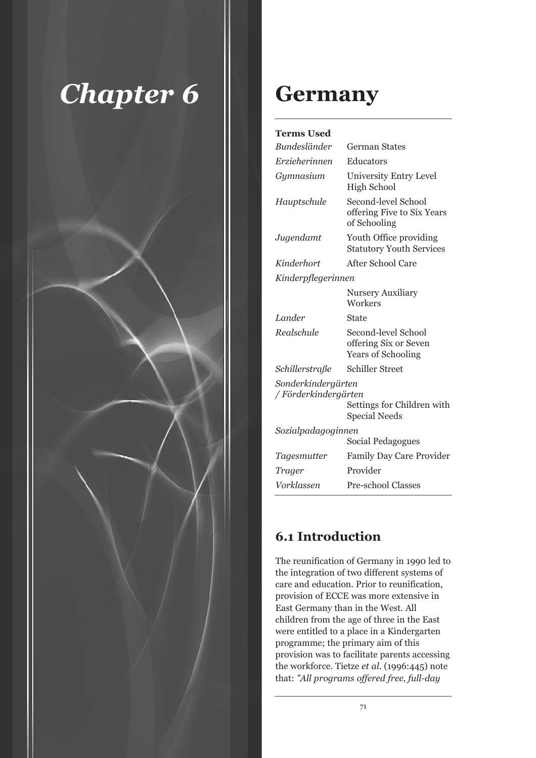

## **Germany**

| <b>Terms Used</b>                                                                                |                                                                           |
|--------------------------------------------------------------------------------------------------|---------------------------------------------------------------------------|
| <b>Bundesländer</b>                                                                              | <b>German States</b>                                                      |
| Erzieherinnen                                                                                    | Educators                                                                 |
| Gymnasium                                                                                        | University Entry Level<br><b>High School</b>                              |
| Hauptschule                                                                                      | Second-level School<br>offering Five to Six Years<br>of Schooling         |
| Jugendamt                                                                                        | Youth Office providing<br><b>Statutory Youth Services</b>                 |
| Kinderhort                                                                                       | After School Care                                                         |
| Kinderpflegerinnen                                                                               |                                                                           |
|                                                                                                  | <b>Nursery Auxiliary</b><br>Workers                                       |
| Lander                                                                                           | State                                                                     |
| Realschule                                                                                       | Second-level School<br>offering Six or Seven<br><b>Years of Schooling</b> |
| Schillerstraße                                                                                   | <b>Schiller Street</b>                                                    |
| Sonderkindergärten<br>/ Förderkindergärten<br>Settings for Children with<br><b>Special Needs</b> |                                                                           |
| Sozialpadagoginnen                                                                               |                                                                           |
|                                                                                                  | Social Pedagogues                                                         |
| Tagesmutter                                                                                      | <b>Family Day Care Provider</b>                                           |
| Trager                                                                                           | Provider                                                                  |
| Vorklassen                                                                                       | <b>Pre-school Classes</b>                                                 |

### **6.1 Introduction**

The reunification of Germany in 1990 led to the integration of two different systems of care and education. Prior to reunification, provision of ECCE was more extensive in East Germany than in the West. All children from the age of three in the East were entitled to a place in a Kindergarten programme; the primary aim of this provision was to facilitate parents accessing the workforce. Tietze *et al*. (1996:445) note that: *"All programs offered free, full-day*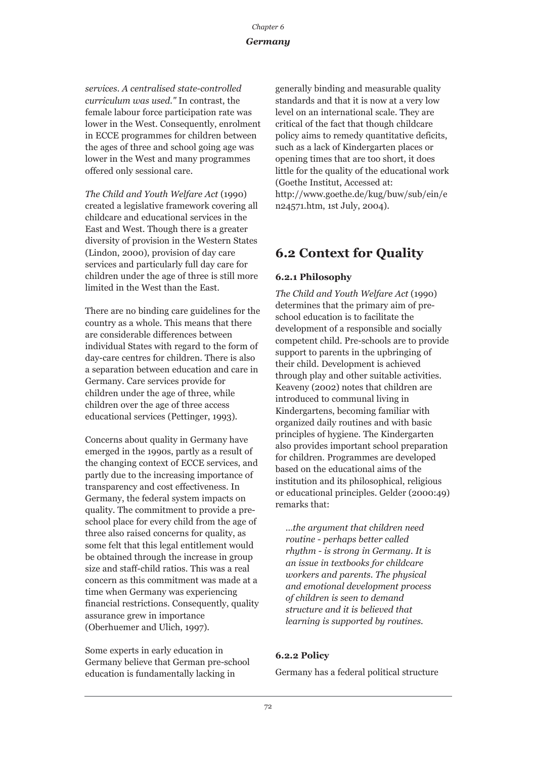### *Germany*

*services. A centralised state-controlled curriculum was used."* In contrast, the female labour force participation rate was lower in the West. Consequently, enrolment in ECCE programmes for children between the ages of three and school going age was lower in the West and many programmes offered only sessional care.

*The Child and Youth Welfare Act* (1990) created a legislative framework covering all childcare and educational services in the East and West. Though there is a greater diversity of provision in the Western States (Lindon, 2000), provision of day care services and particularly full day care for children under the age of three is still more limited in the West than the East.

There are no binding care guidelines for the country as a whole. This means that there are considerable differences between individual States with regard to the form of day-care centres for children. There is also a separation between education and care in Germany. Care services provide for children under the age of three, while children over the age of three access educational services (Pettinger, 1993).

Concerns about quality in Germany have emerged in the 1990s, partly as a result of the changing context of ECCE services, and partly due to the increasing importance of transparency and cost effectiveness. In Germany, the federal system impacts on quality. The commitment to provide a preschool place for every child from the age of three also raised concerns for quality, as some felt that this legal entitlement would be obtained through the increase in group size and staff-child ratios. This was a real concern as this commitment was made at a time when Germany was experiencing financial restrictions. Consequently, quality assurance grew in importance (Oberhuemer and Ulich, 1997).

Some experts in early education in Germany believe that German pre-school education is fundamentally lacking in

generally binding and measurable quality standards and that it is now at a very low level on an international scale. They are critical of the fact that though childcare policy aims to remedy quantitative deficits, such as a lack of Kindergarten places or opening times that are too short, it does little for the quality of the educational work (Goethe Institut, Accessed at: http://www.goethe.de/kug/buw/sub/ein/e n24571.htm, 1st July, 2004).

### **6.2 Context for Quality**

### **6.2.1 Philosophy**

*The Child and Youth Welfare Act* (1990) determines that the primary aim of preschool education is to facilitate the development of a responsible and socially competent child. Pre-schools are to provide support to parents in the upbringing of their child. Development is achieved through play and other suitable activities. Keaveny (2002) notes that children are introduced to communal living in Kindergartens, becoming familiar with organized daily routines and with basic principles of hygiene. The Kindergarten also provides important school preparation for children. Programmes are developed based on the educational aims of the institution and its philosophical, religious or educational principles. Gelder (2000:49) remarks that:

*…the argument that children need routine - perhaps better called rhythm - is strong in Germany. It is an issue in textbooks for childcare workers and parents. The physical and emotional development process of children is seen to demand structure and it is believed that learning is supported by routines.* 

### **6.2.2 Policy**

Germany has a federal political structure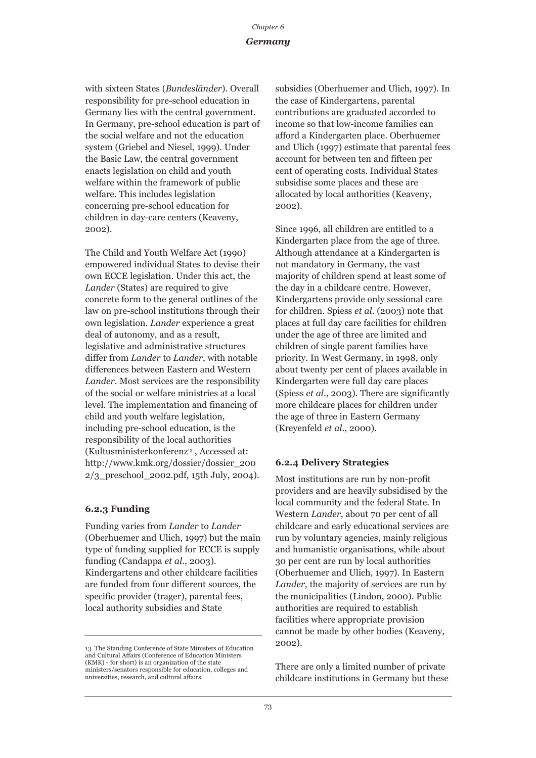#### *Germany*

with sixteen States (*Bundesländer*). Overall responsibility for pre-school education in Germany lies with the central government. In Germany, pre-school education is part of the social welfare and not the education system (Griebel and Niesel, 1999). Under the Basic Law, the central government enacts legislation on child and youth welfare within the framework of public welfare. This includes legislation concerning pre-school education for children in day-care centers (Keaveny, 2002).

The Child and Youth Welfare Act (1990) empowered individual States to devise their own ECCE legislation. Under this act, the *Lander* (States) are required to give concrete form to the general outlines of the law on pre-school institutions through their own legislation. *Lander* experience a great deal of autonomy, and as a result, legislative and administrative structures differ from *Lander* to *Lander*, with notable differences between Eastern and Western *Lander*. Most services are the responsibility of the social or welfare ministries at a local level. The implementation and financing of child and youth welfare legislation, including pre-school education, is the responsibility of the local authorities (Kultusministerkonferenz<sup>13</sup>, Accessed at: http://www.kmk.org/dossier/dossier\_200  $2/3$  preschool  $2002$ .pdf, 15th July, 2004).

#### **6.2.3 Funding**

Funding varies from *Lander* to *Lander* (Oberhuemer and Ulich, 1997) but the main type of funding supplied for ECCE is supply funding (Candappa *et al*., 2003). Kindergartens and other childcare facilities are funded from four different sources, the specific provider (trager), parental fees, local authority subsidies and State

subsidies (Oberhuemer and Ulich, 1997). In the case of Kindergartens, parental contributions are graduated accorded to income so that low-income families can afford a Kindergarten place. Oberhuemer and Ulich (1997) estimate that parental fees account for between ten and fifteen per cent of operating costs. Individual States subsidise some places and these are allocated by local authorities (Keaveny, 2002).

Since 1996, all children are entitled to a Kindergarten place from the age of three. Although attendance at a Kindergarten is not mandatory in Germany, the vast majority of children spend at least some of the day in a childcare centre. However, Kindergartens provide only sessional care for children. Spiess *et al*. (2003) note that places at full day care facilities for children under the age of three are limited and children of single parent families have priority. In West Germany, in 1998, only about twenty per cent of places available in Kindergarten were full day care places (Spiess *et al*., 2003). There are significantly more childcare places for children under the age of three in Eastern Germany (Kreyenfeld *et al*., 2000).

#### **6.2.4 Delivery Strategies**

Most institutions are run by non-profit providers and are heavily subsidised by the local community and the federal State. In Western *Lander*, about 70 per cent of all childcare and early educational services are run by voluntary agencies, mainly religious and humanistic organisations, while about 30 per cent are run by local authorities (Oberhuemer and Ulich, 1997). In Eastern *Lander*, the majority of services are run by the municipalities (Lindon, 2000). Public authorities are required to establish facilities where appropriate provision cannot be made by other bodies (Keaveny, 2002).

There are only a limited number of private childcare institutions in Germany but these

<sup>13</sup> The Standing Conference of State Ministers of Education and Cultural Affairs (Conference of Education Ministers (KMK) - for short) is an organization of the state ministers/senators responsible for education, colleges and universities, research, and cultural affairs.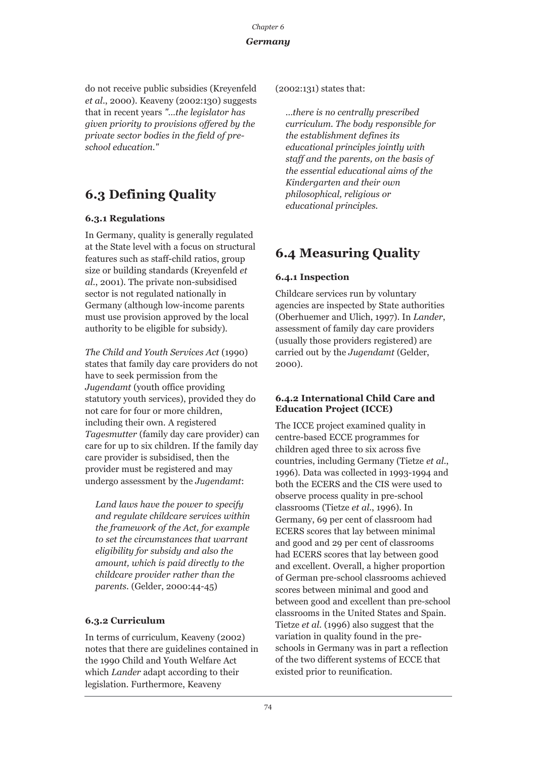### *Germany*

do not receive public subsidies (Kreyenfeld *et al*., 2000). Keaveny (2002:130) suggests that in recent years *"…the legislator has given priority to provisions offered by the private sector bodies in the field of preschool education."* 

### **6.3 Defining Quality**

### **6.3.1 Regulations**

In Germany, quality is generally regulated at the State level with a focus on structural features such as staff-child ratios, group size or building standards (Kreyenfeld *et al*., 2001). The private non-subsidised sector is not regulated nationally in Germany (although low-income parents must use provision approved by the local authority to be eligible for subsidy).

*The Child and Youth Services Act* (1990) states that family day care providers do not have to seek permission from the *Jugendamt* (youth office providing statutory youth services), provided they do not care for four or more children, including their own. A registered *Tagesmutter* (family day care provider) can care for up to six children. If the family day care provider is subsidised, then the provider must be registered and may undergo assessment by the *Jugendamt*:

*Land laws have the power to specify and regulate childcare services within the framework of the Act, for example to set the circumstances that warrant eligibility for subsidy and also the amount, which is paid directly to the childcare provider rather than the parents.* (Gelder, 2000:44-45)

### **6.3.2 Curriculum**

In terms of curriculum, Keaveny (2002) notes that there are guidelines contained in the 1990 Child and Youth Welfare Act which *Lander* adapt according to their legislation. Furthermore, Keaveny

(2002:131) states that:

*…there is no centrally prescribed curriculum. The body responsible for the establishment defines its educational principles jointly with staff and the parents, on the basis of the essential educational aims of the Kindergarten and their own philosophical, religious or educational principles.*

### **6.4 Measuring Quality**

### **6.4.1 Inspection**

Childcare services run by voluntary agencies are inspected by State authorities (Oberhuemer and Ulich, 1997). In *Lander*, assessment of family day care providers (usually those providers registered) are carried out by the *Jugendamt* (Gelder, 2000).

### **6.4.2 International Child Care and Education Project (ICCE)**

The ICCE project examined quality in centre-based ECCE programmes for children aged three to six across five countries, including Germany (Tietze *et al*., 1996). Data was collected in 1993-1994 and both the ECERS and the CIS were used to observe process quality in pre-school classrooms (Tietze *et al*., 1996). In Germany, 69 per cent of classroom had ECERS scores that lay between minimal and good and 29 per cent of classrooms had ECERS scores that lay between good and excellent. Overall, a higher proportion of German pre-school classrooms achieved scores between minimal and good and between good and excellent than pre-school classrooms in the United States and Spain. Tietze *et al*. (1996) also suggest that the variation in quality found in the preschools in Germany was in part a reflection of the two different systems of ECCE that existed prior to reunification.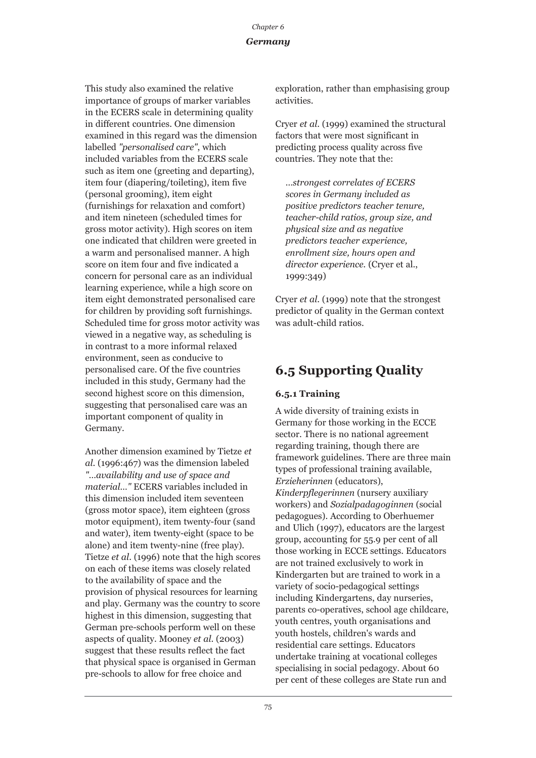### *Germany*

This study also examined the relative importance of groups of marker variables in the ECERS scale in determining quality in different countries. One dimension examined in this regard was the dimension labelled *"personalised care"*, which included variables from the ECERS scale such as item one (greeting and departing), item four (diapering/toileting), item five (personal grooming), item eight (furnishings for relaxation and comfort) and item nineteen (scheduled times for gross motor activity). High scores on item one indicated that children were greeted in a warm and personalised manner. A high score on item four and five indicated a concern for personal care as an individual learning experience, while a high score on item eight demonstrated personalised care for children by providing soft furnishings. Scheduled time for gross motor activity was viewed in a negative way, as scheduling is in contrast to a more informal relaxed environment, seen as conducive to personalised care. Of the five countries included in this study, Germany had the second highest score on this dimension, suggesting that personalised care was an important component of quality in Germany.

Another dimension examined by Tietze *et al*. (1996:467) was the dimension labeled *"…availability and use of space and material…"* ECERS variables included in this dimension included item seventeen (gross motor space), item eighteen (gross motor equipment), item twenty-four (sand and water), item twenty-eight (space to be alone) and item twenty-nine (free play). Tietze *et al*. (1996) note that the high scores on each of these items was closely related to the availability of space and the provision of physical resources for learning and play. Germany was the country to score highest in this dimension, suggesting that German pre-schools perform well on these aspects of quality. Mooney *et al*. (2003) suggest that these results reflect the fact that physical space is organised in German pre-schools to allow for free choice and

exploration, rather than emphasising group activities.

Cryer *et al*. (1999) examined the structural factors that were most significant in predicting process quality across five countries. They note that the:

*…strongest correlates of ECERS scores in Germany included as positive predictors teacher tenure, teacher-child ratios, group size, and physical size and as negative predictors teacher experience, enrollment size, hours open and director experience.* (Cryer et al., 1999:349)

Cryer *et al*. (1999) note that the strongest predictor of quality in the German context was adult-child ratios.

### **6.5 Supporting Quality**

### **6.5.1 Training**

A wide diversity of training exists in Germany for those working in the ECCE sector. There is no national agreement regarding training, though there are framework guidelines. There are three main types of professional training available, *Erzieherinnen* (educators), *Kinderpflegerinnen* (nursery auxiliary workers) and *Sozialpadagoginnen* (social pedagogues). According to Oberhuemer and Ulich (1997), educators are the largest group, accounting for 55.9 per cent of all those working in ECCE settings. Educators are not trained exclusively to work in Kindergarten but are trained to work in a variety of socio-pedagogical settings including Kindergartens, day nurseries, parents co-operatives, school age childcare, youth centres, youth organisations and youth hostels, children's wards and residential care settings. Educators undertake training at vocational colleges specialising in social pedagogy. About 60 per cent of these colleges are State run and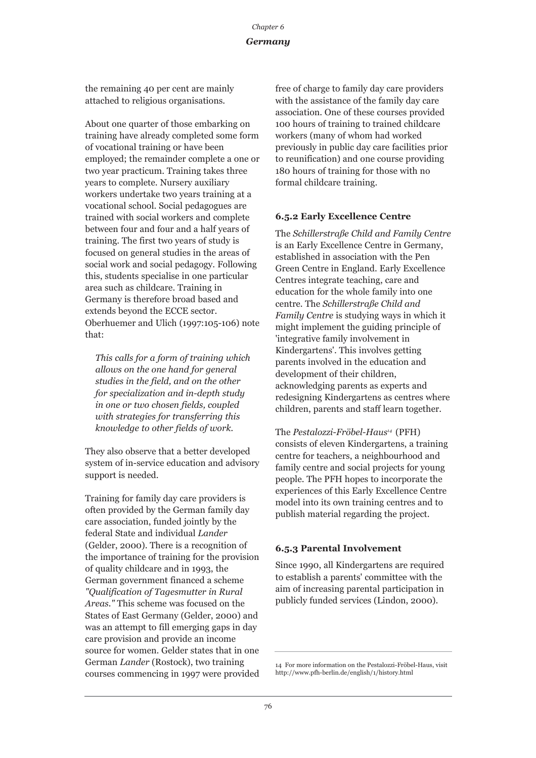### *Germany*

the remaining 40 per cent are mainly attached to religious organisations.

About one quarter of those embarking on training have already completed some form of vocational training or have been employed; the remainder complete a one or two year practicum. Training takes three years to complete. Nursery auxiliary workers undertake two years training at a vocational school. Social pedagogues are trained with social workers and complete between four and four and a half years of training. The first two years of study is focused on general studies in the areas of social work and social pedagogy. Following this, students specialise in one particular area such as childcare. Training in Germany is therefore broad based and extends beyond the ECCE sector. Oberhuemer and Ulich (1997:105-106) note that:

*This calls for a form of training which allows on the one hand for general studies in the field, and on the other for specialization and in-depth study in one or two chosen fields, coupled with strategies for transferring this knowledge to other fields of work.*

They also observe that a better developed system of in-service education and advisory support is needed.

Training for family day care providers is often provided by the German family day care association, funded jointly by the federal State and individual *Lander* (Gelder, 2000). There is a recognition of the importance of training for the provision of quality childcare and in 1993, the German government financed a scheme *"Qualification of Tagesmutter in Rural Areas."* This scheme was focused on the States of East Germany (Gelder, 2000) and was an attempt to fill emerging gaps in day care provision and provide an income source for women. Gelder states that in one German *Lander* (Rostock), two training courses commencing in 1997 were provided free of charge to family day care providers with the assistance of the family day care association. One of these courses provided 100 hours of training to trained childcare workers (many of whom had worked previously in public day care facilities prior to reunification) and one course providing 180 hours of training for those with no formal childcare training.

### **6.5.2 Early Excellence Centre**

The *Schillerstraße Child and Family Centre* is an Early Excellence Centre in Germany, established in association with the Pen Green Centre in England. Early Excellence Centres integrate teaching, care and education for the whole family into one centre. The *Schillerstraße Child and Family Centre* is studying ways in which it might implement the guiding principle of 'integrative family involvement in Kindergartens'. This involves getting parents involved in the education and development of their children, acknowledging parents as experts and redesigning Kindergartens as centres where children, parents and staff learn together.

The *Pestalozzi-Fröbel-Haus14* (PFH) consists of eleven Kindergartens, a training centre for teachers, a neighbourhood and family centre and social projects for young people. The PFH hopes to incorporate the experiences of this Early Excellence Centre model into its own training centres and to publish material regarding the project.

### **6.5.3 Parental Involvement**

Since 1990, all Kindergartens are required to establish a parents' committee with the aim of increasing parental participation in publicly funded services (Lindon, 2000).

<sup>14</sup> For more information on the Pestalozzi-Fröbel-Haus, visit http://www.pfh-berlin.de/english/1/history.html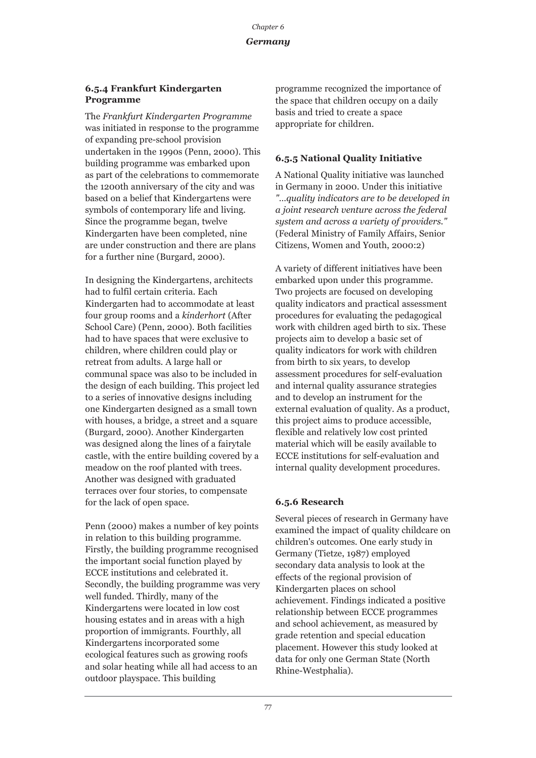#### *Germany*

#### **6.5.4 Frankfurt Kindergarten Programme**

The *Frankfurt Kindergarten Programme* was initiated in response to the programme of expanding pre-school provision undertaken in the 1990s (Penn, 2000). This building programme was embarked upon as part of the celebrations to commemorate the 1200th anniversary of the city and was based on a belief that Kindergartens were symbols of contemporary life and living. Since the programme began, twelve Kindergarten have been completed, nine are under construction and there are plans for a further nine (Burgard, 2000).

In designing the Kindergartens, architects had to fulfil certain criteria. Each Kindergarten had to accommodate at least four group rooms and a *kinderhort* (After School Care) (Penn, 2000). Both facilities had to have spaces that were exclusive to children, where children could play or retreat from adults. A large hall or communal space was also to be included in the design of each building. This project led to a series of innovative designs including one Kindergarten designed as a small town with houses, a bridge, a street and a square (Burgard, 2000). Another Kindergarten was designed along the lines of a fairytale castle, with the entire building covered by a meadow on the roof planted with trees. Another was designed with graduated terraces over four stories, to compensate for the lack of open space.

Penn (2000) makes a number of key points in relation to this building programme. Firstly, the building programme recognised the important social function played by ECCE institutions and celebrated it. Secondly, the building programme was very well funded. Thirdly, many of the Kindergartens were located in low cost housing estates and in areas with a high proportion of immigrants. Fourthly, all Kindergartens incorporated some ecological features such as growing roofs and solar heating while all had access to an outdoor playspace. This building

programme recognized the importance of the space that children occupy on a daily basis and tried to create a space appropriate for children.

#### **6.5.5 National Quality Initiative**

A National Quality initiative was launched in Germany in 2000. Under this initiative *"…quality indicators are to be developed in a joint research venture across the federal system and across a variety of providers."* (Federal Ministry of Family Affairs, Senior Citizens, Women and Youth, 2000:2)

A variety of different initiatives have been embarked upon under this programme. Two projects are focused on developing quality indicators and practical assessment procedures for evaluating the pedagogical work with children aged birth to six. These projects aim to develop a basic set of quality indicators for work with children from birth to six years, to develop assessment procedures for self-evaluation and internal quality assurance strategies and to develop an instrument for the external evaluation of quality. As a product, this project aims to produce accessible, flexible and relatively low cost printed material which will be easily available to ECCE institutions for self-evaluation and internal quality development procedures.

#### **6.5.6 Research**

Several pieces of research in Germany have examined the impact of quality childcare on children's outcomes. One early study in Germany (Tietze, 1987) employed secondary data analysis to look at the effects of the regional provision of Kindergarten places on school achievement. Findings indicated a positive relationship between ECCE programmes and school achievement, as measured by grade retention and special education placement. However this study looked at data for only one German State (North Rhine-Westphalia).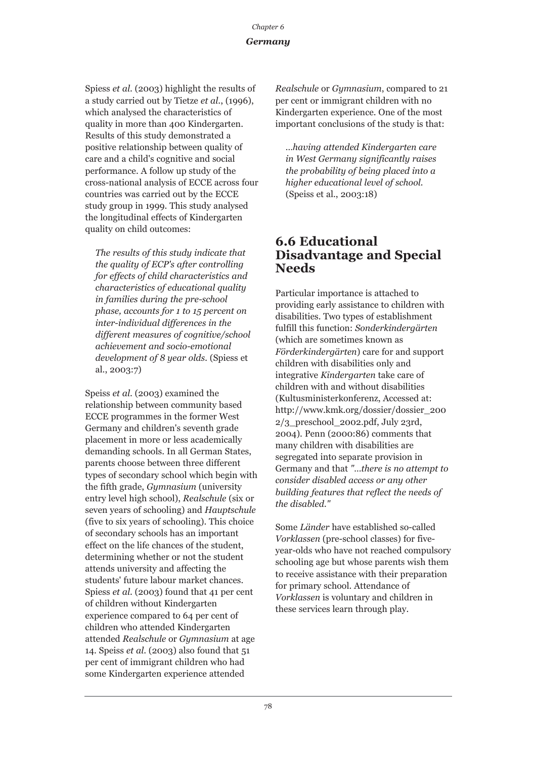### *Germany*

Spiess *et al*. (2003) highlight the results of a study carried out by Tietze *et al*., (1996), which analysed the characteristics of quality in more than 400 Kindergarten. Results of this study demonstrated a positive relationship between quality of care and a child's cognitive and social performance. A follow up study of the cross-national analysis of ECCE across four countries was carried out by the ECCE study group in 1999. This study analysed the longitudinal effects of Kindergarten quality on child outcomes:

*The results of this study indicate that the quality of ECP's after controlling for effects of child characteristics and characteristics of educational quality in families during the pre-school phase, accounts for 1 to 15 percent on inter-individual differences in the different measures of cognitive/school achievement and socio-emotional development of 8 year olds.* (Spiess et al., 2003:7)

Speiss *et al*. (2003) examined the relationship between community based ECCE programmes in the former West Germany and children's seventh grade placement in more or less academically demanding schools. In all German States, parents choose between three different types of secondary school which begin with the fifth grade, *Gymnasium* (university entry level high school), *Realschule* (six or seven years of schooling) and *Hauptschule* (five to six years of schooling). This choice of secondary schools has an important effect on the life chances of the student, determining whether or not the student attends university and affecting the students' future labour market chances. Spiess *et al*. (2003) found that 41 per cent of children without Kindergarten experience compared to 64 per cent of children who attended Kindergarten attended *Realschule* or *Gymnasium* at age 14. Speiss *et al*. (2003) also found that 51 per cent of immigrant children who had some Kindergarten experience attended

*Realschule* or *Gymnasium*, compared to 21 per cent or immigrant children with no Kindergarten experience. One of the most important conclusions of the study is that:

*…having attended Kindergarten care in West Germany significantly raises the probability of being placed into a higher educational level of school.* (Speiss et al., 2003:18)

### **6.6 Educational Disadvantage and Special Needs**

Particular importance is attached to providing early assistance to children with disabilities. Two types of establishment fulfill this function: *Sonderkindergärten* (which are sometimes known as *Förderkindergärten*) care for and support children with disabilities only and integrative *Kindergarten* take care of children with and without disabilities (Kultusministerkonferenz, Accessed at: http://www.kmk.org/dossier/dossier\_200  $2/3$  preschool  $2002.pdf$ , July 23rd, 2004). Penn (2000:86) comments that many children with disabilities are segregated into separate provision in Germany and that *"…there is no attempt to consider disabled access or any other building features that reflect the needs of the disabled."*

Some *Länder* have established so-called *Vorklassen* (pre-school classes) for fiveyear-olds who have not reached compulsory schooling age but whose parents wish them to receive assistance with their preparation for primary school. Attendance of *Vorklassen* is voluntary and children in these services learn through play.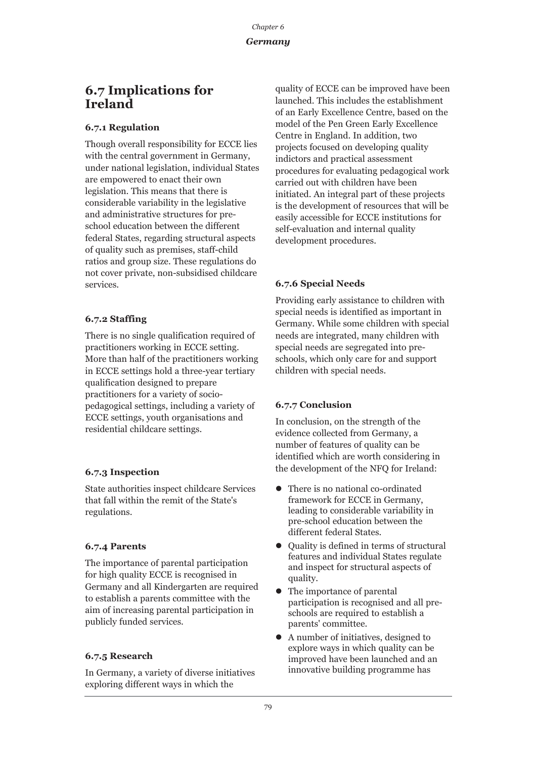### *Germany*

### **6.7 Implications for Ireland**

### **6.7.1 Regulation**

Though overall responsibility for ECCE lies with the central government in Germany, under national legislation, individual States are empowered to enact their own legislation. This means that there is considerable variability in the legislative and administrative structures for preschool education between the different federal States, regarding structural aspects of quality such as premises, staff-child ratios and group size. These regulations do not cover private, non-subsidised childcare services.

### **6.7.2 Staffing**

There is no single qualification required of practitioners working in ECCE setting. More than half of the practitioners working in ECCE settings hold a three-year tertiary qualification designed to prepare practitioners for a variety of sociopedagogical settings, including a variety of ECCE settings, youth organisations and residential childcare settings.

### **6.7.3 Inspection**

State authorities inspect childcare Services that fall within the remit of the State's regulations.

### **6.7.4 Parents**

The importance of parental participation for high quality ECCE is recognised in Germany and all Kindergarten are required to establish a parents committee with the aim of increasing parental participation in publicly funded services.

### **6.7.5 Research**

In Germany, a variety of diverse initiatives exploring different ways in which the

quality of ECCE can be improved have been launched. This includes the establishment of an Early Excellence Centre, based on the model of the Pen Green Early Excellence Centre in England. In addition, two projects focused on developing quality indictors and practical assessment procedures for evaluating pedagogical work carried out with children have been initiated. An integral part of these projects is the development of resources that will be easily accessible for ECCE institutions for self-evaluation and internal quality development procedures.

### **6.7.6 Special Needs**

Providing early assistance to children with special needs is identified as important in Germany. While some children with special needs are integrated, many children with special needs are segregated into preschools, which only care for and support children with special needs.

### **6.7.7 Conclusion**

In conclusion, on the strength of the evidence collected from Germany, a number of features of quality can be identified which are worth considering in the development of the NFQ for Ireland:

- $\bullet$  There is no national co-ordinated framework for ECCE in Germany, leading to considerable variability in pre-school education between the different federal States.
- Quality is defined in terms of structural features and individual States regulate and inspect for structural aspects of quality.
- $\bullet$  The importance of parental participation is recognised and all preschools are required to establish a parents' committee.
- z A number of initiatives, designed to explore ways in which quality can be improved have been launched and an innovative building programme has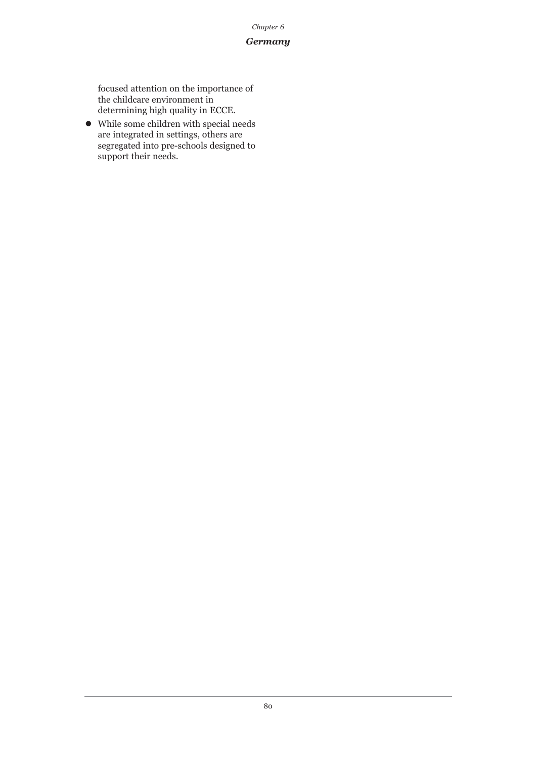#### *Germany*

focused attention on the importance of the childcare environment in determining high quality in ECCE.

• While some children with special needs are integrated in settings, others are segregated into pre-schools designed to support their needs.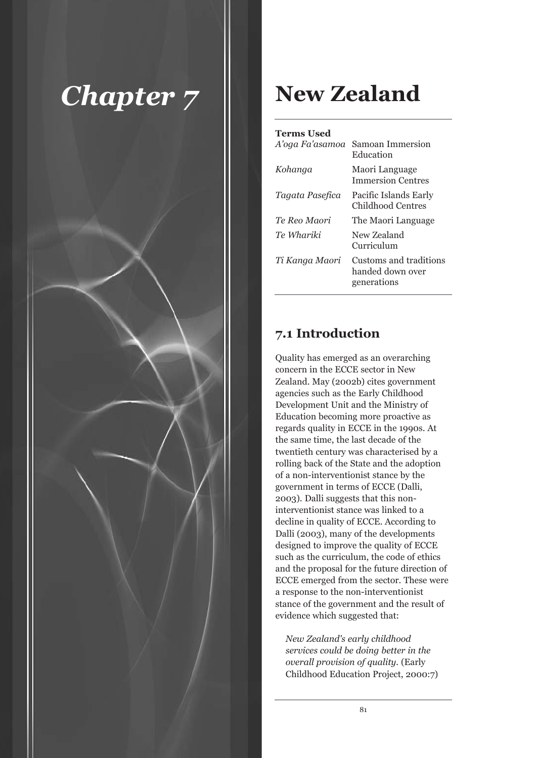

## **New Zealand**

### **Terms Used**

| A'oga Fa'asamoa | Samoan Immersion<br>Education                             |
|-----------------|-----------------------------------------------------------|
| Kohanga         | Maori Language<br><b>Immersion Centres</b>                |
| Tagata Pasefica | Pacific Islands Early<br>Childhood Centres                |
| Te Reo Maori    | The Maori Language                                        |
| Te Whariki      | New Zealand<br>Curriculum                                 |
| Ti Kanga Maori  | Customs and traditions<br>handed down over<br>generations |
|                 |                                                           |

### **7.1 Introduction**

Quality has emerged as an overarching concern in the ECCE sector in New Zealand. May (2002b) cites government agencies such as the Early Childhood Development Unit and the Ministry of Education becoming more proactive as regards quality in ECCE in the 1990s. At the same time, the last decade of the twentieth century was characterised by a rolling back of the State and the adoption of a non-interventionist stance by the government in terms of ECCE (Dalli, 2003). Dalli suggests that this noninterventionist stance was linked to a decline in quality of ECCE. According to Dalli (2003), many of the developments designed to improve the quality of ECCE such as the curriculum, the code of ethics and the proposal for the future direction of ECCE emerged from the sector. These were a response to the non-interventionist stance of the government and the result of evidence which suggested that:

*New Zealand's early childhood services could be doing better in the overall provision of quality.* (Early Childhood Education Project, 2000:7)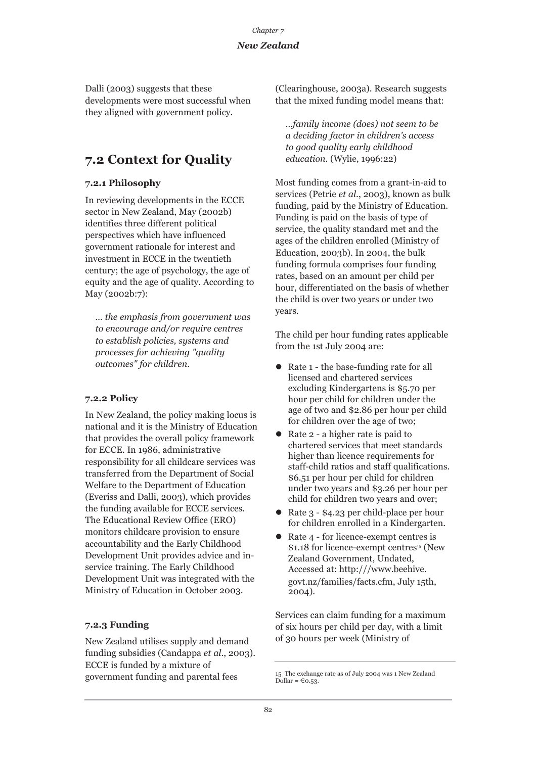### *New Zealand*

Dalli (2003) suggests that these developments were most successful when they aligned with government policy.

### **7.2 Context for Quality**

### **7.2.1 Philosophy**

In reviewing developments in the ECCE sector in New Zealand, May (2002b) identifies three different political perspectives which have influenced government rationale for interest and investment in ECCE in the twentieth century; the age of psychology, the age of equity and the age of quality. According to May (2002b:7):

*… the emphasis from government was to encourage and/or require centres to establish policies, systems and processes for achieving "quality outcomes" for children.*

### **7.2.2 Policy**

In New Zealand, the policy making locus is national and it is the Ministry of Education that provides the overall policy framework for ECCE. In 1986, administrative responsibility for all childcare services was transferred from the Department of Social Welfare to the Department of Education (Everiss and Dalli, 2003), which provides the funding available for ECCE services. The Educational Review Office (ERO) monitors childcare provision to ensure accountability and the Early Childhood Development Unit provides advice and inservice training. The Early Childhood Development Unit was integrated with the Ministry of Education in October 2003.

### **7.2.3 Funding**

New Zealand utilises supply and demand funding subsidies (Candappa *et al*., 2003). ECCE is funded by a mixture of government funding and parental fees

(Clearinghouse, 2003a). Research suggests that the mixed funding model means that:

*…family income (does) not seem to be a deciding factor in children's access to good quality early childhood education.* (Wylie, 1996:22)

Most funding comes from a grant-in-aid to services (Petrie *et al*., 2003), known as bulk funding, paid by the Ministry of Education. Funding is paid on the basis of type of service, the quality standard met and the ages of the children enrolled (Ministry of Education, 2003b). In 2004, the bulk funding formula comprises four funding rates, based on an amount per child per hour, differentiated on the basis of whether the child is over two years or under two years.

The child per hour funding rates applicable from the 1st July 2004 are:

- $\bullet$  Rate 1 the base-funding rate for all licensed and chartered services excluding Kindergartens is \$5.70 per hour per child for children under the age of two and \$2.86 per hour per child for children over the age of two;
- Rate 2 a higher rate is paid to chartered services that meet standards higher than licence requirements for staff-child ratios and staff qualifications. \$6.51 per hour per child for children under two years and \$3.26 per hour per child for children two years and over;
- Rate 3 \$4.23 per child-place per hour for children enrolled in a Kindergarten.
- Rate 4 for licence-exempt centres is  $$1.18$  for licence-exempt centres<sup>15</sup> (New Zealand Government, Undated, Accessed at: http:///www.beehive. govt.nz/families/facts.cfm, July 15th,  $2004$ ).

Services can claim funding for a maximum of six hours per child per day, with a limit of 30 hours per week (Ministry of

<sup>15</sup> The exchange rate as of July 2004 was 1 New Zealand Dollar =  $\epsilon$ 0.53.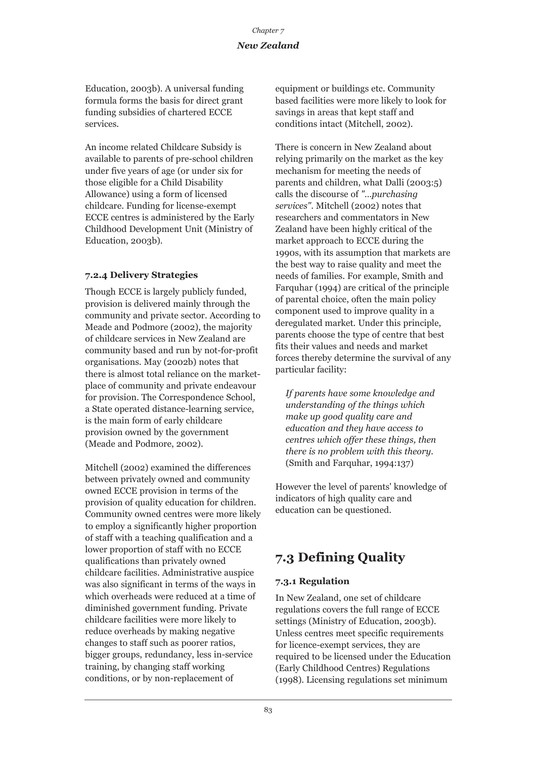Education, 2003b). A universal funding formula forms the basis for direct grant funding subsidies of chartered ECCE services.

An income related Childcare Subsidy is available to parents of pre-school children under five years of age (or under six for those eligible for a Child Disability Allowance) using a form of licensed childcare. Funding for license-exempt ECCE centres is administered by the Early Childhood Development Unit (Ministry of Education, 2003b).

### **7.2.4 Delivery Strategies**

Though ECCE is largely publicly funded, provision is delivered mainly through the community and private sector. According to Meade and Podmore (2002), the majority of childcare services in New Zealand are community based and run by not-for-profit organisations. May (2002b) notes that there is almost total reliance on the marketplace of community and private endeavour for provision. The Correspondence School, a State operated distance-learning service, is the main form of early childcare provision owned by the government (Meade and Podmore, 2002).

Mitchell (2002) examined the differences between privately owned and community owned ECCE provision in terms of the provision of quality education for children. Community owned centres were more likely to employ a significantly higher proportion of staff with a teaching qualification and a lower proportion of staff with no ECCE qualifications than privately owned childcare facilities. Administrative auspice was also significant in terms of the ways in which overheads were reduced at a time of diminished government funding. Private childcare facilities were more likely to reduce overheads by making negative changes to staff such as poorer ratios, bigger groups, redundancy, less in-service training, by changing staff working conditions, or by non-replacement of

equipment or buildings etc. Community based facilities were more likely to look for savings in areas that kept staff and conditions intact (Mitchell, 2002).

There is concern in New Zealand about relying primarily on the market as the key mechanism for meeting the needs of parents and children, what Dalli (2003:5) calls the discourse of *"…purchasing services"*. Mitchell (2002) notes that researchers and commentators in New Zealand have been highly critical of the market approach to ECCE during the 1990s, with its assumption that markets are the best way to raise quality and meet the needs of families. For example, Smith and Farquhar (1994) are critical of the principle of parental choice, often the main policy component used to improve quality in a deregulated market. Under this principle, parents choose the type of centre that best fits their values and needs and market forces thereby determine the survival of any particular facility:

*If parents have some knowledge and understanding of the things which make up good quality care and education and they have access to centres which offer these things, then there is no problem with this theory.* (Smith and Farquhar, 1994:137)

However the level of parents' knowledge of indicators of high quality care and education can be questioned.

### **7.3 Defining Quality**

### **7.3.1 Regulation**

In New Zealand, one set of childcare regulations covers the full range of ECCE settings (Ministry of Education, 2003b). Unless centres meet specific requirements for licence-exempt services, they are required to be licensed under the Education (Early Childhood Centres) Regulations (1998). Licensing regulations set minimum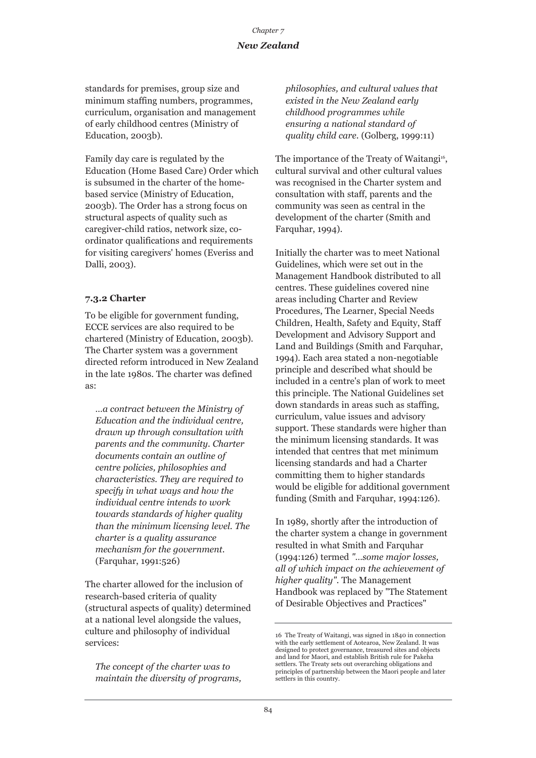standards for premises, group size and minimum staffing numbers, programmes, curriculum, organisation and management of early childhood centres (Ministry of Education, 2003b).

Family day care is regulated by the Education (Home Based Care) Order which is subsumed in the charter of the homebased service (Ministry of Education, 2003b). The Order has a strong focus on structural aspects of quality such as caregiver-child ratios, network size, coordinator qualifications and requirements for visiting caregivers' homes (Everiss and Dalli, 2003).

### **7.3.2 Charter**

To be eligible for government funding, ECCE services are also required to be chartered (Ministry of Education, 2003b). The Charter system was a government directed reform introduced in New Zealand in the late 1980s. The charter was defined as:

*…a contract between the Ministry of Education and the individual centre, drawn up through consultation with parents and the community. Charter documents contain an outline of centre policies, philosophies and characteristics. They are required to specify in what ways and how the individual centre intends to work towards standards of higher quality than the minimum licensing level. The charter is a quality assurance mechanism for the government.* (Farquhar, 1991:526)

The charter allowed for the inclusion of research-based criteria of quality (structural aspects of quality) determined at a national level alongside the values, culture and philosophy of individual services:

*The concept of the charter was to maintain the diversity of programs,* *philosophies, and cultural values that existed in the New Zealand early childhood programmes while ensuring a national standard of quality child care.* (Golberg, 1999:11)

The importance of the Treaty of Waitangi<sup>16</sup>, cultural survival and other cultural values was recognised in the Charter system and consultation with staff, parents and the community was seen as central in the development of the charter (Smith and Farquhar, 1994).

Initially the charter was to meet National Guidelines, which were set out in the Management Handbook distributed to all centres. These guidelines covered nine areas including Charter and Review Procedures, The Learner, Special Needs Children, Health, Safety and Equity, Staff Development and Advisory Support and Land and Buildings (Smith and Farquhar, 1994). Each area stated a non-negotiable principle and described what should be included in a centre's plan of work to meet this principle. The National Guidelines set down standards in areas such as staffing, curriculum, value issues and advisory support. These standards were higher than the minimum licensing standards. It was intended that centres that met minimum licensing standards and had a Charter committing them to higher standards would be eligible for additional government funding (Smith and Farquhar, 1994:126).

In 1989, shortly after the introduction of the charter system a change in government resulted in what Smith and Farquhar (1994:126) termed *"…some major losses, all of which impact on the achievement of higher quality"*. The Management Handbook was replaced by "The Statement of Desirable Objectives and Practices"

<sup>16</sup> The Treaty of Waitangi, was signed in 1840 in connection with the early settlement of Aotearoa, New Zealand. It was designed to protect governance, treasured sites and objects and land for Maori, and establish British rule for Pakeha settlers. The Treaty sets out overarching obligations and principles of partnership between the Maori people and later settlers in this country.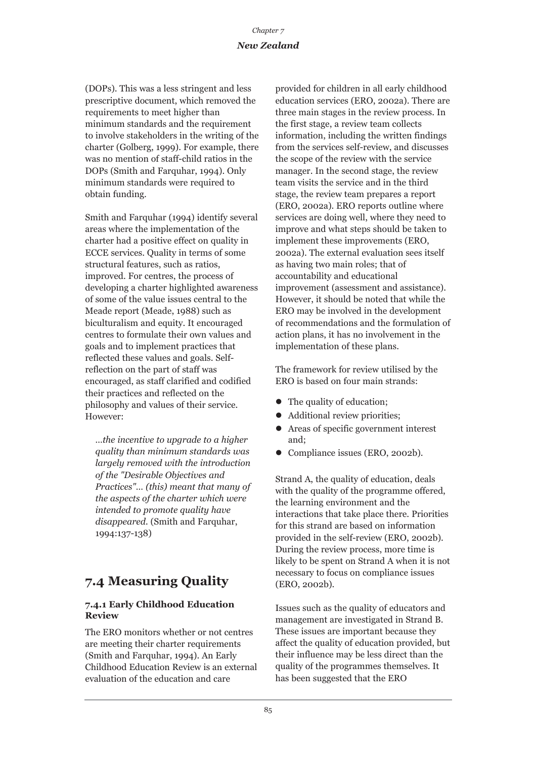(DOPs). This was a less stringent and less prescriptive document, which removed the requirements to meet higher than minimum standards and the requirement to involve stakeholders in the writing of the charter (Golberg, 1999). For example, there was no mention of staff-child ratios in the DOPs (Smith and Farquhar, 1994). Only minimum standards were required to obtain funding.

Smith and Farquhar (1994) identify several areas where the implementation of the charter had a positive effect on quality in ECCE services. Quality in terms of some structural features, such as ratios, improved. For centres, the process of developing a charter highlighted awareness of some of the value issues central to the Meade report (Meade, 1988) such as biculturalism and equity. It encouraged centres to formulate their own values and goals and to implement practices that reflected these values and goals. Selfreflection on the part of staff was encouraged, as staff clarified and codified their practices and reflected on the philosophy and values of their service. However:

*…the incentive to upgrade to a higher quality than minimum standards was largely removed with the introduction of the "Desirable Objectives and Practices"… (this) meant that many of the aspects of the charter which were intended to promote quality have disappeared.* (Smith and Farquhar, 1994:137-138)

### **7.4 Measuring Quality**

### **7.4.1 Early Childhood Education Review**

The ERO monitors whether or not centres are meeting their charter requirements (Smith and Farquhar, 1994). An Early Childhood Education Review is an external evaluation of the education and care

provided for children in all early childhood education services (ERO, 2002a). There are three main stages in the review process. In the first stage, a review team collects information, including the written findings from the services self-review, and discusses the scope of the review with the service manager. In the second stage, the review team visits the service and in the third stage, the review team prepares a report (ERO, 2002a). ERO reports outline where services are doing well, where they need to improve and what steps should be taken to implement these improvements (ERO, 2002a). The external evaluation sees itself as having two main roles; that of accountability and educational improvement (assessment and assistance). However, it should be noted that while the ERO may be involved in the development of recommendations and the formulation of action plans, it has no involvement in the implementation of these plans.

The framework for review utilised by the ERO is based on four main strands:

- $\bullet$  The quality of education;
- Additional review priorities;
- $\bullet$  Areas of specific government interest and;
- Compliance issues (ERO, 2002b).

Strand A, the quality of education, deals with the quality of the programme offered, the learning environment and the interactions that take place there. Priorities for this strand are based on information provided in the self-review (ERO, 2002b). During the review process, more time is likely to be spent on Strand A when it is not necessary to focus on compliance issues (ERO, 2002b).

Issues such as the quality of educators and management are investigated in Strand B. These issues are important because they affect the quality of education provided, but their influence may be less direct than the quality of the programmes themselves. It has been suggested that the ERO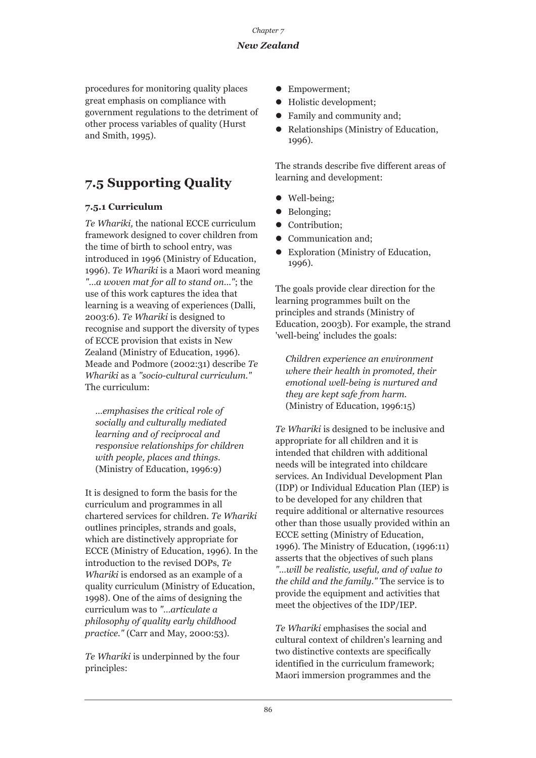procedures for monitoring quality places great emphasis on compliance with government regulations to the detriment of other process variables of quality (Hurst and Smith, 1995).

### **7.5 Supporting Quality**

### **7.5.1 Curriculum**

*Te Whariki,* the national ECCE curriculum framework designed to cover children from the time of birth to school entry, was introduced in 1996 (Ministry of Education, 1996). *Te Whariki* is a Maori word meaning *"…a woven mat for all to stand on…"*; the use of this work captures the idea that learning is a weaving of experiences (Dalli, 2003:6). *Te Whariki* is designed to recognise and support the diversity of types of ECCE provision that exists in New Zealand (Ministry of Education, 1996). Meade and Podmore (2002:31) describe *Te Whariki* as a *"socio-cultural curriculum."* The curriculum:

*…emphasises the critical role of socially and culturally mediated learning and of reciprocal and responsive relationships for children with people, places and things.* (Ministry of Education, 1996:9)

It is designed to form the basis for the curriculum and programmes in all chartered services for children. *Te Whariki* outlines principles, strands and goals, which are distinctively appropriate for ECCE (Ministry of Education, 1996). In the introduction to the revised DOPs, *Te Whariki* is endorsed as an example of a quality curriculum (Ministry of Education, 1998). One of the aims of designing the curriculum was to *"…articulate a philosophy of quality early childhood practice."* (Carr and May, 2000:53).

*Te Whariki* is underpinned by the four principles:

- Empowerment:
- Holistic development;
- Family and community and:
- Relationships (Ministry of Education, 1996).

The strands describe five different areas of learning and development:

- $\bullet$  Well-being;
- Belonging;
- Contribution:
- Communication and:
- Exploration (Ministry of Education, 1996).

The goals provide clear direction for the learning programmes built on the principles and strands (Ministry of Education, 2003b). For example, the strand 'well-being' includes the goals:

*Children experience an environment where their health in promoted, their emotional well-being is nurtured and they are kept safe from harm.* (Ministry of Education, 1996:15)

*Te Whariki* is designed to be inclusive and appropriate for all children and it is intended that children with additional needs will be integrated into childcare services. An Individual Development Plan (IDP) or Individual Education Plan (IEP) is to be developed for any children that require additional or alternative resources other than those usually provided within an ECCE setting (Ministry of Education, 1996). The Ministry of Education, (1996:11) asserts that the objectives of such plans *"…will be realistic, useful, and of value to the child and the family."* The service is to provide the equipment and activities that meet the objectives of the IDP/IEP.

*Te Whariki* emphasises the social and cultural context of children's learning and two distinctive contexts are specifically identified in the curriculum framework; Maori immersion programmes and the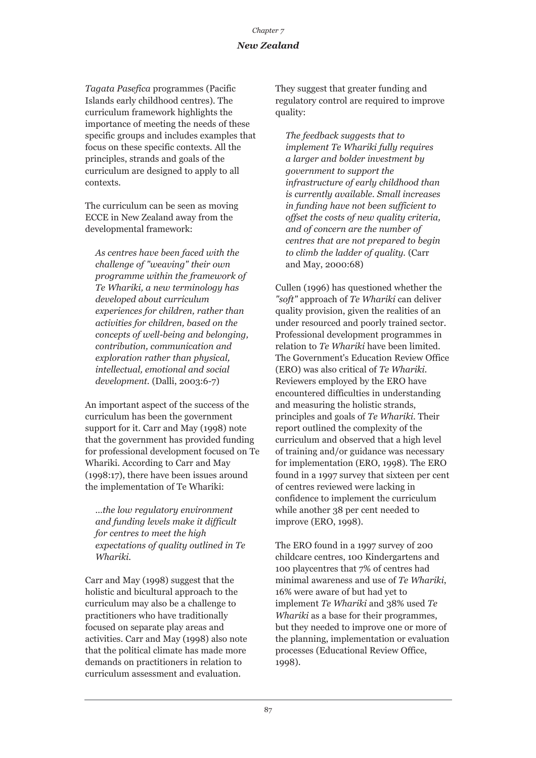*Tagata Pasefica* programmes (Pacific Islands early childhood centres). The curriculum framework highlights the importance of meeting the needs of these specific groups and includes examples that focus on these specific contexts. All the principles, strands and goals of the curriculum are designed to apply to all contexts.

The curriculum can be seen as moving ECCE in New Zealand away from the developmental framework:

*As centres have been faced with the challenge of "weaving" their own programme within the framework of Te Whariki, a new terminology has developed about curriculum experiences for children, rather than activities for children, based on the concepts of well-being and belonging, contribution, communication and exploration rather than physical, intellectual, emotional and social development.* (Dalli, 2003:6-7)

An important aspect of the success of the curriculum has been the government support for it. Carr and May (1998) note that the government has provided funding for professional development focused on Te Whariki. According to Carr and May (1998:17), there have been issues around the implementation of Te Whariki:

*…the low regulatory environment and funding levels make it difficult for centres to meet the high expectations of quality outlined in Te Whariki.* 

Carr and May (1998) suggest that the holistic and bicultural approach to the curriculum may also be a challenge to practitioners who have traditionally focused on separate play areas and activities. Carr and May (1998) also note that the political climate has made more demands on practitioners in relation to curriculum assessment and evaluation.

They suggest that greater funding and regulatory control are required to improve quality:

*The feedback suggests that to implement Te Whariki fully requires a larger and bolder investment by government to support the infrastructure of early childhood than is currently available. Small increases in funding have not been sufficient to offset the costs of new quality criteria, and of concern are the number of centres that are not prepared to begin to climb the ladder of quality.* (Carr and May, 2000:68)

Cullen (1996) has questioned whether the *"soft"* approach of *Te Whariki* can deliver quality provision, given the realities of an under resourced and poorly trained sector. Professional development programmes in relation to *Te Whariki* have been limited. The Government's Education Review Office (ERO) was also critical of *Te Whariki*. Reviewers employed by the ERO have encountered difficulties in understanding and measuring the holistic strands, principles and goals of *Te Whariki*. Their report outlined the complexity of the curriculum and observed that a high level of training and/or guidance was necessary for implementation (ERO, 1998). The ERO found in a 1997 survey that sixteen per cent of centres reviewed were lacking in confidence to implement the curriculum while another 38 per cent needed to improve (ERO, 1998).

The ERO found in a 1997 survey of 200 childcare centres, 100 Kindergartens and 100 playcentres that 7% of centres had minimal awareness and use of *Te Whariki*, 16% were aware of but had yet to implement *Te Whariki* and 38% used *Te Whariki* as a base for their programmes, but they needed to improve one or more of the planning, implementation or evaluation processes (Educational Review Office, 1998).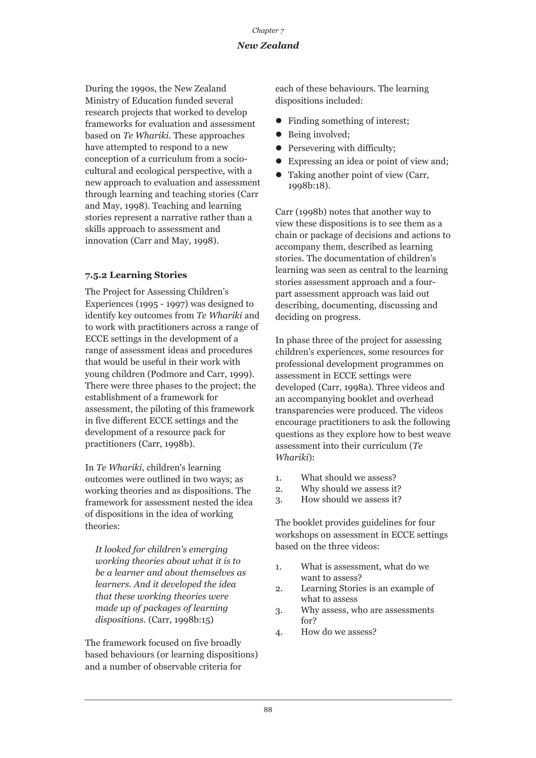During the 1990s, the New Zealand Ministry of Education funded several research projects that worked to develop frameworks for evaluation and assessment based on *Te Whariki*. These approaches have attempted to respond to a new conception of a curriculum from a sociocultural and ecological perspective, with a new approach to evaluation and assessment through learning and teaching stories (Carr and May, 1998). Teaching and learning stories represent a narrative rather than a skills approach to assessment and innovation (Carr and May, 1998).

### **7.5.2 Learning Stories**

The Project for Assessing Children's Experiences (1995 - 1997) was designed to identify key outcomes from *Te Whariki* and to work with practitioners across a range of ECCE settings in the development of a range of assessment ideas and procedures that would be useful in their work with young children (Podmore and Carr, 1999). There were three phases to the project; the establishment of a framework for assessment, the piloting of this framework in five different ECCE settings and the development of a resource pack for practitioners (Carr, 1998b).

In *Te Whariki*, children's learning outcomes were outlined in two ways; as working theories and as dispositions. The framework for assessment nested the idea of dispositions in the idea of working theories:

*It looked for children's emerging working theories about what it is to be a learner and about themselves as learners. And it developed the idea that these working theories were made up of packages of learning dispositions.* (Carr, 1998b:15)

The framework focused on five broadly based behaviours (or learning dispositions) and a number of observable criteria for

each of these behaviours. The learning dispositions included:

- Finding something of interest;
- $\bullet$  Being involved;
- $\bullet$  Persevering with difficulty;
- Expressing an idea or point of view and;
- $\bullet$  Taking another point of view (Carr, 1998b:18).

Carr (1998b) notes that another way to view these dispositions is to see them as a chain or package of decisions and actions to accompany them, described as learning stories. The documentation of children's learning was seen as central to the learning stories assessment approach and a fourpart assessment approach was laid out describing, documenting, discussing and deciding on progress.

In phase three of the project for assessing children's experiences, some resources for professional development programmes on assessment in ECCE settings were developed (Carr, 1998a). Three videos and an accompanying booklet and overhead transparencies were produced. The videos encourage practitioners to ask the following questions as they explore how to best weave assessment into their curriculum (*Te Whariki*):

- 1. What should we assess?
- 2. Why should we assess it?
- 3. How should we assess it?

The booklet provides guidelines for four workshops on assessment in ECCE settings based on the three videos:

- 1. What is assessment, what do we want to assess?
- 2. Learning Stories is an example of what to assess
- 3. Why assess, who are assessments for?
- 4. How do we assess?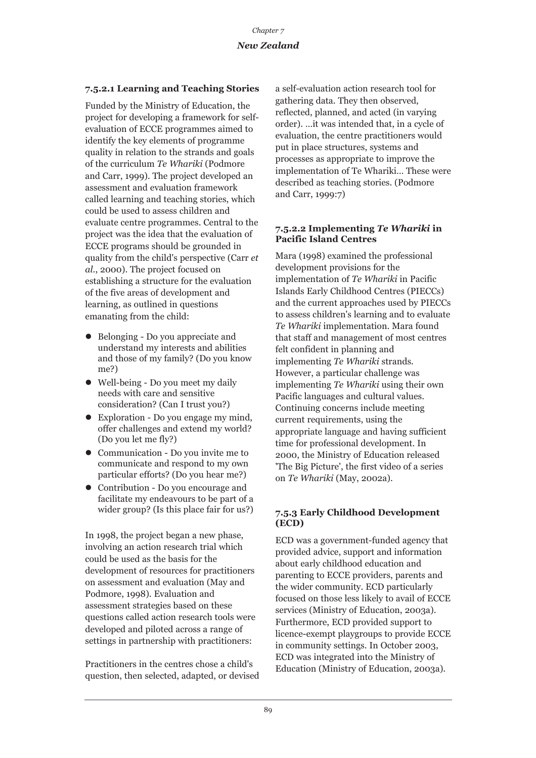### **7.5.2.1 Learning and Teaching Stories**

Funded by the Ministry of Education, the project for developing a framework for selfevaluation of ECCE programmes aimed to identify the key elements of programme quality in relation to the strands and goals of the curriculum *Te Whariki* (Podmore and Carr, 1999). The project developed an assessment and evaluation framework called learning and teaching stories, which could be used to assess children and evaluate centre programmes. Central to the project was the idea that the evaluation of ECCE programs should be grounded in quality from the child's perspective (Carr *et al*., 2000). The project focused on establishing a structure for the evaluation of the five areas of development and learning, as outlined in questions emanating from the child:

- Belonging Do you appreciate and understand my interests and abilities and those of my family? (Do you know me?)
- $\bullet$  Well-being Do you meet my daily needs with care and sensitive consideration? (Can I trust you?)
- Exploration Do you engage my mind, offer challenges and extend my world? (Do you let me fly?)
- Communication Do you invite me to communicate and respond to my own particular efforts? (Do you hear me?)
- Contribution Do you encourage and facilitate my endeavours to be part of a wider group? (Is this place fair for us?)

In 1998, the project began a new phase, involving an action research trial which could be used as the basis for the development of resources for practitioners on assessment and evaluation (May and Podmore, 1998). Evaluation and assessment strategies based on these questions called action research tools were developed and piloted across a range of settings in partnership with practitioners:

Practitioners in the centres chose a child's question, then selected, adapted, or devised a self-evaluation action research tool for gathering data. They then observed, reflected, planned, and acted (in varying order). …it was intended that, in a cycle of evaluation, the centre practitioners would put in place structures, systems and processes as appropriate to improve the implementation of Te Whariki… These were described as teaching stories. (Podmore and Carr, 1999:7)

### **7.5.2.2 Implementing** *Te Whariki* **in Pacific Island Centres**

Mara (1998) examined the professional development provisions for the implementation of *Te Whariki* in Pacific Islands Early Childhood Centres (PIECCs) and the current approaches used by PIECCs to assess children's learning and to evaluate *Te Whariki* implementation. Mara found that staff and management of most centres felt confident in planning and implementing *Te Whariki* strands. However, a particular challenge was implementing *Te Whariki* using their own Pacific languages and cultural values. Continuing concerns include meeting current requirements, using the appropriate language and having sufficient time for professional development. In 2000, the Ministry of Education released 'The Big Picture', the first video of a series on *Te Whariki* (May, 2002a).

### **7.5.3 Early Childhood Development (ECD)**

ECD was a government-funded agency that provided advice, support and information about early childhood education and parenting to ECCE providers, parents and the wider community. ECD particularly focused on those less likely to avail of ECCE services (Ministry of Education, 2003a). Furthermore, ECD provided support to licence-exempt playgroups to provide ECCE in community settings. In October 2003, ECD was integrated into the Ministry of Education (Ministry of Education, 2003a).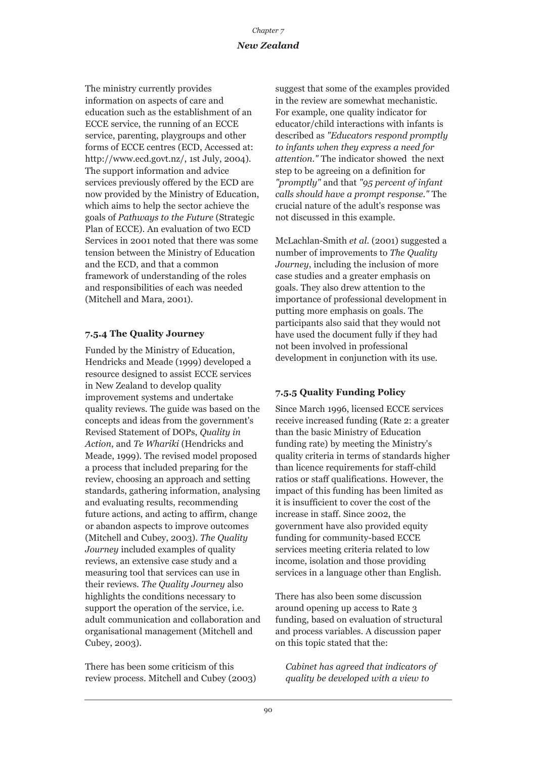The ministry currently provides information on aspects of care and education such as the establishment of an ECCE service, the running of an ECCE service, parenting, playgroups and other forms of ECCE centres (ECD, Accessed at: http://www.ecd.govt.nz/, 1st July, 2004). The support information and advice services previously offered by the ECD are now provided by the Ministry of Education, which aims to help the sector achieve the goals of *Pathways to the Future* (Strategic Plan of ECCE). An evaluation of two ECD Services in 2001 noted that there was some tension between the Ministry of Education and the ECD, and that a common framework of understanding of the roles and responsibilities of each was needed (Mitchell and Mara, 2001).

### **7.5.4 The Quality Journey**

Funded by the Ministry of Education, Hendricks and Meade (1999) developed a resource designed to assist ECCE services in New Zealand to develop quality improvement systems and undertake quality reviews. The guide was based on the concepts and ideas from the government's Revised Statement of DOPs, *Quality in Action*, and *Te Whariki* (Hendricks and Meade, 1999). The revised model proposed a process that included preparing for the review, choosing an approach and setting standards, gathering information, analysing and evaluating results, recommending future actions, and acting to affirm, change or abandon aspects to improve outcomes (Mitchell and Cubey, 2003). *The Quality Journey* included examples of quality reviews, an extensive case study and a measuring tool that services can use in their reviews. *The Quality Journey* also highlights the conditions necessary to support the operation of the service, i.e. adult communication and collaboration and organisational management (Mitchell and Cubey, 2003).

There has been some criticism of this review process. Mitchell and Cubey (2003) suggest that some of the examples provided in the review are somewhat mechanistic. For example, one quality indicator for educator/child interactions with infants is described as *"Educators respond promptly to infants when they express a need for attention."* The indicator showed the next step to be agreeing on a definition for *"promptly"* and that *"95 percent of infant calls should have a prompt response."* The crucial nature of the adult's response was not discussed in this example.

McLachlan-Smith *et al*. (2001) suggested a number of improvements to *The Quality Journey*, including the inclusion of more case studies and a greater emphasis on goals. They also drew attention to the importance of professional development in putting more emphasis on goals. The participants also said that they would not have used the document fully if they had not been involved in professional development in conjunction with its use.

### **7.5.5 Quality Funding Policy**

Since March 1996, licensed ECCE services receive increased funding (Rate 2: a greater than the basic Ministry of Education funding rate) by meeting the Ministry's quality criteria in terms of standards higher than licence requirements for staff-child ratios or staff qualifications. However, the impact of this funding has been limited as it is insufficient to cover the cost of the increase in staff. Since 2002, the government have also provided equity funding for community-based ECCE services meeting criteria related to low income, isolation and those providing services in a language other than English.

There has also been some discussion around opening up access to Rate 3 funding, based on evaluation of structural and process variables. A discussion paper on this topic stated that the:

*Cabinet has agreed that indicators of quality be developed with a view to*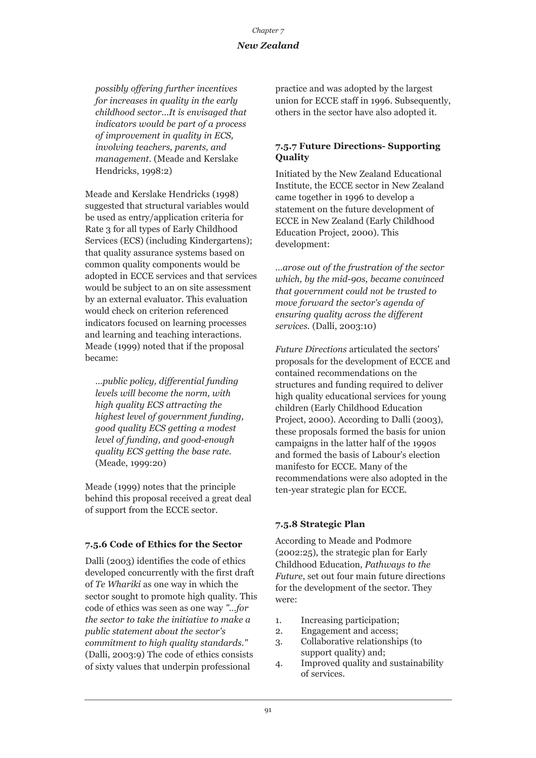*possibly offering further incentives for increases in quality in the early childhood sector...It is envisaged that indicators would be part of a process of improvement in quality in ECS, involving teachers, parents, and management.* (Meade and Kerslake Hendricks, 1998:2)

Meade and Kerslake Hendricks (1998) suggested that structural variables would be used as entry/application criteria for Rate 3 for all types of Early Childhood Services (ECS) (including Kindergartens); that quality assurance systems based on common quality components would be adopted in ECCE services and that services would be subject to an on site assessment by an external evaluator. This evaluation would check on criterion referenced indicators focused on learning processes and learning and teaching interactions. Meade (1999) noted that if the proposal became:

*…public policy, differential funding levels will become the norm, with high quality ECS attracting the highest level of government funding, good quality ECS getting a modest level of funding, and good-enough quality ECS getting the base rate.* (Meade, 1999:20)

Meade (1999) notes that the principle behind this proposal received a great deal of support from the ECCE sector.

### **7.5.6 Code of Ethics for the Sector**

Dalli (2003) identifies the code of ethics developed concurrently with the first draft of *Te Whariki* as one way in which the sector sought to promote high quality. This code of ethics was seen as one way *"…for the sector to take the initiative to make a public statement about the sector's commitment to high quality standards."* (Dalli, 2003:9) The code of ethics consists of sixty values that underpin professional

practice and was adopted by the largest union for ECCE staff in 1996. Subsequently, others in the sector have also adopted it.

### **7.5.7 Future Directions- Supporting Quality**

Initiated by the New Zealand Educational Institute, the ECCE sector in New Zealand came together in 1996 to develop a statement on the future development of ECCE in New Zealand (Early Childhood Education Project, 2000). This development:

*…arose out of the frustration of the sector which, by the mid-90s, became convinced that government could not be trusted to move forward the sector's agenda of ensuring quality across the different services.* (Dalli, 2003:10)

*Future Directions* articulated the sectors' proposals for the development of ECCE and contained recommendations on the structures and funding required to deliver high quality educational services for young children (Early Childhood Education Project, 2000). According to Dalli (2003), these proposals formed the basis for union campaigns in the latter half of the 1990s and formed the basis of Labour's election manifesto for ECCE. Many of the recommendations were also adopted in the ten-year strategic plan for ECCE.

### **7.5.8 Strategic Plan**

According to Meade and Podmore (2002:25), the strategic plan for Early Childhood Education, *Pathways to the Future*, set out four main future directions for the development of the sector. They were:

- 1. Increasing participation;
- 2. Engagement and access;
- 3. Collaborative relationships (to support quality) and;
- 4. Improved quality and sustainability of services.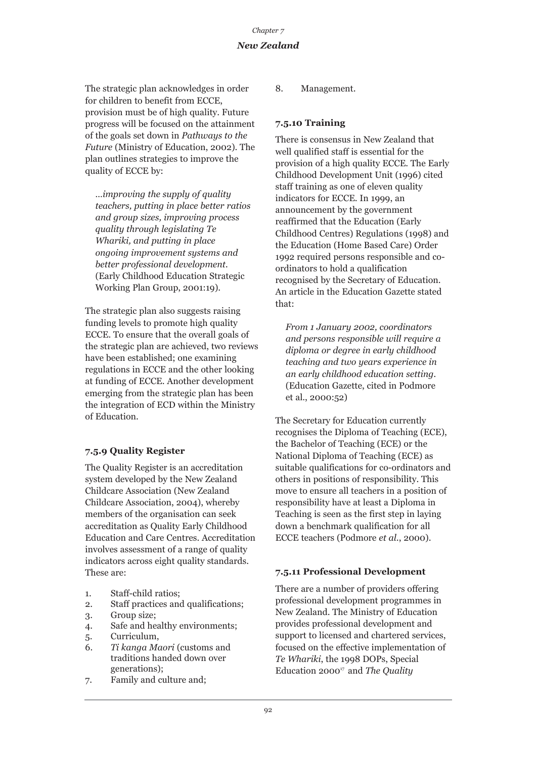The strategic plan acknowledges in order for children to benefit from ECCE, provision must be of high quality. Future progress will be focused on the attainment of the goals set down in *Pathways to the Future* (Ministry of Education, 2002). The plan outlines strategies to improve the quality of ECCE by:

*…improving the supply of quality teachers, putting in place better ratios and group sizes, improving process quality through legislating Te Whariki, and putting in place ongoing improvement systems and better professional development.* (Early Childhood Education Strategic Working Plan Group, 2001:19).

The strategic plan also suggests raising funding levels to promote high quality ECCE. To ensure that the overall goals of the strategic plan are achieved, two reviews have been established; one examining regulations in ECCE and the other looking at funding of ECCE. Another development emerging from the strategic plan has been the integration of ECD within the Ministry of Education.

### **7.5.9 Quality Register**

The Quality Register is an accreditation system developed by the New Zealand Childcare Association (New Zealand Childcare Association, 2004), whereby members of the organisation can seek accreditation as Quality Early Childhood Education and Care Centres. Accreditation involves assessment of a range of quality indicators across eight quality standards. These are:

- 1. Staff-child ratios;
- 2. Staff practices and qualifications;
- 3. Group size;
- 4. Safe and healthy environments;
- 5. Curriculum,
- 6. *Ti kanga Maori* (customs and traditions handed down over generations);
- 7. Family and culture and;

8. Management.

### **7.5.10 Training**

There is consensus in New Zealand that well qualified staff is essential for the provision of a high quality ECCE. The Early Childhood Development Unit (1996) cited staff training as one of eleven quality indicators for ECCE. In 1999, an announcement by the government reaffirmed that the Education (Early Childhood Centres) Regulations (1998) and the Education (Home Based Care) Order 1992 required persons responsible and coordinators to hold a qualification recognised by the Secretary of Education. An article in the Education Gazette stated that:

*From 1 January 2002, coordinators and persons responsible will require a diploma or degree in early childhood teaching and two years experience in an early childhood education setting.* (Education Gazette, cited in Podmore et al., 2000:52)

The Secretary for Education currently recognises the Diploma of Teaching (ECE), the Bachelor of Teaching (ECE) or the National Diploma of Teaching (ECE) as suitable qualifications for co-ordinators and others in positions of responsibility. This move to ensure all teachers in a position of responsibility have at least a Diploma in Teaching is seen as the first step in laying down a benchmark qualification for all ECCE teachers (Podmore *et al*., 2000).

### **7.5.11 Professional Development**

There are a number of providers offering professional development programmes in New Zealand. The Ministry of Education provides professional development and support to licensed and chartered services, focused on the effective implementation of *Te Whariki*, the 1998 DOPs, Special Education 200017 and *The Quality*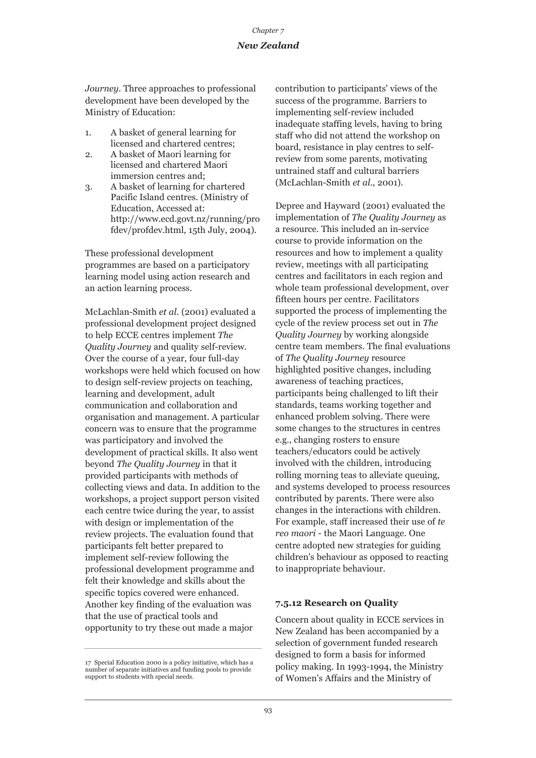*Journey*. Three approaches to professional development have been developed by the Ministry of Education:

- 1. A basket of general learning for licensed and chartered centres;
- 2. A basket of Maori learning for licensed and chartered Maori immersion centres and;
- 3. A basket of learning for chartered Pacific Island centres. (Ministry of Education, Accessed at: http://www.ecd.govt.nz/running/pro fdev/profdev.html, 15th July, 2004).

These professional development programmes are based on a participatory learning model using action research and an action learning process.

McLachlan-Smith *et al*. (2001) evaluated a professional development project designed to help ECCE centres implement *The Quality Journey* and quality self-review. Over the course of a year, four full-day workshops were held which focused on how to design self-review projects on teaching, learning and development, adult communication and collaboration and organisation and management. A particular concern was to ensure that the programme was participatory and involved the development of practical skills. It also went beyond *The Quality Journey* in that it provided participants with methods of collecting views and data. In addition to the workshops, a project support person visited each centre twice during the year, to assist with design or implementation of the review projects. The evaluation found that participants felt better prepared to implement self-review following the professional development programme and felt their knowledge and skills about the specific topics covered were enhanced. Another key finding of the evaluation was that the use of practical tools and opportunity to try these out made a major

contribution to participants' views of the success of the programme. Barriers to implementing self-review included inadequate staffing levels, having to bring staff who did not attend the workshop on board, resistance in play centres to selfreview from some parents, motivating untrained staff and cultural barriers (McLachlan-Smith *et al*., 2001).

Depree and Hayward (2001) evaluated the implementation of *The Quality Journey* as a resource. This included an in-service course to provide information on the resources and how to implement a quality review, meetings with all participating centres and facilitators in each region and whole team professional development, over fifteen hours per centre. Facilitators supported the process of implementing the cycle of the review process set out in *The Quality Journey* by working alongside centre team members. The final evaluations of *The Quality Journey* resource highlighted positive changes, including awareness of teaching practices, participants being challenged to lift their standards, teams working together and enhanced problem solving. There were some changes to the structures in centres e.g., changing rosters to ensure teachers/educators could be actively involved with the children, introducing rolling morning teas to alleviate queuing, and systems developed to process resources contributed by parents. There were also changes in the interactions with children. For example, staff increased their use of *te reo maori* - the Maori Language. One centre adopted new strategies for guiding children's behaviour as opposed to reacting to inappropriate behaviour.

### **7.5.12 Research on Quality**

Concern about quality in ECCE services in New Zealand has been accompanied by a selection of government funded research designed to form a basis for informed policy making. In 1993-1994, the Ministry of Women's Affairs and the Ministry of

<sup>17</sup> Special Education 2000 is a policy initiative, which has a number of separate initiatives and funding pools to provide support to students with special needs.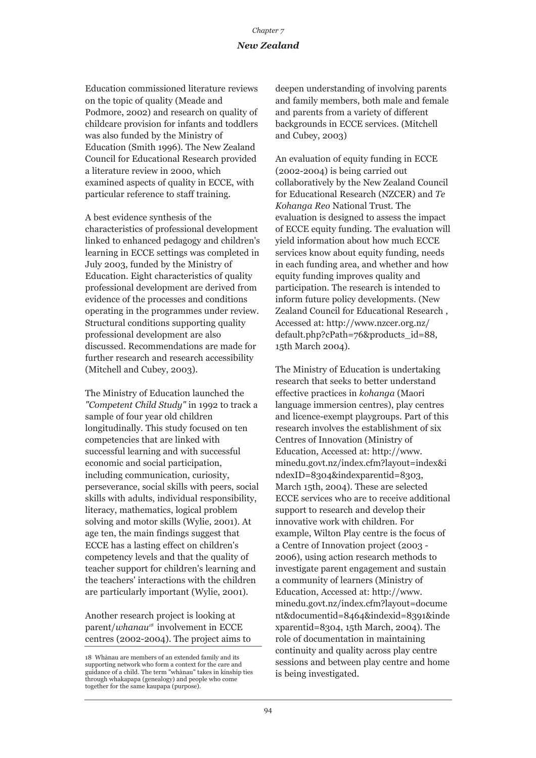Education commissioned literature reviews on the topic of quality (Meade and Podmore, 2002) and research on quality of childcare provision for infants and toddlers was also funded by the Ministry of Education (Smith 1996). The New Zealand Council for Educational Research provided a literature review in 2000, which examined aspects of quality in ECCE, with particular reference to staff training.

A best evidence synthesis of the characteristics of professional development linked to enhanced pedagogy and children's learning in ECCE settings was completed in July 2003, funded by the Ministry of Education. Eight characteristics of quality professional development are derived from evidence of the processes and conditions operating in the programmes under review. Structural conditions supporting quality professional development are also discussed. Recommendations are made for further research and research accessibility (Mitchell and Cubey, 2003).

The Ministry of Education launched the *"Competent Child Study"* in 1992 to track a sample of four year old children longitudinally. This study focused on ten competencies that are linked with successful learning and with successful economic and social participation, including communication, curiosity, perseverance, social skills with peers, social skills with adults, individual responsibility, literacy, mathematics, logical problem solving and motor skills (Wylie, 2001). At age ten, the main findings suggest that ECCE has a lasting effect on children's competency levels and that the quality of teacher support for children's learning and the teachers' interactions with the children are particularly important (Wylie, 2001).

Another research project is looking at parent/*whanau<sup>18</sup>* involvement in ECCE centres (2002-2004). The project aims to deepen understanding of involving parents and family members, both male and female and parents from a variety of different backgrounds in ECCE services. (Mitchell and Cubey, 2003)

An evaluation of equity funding in ECCE (2002-2004) is being carried out collaboratively by the New Zealand Council for Educational Research (NZCER) and *Te Kohanga Reo* National Trust. The evaluation is designed to assess the impact of ECCE equity funding. The evaluation will yield information about how much ECCE services know about equity funding, needs in each funding area, and whether and how equity funding improves quality and participation. The research is intended to inform future policy developments. (New Zealand Council for Educational Research , Accessed at: http://www.nzcer.org.nz/ default.php?cPath=76&products\_id=88, 15th March 2004).

The Ministry of Education is undertaking research that seeks to better understand effective practices in *kohanga* (Maori language immersion centres), play centres and licence-exempt playgroups. Part of this research involves the establishment of six Centres of Innovation (Ministry of Education, Accessed at: http://www. minedu.govt.nz/index.cfm?layout=index&i ndexID=8304&indexparentid=8303, March 15th, 2004). These are selected ECCE services who are to receive additional support to research and develop their innovative work with children. For example, Wilton Play centre is the focus of a Centre of Innovation project (2003 - 2006), using action research methods to investigate parent engagement and sustain a community of learners (Ministry of Education, Accessed at: http://www. minedu.govt.nz/index.cfm?layout=docume nt&documentid=8464&indexid=8391&inde xparentid=8304, 15th March, 2004). The role of documentation in maintaining continuity and quality across play centre sessions and between play centre and home is being investigated.

<sup>18</sup> Whànau are members of an extended family and its supporting network who form a context for the care and guidance of a child. The term "whànau" takes in kinship ties through whakapapa (genealogy) and people who come together for the same kaupapa (purpose).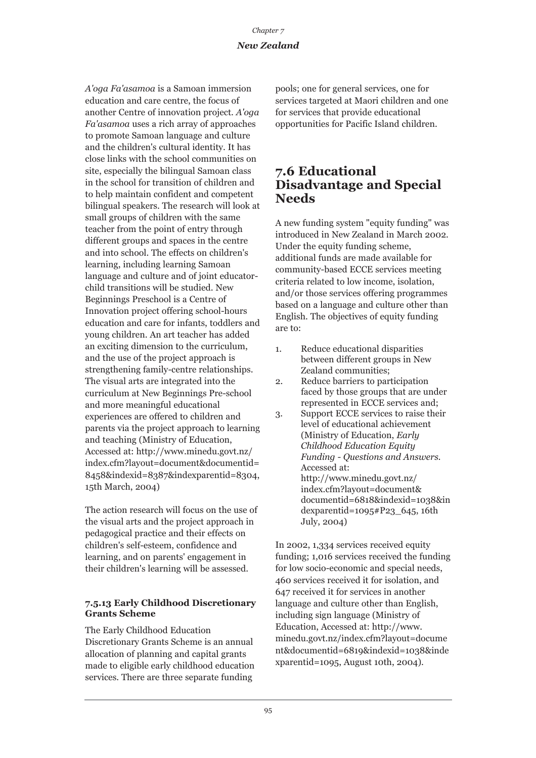*A'oga Fa'asamoa* is a Samoan immersion education and care centre, the focus of another Centre of innovation project. *A'oga Fa'asamoa* uses a rich array of approaches to promote Samoan language and culture and the children's cultural identity. It has close links with the school communities on site, especially the bilingual Samoan class in the school for transition of children and to help maintain confident and competent bilingual speakers. The research will look at small groups of children with the same teacher from the point of entry through different groups and spaces in the centre and into school. The effects on children's learning, including learning Samoan language and culture and of joint educatorchild transitions will be studied. New Beginnings Preschool is a Centre of Innovation project offering school-hours education and care for infants, toddlers and young children. An art teacher has added an exciting dimension to the curriculum, and the use of the project approach is strengthening family-centre relationships. The visual arts are integrated into the curriculum at New Beginnings Pre-school and more meaningful educational experiences are offered to children and parents via the project approach to learning and teaching (Ministry of Education, Accessed at: http://www.minedu.govt.nz/ index.cfm?layout=document&documentid= 8458&indexid=8387&indexparentid=8304, 15th March, 2004)

The action research will focus on the use of the visual arts and the project approach in pedagogical practice and their effects on children's self-esteem, confidence and learning, and on parents' engagement in their children's learning will be assessed.

#### **7.5.13 Early Childhood Discretionary Grants Scheme**

The Early Childhood Education Discretionary Grants Scheme is an annual allocation of planning and capital grants made to eligible early childhood education services. There are three separate funding

pools; one for general services, one for services targeted at Maori children and one for services that provide educational opportunities for Pacific Island children.

### **7.6 Educational Disadvantage and Special Needs**

A new funding system "equity funding" was introduced in New Zealand in March 2002. Under the equity funding scheme, additional funds are made available for community-based ECCE services meeting criteria related to low income, isolation, and/or those services offering programmes based on a language and culture other than English. The objectives of equity funding are to:

- 1. Reduce educational disparities between different groups in New Zealand communities;
- 2. Reduce barriers to participation faced by those groups that are under represented in ECCE services and;
- 3. Support ECCE services to raise their level of educational achievement (Ministry of Education, *Early Childhood Education Equity Funding - Questions and Answers.* Accessed at: http://www.minedu.govt.nz/ index.cfm?layout=document& documentid=6818&indexid=1038&in dexparentid=1095#P23\_645, 16th July, 2004)

In 2002, 1,334 services received equity funding; 1,016 services received the funding for low socio-economic and special needs, 460 services received it for isolation, and 647 received it for services in another language and culture other than English, including sign language (Ministry of Education, Accessed at: http://www. minedu.govt.nz/index.cfm?layout=docume nt&documentid=6819&indexid=1038&inde xparentid=1095, August 10th, 2004).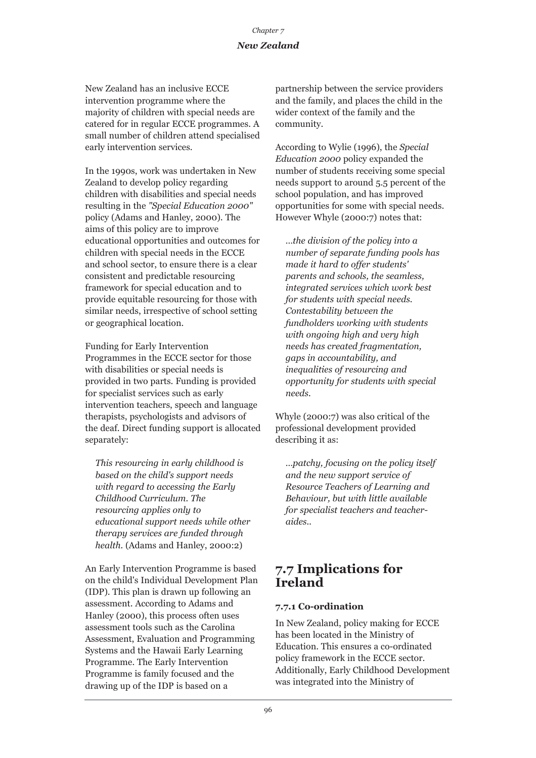New Zealand has an inclusive ECCE intervention programme where the majority of children with special needs are catered for in regular ECCE programmes. A small number of children attend specialised early intervention services.

In the 1990s, work was undertaken in New Zealand to develop policy regarding children with disabilities and special needs resulting in the *"Special Education 2000"* policy (Adams and Hanley, 2000). The aims of this policy are to improve educational opportunities and outcomes for children with special needs in the ECCE and school sector, to ensure there is a clear consistent and predictable resourcing framework for special education and to provide equitable resourcing for those with similar needs, irrespective of school setting or geographical location.

Funding for Early Intervention Programmes in the ECCE sector for those with disabilities or special needs is provided in two parts. Funding is provided for specialist services such as early intervention teachers, speech and language therapists, psychologists and advisors of the deaf. Direct funding support is allocated separately:

*This resourcing in early childhood is based on the child's support needs with regard to accessing the Early Childhood Curriculum. The resourcing applies only to educational support needs while other therapy services are funded through health.* (Adams and Hanley, 2000:2)

An Early Intervention Programme is based on the child's Individual Development Plan (IDP). This plan is drawn up following an assessment. According to Adams and Hanley (2000), this process often uses assessment tools such as the Carolina Assessment, Evaluation and Programming Systems and the Hawaii Early Learning Programme. The Early Intervention Programme is family focused and the drawing up of the IDP is based on a

partnership between the service providers and the family, and places the child in the wider context of the family and the community.

According to Wylie (1996), the *Special Education 2000* policy expanded the number of students receiving some special needs support to around 5.5 percent of the school population, and has improved opportunities for some with special needs. However Whyle (2000:7) notes that:

*…the division of the policy into a number of separate funding pools has made it hard to offer students' parents and schools, the seamless, integrated services which work best for students with special needs. Contestability between the fundholders working with students with ongoing high and very high needs has created fragmentation, gaps in accountability, and inequalities of resourcing and opportunity for students with special needs.* 

Whyle (2000:7) was also critical of the professional development provided describing it as:

*…patchy, focusing on the policy itself and the new support service of Resource Teachers of Learning and Behaviour, but with little available for specialist teachers and teacheraides..* 

### **7.7 Implications for Ireland**

### **7.7.1 Co-ordination**

In New Zealand, policy making for ECCE has been located in the Ministry of Education. This ensures a co-ordinated policy framework in the ECCE sector. Additionally, Early Childhood Development was integrated into the Ministry of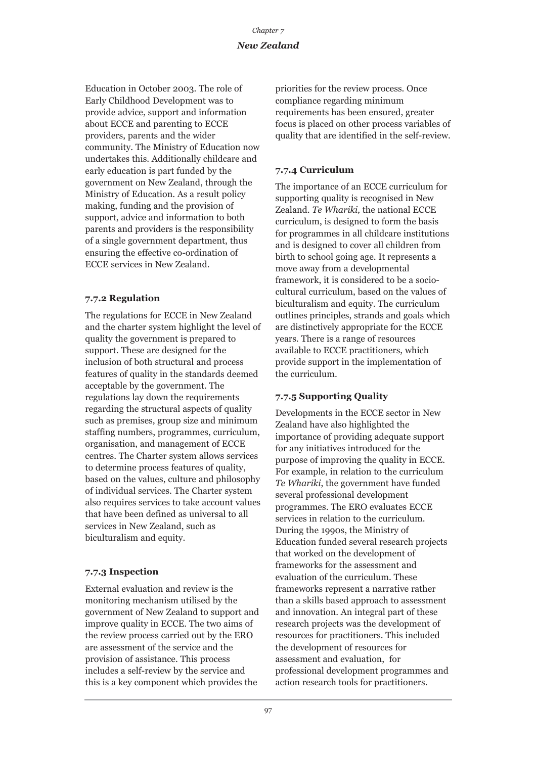Education in October 2003. The role of Early Childhood Development was to provide advice, support and information about ECCE and parenting to ECCE providers, parents and the wider community. The Ministry of Education now undertakes this. Additionally childcare and early education is part funded by the government on New Zealand, through the Ministry of Education. As a result policy making, funding and the provision of support, advice and information to both parents and providers is the responsibility of a single government department, thus ensuring the effective co-ordination of ECCE services in New Zealand.

### **7.7.2 Regulation**

The regulations for ECCE in New Zealand and the charter system highlight the level of quality the government is prepared to support. These are designed for the inclusion of both structural and process features of quality in the standards deemed acceptable by the government. The regulations lay down the requirements regarding the structural aspects of quality such as premises, group size and minimum staffing numbers, programmes, curriculum, organisation, and management of ECCE centres. The Charter system allows services to determine process features of quality, based on the values, culture and philosophy of individual services. The Charter system also requires services to take account values that have been defined as universal to all services in New Zealand, such as biculturalism and equity.

### **7.7.3 Inspection**

External evaluation and review is the monitoring mechanism utilised by the government of New Zealand to support and improve quality in ECCE. The two aims of the review process carried out by the ERO are assessment of the service and the provision of assistance. This process includes a self-review by the service and this is a key component which provides the

priorities for the review process. Once compliance regarding minimum requirements has been ensured, greater focus is placed on other process variables of quality that are identified in the self-review.

### **7.7.4 Curriculum**

The importance of an ECCE curriculum for supporting quality is recognised in New Zealand. *Te Whariki,* the national ECCE curriculum, is designed to form the basis for programmes in all childcare institutions and is designed to cover all children from birth to school going age. It represents a move away from a developmental framework, it is considered to be a sociocultural curriculum, based on the values of biculturalism and equity. The curriculum outlines principles, strands and goals which are distinctively appropriate for the ECCE years. There is a range of resources available to ECCE practitioners, which provide support in the implementation of the curriculum.

### **7.7.5 Supporting Quality**

Developments in the ECCE sector in New Zealand have also highlighted the importance of providing adequate support for any initiatives introduced for the purpose of improving the quality in ECCE. For example, in relation to the curriculum *Te Whariki*, the government have funded several professional development programmes. The ERO evaluates ECCE services in relation to the curriculum. During the 1990s, the Ministry of Education funded several research projects that worked on the development of frameworks for the assessment and evaluation of the curriculum. These frameworks represent a narrative rather than a skills based approach to assessment and innovation. An integral part of these research projects was the development of resources for practitioners. This included the development of resources for assessment and evaluation, for professional development programmes and action research tools for practitioners.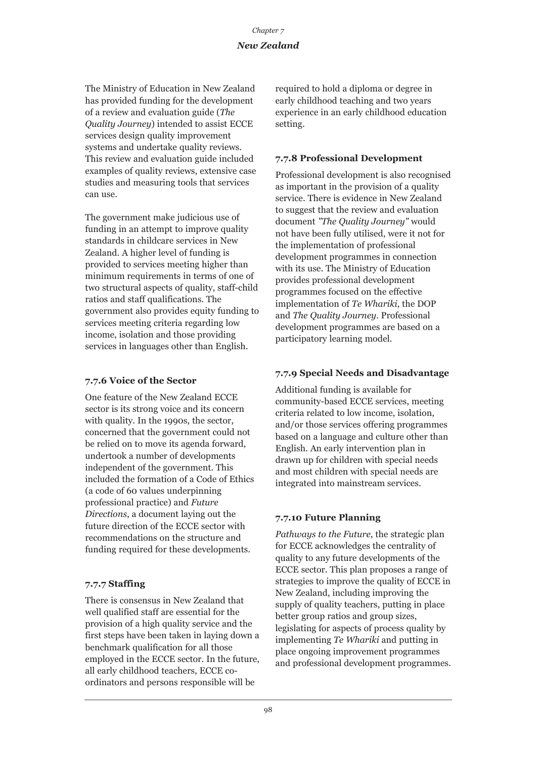The Ministry of Education in New Zealand has provided funding for the development of a review and evaluation guide (*The Quality Journey*) intended to assist ECCE services design quality improvement systems and undertake quality reviews. This review and evaluation guide included examples of quality reviews, extensive case studies and measuring tools that services can use.

The government make judicious use of funding in an attempt to improve quality standards in childcare services in New Zealand. A higher level of funding is provided to services meeting higher than minimum requirements in terms of one of two structural aspects of quality, staff-child ratios and staff qualifications. The government also provides equity funding to services meeting criteria regarding low income, isolation and those providing services in languages other than English.

### **7.7.6 Voice of the Sector**

One feature of the New Zealand ECCE sector is its strong voice and its concern with quality. In the 1990s, the sector, concerned that the government could not be relied on to move its agenda forward, undertook a number of developments independent of the government. This included the formation of a Code of Ethics (a code of 60 values underpinning professional practice) and *Future Directions*, a document laying out the future direction of the ECCE sector with recommendations on the structure and funding required for these developments.

### **7.7.7 Staffing**

There is consensus in New Zealand that well qualified staff are essential for the provision of a high quality service and the first steps have been taken in laying down a benchmark qualification for all those employed in the ECCE sector. In the future, all early childhood teachers, ECCE coordinators and persons responsible will be

required to hold a diploma or degree in early childhood teaching and two years experience in an early childhood education setting.

### **7.7.8 Professional Development**

Professional development is also recognised as important in the provision of a quality service. There is evidence in New Zealand to suggest that the review and evaluation document *"The Quality Journey"* would not have been fully utilised, were it not for the implementation of professional development programmes in connection with its use. The Ministry of Education provides professional development programmes focused on the effective implementation of *Te Whariki*, the DOP and *The Quality Journey*. Professional development programmes are based on a participatory learning model.

### **7.7.9 Special Needs and Disadvantage**

Additional funding is available for community-based ECCE services, meeting criteria related to low income, isolation, and/or those services offering programmes based on a language and culture other than English. An early intervention plan in drawn up for children with special needs and most children with special needs are integrated into mainstream services.

### **7.7.10 Future Planning**

*Pathways to the Future*, the strategic plan for ECCE acknowledges the centrality of quality to any future developments of the ECCE sector. This plan proposes a range of strategies to improve the quality of ECCE in New Zealand, including improving the supply of quality teachers, putting in place better group ratios and group sizes, legislating for aspects of process quality by implementing *Te Whariki* and putting in place ongoing improvement programmes and professional development programmes.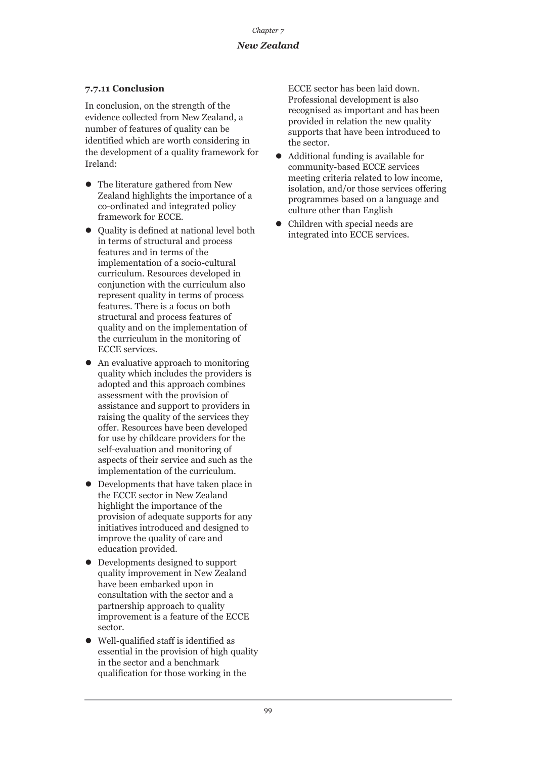### **7.7.11 Conclusion**

In conclusion, on the strength of the evidence collected from New Zealand, a number of features of quality can be identified which are worth considering in the development of a quality framework for Ireland:

- $\bullet$  The literature gathered from New Zealand highlights the importance of a co-ordinated and integrated policy framework for ECCE.
- $\bullet$  Quality is defined at national level both in terms of structural and process features and in terms of the implementation of a socio-cultural curriculum. Resources developed in conjunction with the curriculum also represent quality in terms of process features. There is a focus on both structural and process features of quality and on the implementation of the curriculum in the monitoring of ECCE services.
- $\bullet$  An evaluative approach to monitoring quality which includes the providers is adopted and this approach combines assessment with the provision of assistance and support to providers in raising the quality of the services they offer. Resources have been developed for use by childcare providers for the self-evaluation and monitoring of aspects of their service and such as the implementation of the curriculum.
- Developments that have taken place in the ECCE sector in New Zealand highlight the importance of the provision of adequate supports for any initiatives introduced and designed to improve the quality of care and education provided.
- Developments designed to support quality improvement in New Zealand have been embarked upon in consultation with the sector and a partnership approach to quality improvement is a feature of the ECCE sector.
- $\bullet$  Well-qualified staff is identified as essential in the provision of high quality in the sector and a benchmark qualification for those working in the

ECCE sector has been laid down. Professional development is also recognised as important and has been provided in relation the new quality supports that have been introduced to the sector.

- $\bullet$  Additional funding is available for community-based ECCE services meeting criteria related to low income, isolation, and/or those services offering programmes based on a language and culture other than English
- Children with special needs are integrated into ECCE services.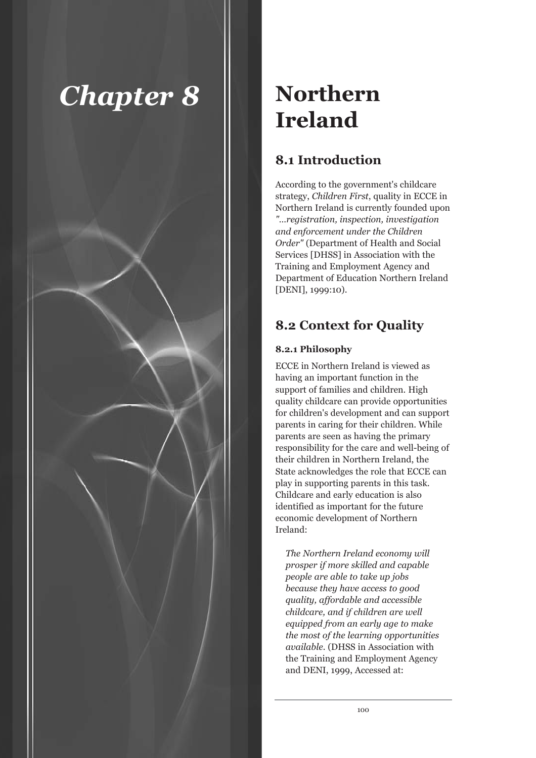

## **Northern Ireland**

### **8.1 Introduction**

According to the government's childcare strategy, *Children First*, quality in ECCE in Northern Ireland is currently founded upon *"…registration, inspection, investigation and enforcement under the Children Order"* (Department of Health and Social Services [DHSS] in Association with the Training and Employment Agency and Department of Education Northern Ireland [DENI], 1999:10).

### **8.2 Context for Quality**

### **8.2.1 Philosophy**

ECCE in Northern Ireland is viewed as having an important function in the support of families and children. High quality childcare can provide opportunities for children's development and can support parents in caring for their children. While parents are seen as having the primary responsibility for the care and well-being of their children in Northern Ireland, the State acknowledges the role that ECCE can play in supporting parents in this task. Childcare and early education is also identified as important for the future economic development of Northern Ireland:

*The Northern Ireland economy will prosper if more skilled and capable people are able to take up jobs because they have access to good quality, affordable and accessible childcare, and if children are well equipped from an early age to make the most of the learning opportunities available.* (DHSS in Association with the Training and Employment Agency and DENI, 1999, Accessed at: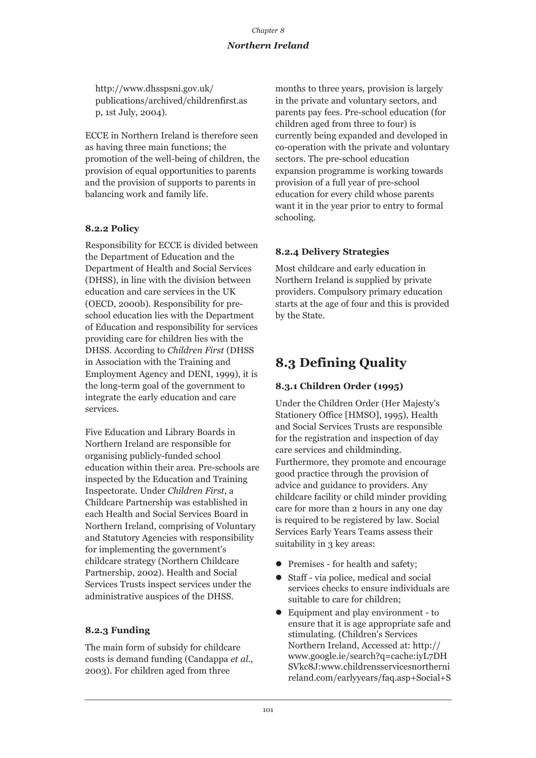http://www.dhsspsni.gov.uk/ publications/archived/childrenfirst.as p, 1st July, 2004).

ECCE in Northern Ireland is therefore seen as having three main functions; the promotion of the well-being of children, the provision of equal opportunities to parents and the provision of supports to parents in balancing work and family life.

## **8.2.2 Policy**

Responsibility for ECCE is divided between the Department of Education and the Department of Health and Social Services (DHSS), in line with the division between education and care services in the UK (OECD, 2000b). Responsibility for preschool education lies with the Department of Education and responsibility for services providing care for children lies with the DHSS. According to *Children First* (DHSS in Association with the Training and Employment Agency and DENI, 1999), it is the long-term goal of the government to integrate the early education and care services.

Five Education and Library Boards in Northern Ireland are responsible for organising publicly-funded school education within their area. Pre-schools are inspected by the Education and Training Inspectorate. Under *Children First*, a Childcare Partnership was established in each Health and Social Services Board in Northern Ireland, comprising of Voluntary and Statutory Agencies with responsibility for implementing the government's childcare strategy (Northern Childcare Partnership, 2002). Health and Social Services Trusts inspect services under the administrative auspices of the DHSS.

## **8.2.3 Funding**

The main form of subsidy for childcare costs is demand funding (Candappa *et al*., 2003). For children aged from three

months to three years, provision is largely in the private and voluntary sectors, and parents pay fees. Pre-school education (for children aged from three to four) is currently being expanded and developed in co-operation with the private and voluntary sectors. The pre-school education expansion programme is working towards provision of a full year of pre-school education for every child whose parents want it in the year prior to entry to formal schooling.

## **8.2.4 Delivery Strategies**

Most childcare and early education in Northern Ireland is supplied by private providers. Compulsory primary education starts at the age of four and this is provided by the State.

# **8.3 Defining Quality**

## **8.3.1 Children Order (1995)**

Under the Children Order (Her Majesty's Stationery Office [HMSO], 1995), Health and Social Services Trusts are responsible for the registration and inspection of day care services and childminding. Furthermore, they promote and encourage good practice through the provision of advice and guidance to providers. Any childcare facility or child minder providing care for more than 2 hours in any one day is required to be registered by law. Social Services Early Years Teams assess their suitability in 3 key areas:

- Premises for health and safety;
- Staff via police, medical and social services checks to ensure individuals are suitable to care for children;
- Equipment and play environment to ensure that it is age appropriate safe and stimulating. (Children's Services Northern Ireland, Accessed at: http:// www.google.ie/search?q=cache:iyL7DH SVkc8J:www.childrensservicesnortherni reland.com/earlyyears/faq.asp+Social+S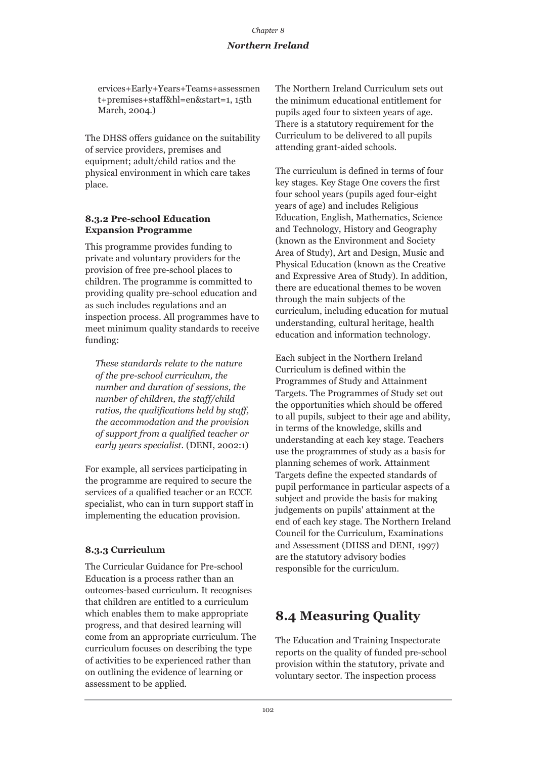## *Northern Ireland*

ervices+Early+Years+Teams+assessmen t+premises+staff&hl=en&start=1, 15th March, 2004.)

The DHSS offers guidance on the suitability of service providers, premises and equipment; adult/child ratios and the physical environment in which care takes place.

### **8.3.2 Pre-school Education Expansion Programme**

This programme provides funding to private and voluntary providers for the provision of free pre-school places to children. The programme is committed to providing quality pre-school education and as such includes regulations and an inspection process. All programmes have to meet minimum quality standards to receive funding:

*These standards relate to the nature of the pre-school curriculum, the number and duration of sessions, the number of children, the staff/child ratios, the qualifications held by staff, the accommodation and the provision of support from a qualified teacher or early years specialist.* (DENI, 2002:1)

For example, all services participating in the programme are required to secure the services of a qualified teacher or an ECCE specialist, who can in turn support staff in implementing the education provision.

## **8.3.3 Curriculum**

The Curricular Guidance for Pre-school Education is a process rather than an outcomes-based curriculum. It recognises that children are entitled to a curriculum which enables them to make appropriate progress, and that desired learning will come from an appropriate curriculum. The curriculum focuses on describing the type of activities to be experienced rather than on outlining the evidence of learning or assessment to be applied.

The Northern Ireland Curriculum sets out the minimum educational entitlement for pupils aged four to sixteen years of age. There is a statutory requirement for the Curriculum to be delivered to all pupils attending grant-aided schools.

The curriculum is defined in terms of four key stages. Key Stage One covers the first four school years (pupils aged four-eight years of age) and includes Religious Education, English, Mathematics, Science and Technology, History and Geography (known as the Environment and Society Area of Study), Art and Design, Music and Physical Education (known as the Creative and Expressive Area of Study). In addition, there are educational themes to be woven through the main subjects of the curriculum, including education for mutual understanding, cultural heritage, health education and information technology.

Each subject in the Northern Ireland Curriculum is defined within the Programmes of Study and Attainment Targets. The Programmes of Study set out the opportunities which should be offered to all pupils, subject to their age and ability, in terms of the knowledge, skills and understanding at each key stage. Teachers use the programmes of study as a basis for planning schemes of work. Attainment Targets define the expected standards of pupil performance in particular aspects of a subject and provide the basis for making judgements on pupils' attainment at the end of each key stage. The Northern Ireland Council for the Curriculum, Examinations and Assessment (DHSS and DENI, 1997) are the statutory advisory bodies responsible for the curriculum.

# **8.4 Measuring Quality**

The Education and Training Inspectorate reports on the quality of funded pre-school provision within the statutory, private and voluntary sector. The inspection process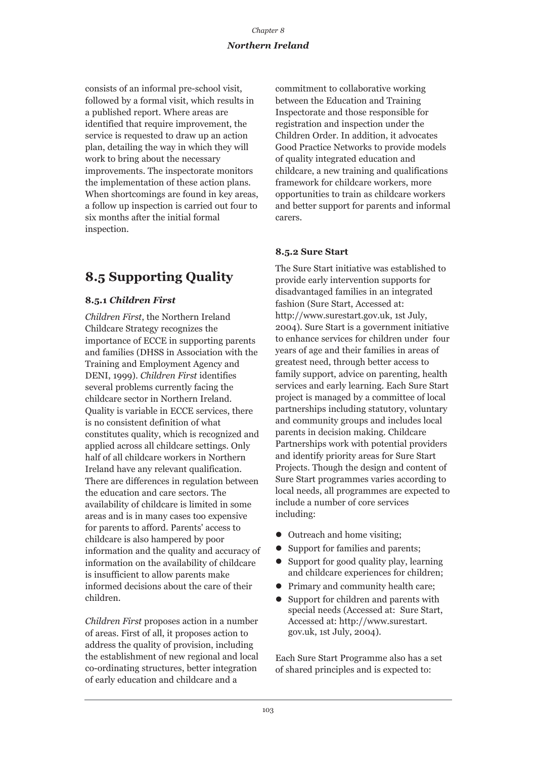consists of an informal pre-school visit, followed by a formal visit, which results in a published report. Where areas are identified that require improvement, the service is requested to draw up an action plan, detailing the way in which they will work to bring about the necessary improvements. The inspectorate monitors the implementation of these action plans. When shortcomings are found in key areas, a follow up inspection is carried out four to six months after the initial formal inspection.

# **8.5 Supporting Quality**

## **8.5.1** *Children First*

*Children First*, the Northern Ireland Childcare Strategy recognizes the importance of ECCE in supporting parents and families (DHSS in Association with the Training and Employment Agency and DENI, 1999). *Children First* identifies several problems currently facing the childcare sector in Northern Ireland. Quality is variable in ECCE services, there is no consistent definition of what constitutes quality, which is recognized and applied across all childcare settings. Only half of all childcare workers in Northern Ireland have any relevant qualification. There are differences in regulation between the education and care sectors. The availability of childcare is limited in some areas and is in many cases too expensive for parents to afford. Parents' access to childcare is also hampered by poor information and the quality and accuracy of information on the availability of childcare is insufficient to allow parents make informed decisions about the care of their children.

*Children First* proposes action in a number of areas. First of all, it proposes action to address the quality of provision, including the establishment of new regional and local co-ordinating structures, better integration of early education and childcare and a

commitment to collaborative working between the Education and Training Inspectorate and those responsible for registration and inspection under the Children Order. In addition, it advocates Good Practice Networks to provide models of quality integrated education and childcare, a new training and qualifications framework for childcare workers, more opportunities to train as childcare workers and better support for parents and informal carers.

## **8.5.2 Sure Start**

The Sure Start initiative was established to provide early intervention supports for disadvantaged families in an integrated fashion (Sure Start, Accessed at: http://www.surestart.gov.uk, 1st July, 2004). Sure Start is a government initiative to enhance services for children under four years of age and their families in areas of greatest need, through better access to family support, advice on parenting, health services and early learning. Each Sure Start project is managed by a committee of local partnerships including statutory, voluntary and community groups and includes local parents in decision making. Childcare Partnerships work with potential providers and identify priority areas for Sure Start Projects. Though the design and content of Sure Start programmes varies according to local needs, all programmes are expected to include a number of core services including:

- $\bullet$  Outreach and home visiting;
- Support for families and parents;
- $\bullet$  Support for good quality play, learning and childcare experiences for children;
- Primary and community health care;
- $\bullet$  Support for children and parents with special needs (Accessed at: Sure Start, Accessed at: http://www.surestart. gov.uk, 1st July, 2004).

Each Sure Start Programme also has a set of shared principles and is expected to: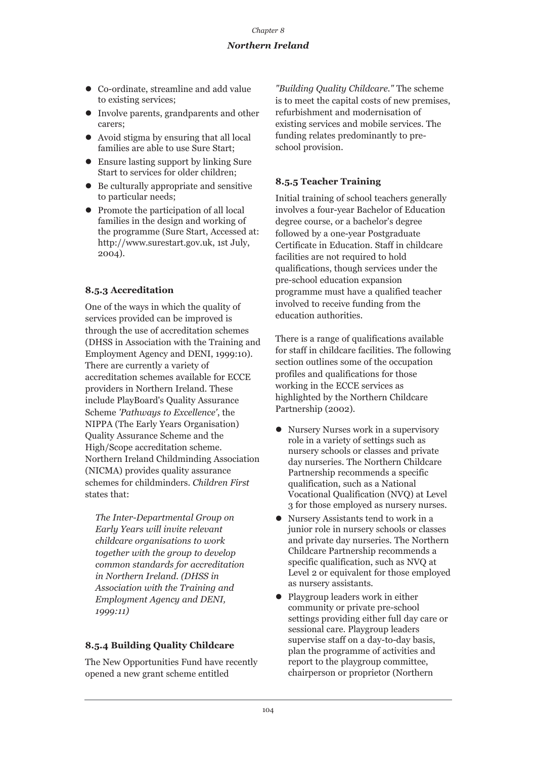- Co-ordinate, streamline and add value to existing services;
- Involve parents, grandparents and other carers;
- $\bullet$  Avoid stigma by ensuring that all local families are able to use Sure Start;
- Ensure lasting support by linking Sure Start to services for older children;
- $\bullet$  Be culturally appropriate and sensitive to particular needs;
- Promote the participation of all local families in the design and working of the programme (Sure Start, Accessed at: http://www.surestart.gov.uk, 1st July, 2004).

## **8.5.3 Accreditation**

One of the ways in which the quality of services provided can be improved is through the use of accreditation schemes (DHSS in Association with the Training and Employment Agency and DENI, 1999:10). There are currently a variety of accreditation schemes available for ECCE providers in Northern Ireland. These include PlayBoard's Quality Assurance Scheme *'Pathways to Excellence'*, the NIPPA (The Early Years Organisation) Quality Assurance Scheme and the High/Scope accreditation scheme. Northern Ireland Childminding Association (NICMA) provides quality assurance schemes for childminders. *Children First* states that:

*The Inter-Departmental Group on Early Years will invite relevant childcare organisations to work together with the group to develop common standards for accreditation in Northern Ireland. (DHSS in Association with the Training and Employment Agency and DENI, 1999:11)*

## **8.5.4 Building Quality Childcare**

The New Opportunities Fund have recently opened a new grant scheme entitled

*"Building Quality Childcare."* The scheme is to meet the capital costs of new premises, refurbishment and modernisation of existing services and mobile services. The funding relates predominantly to preschool provision.

## **8.5.5 Teacher Training**

Initial training of school teachers generally involves a four-year Bachelor of Education degree course, or a bachelor's degree followed by a one-year Postgraduate Certificate in Education. Staff in childcare facilities are not required to hold qualifications, though services under the pre-school education expansion programme must have a qualified teacher involved to receive funding from the education authorities.

There is a range of qualifications available for staff in childcare facilities. The following section outlines some of the occupation profiles and qualifications for those working in the ECCE services as highlighted by the Northern Childcare Partnership (2002).

- $\bullet$  Nursery Nurses work in a supervisory role in a variety of settings such as nursery schools or classes and private day nurseries. The Northern Childcare Partnership recommends a specific qualification, such as a National Vocational Qualification (NVQ) at Level 3 for those employed as nursery nurses.
- $\bullet$  Nursery Assistants tend to work in a junior role in nursery schools or classes and private day nurseries. The Northern Childcare Partnership recommends a specific qualification, such as NVQ at Level 2 or equivalent for those employed as nursery assistants.
- Playgroup leaders work in either community or private pre-school settings providing either full day care or sessional care. Playgroup leaders supervise staff on a day-to-day basis, plan the programme of activities and report to the playgroup committee, chairperson or proprietor (Northern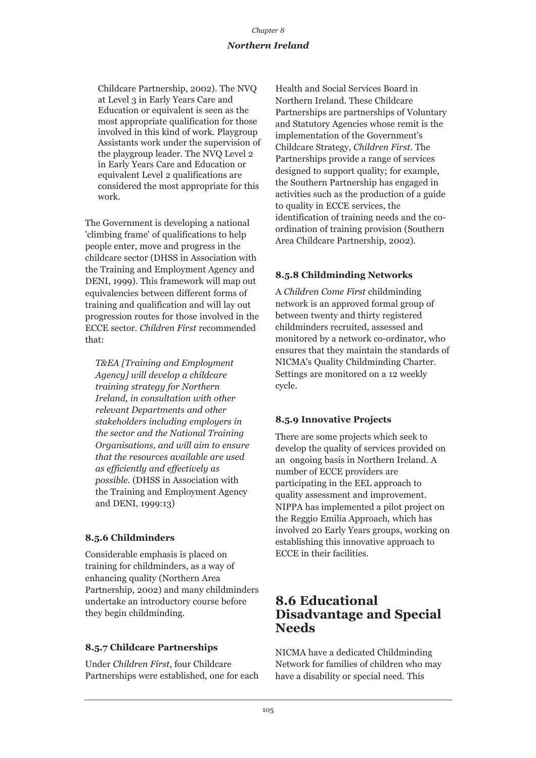## *Chapter 8 Northern Ireland*

Childcare Partnership, 2002). The NVQ at Level 3 in Early Years Care and Education or equivalent is seen as the most appropriate qualification for those involved in this kind of work. Playgroup Assistants work under the supervision of the playgroup leader. The NVQ Level 2 in Early Years Care and Education or equivalent Level 2 qualifications are considered the most appropriate for this work.

The Government is developing a national 'climbing frame' of qualifications to help people enter, move and progress in the childcare sector (DHSS in Association with the Training and Employment Agency and DENI, 1999). This framework will map out equivalencies between different forms of training and qualification and will lay out progression routes for those involved in the ECCE sector. *Children First* recommended that:

*T&EA [Training and Employment Agency] will develop a childcare training strategy for Northern Ireland, in consultation with other relevant Departments and other stakeholders including employers in the sector and the National Training Organisations, and will aim to ensure that the resources available are used as efficiently and effectively as possible.* (DHSS in Association with the Training and Employment Agency and DENI, 1999:13)

## **8.5.6 Childminders**

Considerable emphasis is placed on training for childminders, as a way of enhancing quality (Northern Area Partnership, 2002) and many childminders undertake an introductory course before they begin childminding.

## **8.5.7 Childcare Partnerships**

Under *Children First*, four Childcare Partnerships were established, one for each Health and Social Services Board in Northern Ireland. These Childcare Partnerships are partnerships of Voluntary and Statutory Agencies whose remit is the implementation of the Government's Childcare Strategy, *Children First*. The Partnerships provide a range of services designed to support quality; for example, the Southern Partnership has engaged in activities such as the production of a guide to quality in ECCE services, the identification of training needs and the coordination of training provision (Southern Area Childcare Partnership, 2002).

## **8.5.8 Childminding Networks**

A *Children Come First* childminding network is an approved formal group of between twenty and thirty registered childminders recruited, assessed and monitored by a network co-ordinator, who ensures that they maintain the standards of NICMA's Quality Childminding Charter. Settings are monitored on a 12 weekly cycle.

## **8.5.9 Innovative Projects**

There are some projects which seek to develop the quality of services provided on an ongoing basis in Northern Ireland. A number of ECCE providers are participating in the EEL approach to quality assessment and improvement. NIPPA has implemented a pilot project on the Reggio Emilia Approach, which has involved 20 Early Years groups, working on establishing this innovative approach to ECCE in their facilities.

## **8.6 Educational Disadvantage and Special Needs**

NICMA have a dedicated Childminding Network for families of children who may have a disability or special need. This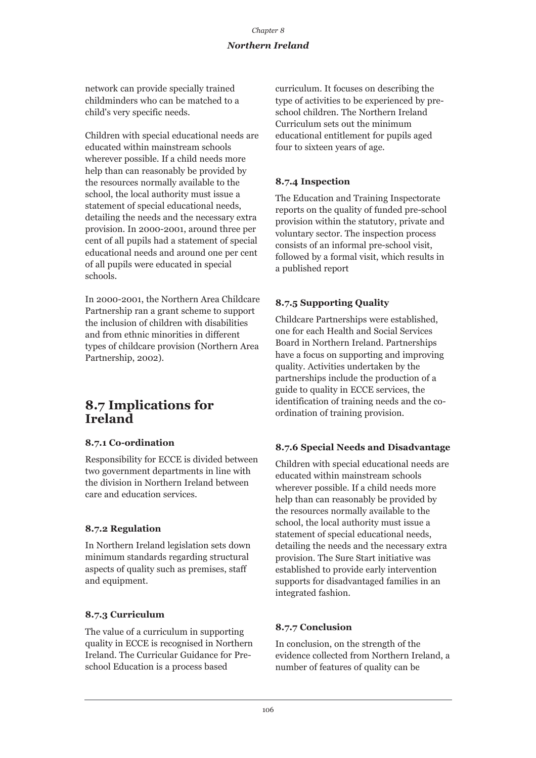network can provide specially trained childminders who can be matched to a child's very specific needs.

Children with special educational needs are educated within mainstream schools wherever possible. If a child needs more help than can reasonably be provided by the resources normally available to the school, the local authority must issue a statement of special educational needs, detailing the needs and the necessary extra provision. In 2000-2001, around three per cent of all pupils had a statement of special educational needs and around one per cent of all pupils were educated in special schools.

In 2000-2001, the Northern Area Childcare Partnership ran a grant scheme to support the inclusion of children with disabilities and from ethnic minorities in different types of childcare provision (Northern Area Partnership, 2002).

## **8.7 Implications for Ireland**

## **8.7.1 Co-ordination**

Responsibility for ECCE is divided between two government departments in line with the division in Northern Ireland between care and education services.

## **8.7.2 Regulation**

In Northern Ireland legislation sets down minimum standards regarding structural aspects of quality such as premises, staff and equipment.

## **8.7.3 Curriculum**

The value of a curriculum in supporting quality in ECCE is recognised in Northern Ireland. The Curricular Guidance for Preschool Education is a process based

curriculum. It focuses on describing the type of activities to be experienced by preschool children. The Northern Ireland Curriculum sets out the minimum educational entitlement for pupils aged four to sixteen years of age.

## **8.7.4 Inspection**

The Education and Training Inspectorate reports on the quality of funded pre-school provision within the statutory, private and voluntary sector. The inspection process consists of an informal pre-school visit, followed by a formal visit, which results in a published report

## **8.7.5 Supporting Quality**

Childcare Partnerships were established, one for each Health and Social Services Board in Northern Ireland. Partnerships have a focus on supporting and improving quality. Activities undertaken by the partnerships include the production of a guide to quality in ECCE services, the identification of training needs and the coordination of training provision.

## **8.7.6 Special Needs and Disadvantage**

Children with special educational needs are educated within mainstream schools wherever possible. If a child needs more help than can reasonably be provided by the resources normally available to the school, the local authority must issue a statement of special educational needs, detailing the needs and the necessary extra provision. The Sure Start initiative was established to provide early intervention supports for disadvantaged families in an integrated fashion.

## **8.7.7 Conclusion**

In conclusion, on the strength of the evidence collected from Northern Ireland, a number of features of quality can be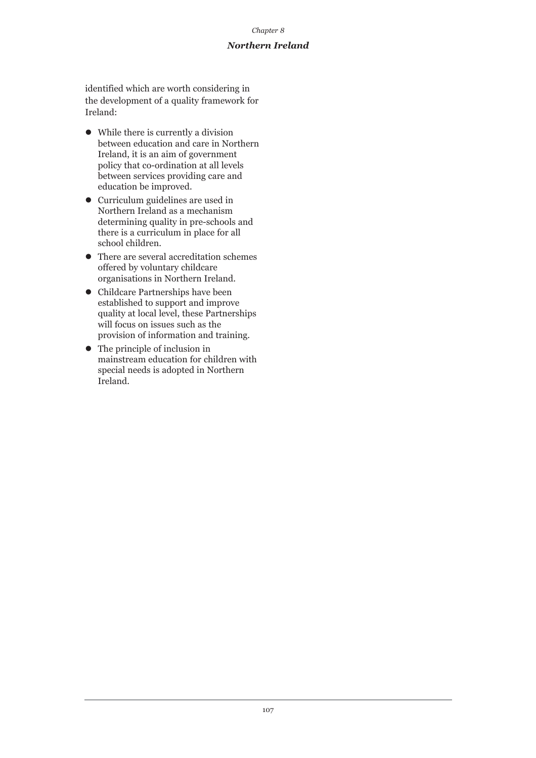#### *Chapter 8*

### *Northern Ireland*

identified which are worth considering in the development of a quality framework for Ireland:

- $\bullet$  While there is currently a division between education and care in Northern Ireland, it is an aim of government policy that co-ordination at all levels between services providing care and education be improved.
- Curriculum guidelines are used in Northern Ireland as a mechanism determining quality in pre-schools and there is a curriculum in place for all school children.
- $\bullet$  There are several accreditation schemes offered by voluntary childcare organisations in Northern Ireland.
- **•** Childcare Partnerships have been established to support and improve quality at local level, these Partnerships will focus on issues such as the provision of information and training.
- $\bullet$  The principle of inclusion in mainstream education for children with special needs is adopted in Northern Ireland.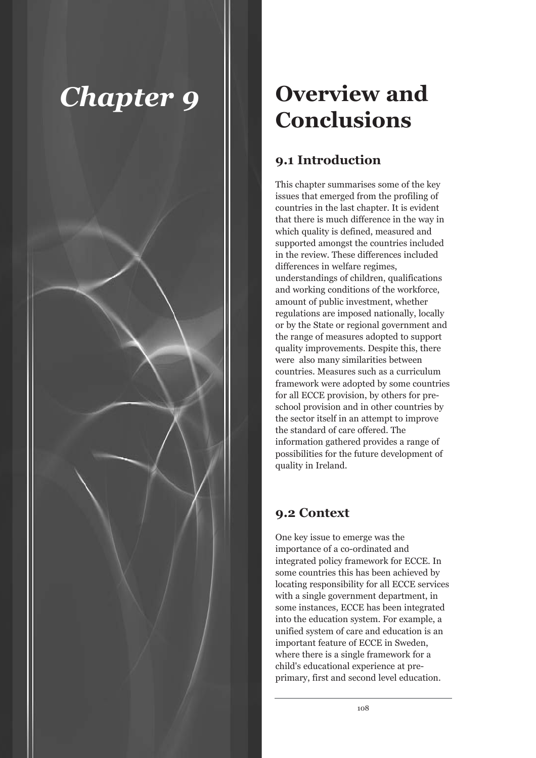# *Chapter 9*



# **Overview and Conclusions**

## **9.1 Introduction**

This chapter summarises some of the key issues that emerged from the profiling of countries in the last chapter. It is evident that there is much difference in the way in which quality is defined, measured and supported amongst the countries included in the review. These differences included differences in welfare regimes, understandings of children, qualifications and working conditions of the workforce, amount of public investment, whether regulations are imposed nationally, locally or by the State or regional government and the range of measures adopted to support quality improvements. Despite this, there were also many similarities between countries. Measures such as a curriculum framework were adopted by some countries for all ECCE provision, by others for preschool provision and in other countries by the sector itself in an attempt to improve the standard of care offered. The information gathered provides a range of possibilities for the future development of quality in Ireland.

## **9.2 Context**

One key issue to emerge was the importance of a co-ordinated and integrated policy framework for ECCE. In some countries this has been achieved by locating responsibility for all ECCE services with a single government department, in some instances, ECCE has been integrated into the education system. For example, a unified system of care and education is an important feature of ECCE in Sweden, where there is a single framework for a child's educational experience at preprimary, first and second level education.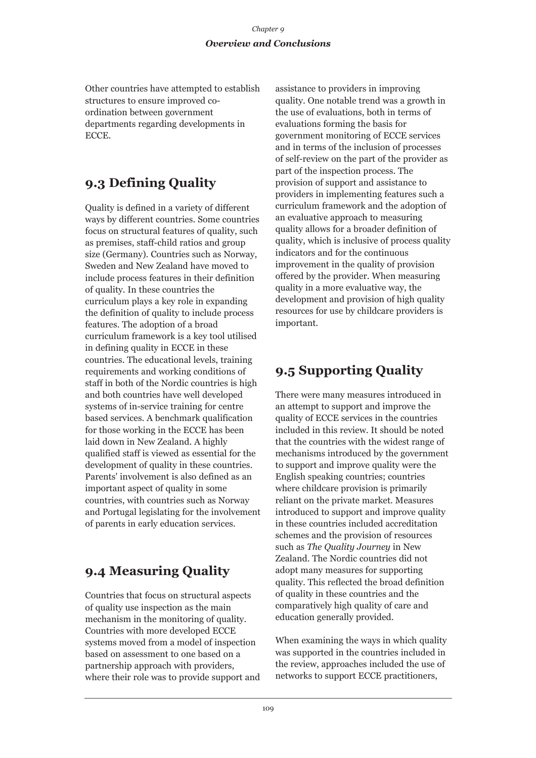## *Chapter 9 Overview and Conclusions*

Other countries have attempted to establish structures to ensure improved coordination between government departments regarding developments in ECCE.

## **9.3 Defining Quality**

Quality is defined in a variety of different ways by different countries. Some countries focus on structural features of quality, such as premises, staff-child ratios and group size (Germany). Countries such as Norway, Sweden and New Zealand have moved to include process features in their definition of quality. In these countries the curriculum plays a key role in expanding the definition of quality to include process features. The adoption of a broad curriculum framework is a key tool utilised in defining quality in ECCE in these countries. The educational levels, training requirements and working conditions of staff in both of the Nordic countries is high and both countries have well developed systems of in-service training for centre based services. A benchmark qualification for those working in the ECCE has been laid down in New Zealand. A highly qualified staff is viewed as essential for the development of quality in these countries. Parents' involvement is also defined as an important aspect of quality in some countries, with countries such as Norway and Portugal legislating for the involvement of parents in early education services.

# **9.4 Measuring Quality**

Countries that focus on structural aspects of quality use inspection as the main mechanism in the monitoring of quality. Countries with more developed ECCE systems moved from a model of inspection based on assessment to one based on a partnership approach with providers, where their role was to provide support and assistance to providers in improving quality. One notable trend was a growth in the use of evaluations, both in terms of evaluations forming the basis for government monitoring of ECCE services and in terms of the inclusion of processes of self-review on the part of the provider as part of the inspection process. The provision of support and assistance to providers in implementing features such a curriculum framework and the adoption of an evaluative approach to measuring quality allows for a broader definition of quality, which is inclusive of process quality indicators and for the continuous improvement in the quality of provision offered by the provider. When measuring quality in a more evaluative way, the development and provision of high quality resources for use by childcare providers is important.

# **9.5 Supporting Quality**

There were many measures introduced in an attempt to support and improve the quality of ECCE services in the countries included in this review. It should be noted that the countries with the widest range of mechanisms introduced by the government to support and improve quality were the English speaking countries; countries where childcare provision is primarily reliant on the private market. Measures introduced to support and improve quality in these countries included accreditation schemes and the provision of resources such as *The Quality Journey* in New Zealand. The Nordic countries did not adopt many measures for supporting quality. This reflected the broad definition of quality in these countries and the comparatively high quality of care and education generally provided.

When examining the ways in which quality was supported in the countries included in the review, approaches included the use of networks to support ECCE practitioners,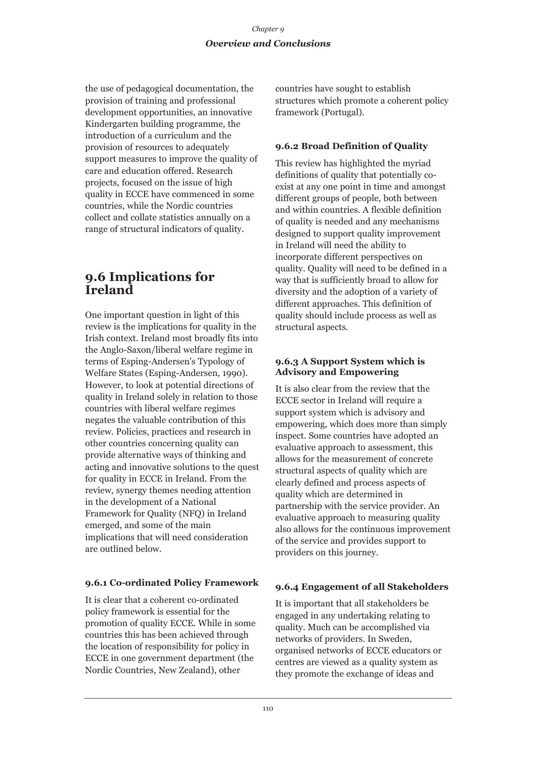the use of pedagogical documentation, the provision of training and professional development opportunities, an innovative Kindergarten building programme, the introduction of a curriculum and the provision of resources to adequately support measures to improve the quality of care and education offered. Research projects, focused on the issue of high quality in ECCE have commenced in some countries, while the Nordic countries collect and collate statistics annually on a range of structural indicators of quality.

## **9.6 Implications for Ireland**

One important question in light of this review is the implications for quality in the Irish context. Ireland most broadly fits into the Anglo-Saxon/liberal welfare regime in terms of Esping-Andersen's Typology of Welfare States (Esping-Andersen, 1990). However, to look at potential directions of quality in Ireland solely in relation to those countries with liberal welfare regimes negates the valuable contribution of this review. Policies, practices and research in other countries concerning quality can provide alternative ways of thinking and acting and innovative solutions to the quest for quality in ECCE in Ireland. From the review, synergy themes needing attention in the development of a National Framework for Quality (NFQ) in Ireland emerged, and some of the main implications that will need consideration are outlined below.

## **9.6.1 Co-ordinated Policy Framework**

It is clear that a coherent co-ordinated policy framework is essential for the promotion of quality ECCE. While in some countries this has been achieved through the location of responsibility for policy in ECCE in one government department (the Nordic Countries, New Zealand), other

countries have sought to establish structures which promote a coherent policy framework (Portugal).

## **9.6.2 Broad Definition of Quality**

This review has highlighted the myriad definitions of quality that potentially coexist at any one point in time and amongst different groups of people, both between and within countries. A flexible definition of quality is needed and any mechanisms designed to support quality improvement in Ireland will need the ability to incorporate different perspectives on quality. Quality will need to be defined in a way that is sufficiently broad to allow for diversity and the adoption of a variety of different approaches. This definition of quality should include process as well as structural aspects.

### **9.6.3 A Support System which is Advisory and Empowering**

It is also clear from the review that the ECCE sector in Ireland will require a support system which is advisory and empowering, which does more than simply inspect. Some countries have adopted an evaluative approach to assessment, this allows for the measurement of concrete structural aspects of quality which are clearly defined and process aspects of quality which are determined in partnership with the service provider. An evaluative approach to measuring quality also allows for the continuous improvement of the service and provides support to providers on this journey.

## **9.6.4 Engagement of all Stakeholders**

It is important that all stakeholders be engaged in any undertaking relating to quality. Much can be accomplished via networks of providers. In Sweden, organised networks of ECCE educators or centres are viewed as a quality system as they promote the exchange of ideas and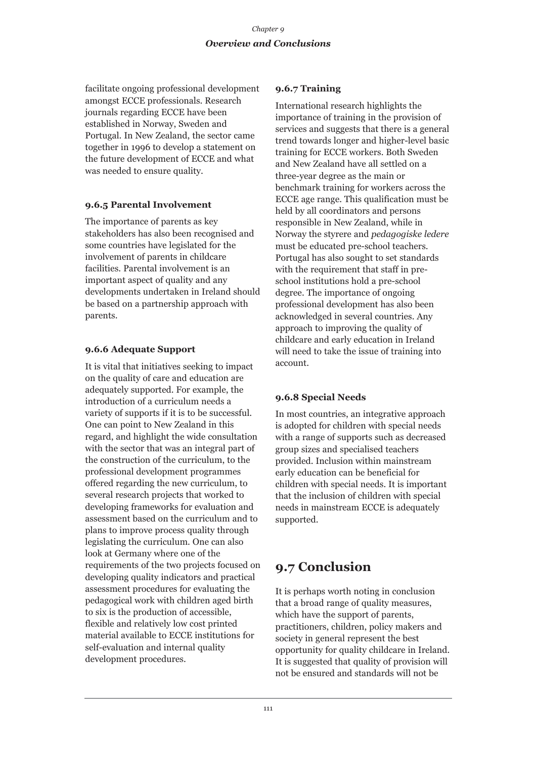facilitate ongoing professional development amongst ECCE professionals. Research journals regarding ECCE have been established in Norway, Sweden and Portugal. In New Zealand, the sector came together in 1996 to develop a statement on the future development of ECCE and what was needed to ensure quality.

### **9.6.5 Parental Involvement**

The importance of parents as key stakeholders has also been recognised and some countries have legislated for the involvement of parents in childcare facilities. Parental involvement is an important aspect of quality and any developments undertaken in Ireland should be based on a partnership approach with parents.

## **9.6.6 Adequate Support**

It is vital that initiatives seeking to impact on the quality of care and education are adequately supported. For example, the introduction of a curriculum needs a variety of supports if it is to be successful. One can point to New Zealand in this regard, and highlight the wide consultation with the sector that was an integral part of the construction of the curriculum, to the professional development programmes offered regarding the new curriculum, to several research projects that worked to developing frameworks for evaluation and assessment based on the curriculum and to plans to improve process quality through legislating the curriculum. One can also look at Germany where one of the requirements of the two projects focused on developing quality indicators and practical assessment procedures for evaluating the pedagogical work with children aged birth to six is the production of accessible, flexible and relatively low cost printed material available to ECCE institutions for self-evaluation and internal quality development procedures.

## **9.6.7 Training**

International research highlights the importance of training in the provision of services and suggests that there is a general trend towards longer and higher-level basic training for ECCE workers. Both Sweden and New Zealand have all settled on a three-year degree as the main or benchmark training for workers across the ECCE age range. This qualification must be held by all coordinators and persons responsible in New Zealand, while in Norway the styrere and *pedagogiske ledere* must be educated pre-school teachers. Portugal has also sought to set standards with the requirement that staff in preschool institutions hold a pre-school degree. The importance of ongoing professional development has also been acknowledged in several countries. Any approach to improving the quality of childcare and early education in Ireland will need to take the issue of training into account.

## **9.6.8 Special Needs**

In most countries, an integrative approach is adopted for children with special needs with a range of supports such as decreased group sizes and specialised teachers provided. Inclusion within mainstream early education can be beneficial for children with special needs. It is important that the inclusion of children with special needs in mainstream ECCE is adequately supported.

# **9.7 Conclusion**

It is perhaps worth noting in conclusion that a broad range of quality measures, which have the support of parents, practitioners, children, policy makers and society in general represent the best opportunity for quality childcare in Ireland. It is suggested that quality of provision will not be ensured and standards will not be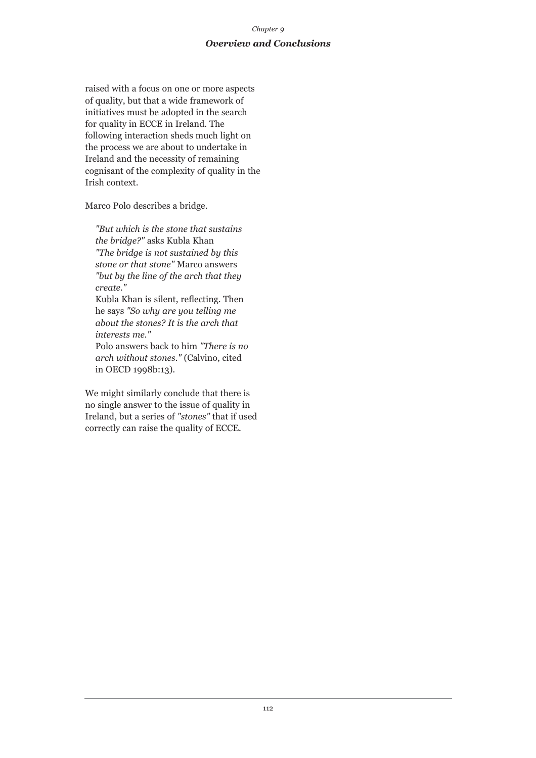## *Chapter 9 Overview and Conclusions*

raised with a focus on one or more aspects of quality, but that a wide framework of initiatives must be adopted in the search for quality in ECCE in Ireland. The following interaction sheds much light on the process we are about to undertake in Ireland and the necessity of remaining cognisant of the complexity of quality in the Irish context.

Marco Polo describes a bridge.

*"But which is the stone that sustains the bridge?"* asks Kubla Khan *"The bridge is not sustained by this stone or that stone"* Marco answers *"but by the line of the arch that they create."*

Kubla Khan is silent, reflecting. Then he says *"So why are you telling me about the stones? It is the arch that interests me."*

Polo answers back to him *"There is no arch without stones."* (Calvino, cited in OECD 1998b:13)*.*

We might similarly conclude that there is no single answer to the issue of quality in Ireland, but a series of *"stones"* that if used correctly can raise the quality of ECCE.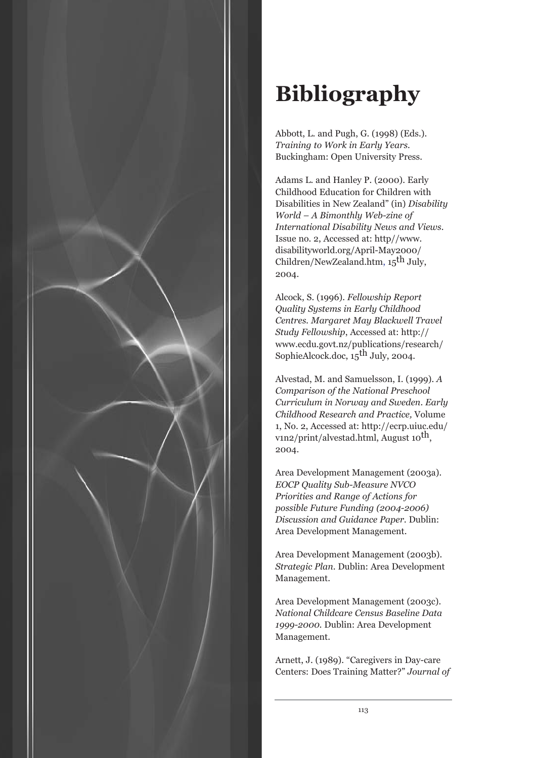

Abbott, L. and Pugh, G. (1998) (Eds.). *Training to Work in Early Years*. Buckingham: Open University Press.

Adams L. and Hanley P. (2000). Early Childhood Education for Children with Disabilities in New Zealand" (in) *Disability World – A Bimonthly Web-zine of International Disability News and Views*. Issue no. 2, Accessed at: http//www. disabilityworld.org/April-May2000/ Children/NewZealand.htm,  $15<sup>th</sup>$  July, 2004.

Alcock, S. (1996). *Fellowship Report Quality Systems in Early Childhood Centres. Margaret May Blackwell Travel Study Fellowship*, Accessed at: http:// www.ecdu.govt.nz/publications/research/ SophieAlcock.doc, 15<sup>th</sup> July, 2004.

Alvestad, M. and Samuelsson, I. (1999). *A Comparison of the National Preschool Curriculum in Norway and Sweden*. *Early Childhood Research and Practice,* Volume 1, No. 2, Accessed at: http://ecrp.uiuc.edu/ v1n2/print/alvestad.html, August  $10^{th}$ , 2004.

Area Development Management (2003a). *EOCP Quality Sub-Measure NVCO Priorities and Range of Actions for possible Future Funding (2004-2006) Discussion and Guidance Paper.* Dublin: Area Development Management.

Area Development Management (2003b). *Strategic Plan*. Dublin: Area Development Management.

Area Development Management (2003c). *National Childcare Census Baseline Data 1999-2000.* Dublin: Area Development Management.

Arnett, J. (1989). "Caregivers in Day-care Centers: Does Training Matter?" *Journal of*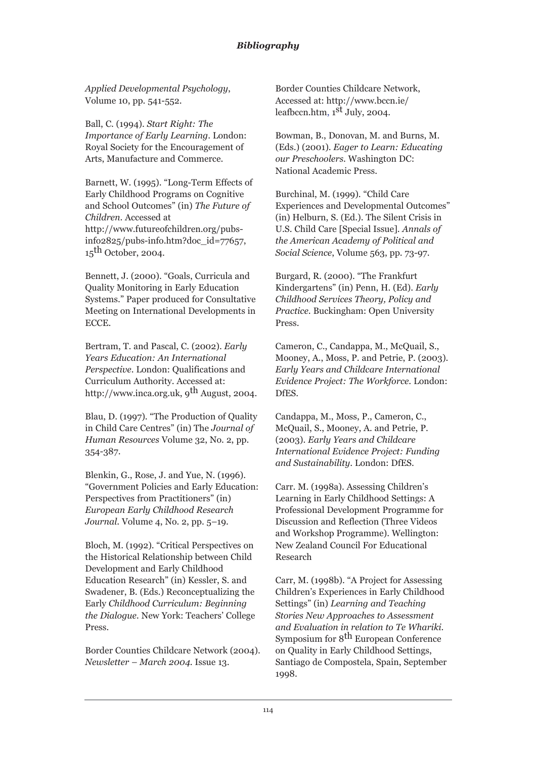*Applied Developmental Psychology*, Volume 10, pp. 541-552.

Ball, C. (1994). *Start Right: The Importance of Early Learning*. London: Royal Society for the Encouragement of Arts, Manufacture and Commerce.

Barnett, W. (1995). "Long-Term Effects of Early Childhood Programs on Cognitive and School Outcomes" (in) *The Future of Children*. Accessed at http://www.futureofchildren.org/pubsinfo2825/pubs-info.htm?doc\_id=77657,  $15<sup>th</sup>$  October, 2004.

Bennett, J. (2000). "Goals, Curricula and Quality Monitoring in Early Education Systems." Paper produced for Consultative Meeting on International Developments in ECCE.

Bertram, T. and Pascal, C. (2002). *Early Years Education: An International Perspective*. London: Qualifications and Curriculum Authority. Accessed at: http://www.inca.org.uk,  $9^{th}$  August, 2004.

Blau, D. (1997). "The Production of Quality in Child Care Centres" (in) The *Journal of Human Resources* Volume 32, No. 2, pp. 354-387.

Blenkin, G., Rose, J. and Yue, N. (1996). "Government Policies and Early Education: Perspectives from Practitioners" (in) *European Early Childhood Research Journal*. Volume 4, No. 2, pp. 5–19.

Bloch, M. (1992). "Critical Perspectives on the Historical Relationship between Child Development and Early Childhood Education Research" (in) Kessler, S. and Swadener, B. (Eds.) Reconceptualizing the Early *Childhood Curriculum: Beginning the Dialogue.* New York: Teachers' College Press.

Border Counties Childcare Network (2004). *Newsletter – March 2004*. Issue 13.

Border Counties Childcare Network, Accessed at: http://www.bccn.ie/ leafbccn.htm,  $1<sup>st</sup>$  July, 2004.

Bowman, B., Donovan, M. and Burns, M. (Eds.) (2001). *Eager to Learn: Educating our Preschoolers*. Washington DC: National Academic Press.

Burchinal, M. (1999). "Child Care Experiences and Developmental Outcomes" (in) Helburn, S. (Ed.). The Silent Crisis in U.S. Child Care [Special Issue]. *Annals of the American Academy of Political and Social Science*, Volume 563, pp. 73-97.

Burgard, R. (2000). "The Frankfurt Kindergartens" (in) Penn, H. (Ed). *Early Childhood Services Theory, Policy and Practice*. Buckingham: Open University Press.

Cameron, C., Candappa, M., McQuail, S., Mooney, A., Moss, P. and Petrie, P. (2003). *Early Years and Childcare International Evidence Project: The Workforce*. London: DfES.

Candappa, M., Moss, P., Cameron, C., McQuail, S., Mooney, A. and Petrie, P. (2003). *Early Years and Childcare International Evidence Project: Funding and Sustainability*. London: DfES.

Carr. M. (1998a). Assessing Children's Learning in Early Childhood Settings: A Professional Development Programme for Discussion and Reflection (Three Videos and Workshop Programme). Wellington: New Zealand Council For Educational Research

Carr, M. (1998b). "A Project for Assessing Children's Experiences in Early Childhood Settings" (in) *Learning and Teaching Stories New Approaches to Assessment and Evaluation in relation to Te Whariki*. Symposium for 8<sup>th</sup> European Conference on Quality in Early Childhood Settings, Santiago de Compostela, Spain, September 1998.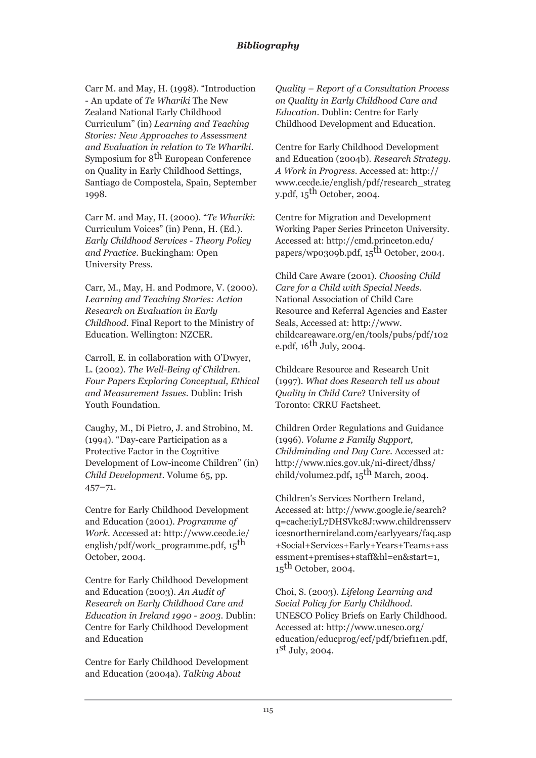Carr M. and May, H. (1998). "Introduction - An update of *Te Whariki* The New Zealand National Early Childhood Curriculum" (in) *Learning and Teaching Stories: New Approaches to Assessment and Evaluation in relation to Te Whariki*. Symposium for 8<sup>th</sup> European Conference on Quality in Early Childhood Settings, Santiago de Compostela, Spain, September 1998.

Carr M. and May, H. (2000). "*Te Whariki*: Curriculum Voices" (in) Penn, H. (Ed.). *Early Childhood Services - Theory Policy and Practice*. Buckingham: Open University Press.

Carr, M., May, H. and Podmore, V. (2000). *Learning and Teaching Stories: Action Research on Evaluation in Early Childhood*. Final Report to the Ministry of Education. Wellington: NZCER.

Carroll, E. in collaboration with O'Dwyer, L. (2002). *The Well-Being of Children. Four Papers Exploring Conceptual, Ethical and Measurement Issues*. Dublin: Irish Youth Foundation.

Caughy, M., Di Pietro, J. and Strobino, M. (1994). "Day-care Participation as a Protective Factor in the Cognitive Development of Low-income Children" (in) *Child Development*. Volume 65, pp. 457–71.

Centre for Early Childhood Development and Education (2001). *Programme of Work.* Accessed at: http://www.cecde.ie/ english/pdf/work\_programme.pdf,  $15<sup>th</sup>$ October, 2004.

Centre for Early Childhood Development and Education (2003). *An Audit of Research on Early Childhood Care and Education in Ireland 1990 - 2003*. Dublin: Centre for Early Childhood Development and Education

Centre for Early Childhood Development and Education (2004a). *Talking About*

*Quality – Report of a Consultation Process on Quality in Early Childhood Care and Education*. Dublin: Centre for Early Childhood Development and Education.

Centre for Early Childhood Development and Education (2004b). *Research Strategy. A Work in Progress*. Accessed at: http:// www.cecde.ie/english/pdf/research\_strateg y.pdf,  $15$ <sup>th</sup> October, 2004.

Centre for Migration and Development Working Paper Series Princeton University. Accessed at: http://cmd.princeton.edu/ papers/wp0309b.pdf,  $15<sup>th</sup>$  October, 2004.

Child Care Aware (2001). *Choosing Child Care for a Child with Special Needs.* National Association of Child Care Resource and Referral Agencies and Easter Seals, Accessed at: http://www. childcareaware.org/en/tools/pubs/pdf/102 e.pdf,  $16^{th}$  July,  $2004$ .

Childcare Resource and Research Unit (1997). *What does Research tell us about Quality in Child Care*? University of Toronto: CRRU Factsheet.

Children Order Regulations and Guidance (1996). *Volume 2 Family Support, Childminding and Day Care.* Accessed at*:* http://www.nics.gov.uk/ni-direct/dhss/ child/volume2.pdf**,** 15th March, 2004.

Children's Services Northern Ireland, Accessed at: http://www.google.ie/search? q=cache:iyL7DHSVkc8J:www.childrensserv icesnorthernireland.com/earlyyears/faq.asp +Social+Services+Early+Years+Teams+ass essment+premises+staff&hl=en&start=1,  $15<sup>th</sup>$  October, 2004.

Choi, S. (2003). *Lifelong Learning and Social Policy for Early Childhood*. UNESCO Policy Briefs on Early Childhood. Accessed at: http://www.unesco.org/ education/educprog/ecf/pdf/brief11en.pdf,  $1<sup>st</sup>$  July, 2004.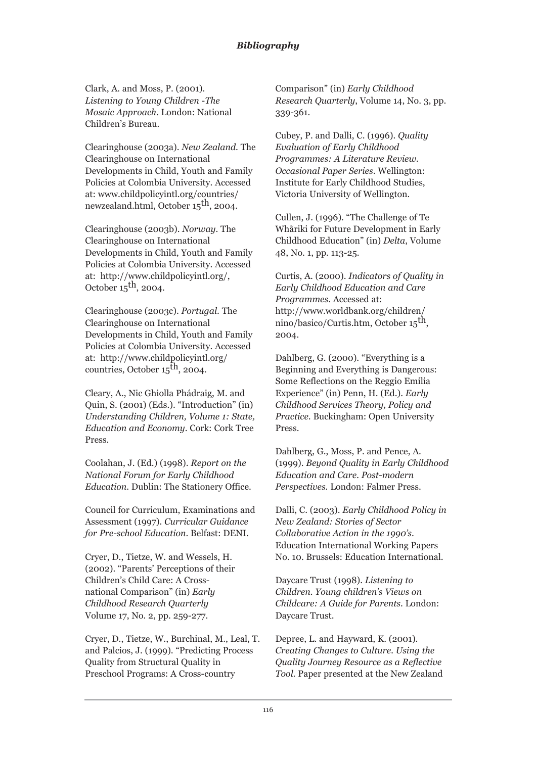Clark, A. and Moss, P. (2001). *Listening to Young Children* -*The Mosaic Approach*. London: National Children's Bureau.

Clearinghouse (2003a). *New Zealand*. The Clearinghouse on International Developments in Child, Youth and Family Policies at Colombia University. Accessed at: www.childpolicyintl.org/countries/ newzealand.html, October 15<sup>th</sup>, 2004.

Clearinghouse (2003b). *Norway*. The Clearinghouse on International Developments in Child, Youth and Family Policies at Colombia University. Accessed at: http://www.childpolicyintl.org/, October  $15<sup>th</sup>$ , 2004.

Clearinghouse (2003c). *Portugal*. The Clearinghouse on International Developments in Child, Youth and Family Policies at Colombia University. Accessed at: http://www.childpolicyintl.org/ countries, October  $15^{\text{th}}$ , 2004.

Cleary, A., Nic Ghiolla Phádraig, M. and Quin, S. (2001) (Eds.). "Introduction" (in) *Understanding Children, Volume 1: State, Education and Economy*. Cork: Cork Tree Press.

Coolahan, J. (Ed.) (1998). *Report on the National Forum for Early Childhood Education*. Dublin: The Stationery Office.

Council for Curriculum, Examinations and Assessment (1997). *Curricular Guidance for Pre-school Education*. Belfast: DENI.

Cryer, D., Tietze, W. and Wessels, H. (2002). "Parents' Perceptions of their Children's Child Care: A Crossnational Comparison" (in) *Early Childhood Research Quarterly* Volume 17, No. 2, pp. 259-277.

Cryer, D., Tietze, W., Burchinal, M., Leal, T. and Palcios, J. (1999). "Predicting Process Quality from Structural Quality in Preschool Programs: A Cross-country

Comparison" (in) *Early Childhood Research Quarterly*, Volume 14, No. 3, pp. 339-361.

Cubey, P. and Dalli, C. (1996). *Quality Evaluation of Early Childhood Programmes: A Literature Review. Occasional Paper Series*. Wellington: Institute for Early Childhood Studies, Victoria University of Wellington.

Cullen, J. (1996). "The Challenge of Te Whãriki for Future Development in Early Childhood Education" (in) *Delta*, Volume 48, No. 1, pp. 113-25.

Curtis, A. (2000). *Indicators of Quality in Early Childhood Education and Care Programmes*. Accessed at: http://www.worldbank.org/children/ nino/basico/Curtis.htm, October 15th, 2004.

Dahlberg, G. (2000). "Everything is a Beginning and Everything is Dangerous: Some Reflections on the Reggio Emilia Experience" (in) Penn, H. (Ed.). *Early Childhood Services Theory, Policy and Practice*. Buckingham: Open University Press.

Dahlberg, G., Moss, P. and Pence, A. (1999). *Beyond Quality in Early Childhood Education and Care. Post-modern Perspectives.* London: Falmer Press.

Dalli, C. (2003). *Early Childhood Policy in New Zealand: Stories of Sector Collaborative Action in the 1990's*. Education International Working Papers No. 10. Brussels: Education International.

Daycare Trust (1998). *Listening to Children. Young children's Views on Childcare: A Guide for Parents*. London: Daycare Trust.

Depree, L. and Hayward, K. (2001). *Creating Changes to Culture. Using the Quality Journey Resource as a Reflective Tool.* Paper presented at the New Zealand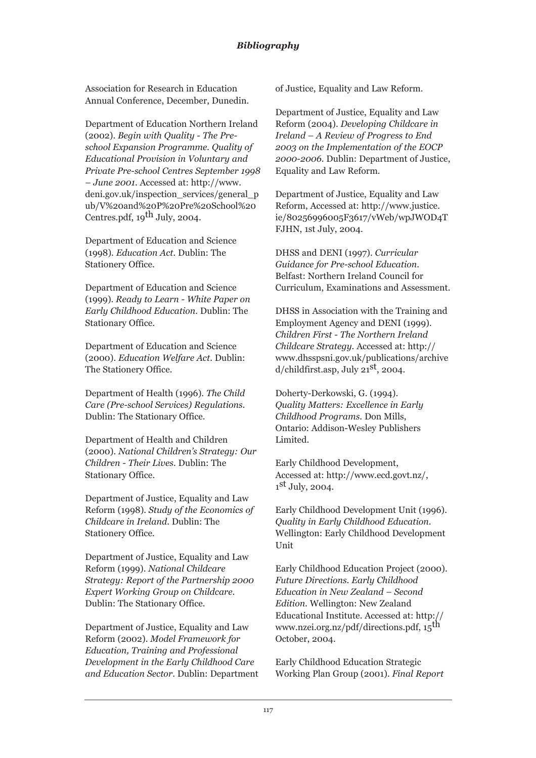Association for Research in Education Annual Conference, December, Dunedin.

Department of Education Northern Ireland (2002). *Begin with Quality - The Preschool Expansion Programme. Quality of Educational Provision in Voluntary and Private Pre-school Centres September 1998 – June 2001*. Accessed at: http://www. deni.gov.uk/inspection\_services/general\_p ub/V%20and%20P%20Pre%20School%20 Centres.pdf,  $19^{th}$  July, 2004.

Department of Education and Science (1998). *Education Act.* Dublin: The Stationery Office.

Department of Education and Science (1999). *Ready to Learn - White Paper on Early Childhood Education*. Dublin: The Stationary Office.

Department of Education and Science (2000). *Education Welfare Act*. Dublin: The Stationery Office.

Department of Health (1996). *The Child Care (Pre-school Services) Regulations.* Dublin: The Stationary Office.

Department of Health and Children (2000). *National Children's Strategy: Our Children - Their Lives*. Dublin: The Stationary Office.

Department of Justice, Equality and Law Reform (1998). *Study of the Economics of Childcare in Ireland*. Dublin: The Stationery Office.

Department of Justice, Equality and Law Reform (1999). *National Childcare Strategy: Report of the Partnership 2000 Expert Working Group on Childcare.* Dublin: The Stationary Office.

Department of Justice, Equality and Law Reform (2002). *Model Framework for Education, Training and Professional Development in the Early Childhood Care and Education Sector*. Dublin: Department of Justice, Equality and Law Reform.

Department of Justice, Equality and Law Reform (2004). *Developing Childcare in Ireland – A Review of Progress to End 2003 on the Implementation of the EOCP 2000-2006*. Dublin: Department of Justice, Equality and Law Reform.

Department of Justice, Equality and Law Reform, Accessed at: http://www.justice. ie/80256996005F3617/vWeb/wpJWOD4T FJHN, 1st July, 2004.

DHSS and DENI (1997). *Curricular Guidance for Pre-school Education*. Belfast: Northern Ireland Council for Curriculum, Examinations and Assessment.

DHSS in Association with the Training and Employment Agency and DENI (1999). *Children First - The Northern Ireland Childcare Strategy*. Accessed at: http:// www.dhsspsni.gov.uk/publications/archive  $d$ /childfirst.asp, July  $21<sup>st</sup>$ , 2004.

Doherty-Derkowski, G. (1994). *Quality Matters: Excellence in Early Childhood Programs*. Don Mills, Ontario: Addison-Wesley Publishers Limited.

Early Childhood Development, Accessed at: http://www.ecd.govt.nz/,  $1<sup>st</sup>$  July, 2004.

Early Childhood Development Unit (1996). *Quality in Early Childhood Education*. Wellington: Early Childhood Development Unit

Early Childhood Education Project (2000). *Future Directions. Early Childhood Education in New Zealand – Second Edition.* Wellington: New Zealand Educational Institute. Accessed at: http:// www.nzei.org.nz/pdf/directions.pdf, 15<sup>th</sup> October, 2004.

Early Childhood Education Strategic Working Plan Group (2001). *Final Report*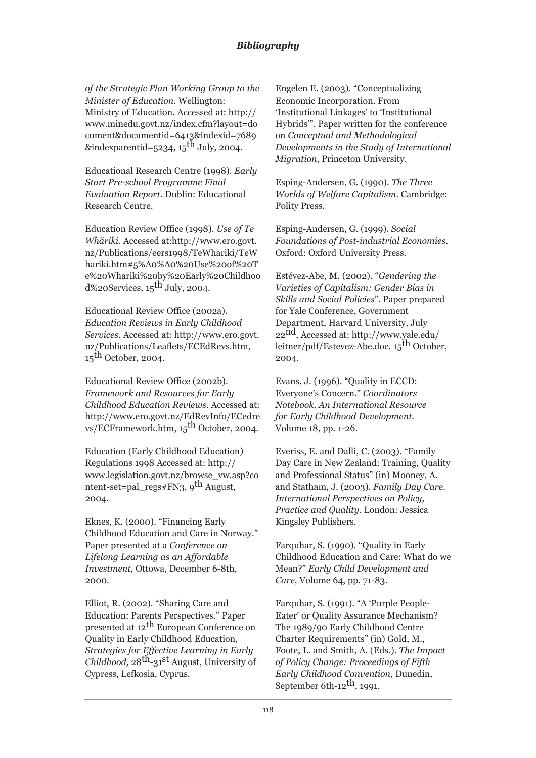*of the Strategic Plan Working Group to the Minister of Education*. Wellington: Ministry of Education. Accessed at: http:// www.minedu.govt.nz/index.cfm?layout=do cument&documentid=6413&indexid=7689 &indexparentid=5234, 15<sup>th</sup> July, 2004.

Educational Research Centre (1998). *Early Start Pre-school Programme Final Evaluation Report*. Dublin: Educational Research Centre.

Education Review Office (1998). *Use of Te Whãriki.* Accessed at:http://www.ero.govt. nz/Publications/eers1998/TeWhariki/TeW hariki.htm#5%A0%A0%20Use%20of%20T e%20Whariki%20by%20Early%20Childhoo  $d\%$ 20Services,  $15$ <sup>th</sup> July, 2004.

Educational Review Office (2002a). *Education Reviews in Early Childhood Services*. Accessed at: http://www.ero.govt. nz/Publications/Leaflets/ECEdRevs.htm,  $15<sup>th</sup>$  October, 2004.

Educational Review Office (2002b)*. Framework and Resources for Early Childhood Education Reviews*. Accessed at: http://www.ero.govt.nz/EdRevInfo/ECedre vs/ECFramework.htm, 15<sup>th</sup> October, 2004.

Education (Early Childhood Education) Regulations 1998 Accessed at: http:// www.legislation.govt.nz/browse\_vw.asp?co ntent-set=pal\_regs#FN3, 9th August, 2004.

Eknes, K. (2000). "Financing Early Childhood Education and Care in Norway." Paper presented at a *Conference on Lifelong Learning as an Affordable Investment,* Ottowa, December 6-8th, 2000.

Elliot, R. (2002). "Sharing Care and Education: Parents Perspectives." Paper presented at 12th European Conference on Quality in Early Childhood Education, *Strategies for Effective Learning in Early Childhood,* 28th-31st August, University of Cypress, Lefkosia, Cyprus.

Engelen E. (2003). "Conceptualizing Economic Incorporation. From 'Institutional Linkages' to 'Institutional Hybrids'". Paper written for the conference on *Conceptual and Methodological Developments in the Study of International Migration*, Princeton University.

Esping-Andersen, G. (1990). *The Three Worlds of Welfare Capitalism*. Cambridge: Polity Press.

Esping-Andersen, G. (1999). *Social Foundations of Post-industrial Economies*. Oxford: Oxford University Press.

Estévez-Abe, M. (2002). "*Gendering the Varieties of Capitalism: Gender Bias in Skills and Social Policies*". Paper prepared for Yale Conference, Government Department, Harvard University, July 22nd, Accessed at: http://www.yale.edu/ leitner/pdf/Estevez-Abe.doc, 15<sup>th</sup> October, 2004.

Evans, J. (1996). "Quality in ECCD: Everyone's Concern." *Coordinators Notebook, An International Resource for Early Childhood Development.* Volume 18, pp. 1-26.

Everiss, E. and Dalli, C. (2003). "Family Day Care in New Zealand: Training, Quality and Professional Status" (in) Mooney, A. and Statham, J. (2003). *Family Day Care. International Perspectives on Policy, Practice and Quality*. London: Jessica Kingsley Publishers.

Farquhar, S. (1990). "Quality in Early Childhood Education and Care: What do we Mean?" *Early Child Development and Care,* Volume 64, pp. 71-83.

Farquhar, S. (1991). "A 'Purple People-Eater' or Quality Assurance Mechanism? The 1989/90 Early Childhood Centre Charter Requirements" (in) Gold, M., Foote, L. and Smith, A. (Eds.). *The Impact of Policy Change: Proceedings of Fifth Early Childhood Convention*, Dunedin, September 6th- $12^{th}$ , 1991.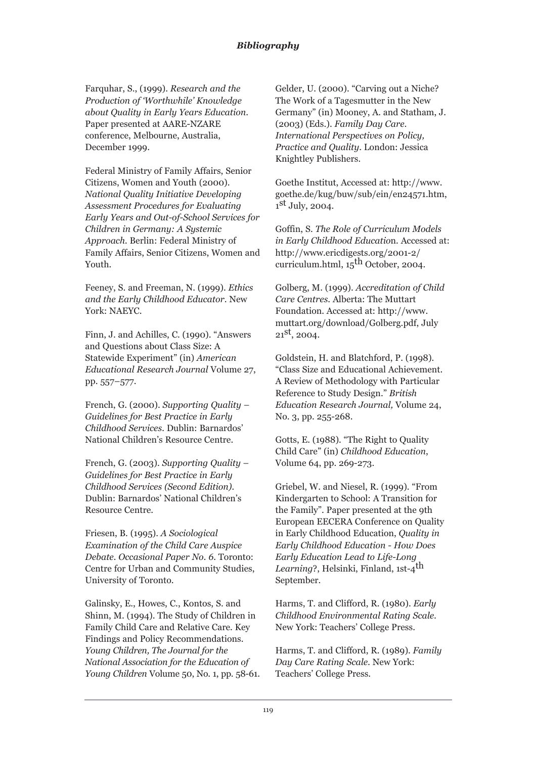Farquhar, S., (1999). *Research and the Production of 'Worthwhile' Knowledge about Quality in Early Years Education*. Paper presented at AARE-NZARE conference, Melbourne, Australia, December 1999.

Federal Ministry of Family Affairs, Senior Citizens, Women and Youth (2000). *National Quality Initiative Developing Assessment Procedures for Evaluating Early Years and Out-of-School Services for Children in Germany: A Systemic Approach.* Berlin: Federal Ministry of Family Affairs, Senior Citizens, Women and Youth.

Feeney, S. and Freeman, N. (1999). *Ethics and the Early Childhood Educator*. New York: NAEYC.

Finn, J. and Achilles, C. (1990). "Answers and Questions about Class Size: A Statewide Experiment" (in) *American Educational Research Journal* Volume 27, pp. 557–577.

French, G. (2000). *Supporting Quality – Guidelines for Best Practice in Early Childhood Services.* Dublin: Barnardos' National Children's Resource Centre.

French, G. (2003). *Supporting Quality – Guidelines for Best Practice in Early Childhood Services (Second Edition).* Dublin: Barnardos' National Children's Resource Centre.

Friesen, B. (1995). *A Sociological Examination of the Child Care Auspice Debate. Occasional Paper No. 6*. Toronto: Centre for Urban and Community Studies, University of Toronto.

Galinsky, E., Howes, C., Kontos, S. and Shinn, M. (1994). The Study of Children in Family Child Care and Relative Care. Key Findings and Policy Recommendations. *Young Children, The Journal for the National Association for the Education of Young Children* Volume 50, No. 1, pp. 58-61. Gelder, U. (2000). "Carving out a Niche? The Work of a Tagesmutter in the New Germany" (in) Mooney, A. and Statham, J. (2003) (Eds.). *Family Day Care. International Perspectives on Policy, Practice and Quality*. London: Jessica Knightley Publishers.

Goethe Institut, Accessed at: http://www. goethe.de/kug/buw/sub/ein/en24571.htm,  $1<sup>st</sup>$  July, 2004.

Goffin, S. *The Role of Curriculum Models in Early Childhood Educatio*n. Accessed at: http://www.ericdigests.org/2001-2/ curriculum.html,  $15<sup>th</sup>$  October, 2004.

Golberg, M. (1999). *Accreditation of Child Care Centres*. Alberta: The Muttart Foundation. Accessed at: http://www. muttart.org/download/Golberg.pdf, July  $21^{st}$ , 2004.

Goldstein, H. and Blatchford, P. (1998). "Class Size and Educational Achievement. A Review of Methodology with Particular Reference to Study Design." *British Education Research Journal,* Volume 24, No. 3, pp. 255-268.

Gotts, E. (1988). "The Right to Quality Child Care" (in) *Childhood Education*, Volume 64, pp. 269-273.

Griebel, W. and Niesel, R. (1999). "From Kindergarten to School: A Transition for the Family". Paper presented at the 9th European EECERA Conference on Quality in Early Childhood Education, *Quality in Early Childhood Education - How Does Early Education Lead to Life-Long Learning*?, Helsinki, Finland, 1st-4<sup>th</sup> September.

Harms, T. and Clifford, R. (1980). *Early Childhood Environmental Rating Scale.* New York: Teachers' College Press.

Harms, T. and Clifford, R. (1989). *Family Day Care Rating Scale.* New York: Teachers' College Press.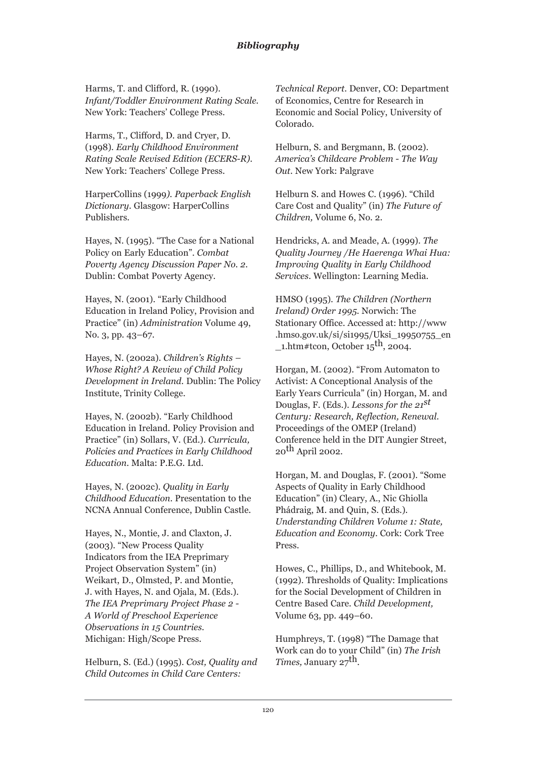Harms, T. and Clifford, R. (1990). *Infant/Toddler Environment Rating Scale.* New York: Teachers' College Press.

Harms, T., Clifford, D. and Cryer, D. (1998). *Early Childhood Environment Rating Scale Revised Edition (ECERS-R).* New York: Teachers' College Press.

HarperCollins (1999*). Paperback English Dictionary*. Glasgow: HarperCollins Publishers.

Hayes, N. (1995). "The Case for a National Policy on Early Education". *Combat Poverty Agency Discussion Paper No. 2*. Dublin: Combat Poverty Agency.

Hayes, N. (2001). "Early Childhood Education in Ireland Policy, Provision and Practice" (in) *Administration* Volume 49, No. 3, pp. 43-67.

Hayes, N. (2002a). *Children's Rights – Whose Right? A Review of Child Policy Development in Ireland*. Dublin: The Policy Institute, Trinity College.

Hayes, N. (2002b). "Early Childhood Education in Ireland. Policy Provision and Practice" (in) Sollars, V. (Ed.). *Curricula, Policies and Practices in Early Childhood Education*. Malta: P.E.G. Ltd.

Hayes, N. (2002c). *Quality in Early Childhood Education*. Presentation to the NCNA Annual Conference, Dublin Castle.

Hayes, N., Montie, J. and Claxton, J. (2003). "New Process Quality Indicators from the IEA Preprimary Project Observation System" (in) Weikart, D., Olmsted, P. and Montie, J. with Hayes, N. and Ojala, M. (Eds.). *The IEA Preprimary Project Phase 2 - A World of Preschool Experience Observations in 15 Countries*. Michigan: High/Scope Press.

Helburn, S. (Ed.) (1995). *Cost, Quality and Child Outcomes in Child Care Centers:*

*Technical Report.* Denver, CO: Department of Economics, Centre for Research in Economic and Social Policy, University of Colorado.

Helburn, S. and Bergmann, B. (2002). *America's Childcare Problem - The Way Out*. New York: Palgrave

Helburn S. and Howes C. (1996). "Child Care Cost and Quality" (in) *The Future of Children,* Volume 6, No. 2.

Hendricks, A. and Meade, A. (1999). *The Quality Journey /He Haerenga Whai Hua: Improving Quality in Early Childhood Services*. Wellington: Learning Media.

HMSO (1995). *The Children (Northern Ireland) Order 1995*. Norwich: The Stationary Office. Accessed at: http://www .hmso.gov.uk/si/si1995/Uksi\_19950755\_en  $1.$ htm#tcon, October  $15<sup>th</sup>$ , 2004.

Horgan, M. (2002). "From Automaton to Activist: A Conceptional Analysis of the Early Years Curricula" (in) Horgan, M. and Douglas, F. (Eds.). *Lessons for the 21st Century: Research, Reflection, Renewal*. Proceedings of the OMEP (Ireland) Conference held in the DIT Aungier Street,  $20$ <sup>th</sup> April 2002.

Horgan, M. and Douglas, F. (2001). "Some Aspects of Quality in Early Childhood Education" (in) Cleary, A., Nic Ghiolla Phádraig, M. and Quin, S. (Eds.). *Understanding Children Volume 1: State, Education and Economy*. Cork: Cork Tree Press.

Howes, C., Phillips, D., and Whitebook, M. (1992). Thresholds of Quality: Implications for the Social Development of Children in Centre Based Care. *Child Development,* Volume 63, pp. 449–60.

Humphreys, T. (1998) "The Damage that Work can do to your Child" (in) *The Irish Times, January 27*<sup>th</sup>.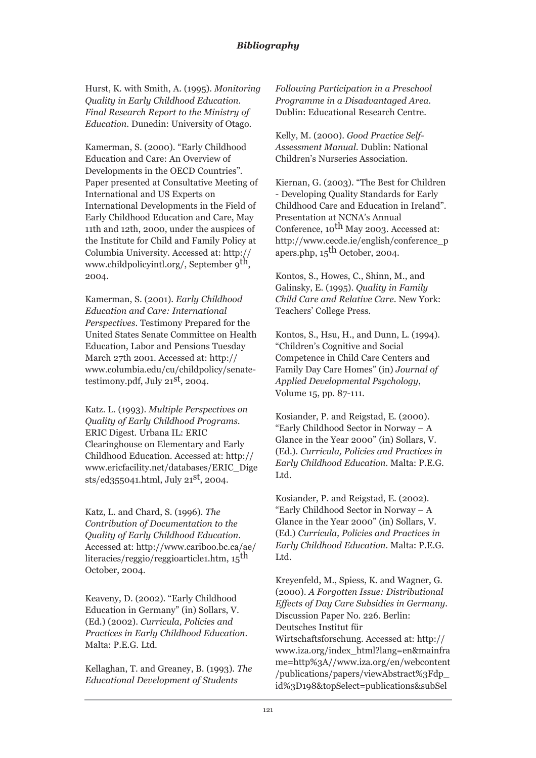Hurst, K. with Smith, A. (1995). *Monitoring Quality in Early Childhood Education. Final Research Report to the Ministry of Education*. Dunedin: University of Otago.

Kamerman, S. (2000). "Early Childhood Education and Care: An Overview of Developments in the OECD Countries"*.* Paper presented at Consultative Meeting of International and US Experts on International Developments in the Field of Early Childhood Education and Care, May 11th and 12th, 2000, under the auspices of the Institute for Child and Family Policy at Columbia University. Accessed at: http:// www.childpolicyintl.org/, September 9<sup>th</sup>, 2004.

Kamerman, S. (2001). *Early Childhood Education and Care: International Perspectives*. Testimony Prepared for the United States Senate Committee on Health Education, Labor and Pensions Tuesday March 27th 2001. Accessed at: http:// www.columbia.edu/cu/childpolicy/senatetestimony.pdf, July 21st, 2004.

Katz. L. (1993). *Multiple Perspectives on Quality of Early Childhood Programs*. ERIC Digest. Urbana IL: ERIC Clearinghouse on Elementary and Early Childhood Education. Accessed at: http:// www.ericfacility.net/databases/ERIC\_Dige sts/ed355041.html, July 21st, 2004.

Katz, L. and Chard, S. (1996). *The Contribution of Documentation to the Quality of Early Childhood Education*. Accessed at: http://www.cariboo.bc.ca/ae/ literacies/reggio/reggioarticle1.htm, 15th October, 2004.

Keaveny, D. (2002). "Early Childhood Education in Germany" (in) Sollars, V. (Ed.) (2002). *Curricula, Policies and Practices in Early Childhood Education*. Malta: P.E.G. Ltd.

Kellaghan, T. and Greaney, B. (1993). *The Educational Development of Students*

*Following Participation in a Preschool Programme in a Disadvantaged Area.* Dublin: Educational Research Centre.

Kelly, M. (2000). *Good Practice Self-Assessment Manual*. Dublin: National Children's Nurseries Association.

Kiernan, G. (2003). "The Best for Children - Developing Quality Standards for Early Childhood Care and Education in Ireland". Presentation at NCNA's Annual Conference, 10<sup>th</sup> May 2003. Accessed at: http://www.cecde.ie/english/conference\_p apers.php,  $15^{\text{th}}$  October, 2004.

Kontos, S., Howes, C., Shinn, M., and Galinsky, E. (1995). *Quality in Family Child Care and Relative Care*. New York: Teachers' College Press.

Kontos, S., Hsu, H., and Dunn, L. (1994). "Children's Cognitive and Social Competence in Child Care Centers and Family Day Care Homes" (in) *Journal of Applied Developmental Psychology*, Volume 15, pp. 87-111.

Kosiander, P. and Reigstad, E. (2000). "Early Childhood Sector in Norway – A Glance in the Year 2000" (in) Sollars, V. (Ed.). *Curricula, Policies and Practices in Early Childhood Education*. Malta: P.E.G. Ltd.

Kosiander, P. and Reigstad, E. (2002). "Early Childhood Sector in Norway – A Glance in the Year 2000" (in) Sollars, V. (Ed.) *Curricula, Policies and Practices in Early Childhood Education*. Malta: P.E.G. Ltd.

Kreyenfeld, M., Spiess, K. and Wagner, G. (2000). *A Forgotten Issue: Distributional Effects of Day Care Subsidies in Germany*. Discussion Paper No. 226. Berlin: Deutsches Institut für Wirtschaftsforschung. Accessed at: http:// www.iza.org/index\_html?lang=en&mainfra me=http%3A//www.iza.org/en/webcontent /publications/papers/viewAbstract%3Fdp\_ id%3D198&topSelect=publications&subSel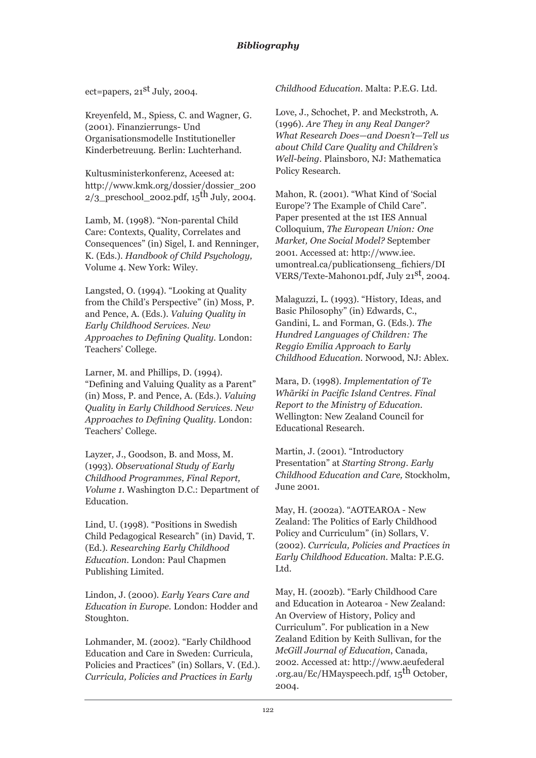ect=papers,  $21<sup>st</sup>$  July, 2004.

Kreyenfeld, M., Spiess, C. and Wagner, G. (2001). Finanzierrungs- Und Organisationsmodelle Institutioneller Kinderbetreuung. Berlin: Luchterhand.

Kultusministerkonferenz, Aceesed at: http://www.kmk.org/dossier/dossier\_200  $2/3$  preschool 2002.pdf, 15<sup>th</sup> July, 2004.

Lamb, M. (1998). "Non-parental Child Care: Contexts, Quality, Correlates and Consequences" (in) Sigel, I. and Renninger, K. (Eds.). *Handbook of Child Psychology,* Volume 4. New York: Wiley.

Langsted, O. (1994). "Looking at Quality from the Child's Perspective" (in) Moss, P. and Pence, A. (Eds.). *Valuing Quality in Early Childhood Services. New Approaches to Defining Quality.* London: Teachers' College.

Larner, M. and Phillips, D. (1994). "Defining and Valuing Quality as a Parent" (in) Moss, P. and Pence, A. (Eds.). *Valuing Quality in Early Childhood Services. New Approaches to Defining Quality*. London: Teachers' College.

Layzer, J., Goodson, B. and Moss, M. (1993). *Observational Study of Early Childhood Programmes, Final Report, Volume 1*. Washington D.C.: Department of Education.

Lind, U. (1998). "Positions in Swedish Child Pedagogical Research" (in) David, T. (Ed.). *Researching Early Childhood Education*. London: Paul Chapmen Publishing Limited.

Lindon, J. (2000). *Early Years Care and Education in Europe.* London: Hodder and Stoughton.

Lohmander, M. (2002). "Early Childhood Education and Care in Sweden: Curricula, Policies and Practices" (in) Sollars, V. (Ed.). *Curricula, Policies and Practices in Early*

*Childhood Education*. Malta: P.E.G. Ltd.

Love, J., Schochet, P. and Meckstroth, A. (1996). *Are They in any Real Danger? What Research Does—and Doesn't—Tell us about Child Care Quality and Children's Well-being*. Plainsboro, NJ: Mathematica Policy Research.

Mahon, R. (2001). "What Kind of 'Social Europe'? The Example of Child Care". Paper presented at the 1st IES Annual Colloquium, *The European Union: One Market, One Social Model?* September 2001. Accessed at: http://www.iee. umontreal.ca/publicationseng\_fichiers/DI VERS/Texte-Mahon01.pdf, July 21st, 2004.

Malaguzzi, L. (1993). "History, Ideas, and Basic Philosophy" (in) Edwards, C., Gandini, L. and Forman, G. (Eds.). *The Hundred Languages of Children: The Reggio Emilia Approach to Early Childhood Education.* Norwood, NJ: Ablex.

Mara, D. (1998). *Implementation of Te Whãriki in Pacific Island Centres. Final Report to the Ministry of Education*. Wellington: New Zealand Council for Educational Research.

Martin, J. (2001). "Introductory Presentation" at *Starting Strong. Early Childhood Education and Care,* Stockholm, June 2001.

May, H. (2002a). "AOTEAROA - New Zealand: The Politics of Early Childhood Policy and Curriculum" (in) Sollars, V. (2002). *Curricula, Policies and Practices in Early Childhood Education*. Malta: P.E.G. Ltd.

May, H. (2002b). "Early Childhood Care and Education in Aotearoa - New Zealand: An Overview of History, Policy and Curriculum". For publication in a New Zealand Edition by Keith Sullivan, for the *McGill Journal of Education*, Canada, 2002. Accessed at: http://www.aeufederal .org.au/Ec/HMayspeech.pdf, 15<sup>th</sup> October, 2004.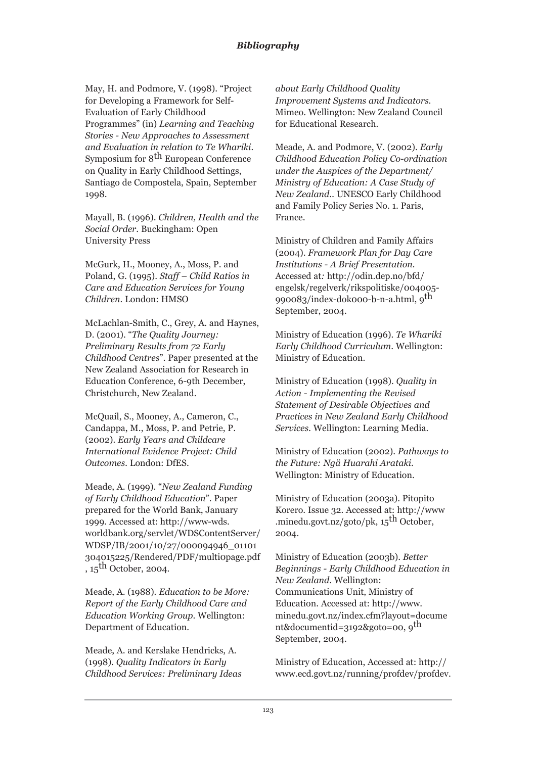May, H. and Podmore, V. (1998). "Project for Developing a Framework for Self-Evaluation of Early Childhood Programmes" (in) *Learning and Teaching Stories - New Approaches to Assessment and Evaluation in relation to Te Whariki*. Symposium for 8<sup>th</sup> European Conference on Quality in Early Childhood Settings, Santiago de Compostela, Spain, September 1998.

Mayall, B. (1996). *Children, Health and the Social Order*. Buckingham: Open University Press

McGurk, H., Mooney, A., Moss, P. and Poland, G. (1995). *Staff – Child Ratios in Care and Education Services for Young Children*. London: HMSO

McLachlan-Smith, C., Grey, A. and Haynes, D. (2001). "*The Quality Journey: Preliminary Results from 72 Early Childhood Centres*"*.* Paper presented at the New Zealand Association for Research in Education Conference, 6-9th December, Christchurch, New Zealand.

McQuail, S., Mooney, A., Cameron, C., Candappa, M., Moss, P. and Petrie, P. (2002). *Early Years and Childcare International Evidence Project: Child Outcomes.* London: DfES.

Meade, A. (1999). "*New Zealand Funding of Early Childhood Education*". Paper prepared for the World Bank, January 1999. Accessed at: http://www-wds. worldbank.org/servlet/WDSContentServer/ WDSP/IB/2001/10/27/000094946\_01101 304015225/Rendered/PDF/multi0page.pdf ,  $15^{\text{th}}$  October, 2004.

Meade, A. (1988). *Education to be More: Report of the Early Childhood Care and Education Working Group*. Wellington: Department of Education.

Meade, A. and Kerslake Hendricks, A. (1998). *Quality Indicators in Early Childhood Services: Preliminary Ideas* *about Early Childhood Quality Improvement Systems and Indicators*. Mimeo. Wellington: New Zealand Council for Educational Research.

Meade, A. and Podmore, V. (2002). *Early Childhood Education Policy Co-ordination under the Auspices of the Department/ Ministry of Education: A Case Study of New Zealand..* UNESCO Early Childhood and Family Policy Series No. 1. Paris, France.

Ministry of Children and Family Affairs (2004). *Framework Plan for Day Care Institutions - A Brief Presentation.* Accessed at*:* http://odin.dep.no/bfd/ engelsk/regelverk/rikspolitiske/004005- 990083/index-dok000-b-n-a.html, 9th September, 2004.

Ministry of Education (1996). *Te Whariki Early Childhood Curriculum*. Wellington: Ministry of Education.

Ministry of Education (1998). *Quality in Action - Implementing the Revised Statement of Desirable Objectives and Practices in New Zealand Early Childhood Services.* Wellington: Learning Media.

Ministry of Education (2002). *Pathways to the Future: Ngä Huarahi Arataki*. Wellington: Ministry of Education.

Ministry of Education (2003a). Pitopito Korero. Issue 32. Accessed at: http://www .minedu.govt.nz/goto/pk, 15<sup>th</sup> October, 2004.

Ministry of Education (2003b). *Better Beginnings - Early Childhood Education in New Zealand*. Wellington: Communications Unit, Ministry of Education. Accessed at: http://www. minedu.govt.nz/index.cfm?layout=docume nt&documentid=3192&goto=00, 9th September, 2004.

Ministry of Education, Accessed at: http:// www.ecd.govt.nz/running/profdev/profdev.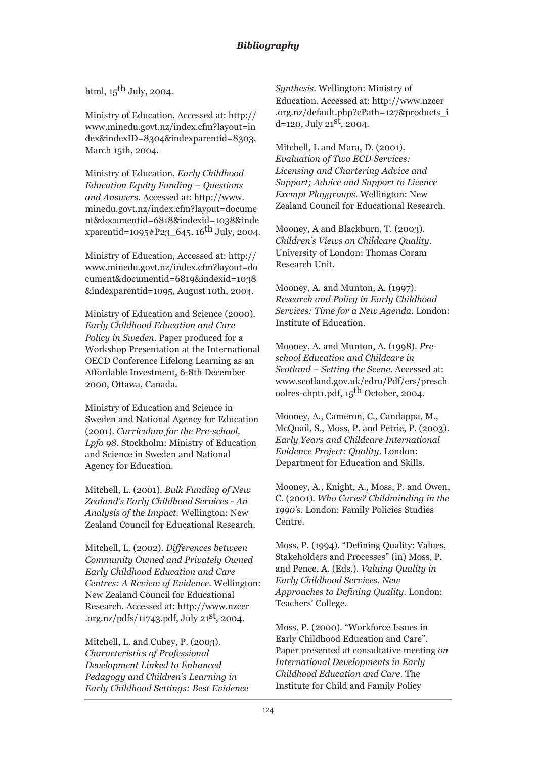## html,  $15$ <sup>th</sup> July, 2004.

Ministry of Education, Accessed at: http:// www.minedu.govt.nz/index.cfm?layout=in dex&indexID=8304&indexparentid=8303, March 15th, 2004.

Ministry of Education, *Early Childhood Education Equity Funding – Questions and Answers*. Accessed at: http://www. minedu.govt.nz/index.cfm?layout=docume nt&documentid=6818&indexid=1038&inde xparentid=1095#P23\_645, 16<sup>th</sup> July, 2004.

Ministry of Education, Accessed at: http:// www.minedu.govt.nz/index.cfm?layout=do cument&documentid=6819&indexid=1038 &indexparentid=1095, August 10th, 2004.

Ministry of Education and Science (2000). *Early Childhood Education and Care Policy in Sweden*. Paper produced for a Workshop Presentation at the International OECD Conference Lifelong Learning as an Affordable Investment, 6-8th December 2000, Ottawa, Canada.

Ministry of Education and Science in Sweden and National Agency for Education (2001). *Curriculum for the Pre-school, Lpfo 98*. Stockholm: Ministry of Education and Science in Sweden and National Agency for Education.

Mitchell, L. (2001). *Bulk Funding of New Zealand's Early Childhood Services - An Analysis of the Impact.* Wellington: New Zealand Council for Educational Research.

Mitchell, L. (2002). *Differences between Community Owned and Privately Owned Early Childhood Education and Care Centres: A Review of Evidence*. Wellington: New Zealand Council for Educational Research. Accessed at: http://www.nzcer .org.nz/pdfs/11743.pdf, July  $21^{st}$ , 2004.

Mitchell, L. and Cubey, P. (2003). *Characteristics of Professional Development Linked to Enhanced Pedagogy and Children's Learning in Early Childhood Settings: Best Evidence* *Synthesis*. Wellington: Ministry of Education. Accessed at: http://www.nzcer .org.nz/default.php?cPath=127&products\_i  $d=120$ , July  $21<sup>st</sup>$ , 2004.

Mitchell, L and Mara, D. (2001). *Evaluation of Two ECD Services: Licensing and Chartering Advice and Support; Advice and Support to Licence Exempt Playgroups.* Wellington: New Zealand Council for Educational Research.

Mooney, A and Blackburn, T. (2003). *Children's Views on Childcare Quality.* University of London: Thomas Coram Research Unit.

Mooney, A. and Munton, A. (1997). *Research and Policy in Early Childhood Services: Time for a New Agenda*. London: Institute of Education.

Mooney, A. and Munton, A. (1998). *Preschool Education and Childcare in Scotland – Setting the Scene.* Accessed at: www.scotland.gov.uk/edru/Pdf/ers/presch oolres-chpt1.pdf,  $15<sup>th</sup>$  October, 2004.

Mooney, A., Cameron, C., Candappa, M., McQuail, S., Moss, P. and Petrie, P. (2003). *Early Years and Childcare International Evidence Project: Quality*. London: Department for Education and Skills.

Mooney, A., Knight, A., Moss, P. and Owen, C. (2001). *Who Cares? Childminding in the 1990's*. London: Family Policies Studies Centre.

Moss, P. (1994). "Defining Quality: Values, Stakeholders and Processes" (in) Moss, P. and Pence, A. (Eds.). *Valuing Quality in Early Childhood Services. New Approaches to Defining Quality.* London: Teachers' College.

Moss, P. (2000). "Workforce Issues in Early Childhood Education and Care". Paper presented at consultative meeting *on International Developments in Early Childhood Education and Care*. The Institute for Child and Family Policy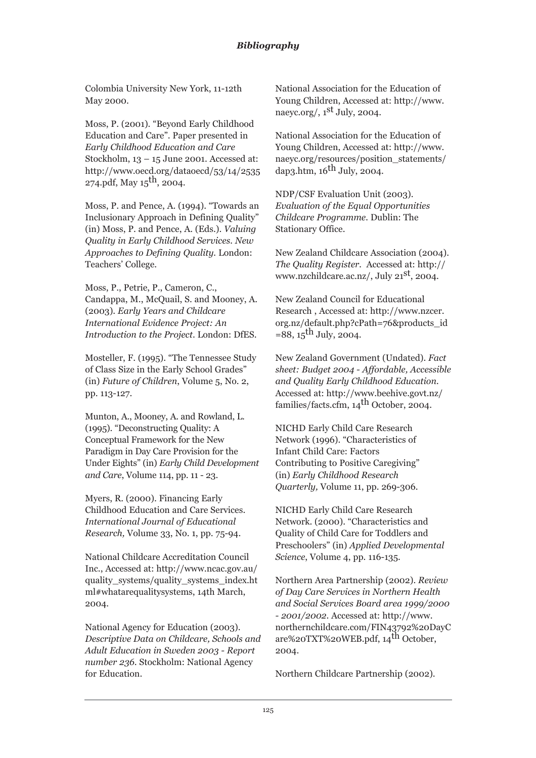Colombia University New York, 11-12th May 2000.

Moss, P. (2001). "Beyond Early Childhood Education and Care". Paper presented in *Early Childhood Education and Care* Stockholm, 13 – 15 June 2001. Accessed at: http://www.oecd.org/dataoecd/53/14/2535 274.pdf, May  $15^{th}$ , 2004.

Moss, P. and Pence, A. (1994). "Towards an Inclusionary Approach in Defining Quality" (in) Moss, P. and Pence, A. (Eds.). *Valuing Quality in Early Childhood Services. New Approaches to Defining Quality.* London: Teachers' College.

Moss, P., Petrie, P., Cameron, C., Candappa, M., McQuail, S. and Mooney, A. (2003). *Early Years and Childcare International Evidence Project: An Introduction to the Project*. London: DfES.

Mosteller, F. (1995). "The Tennessee Study of Class Size in the Early School Grades" (in) *Future of Children*, Volume 5, No. 2, pp. 113-127.

Munton, A., Mooney, A. and Rowland, L. (1995). "Deconstructing Quality: A Conceptual Framework for the New Paradigm in Day Care Provision for the Under Eights" (in) *Early Child Development and Care*, Volume 114, pp. 11 - 23.

Myers, R. (2000). Financing Early Childhood Education and Care Services. *International Journal of Educational Research,* Volume 33, No. 1, pp. 75-94.

National Childcare Accreditation Council Inc., Accessed at: http://www.ncac.gov.au/ quality\_systems/quality\_systems\_index.ht ml#whatarequalitysystems, 14th March, 2004.

National Agency for Education (2003). *Descriptive Data on Childcare, Schools and Adult Education in Sweden 2003 - Report number 236*. Stockholm: National Agency for Education.

National Association for the Education of Young Children, Accessed at: http://www. naeyc.org/,  $1<sup>st</sup>$  July, 2004.

National Association for the Education of Young Children, Accessed at: http://www. naeyc.org/resources/position\_statements/ dap3.htm,  $16^{th}$  July, 2004.

NDP/CSF Evaluation Unit (2003). *Evaluation of the Equal Opportunities Childcare Programme.* Dublin: The Stationary Office.

New Zealand Childcare Association (2004). *The Quality Register.* Accessed at: http:// www.nzchildcare.ac.nz/, July 21<sup>st</sup>, 2004.

New Zealand Council for Educational Research , Accessed at: http://www.nzcer. org.nz/default.php?cPath=76&products\_id  $=88, 15$ <sup>th</sup> July, 2004.

New Zealand Government (Undated). *Fact sheet: Budget 2004 - Affordable, Accessible and Quality Early Childhood Education.* Accessed at: http://www.beehive.govt.nz/ families/facts.cfm, 14<sup>th</sup> October, 2004.

NICHD Early Child Care Research Network (1996). "Characteristics of Infant Child Care: Factors Contributing to Positive Caregiving" (in) *Early Childhood Research Quarterly,* Volume 11, pp. 269-306.

NICHD Early Child Care Research Network. (2000). "Characteristics and Quality of Child Care for Toddlers and Preschoolers" (in) *Applied Developmental Science*, Volume 4, pp. 116-135.

Northern Area Partnership (2002). *Review of Day Care Services in Northern Health and Social Services Board area 1999/2000 - 2001/2002*. Accessed at: http://www. northernchildcare.com/FIN43792%20DayC are%20TXT%20WEB.pdf, 14th October, 2004.

Northern Childcare Partnership (2002).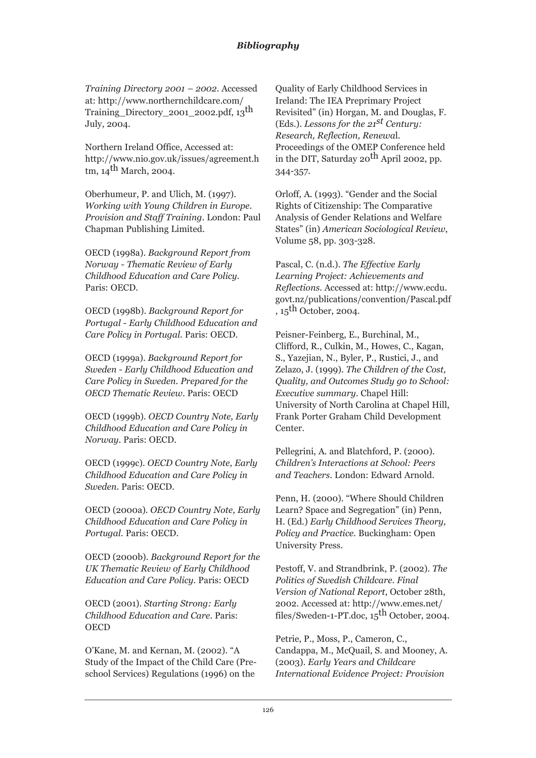*Training Directory 2001 – 2002*. Accessed at: http://www.northernchildcare.com/ Training\_Directory\_2001\_2002.pdf, 13th July, 2004.

Northern Ireland Office, Accessed at: http://www.nio.gov.uk/issues/agreement.h tm,  $14$ <sup>th</sup> March, 2004.

Oberhumeur, P. and Ulich, M. (1997). *Working with Young Children in Europe. Provision and Staff Training*. London: Paul Chapman Publishing Limited.

OECD (1998a). *Background Report from Norway - Thematic Review of Early Childhood Education and Care Policy.* Paris: OECD.

OECD (1998b). *Background Report for Portugal - Early Childhood Education and Care Policy in Portugal*. Paris: OECD.

OECD (1999a). *Background Report for Sweden - Early Childhood Education and Care Policy in Sweden. Prepared for the OECD Thematic Review*. Paris: OECD

OECD (1999b). *OECD Country Note, Early Childhood Education and Care Policy in Norway*. Paris: OECD.

OECD (1999c). *OECD Country Note, Early Childhood Education and Care Policy in Sweden*. Paris: OECD.

OECD (2000a). *OECD Country Note, Early Childhood Education and Care Policy in Portugal*. Paris: OECD.

OECD (2000b). *Background Report for the UK Thematic Review of Early Childhood Education and Care Policy.* Paris: OECD

OECD (2001). *Starting Strong: Early Childhood Education and Care*. Paris: **OECD** 

O'Kane, M. and Kernan, M. (2002). "A Study of the Impact of the Child Care (Preschool Services) Regulations (1996) on the

Quality of Early Childhood Services in Ireland: The IEA Preprimary Project Revisited" (in) Horgan, M. and Douglas, F. (Eds.). *Lessons for the 21st Century: Research, Reflection, Renewa*l. Proceedings of the OMEP Conference held in the DIT, Saturday  $20^{th}$  April 2002, pp. 344-357.

Orloff, A. (1993). "Gender and the Social Rights of Citizenship: The Comparative Analysis of Gender Relations and Welfare States" (in) *American Sociological Review*, Volume 58, pp. 303-328.

Pascal, C. (n.d.). *The Effective Early Learning Project: Achievements and Reflections*. Accessed at: http://www.ecdu. govt.nz/publications/convention/Pascal.pdf  $\int$ , 15<sup>th</sup> October, 2004.

Peisner-Feinberg, E., Burchinal, M., Clifford, R., Culkin, M., Howes, C., Kagan, S., Yazejian, N., Byler, P., Rustici, J., and Zelazo, J. (1999). *The Children of the Cost, Quality, and Outcomes Study go to School: Executive summary*. Chapel Hill: University of North Carolina at Chapel Hill, Frank Porter Graham Child Development Center.

Pellegrini, A. and Blatchford, P. (2000). *Children's Interactions at School: Peers and Teachers.* London: Edward Arnold.

Penn, H. (2000). "Where Should Children Learn? Space and Segregation" (in) Penn, H. (Ed.) *Early Childhood Services Theory, Policy and Practice*. Buckingham: Open University Press.

Pestoff, V. and Strandbrink, P. (2002). *The Politics of Swedish Childcare*. *Final Version of National Report*, October 28th, 2002. Accessed at: http://www.emes.net/ files/Sweden-1-PT.doc, 15<sup>th</sup> October, 2004.

Petrie, P., Moss, P., Cameron, C., Candappa, M., McQuail, S. and Mooney, A. (2003). *Early Years and Childcare International Evidence Project: Provision*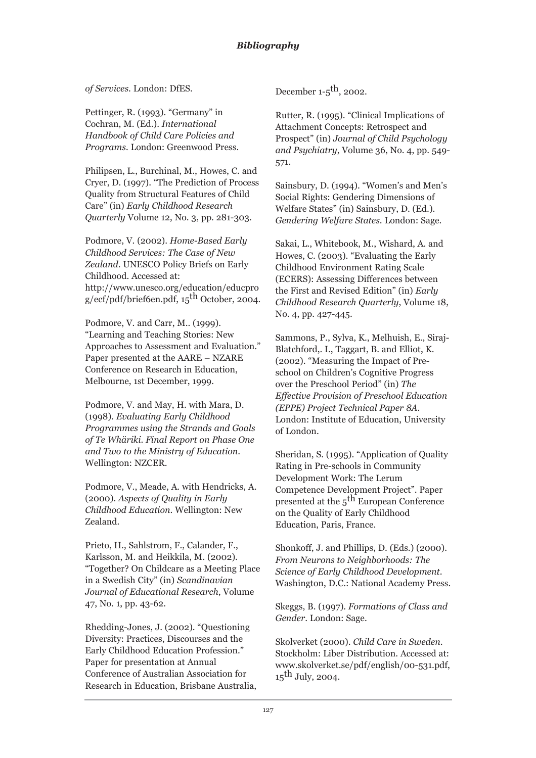*of Services*. London: DfES.

Pettinger, R. (1993). "Germany" in Cochran, M. (Ed.). *International Handbook of Child Care Policies and Programs.* London: Greenwood Press.

Philipsen, L., Burchinal, M., Howes, C. and Cryer, D. (1997). "The Prediction of Process Quality from Structural Features of Child Care" (in) *Early Childhood Research Quarterly* Volume 12, No. 3, pp. 281-303.

Podmore, V. (2002). *Home-Based Early Childhood Services: The Case of New Zealand*. UNESCO Policy Briefs on Early Childhood. Accessed at: http://www.unesco.org/education/educpro  $g/ect/pdf/briefoen.pdf$ , 15<sup>th</sup> October, 2004.

Podmore, V. and Carr, M.. (1999). "Learning and Teaching Stories: New Approaches to Assessment and Evaluation." Paper presented at the AARE – NZARE Conference on Research in Education, Melbourne, 1st December, 1999.

Podmore, V. and May, H. with Mara, D. (1998). *Evaluating Early Childhood Programmes using the Strands and Goals of Te Whäriki*. *Final Report on Phase One and Two to the Ministry of Education*. Wellington: NZCER.

Podmore, V., Meade, A. with Hendricks, A. (2000). *Aspects of Quality in Early Childhood Education*. Wellington: New Zealand.

Prieto, H., Sahlstrom, F., Calander, F., Karlsson, M. and Heikkila, M. (2002). "Together? On Childcare as a Meeting Place in a Swedish City" (in) *Scandinavian Journal of Educational Research*, Volume 47, No. 1, pp. 43-62.

Rhedding-Jones, J. (2002). "Questioning Diversity: Practices, Discourses and the Early Childhood Education Profession." Paper for presentation at Annual Conference of Australian Association for Research in Education, Brisbane Australia, December  $1-5$ <sup>th</sup>, 2002.

Rutter, R. (1995). "Clinical Implications of Attachment Concepts: Retrospect and Prospect" (in) *Journal of Child Psychology and Psychiatry*, Volume 36, No. 4, pp. 549- 571.

Sainsbury, D. (1994). "Women's and Men's Social Rights: Gendering Dimensions of Welfare States" (in) Sainsbury, D. (Ed.). *Gendering Welfare States*. London: Sage.

Sakai, L., Whitebook, M., Wishard, A. and Howes, C. (2003). "Evaluating the Early Childhood Environment Rating Scale (ECERS): Assessing Differences between the First and Revised Edition" (in) *Early Childhood Research Quarterly*, Volume 18, No. 4, pp. 427-445.

Sammons, P., Sylva, K., Melhuish, E., Siraj-Blatchford,. I., Taggart, B. and Elliot, K. (2002). "Measuring the Impact of Preschool on Children's Cognitive Progress over the Preschool Period" (in) *The Effective Provision of Preschool Education (EPPE) Project Technical Paper 8A*. London: Institute of Education, University of London.

Sheridan, S. (1995). "Application of Quality Rating in Pre-schools in Community Development Work: The Lerum Competence Development Project". Paper presented at the 5<sup>th</sup> European Conference on the Quality of Early Childhood Education, Paris, France.

Shonkoff, J. and Phillips, D. (Eds.) (2000). *From Neurons to Neighborhoods: The Science of Early Childhood Development*. Washington, D.C.: National Academy Press.

Skeggs, B. (1997). *Formations of Class and Gender*. London: Sage.

Skolverket (2000). *Child Care in Sweden*. Stockholm: Liber Distribution. Accessed at: www.skolverket.se/pdf/english/00-531.pdf,  $15$ <sup>th</sup> July, 2004.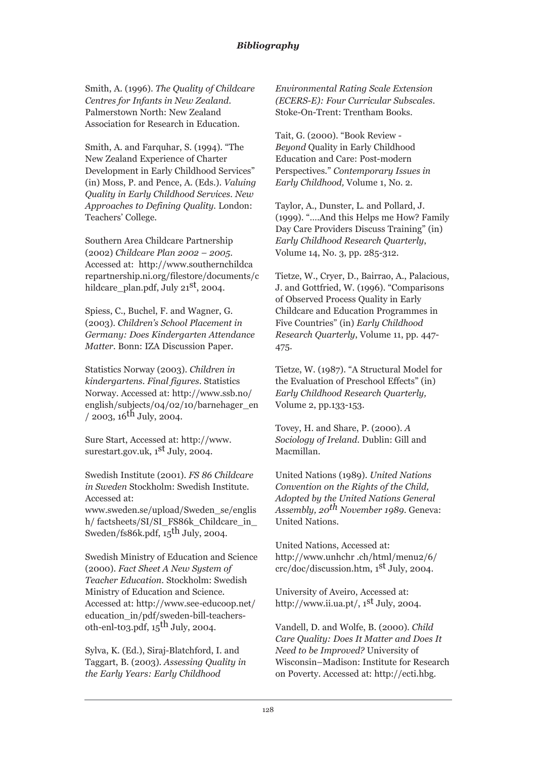Smith, A. (1996). *The Quality of Childcare Centres for Infants in New Zealand*. Palmerstown North: New Zealand Association for Research in Education.

Smith, A. and Farquhar, S. (1994). "The New Zealand Experience of Charter Development in Early Childhood Services" (in) Moss, P. and Pence, A. (Eds.). *Valuing Quality in Early Childhood Services. New Approaches to Defining Quality.* London: Teachers' College.

Southern Area Childcare Partnership (2002) *Childcare Plan 2002 – 2005*. Accessed at: http://www.southernchildca repartnership.ni.org/filestore/documents/c hildcare plan.pdf, July  $21<sup>st</sup>$ , 2004.

Spiess, C., Buchel, F. and Wagner, G. (2003). *Children's School Placement in Germany: Does Kindergarten Attendance Matter.* Bonn: IZA Discussion Paper.

Statistics Norway (2003). *Children in kindergartens. Final figures*. Statistics Norway. Accessed at: http://www.ssb.no/ english/subjects/04/02/10/barnehager\_en  $/$  2003, 16<sup>th</sup> July, 2004.

Sure Start, Accessed at: http://www. surestart.gov.uk, 1st July, 2004.

Swedish Institute (2001). *FS 86 Childcare in Sweden* Stockholm: Swedish Institute. Accessed at:

www.sweden.se/upload/Sweden\_se/englis h/ factsheets/SI/SI\_FS86k\_Childcare\_in\_ Sweden/fs86k.pdf,  $15<sup>th</sup>$  July, 2004.

Swedish Ministry of Education and Science (2000). *Fact Sheet A New System of Teacher Education*. Stockholm: Swedish Ministry of Education and Science. Accessed at: http://www.see-educoop.net/ education\_in/pdf/sweden-bill-teachersoth-enl-to3.pdf,  $15^{\text{th}}$  July, 2004.

Sylva, K. (Ed.), Siraj-Blatchford, I. and Taggart, B. (2003). *Assessing Quality in the Early Years: Early Childhood*

*Environmental Rating Scale Extension (ECERS-E): Four Curricular Subscales*. Stoke-On-Trent: Trentham Books.

Tait, G. (2000). "Book Review - *Beyond* Quality in Early Childhood Education and Care: Post-modern Perspectives." *Contemporary Issues in Early Childhood,* Volume 1, No. 2*.*

Taylor, A., Dunster, L. and Pollard, J. (1999). "….And this Helps me How? Family Day Care Providers Discuss Training" (in) *Early Childhood Research Quarterly*, Volume 14, No. 3, pp. 285-312.

Tietze, W., Cryer, D., Bairrao, A., Palacious, J. and Gottfried, W. (1996). "Comparisons of Observed Process Quality in Early Childcare and Education Programmes in Five Countries" (in) *Early Childhood Research Quarterly*, Volume 11, pp. 447- 475.

Tietze, W. (1987). "A Structural Model for the Evaluation of Preschool Effects" (in) *Early Childhood Research Quarterly,* Volume 2, pp.133-153.

Tovey, H. and Share, P. (2000). *A Sociology of Ireland*. Dublin: Gill and Macmillan.

United Nations (1989). *United Nations Convention on the Rights of the Child, Adopted by the United Nations General Assembly, 20th November 1989*. Geneva: United Nations.

United Nations, Accessed at: http://www.unhchr .ch/html/menu2/6/ crc/doc/discussion.htm, 1st July, 2004.

University of Aveiro, Accessed at: http://www.ii.ua.pt/,  $1<sup>st</sup>$  July, 2004.

Vandell, D. and Wolfe, B. (2000). *Child Care Quality: Does It Matter and Does It Need to be Improved?* University of Wisconsin–Madison: Institute for Research on Poverty. Accessed at: http://ecti.hbg.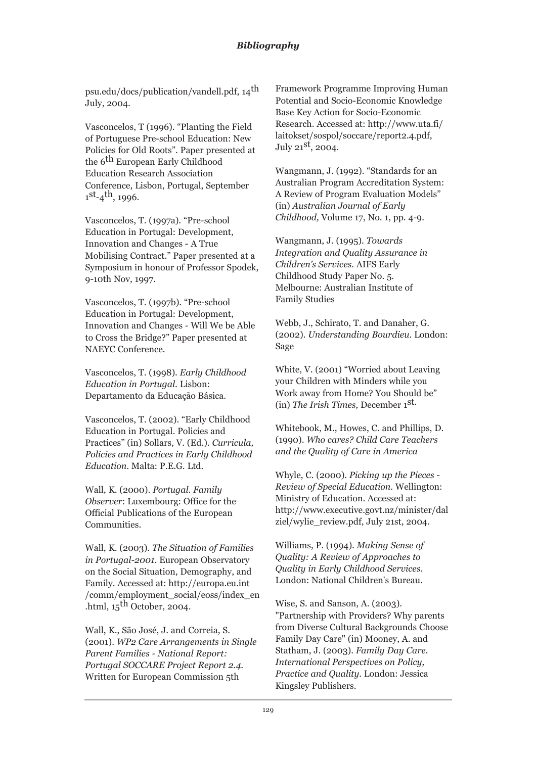psu.edu/docs/publication/vandell.pdf, 14th July, 2004.

Vasconcelos, T (1996). "Planting the Field of Portuguese Pre-school Education: New Policies for Old Roots". Paper presented at the 6<sup>th</sup> European Early Childhood Education Research Association Conference, Lisbon, Portugal, September  $1<sup>st</sup>-4<sup>th</sup>$ , 1996.

Vasconcelos, T. (1997a). "Pre-school Education in Portugal: Development, Innovation and Changes - A True Mobilising Contract." Paper presented at a Symposium in honour of Professor Spodek, 9-10th Nov, 1997.

Vasconcelos, T. (1997b). "Pre-school Education in Portugal: Development, Innovation and Changes - Will We be Able to Cross the Bridge?" Paper presented at NAEYC Conference.

Vasconcelos, T. (1998). *Early Childhood Education in Portugal*. Lisbon: Departamento da Educação Básica.

Vasconcelos, T. (2002). "Early Childhood Education in Portugal. Policies and Practices" (in) Sollars, V. (Ed.). *Curricula, Policies and Practices in Early Childhood Education*. Malta: P.E.G. Ltd.

Wall, K. (2000). *Portugal*. *Family Observer*: Luxembourg: Office for the Official Publications of the European Communities.

Wall, K. (2003). *The Situation of Families in Portugal-2001*. European Observatory on the Social Situation, Demography, and Family. Accessed at: http://europa.eu.int /comm/employment\_social/eoss/index\_en .html,  $15<sup>th</sup>$  October, 2004.

Wall, K., São José, J. and Correia, S. (2001). *WP2 Care Arrangements in Single Parent Families - National Report: Portugal SOCCARE Project Report 2.4*. Written for European Commission 5th

Framework Programme Improving Human Potential and Socio-Economic Knowledge Base Key Action for Socio-Economic Research. Accessed at: http://www.uta.fi/ laitokset/sospol/soccare/report2.4.pdf, July  $21<sup>st</sup>$ , 2004.

Wangmann, J. (1992). "Standards for an Australian Program Accreditation System: A Review of Program Evaluation Models" (in) *Australian Journal of Early Childhood,* Volume 17, No. 1, pp. 4-9.

Wangmann, J. (1995). *Towards Integration and Quality Assurance in Children's Services*. AIFS Early Childhood Study Paper No. 5. Melbourne: Australian Institute of Family Studies

Webb, J., Schirato, T. and Danaher, G. (2002). *Understanding Bourdieu*. London: Sage

White, V. (2001) "Worried about Leaving your Children with Minders while you Work away from Home? You Should be" (in) *The Irish Times,* December 1st.

Whitebook, M., Howes, C. and Phillips, D. (1990). *Who cares? Child Care Teachers and the Quality of Care in America*

Whyle, C. (2000). *Picking up the Pieces - Review of Special Education*. Wellington: Ministry of Education. Accessed at: http://www.executive.govt.nz/minister/dal ziel/wylie\_review.pdf, July 21st, 2004.

Williams, P. (1994). *Making Sense of Quality: A Review of Approaches to Quality in Early Childhood Services*. London: National Children's Bureau.

Wise, S. and Sanson, A. (2003). "Partnership with Providers? Why parents from Diverse Cultural Backgrounds Choose Family Day Care" (in) Mooney, A. and Statham, J. (2003). *Family Day Care. International Perspectives on Policy, Practice and Quality.* London: Jessica Kingsley Publishers.